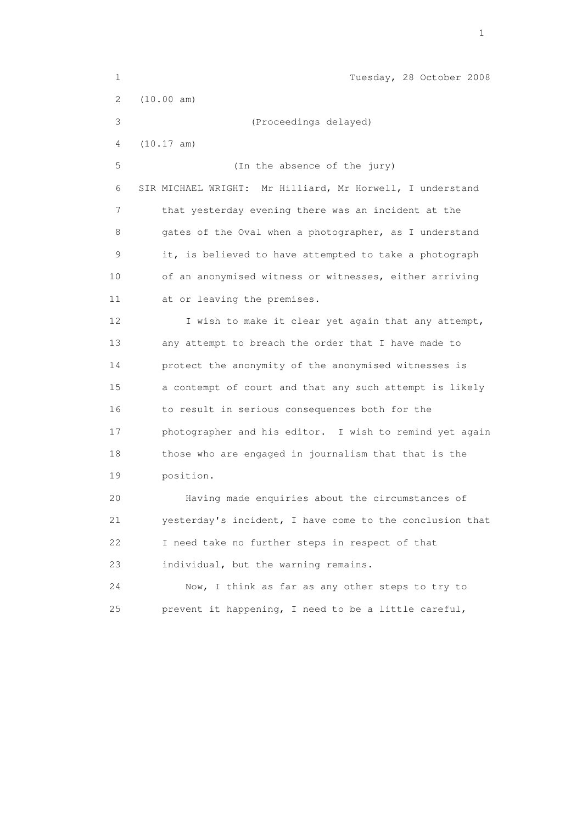| $\mathbf 1$               | Tuesday, 28 October 2008                                  |
|---------------------------|-----------------------------------------------------------|
| $\mathbf{2}^{\mathsf{I}}$ | (10.00 am)                                                |
| 3                         | (Proceedings delayed)                                     |
| 4                         | (10.17 am)                                                |
| 5                         | (In the absence of the jury)                              |
| 6                         | SIR MICHAEL WRIGHT: Mr Hilliard, Mr Horwell, I understand |
| 7                         | that yesterday evening there was an incident at the       |
| 8                         | gates of the Oval when a photographer, as I understand    |
| $\mathsf 9$               | it, is believed to have attempted to take a photograph    |
| 10                        | of an anonymised witness or witnesses, either arriving    |
| 11                        | at or leaving the premises.                               |
| 12                        | I wish to make it clear yet again that any attempt,       |
| 13                        | any attempt to breach the order that I have made to       |
| 14                        | protect the anonymity of the anonymised witnesses is      |
| 15                        | a contempt of court and that any such attempt is likely   |
| 16                        | to result in serious consequences both for the            |
| 17                        | photographer and his editor. I wish to remind yet again   |
| 18                        | those who are engaged in journalism that that is the      |
| 19                        | position.                                                 |
| 20                        | Having made enquiries about the circumstances of          |
| 21                        | yesterday's incident, I have come to the conclusion that  |
| 22                        | I need take no further steps in respect of that           |
| 23                        | individual, but the warning remains.                      |
| 24                        | Now, I think as far as any other steps to try to          |
| 25                        | prevent it happening, I need to be a little careful,      |

the contract of the contract of the contract of the contract of the contract of the contract of the contract of the contract of the contract of the contract of the contract of the contract of the contract of the contract o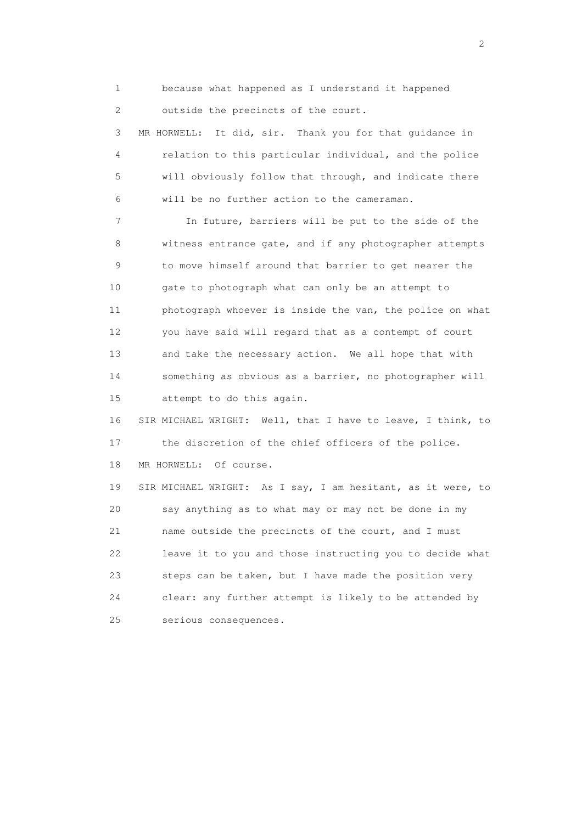1 because what happened as I understand it happened 2 outside the precincts of the court.

 3 MR HORWELL: It did, sir. Thank you for that guidance in 4 relation to this particular individual, and the police 5 will obviously follow that through, and indicate there 6 will be no further action to the cameraman.

 7 In future, barriers will be put to the side of the 8 witness entrance gate, and if any photographer attempts 9 to move himself around that barrier to get nearer the 10 gate to photograph what can only be an attempt to 11 photograph whoever is inside the van, the police on what 12 you have said will regard that as a contempt of court 13 and take the necessary action. We all hope that with 14 something as obvious as a barrier, no photographer will 15 attempt to do this again.

 16 SIR MICHAEL WRIGHT: Well, that I have to leave, I think, to 17 the discretion of the chief officers of the police. 18 MR HORWELL: Of course.

 19 SIR MICHAEL WRIGHT: As I say, I am hesitant, as it were, to 20 say anything as to what may or may not be done in my 21 name outside the precincts of the court, and I must 22 leave it to you and those instructing you to decide what 23 steps can be taken, but I have made the position very 24 clear: any further attempt is likely to be attended by 25 serious consequences.

 $\overline{2}$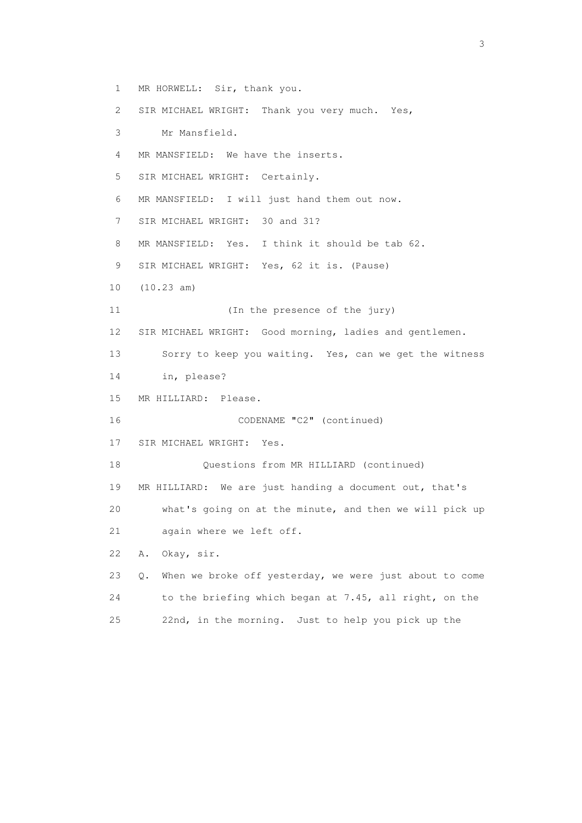1 MR HORWELL: Sir, thank you. 2 SIR MICHAEL WRIGHT: Thank you very much. Yes, 3 Mr Mansfield. 4 MR MANSFIELD: We have the inserts. 5 SIR MICHAEL WRIGHT: Certainly. 6 MR MANSFIELD: I will just hand them out now. 7 SIR MICHAEL WRIGHT: 30 and 31? 8 MR MANSFIELD: Yes. I think it should be tab 62. 9 SIR MICHAEL WRIGHT: Yes, 62 it is. (Pause) 10 (10.23 am) 11 (In the presence of the jury) 12 SIR MICHAEL WRIGHT: Good morning, ladies and gentlemen. 13 Sorry to keep you waiting. Yes, can we get the witness 14 in, please? 15 MR HILLIARD: Please. 16 CODENAME "C2" (continued) 17 SIR MICHAEL WRIGHT: Yes. 18 Questions from MR HILLIARD (continued) 19 MR HILLIARD: We are just handing a document out, that's 20 what's going on at the minute, and then we will pick up 21 again where we left off. 22 A. Okay, sir. 23 Q. When we broke off yesterday, we were just about to come 24 to the briefing which began at 7.45, all right, on the 25 22nd, in the morning. Just to help you pick up the

 $\sim$  3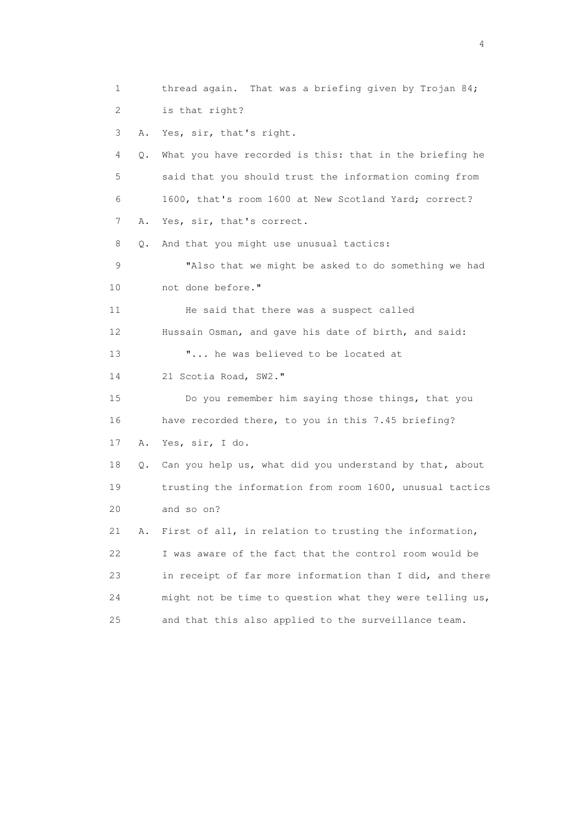1 thread again. That was a briefing given by Trojan 84; 2 is that right? 3 A. Yes, sir, that's right. 4 Q. What you have recorded is this: that in the briefing he 5 said that you should trust the information coming from 6 1600, that's room 1600 at New Scotland Yard; correct? 7 A. Yes, sir, that's correct. 8 Q. And that you might use unusual tactics: 9 "Also that we might be asked to do something we had 10 not done before." 11 He said that there was a suspect called 12 Hussain Osman, and gave his date of birth, and said: 13 "... he was believed to be located at 14 21 Scotia Road, SW2." 15 Do you remember him saying those things, that you 16 have recorded there, to you in this 7.45 briefing? 17 A. Yes, sir, I do. 18 Q. Can you help us, what did you understand by that, about 19 trusting the information from room 1600, unusual tactics 20 and so on? 21 A. First of all, in relation to trusting the information, 22 I was aware of the fact that the control room would be 23 in receipt of far more information than I did, and there 24 might not be time to question what they were telling us, 25 and that this also applied to the surveillance team.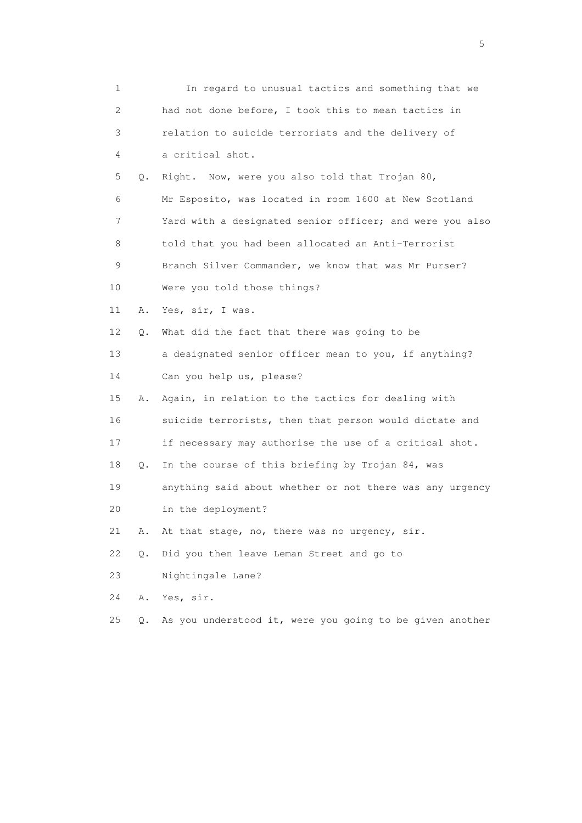| 1                         |    | In regard to unusual tactics and something that we       |
|---------------------------|----|----------------------------------------------------------|
| $\mathbf{2}^{\mathsf{I}}$ |    | had not done before, I took this to mean tactics in      |
| 3                         |    | relation to suicide terrorists and the delivery of       |
| 4                         |    | a critical shot.                                         |
| 5                         | Q. | Right. Now, were you also told that Trojan 80,           |
| 6                         |    | Mr Esposito, was located in room 1600 at New Scotland    |
| 7                         |    | Yard with a designated senior officer; and were you also |
| 8                         |    | told that you had been allocated an Anti-Terrorist       |
| 9                         |    | Branch Silver Commander, we know that was Mr Purser?     |
| 10                        |    | Were you told those things?                              |
| 11                        | Α. | Yes, sir, I was.                                         |
| 12                        | О. | What did the fact that there was going to be             |
| 13                        |    | a designated senior officer mean to you, if anything?    |
| 14                        |    | Can you help us, please?                                 |
| 15                        | Α. | Again, in relation to the tactics for dealing with       |
| 16                        |    | suicide terrorists, then that person would dictate and   |
| 17                        |    | if necessary may authorise the use of a critical shot.   |
| 18                        | Q. | In the course of this briefing by Trojan 84, was         |
| 19                        |    | anything said about whether or not there was any urgency |
| 20                        |    | in the deployment?                                       |
| 21                        | Α. | At that stage, no, there was no urgency, sir.            |
| 22                        | Q. | Did you then leave Leman Street and go to                |
| 23                        |    | Nightingale Lane?                                        |
| 24                        | Α. | Yes, sir.                                                |
| 25                        | Q. | As you understood it, were you going to be given another |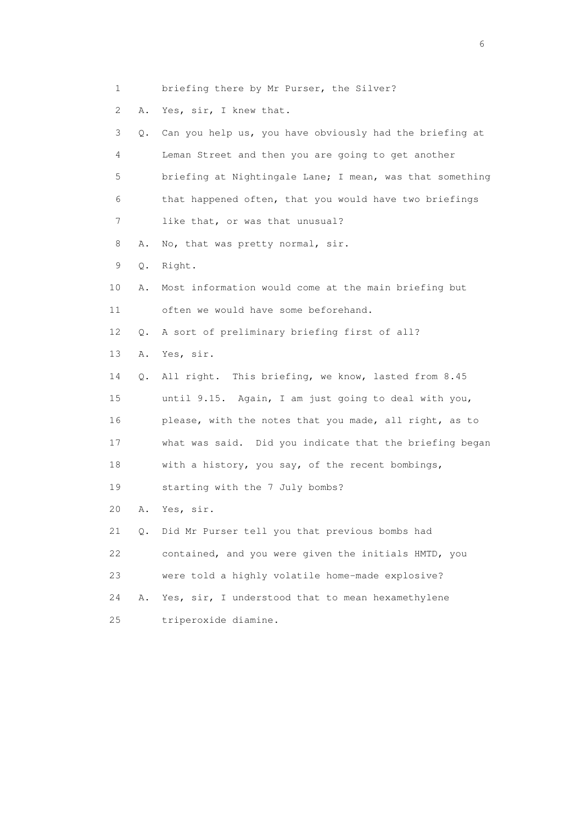- 1 briefing there by Mr Purser, the Silver?
- 2 A. Yes, sir, I knew that.

|   | 3 Q. Can you help us, you have obviously had the briefing at |
|---|--------------------------------------------------------------|
| 4 | Leman Street and then you are going to get another           |
| 5 | briefing at Nightingale Lane; I mean, was that something     |
| 6 | that happened often, that you would have two briefings       |
|   | like that, or was that unusual?                              |

- 8 A. No, that was pretty normal, sir.
- 9 Q. Right.
- 10 A. Most information would come at the main briefing but 11 often we would have some beforehand.

12 Q. A sort of preliminary briefing first of all?

13 A. Yes, sir.

 14 Q. All right. This briefing, we know, lasted from 8.45 15 until 9.15. Again, I am just going to deal with you, 16 please, with the notes that you made, all right, as to 17 what was said. Did you indicate that the briefing began 18 with a history, you say, of the recent bombings, 19 starting with the 7 July bombs?

20 A. Yes, sir.

 21 Q. Did Mr Purser tell you that previous bombs had 22 contained, and you were given the initials HMTD, you 23 were told a highly volatile home-made explosive? 24 A. Yes, sir, I understood that to mean hexamethylene 25 triperoxide diamine.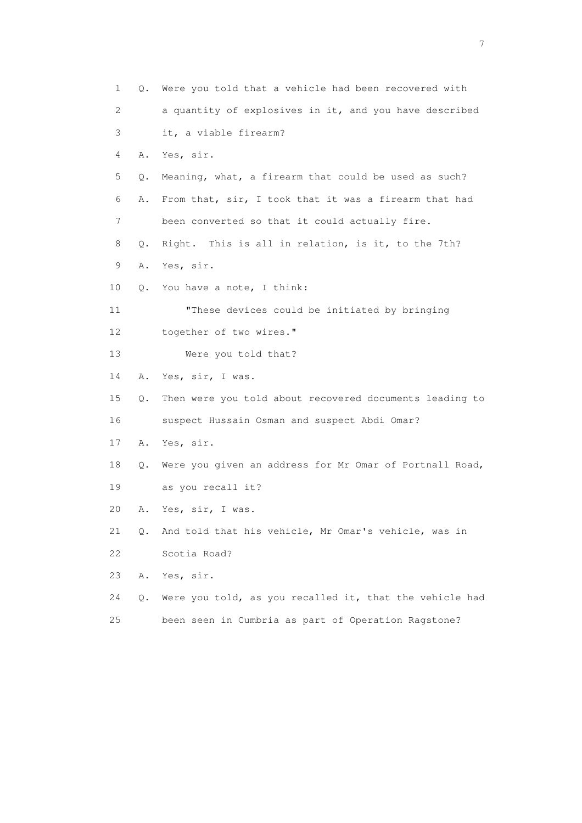| $\mathbf 1$ | Q. | Were you told that a vehicle had been recovered with    |
|-------------|----|---------------------------------------------------------|
| 2           |    | a quantity of explosives in it, and you have described  |
| 3           |    | it, a viable firearm?                                   |
| 4           | Α. | Yes, sir.                                               |
| 5           | Q. | Meaning, what, a firearm that could be used as such?    |
| 6           | Α. | From that, sir, I took that it was a firearm that had   |
| 7           |    | been converted so that it could actually fire.          |
| 8           | Q. | Right. This is all in relation, is it, to the 7th?      |
| 9           | Α. | Yes, sir.                                               |
| 10          | О. | You have a note, I think:                               |
| 11          |    | "These devices could be initiated by bringing           |
| 12          |    | together of two wires."                                 |
| 13          |    | Were you told that?                                     |
| 14          | Α. | Yes, sir, I was.                                        |
| 15          | Q. | Then were you told about recovered documents leading to |
| 16          |    | suspect Hussain Osman and suspect Abdi Omar?            |
| 17          | Α. | Yes, sir.                                               |
| 18          | Q. | Were you given an address for Mr Omar of Portnall Road, |
| 19          |    | as you recall it?                                       |
| 20          | Α. | Yes, sir, I was.                                        |
| 21          | Q. | And told that his vehicle, Mr Omar's vehicle, was in    |
| 22          |    | Scotia Road?                                            |
| 23          | Α. | Yes, sir.                                               |
| 24          | Q. | Were you told, as you recalled it, that the vehicle had |
| 25          |    | been seen in Cumbria as part of Operation Ragstone?     |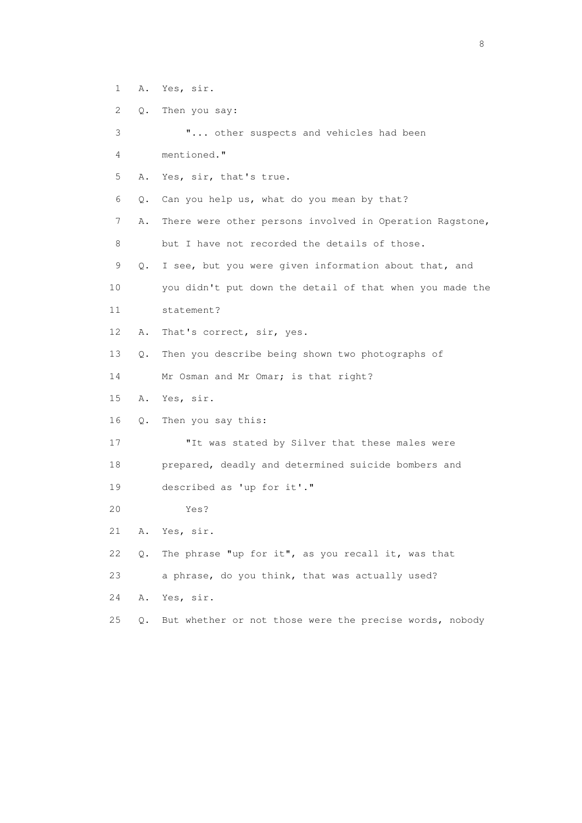- 1 A. Yes, sir.
- 2 Q. Then you say:
- 3 "... other suspects and vehicles had been
- 4 mentioned."
- 5 A. Yes, sir, that's true.
- 6 Q. Can you help us, what do you mean by that?
- 7 A. There were other persons involved in Operation Ragstone, 8 but I have not recorded the details of those.
- 9 Q. I see, but you were given information about that, and
- 10 you didn't put down the detail of that when you made the
- 11 statement?
- 12 A. That's correct, sir, yes.
- 13 Q. Then you describe being shown two photographs of
- 14 Mr Osman and Mr Omar; is that right?
- 15 A. Yes, sir.
- 16 Q. Then you say this:
- 17 "It was stated by Silver that these males were 18 prepared, deadly and determined suicide bombers and 19 described as 'up for it'."
- 20 Yes?
- 21 A. Yes, sir.
- 22 Q. The phrase "up for it", as you recall it, was that

23 a phrase, do you think, that was actually used?

- 24 A. Yes, sir.
- 25 Q. But whether or not those were the precise words, nobody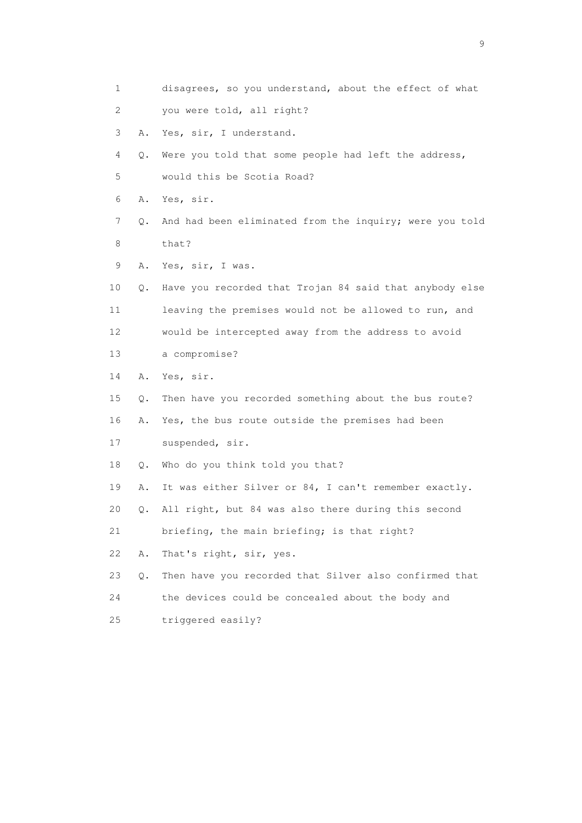1 disagrees, so you understand, about the effect of what 2 you were told, all right? 3 A. Yes, sir, I understand. 4 Q. Were you told that some people had left the address, 5 would this be Scotia Road? 6 A. Yes, sir. 7 Q. And had been eliminated from the inquiry; were you told 8 that? 9 A. Yes, sir, I was. 10 Q. Have you recorded that Trojan 84 said that anybody else 11 leaving the premises would not be allowed to run, and 12 would be intercepted away from the address to avoid 13 a compromise? 14 A. Yes, sir. 15 Q. Then have you recorded something about the bus route? 16 A. Yes, the bus route outside the premises had been 17 suspended, sir. 18 Q. Who do you think told you that? 19 A. It was either Silver or 84, I can't remember exactly. 20 Q. All right, but 84 was also there during this second 21 briefing, the main briefing; is that right? 22 A. That's right, sir, yes. 23 Q. Then have you recorded that Silver also confirmed that 24 the devices could be concealed about the body and 25 triggered easily?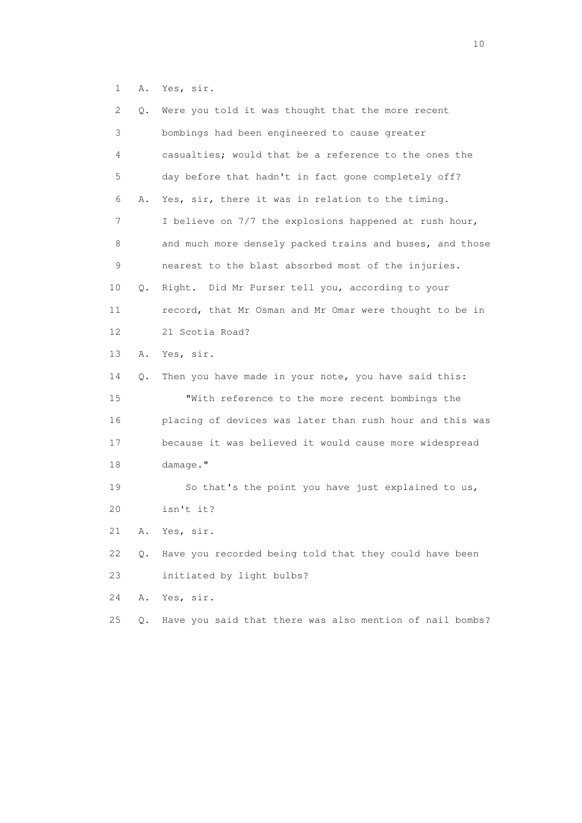1 A. Yes, sir.

| 2    | Q. | Were you told it was thought that the more recent        |
|------|----|----------------------------------------------------------|
| 3    |    | bombings had been engineered to cause greater            |
| 4    |    | casualties; would that be a reference to the ones the    |
| 5    |    | day before that hadn't in fact gone completely off?      |
| 6    | Α. | Yes, sir, there it was in relation to the timing.        |
| 7    |    | I believe on 7/7 the explosions happened at rush hour,   |
| 8    |    | and much more densely packed trains and buses, and those |
| 9    |    | nearest to the blast absorbed most of the injuries.      |
| 10   | Q. | Right. Did Mr Purser tell you, according to your         |
| 11   |    | record, that Mr Osman and Mr Omar were thought to be in  |
| 12   |    | 21 Scotia Road?                                          |
| 13   | Α. | Yes, sir.                                                |
| 14   | Q. | Then you have made in your note, you have said this:     |
| 15   |    | "With reference to the more recent bombings the          |
| 16   |    | placing of devices was later than rush hour and this was |
| 17   |    | because it was believed it would cause more widespread   |
| 18   |    | damage."                                                 |
| 19   |    | So that's the point you have just explained to us,       |
| 20   |    | isn't it?                                                |
| 21   | Α. | Yes, sir.                                                |
| 22   | Q. | Have you recorded being told that they could have been   |
| 23   |    | initiated by light bulbs?                                |
| 24   | Α. | Yes, sir.                                                |
| $25$ | Q. | Have you said that there was also mention of nail bombs? |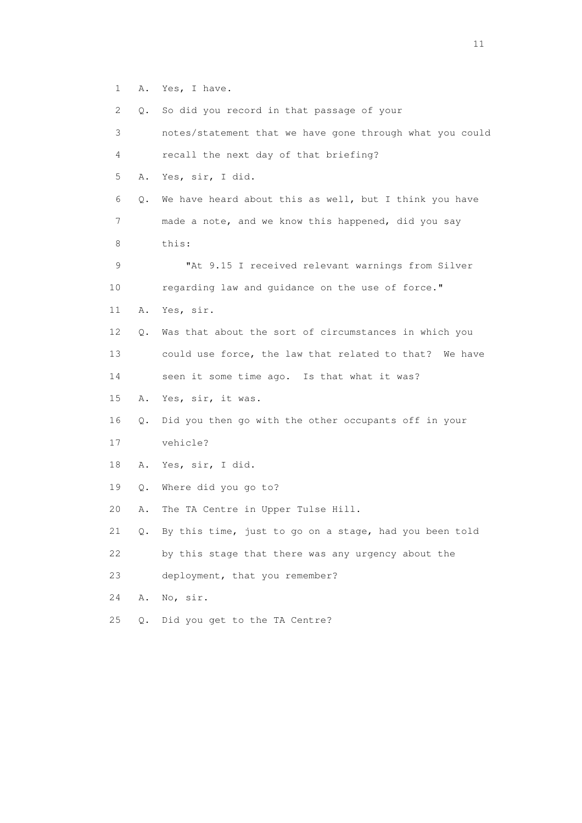1 A. Yes, I have.

| 2  | Q.    | So did you record in that passage of your                |
|----|-------|----------------------------------------------------------|
| 3  |       | notes/statement that we have gone through what you could |
| 4  |       | recall the next day of that briefing?                    |
| 5  | Α.    | Yes, sir, I did.                                         |
| 6  | Q.    | We have heard about this as well, but I think you have   |
| 7  |       | made a note, and we know this happened, did you say      |
| 8  |       | this:                                                    |
| 9  |       | "At 9.15 I received relevant warnings from Silver        |
| 10 |       | regarding law and guidance on the use of force."         |
| 11 | Α.    | Yes, sir.                                                |
| 12 | Q.    | Was that about the sort of circumstances in which you    |
| 13 |       | could use force, the law that related to that? We have   |
| 14 |       | seen it some time ago. Is that what it was?              |
| 15 | Α.    | Yes, sir, it was.                                        |
| 16 | Q.    | Did you then go with the other occupants off in your     |
| 17 |       | vehicle?                                                 |
| 18 | Α.    | Yes, sir, I did.                                         |
| 19 | Q.    | Where did you go to?                                     |
| 20 | Α.    | The TA Centre in Upper Tulse Hill.                       |
| 21 | Q.    | By this time, just to go on a stage, had you been told   |
| 22 |       | by this stage that there was any urgency about the       |
| 23 |       | deployment, that you remember?                           |
| 24 | Α.    | No, sir.                                                 |
| 25 | $Q$ . | Did you get to the TA Centre?                            |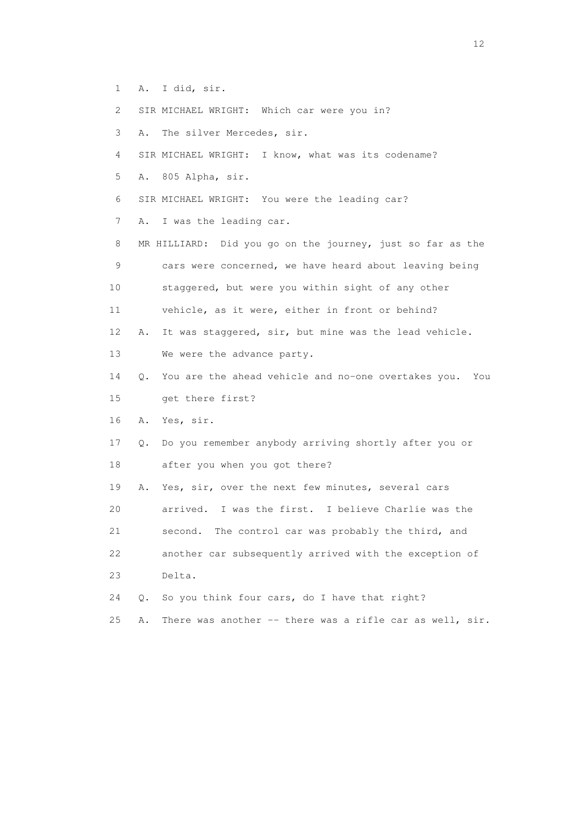- 1 A. I did, sir.
- 2 SIR MICHAEL WRIGHT: Which car were you in?
- 3 A. The silver Mercedes, sir.
- 4 SIR MICHAEL WRIGHT: I know, what was its codename?
- 5 A. 805 Alpha, sir.
- 6 SIR MICHAEL WRIGHT: You were the leading car?
- 7 A. I was the leading car.
- 8 MR HILLIARD: Did you go on the journey, just so far as the 9 cars were concerned, we have heard about leaving being 10 staggered, but were you within sight of any other 11 vehicle, as it were, either in front or behind?
- 12 A. It was staggered, sir, but mine was the lead vehicle.
- 13 We were the advance party.
- 14 Q. You are the ahead vehicle and no-one overtakes you. You 15 get there first?
- 16 A. Yes, sir.
- 17 Q. Do you remember anybody arriving shortly after you or 18 after you when you got there?
- 19 A. Yes, sir, over the next few minutes, several cars 20 arrived. I was the first. I believe Charlie was the 21 second. The control car was probably the third, and 22 another car subsequently arrived with the exception of 23 Delta.
- 24 Q. So you think four cars, do I have that right?
- 25 A. There was another -- there was a rifle car as well, sir.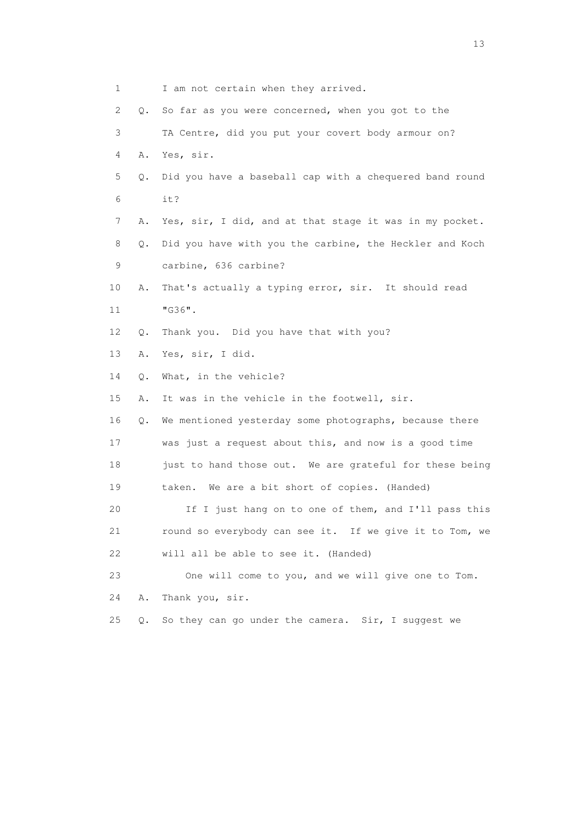1 I am not certain when they arrived. 2 Q. So far as you were concerned, when you got to the 3 TA Centre, did you put your covert body armour on? 4 A. Yes, sir. 5 Q. Did you have a baseball cap with a chequered band round 6 it? 7 A. Yes, sir, I did, and at that stage it was in my pocket. 8 Q. Did you have with you the carbine, the Heckler and Koch 9 carbine, 636 carbine? 10 A. That's actually a typing error, sir. It should read 11 "G36". 12 Q. Thank you. Did you have that with you? 13 A. Yes, sir, I did. 14 Q. What, in the vehicle? 15 A. It was in the vehicle in the footwell, sir. 16 Q. We mentioned yesterday some photographs, because there 17 was just a request about this, and now is a good time 18 just to hand those out. We are grateful for these being 19 taken. We are a bit short of copies. (Handed) 20 If I just hang on to one of them, and I'll pass this 21 round so everybody can see it. If we give it to Tom, we 22 will all be able to see it. (Handed) 23 One will come to you, and we will give one to Tom. 24 A. Thank you, sir. 25 Q. So they can go under the camera. Sir, I suggest we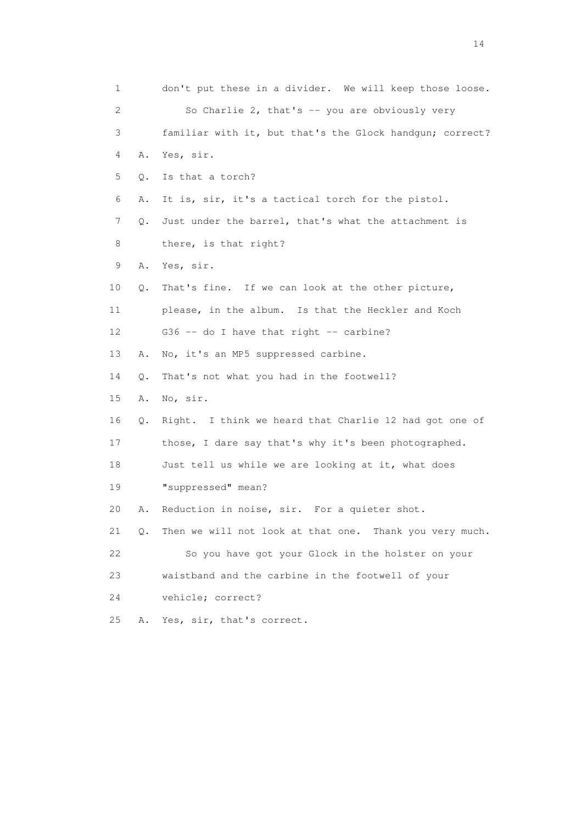1 don't put these in a divider. We will keep those loose. 2 So Charlie 2, that's -- you are obviously very 3 familiar with it, but that's the Glock handgun; correct? 4 A. Yes, sir. 5 Q. Is that a torch? 6 A. It is, sir, it's a tactical torch for the pistol. 7 Q. Just under the barrel, that's what the attachment is 8 there, is that right? 9 A. Yes, sir. 10 Q. That's fine. If we can look at the other picture, 11 please, in the album. Is that the Heckler and Koch 12 G36 -- do I have that right -- carbine? 13 A. No, it's an MP5 suppressed carbine. 14 Q. That's not what you had in the footwell? 15 A. No, sir. 16 Q. Right. I think we heard that Charlie 12 had got one of 17 those, I dare say that's why it's been photographed. 18 Just tell us while we are looking at it, what does 19 "suppressed" mean? 20 A. Reduction in noise, sir. For a quieter shot. 21 Q. Then we will not look at that one. Thank you very much. 22 So you have got your Glock in the holster on your 23 waistband and the carbine in the footwell of your 24 vehicle; correct? 25 A. Yes, sir, that's correct.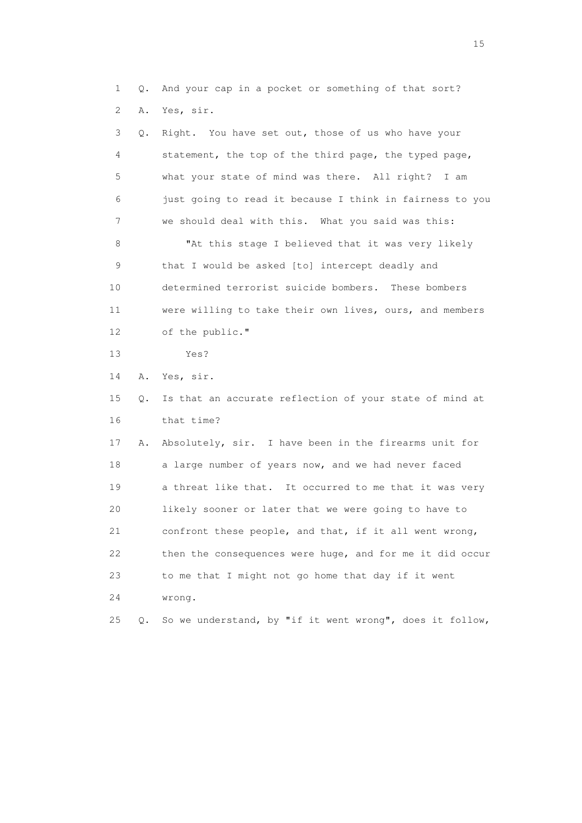1 Q. And your cap in a pocket or something of that sort? 2 A. Yes, sir.

| 3  | Q. | Right. You have set out, those of us who have your       |
|----|----|----------------------------------------------------------|
| 4  |    | statement, the top of the third page, the typed page,    |
| 5  |    | what your state of mind was there. All right?<br>I am    |
| 6  |    | just going to read it because I think in fairness to you |
| 7  |    | we should deal with this. What you said was this:        |
| 8  |    | "At this stage I believed that it was very likely        |
| 9  |    | that I would be asked [to] intercept deadly and          |
| 10 |    | determined terrorist suicide bombers. These bombers      |
| 11 |    | were willing to take their own lives, ours, and members  |
| 12 |    | of the public."                                          |
| 13 |    | Yes?                                                     |
| 14 | Α. | Yes, sir.                                                |
| 15 | Q. | Is that an accurate reflection of your state of mind at  |
| 16 |    | that time?                                               |
| 17 | Α. | Absolutely, sir. I have been in the firearms unit for    |
| 18 |    | a large number of years now, and we had never faced      |
| 19 |    | a threat like that. It occurred to me that it was very   |
| 20 |    | likely sooner or later that we were going to have to     |
| 21 |    | confront these people, and that, if it all went wrong,   |
| 22 |    | then the consequences were huge, and for me it did occur |
| 23 |    | to me that I might not go home that day if it went       |
| 24 |    | wrong.                                                   |
| 25 | Q. | So we understand, by "if it went wrong", does it follow, |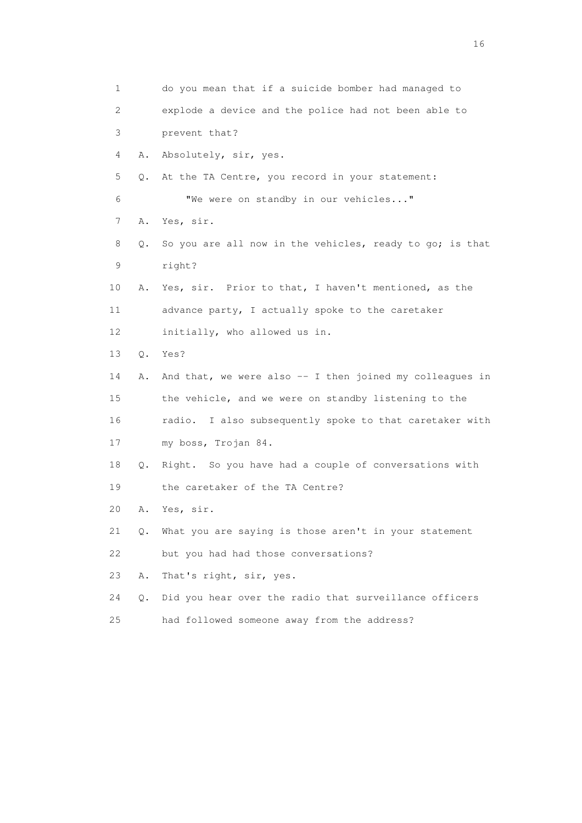1 do you mean that if a suicide bomber had managed to 2 explode a device and the police had not been able to 3 prevent that? 4 A. Absolutely, sir, yes. 5 Q. At the TA Centre, you record in your statement: 6 "We were on standby in our vehicles..." 7 A. Yes, sir. 8 Q. So you are all now in the vehicles, ready to go; is that 9 right? 10 A. Yes, sir. Prior to that, I haven't mentioned, as the 11 advance party, I actually spoke to the caretaker 12 initially, who allowed us in. 13 Q. Yes? 14 A. And that, we were also -- I then joined my colleagues in 15 the vehicle, and we were on standby listening to the 16 radio. I also subsequently spoke to that caretaker with 17 my boss, Trojan 84. 18 Q. Right. So you have had a couple of conversations with 19 the caretaker of the TA Centre? 20 A. Yes, sir. 21 Q. What you are saying is those aren't in your statement 22 but you had had those conversations? 23 A. That's right, sir, yes. 24 Q. Did you hear over the radio that surveillance officers 25 had followed someone away from the address?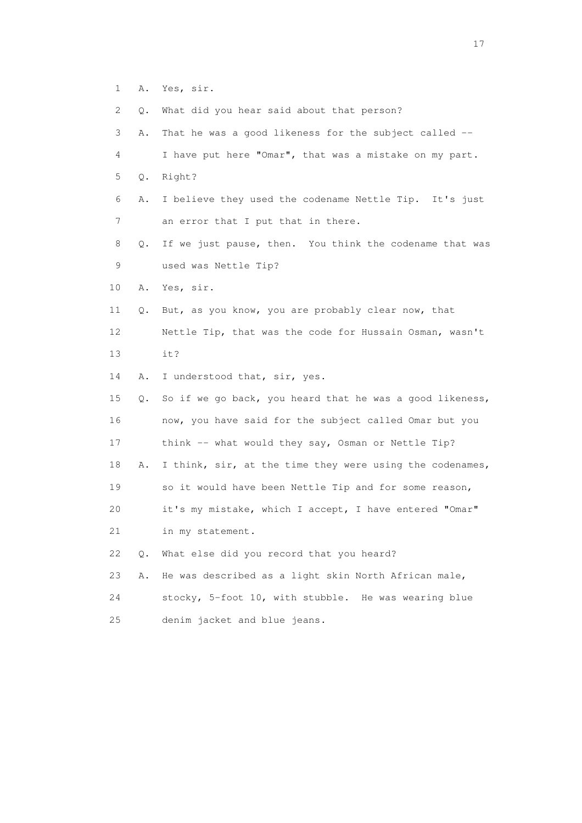- 1 A. Yes, sir.
- 2 Q. What did you hear said about that person?

| 3               | That he was a good likeness for the subject called --<br>Α.    |
|-----------------|----------------------------------------------------------------|
| 4               | I have put here "Omar", that was a mistake on my part.         |
| 5               | Right?<br>Q.                                                   |
| 6<br>Α.         | I believe they used the codename Nettle Tip. It's just         |
| 7               | an error that I put that in there.                             |
| 8               | If we just pause, then. You think the codename that was<br>Q.  |
| 9               | used was Nettle Tip?                                           |
| 10<br>Α.        | Yes, sir.                                                      |
| 11              | But, as you know, you are probably clear now, that<br>Q.       |
| 12 <sup>°</sup> | Nettle Tip, that was the code for Hussain Osman, wasn't        |
| 13              | it?                                                            |
| 14<br>Α.        | I understood that, sir, yes.                                   |
| 15              | So if we go back, you heard that he was a good likeness,<br>Q. |
| 16              | now, you have said for the subject called Omar but you         |
| 17              | think -- what would they say, Osman or Nettle Tip?             |
| 18<br>Α.        | I think, sir, at the time they were using the codenames,       |
| 19              | so it would have been Nettle Tip and for some reason,          |
| 20              | it's my mistake, which I accept, I have entered "Omar"         |
| 21              | in my statement.                                               |
| 22              | What else did you record that you heard?<br>Q.                 |
| 23<br>Α.        | He was described as a light skin North African male,           |
| 24              | stocky, 5-foot 10, with stubble. He was wearing blue           |
| 25              | denim jacket and blue jeans.                                   |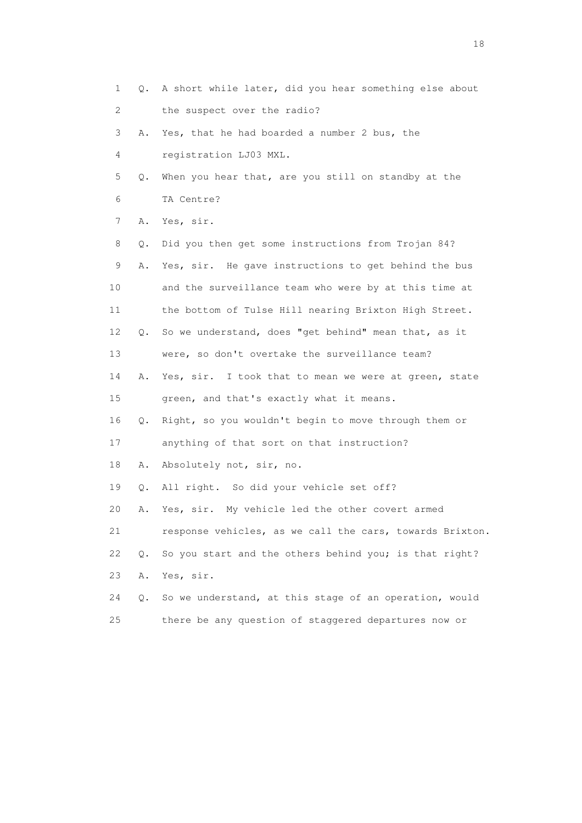1 Q. A short while later, did you hear something else about 2 the suspect over the radio? 3 A. Yes, that he had boarded a number 2 bus, the 4 registration LJ03 MXL. 5 Q. When you hear that, are you still on standby at the 6 TA Centre? 7 A. Yes, sir. 8 Q. Did you then get some instructions from Trojan 84? 9 A. Yes, sir. He gave instructions to get behind the bus 10 and the surveillance team who were by at this time at 11 the bottom of Tulse Hill nearing Brixton High Street. 12 Q. So we understand, does "get behind" mean that, as it 13 were, so don't overtake the surveillance team? 14 A. Yes, sir. I took that to mean we were at green, state 15 green, and that's exactly what it means. 16 Q. Right, so you wouldn't begin to move through them or 17 anything of that sort on that instruction? 18 A. Absolutely not, sir, no. 19 Q. All right. So did your vehicle set off? 20 A. Yes, sir. My vehicle led the other covert armed 21 response vehicles, as we call the cars, towards Brixton. 22 Q. So you start and the others behind you; is that right? 23 A. Yes, sir. 24 Q. So we understand, at this stage of an operation, would 25 there be any question of staggered departures now or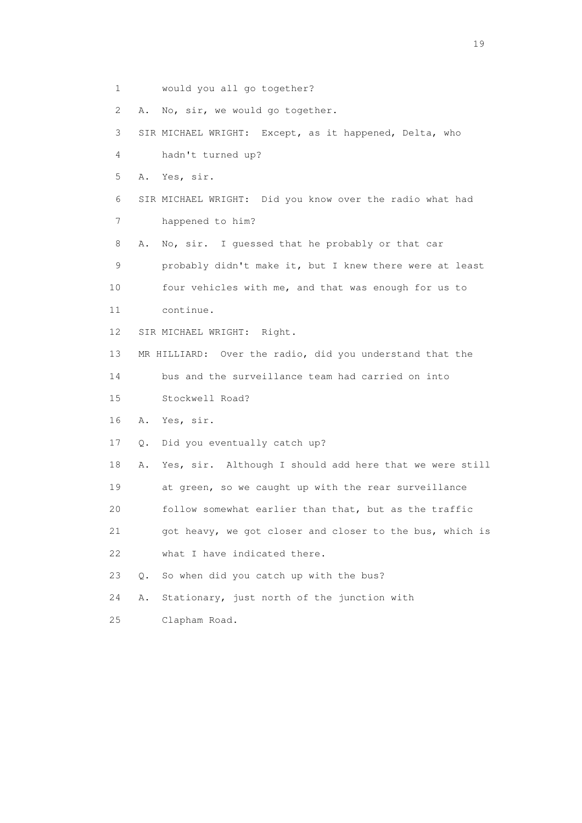1 would you all go together? 2 A. No, sir, we would go together. 3 SIR MICHAEL WRIGHT: Except, as it happened, Delta, who 4 hadn't turned up? 5 A. Yes, sir. 6 SIR MICHAEL WRIGHT: Did you know over the radio what had 7 happened to him? 8 A. No, sir. I guessed that he probably or that car 9 probably didn't make it, but I knew there were at least 10 four vehicles with me, and that was enough for us to 11 continue. 12 SIR MICHAEL WRIGHT: Right. 13 MR HILLIARD: Over the radio, did you understand that the 14 bus and the surveillance team had carried on into 15 Stockwell Road? 16 A. Yes, sir. 17 Q. Did you eventually catch up? 18 A. Yes, sir. Although I should add here that we were still 19 at green, so we caught up with the rear surveillance 20 follow somewhat earlier than that, but as the traffic 21 got heavy, we got closer and closer to the bus, which is 22 what I have indicated there. 23 Q. So when did you catch up with the bus? 24 A. Stationary, just north of the junction with 25 Clapham Road.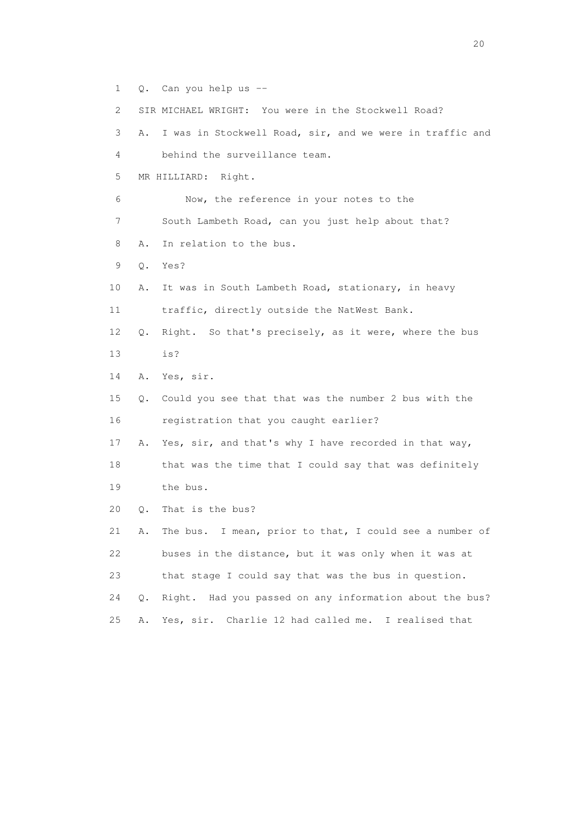1 Q. Can you help us --

2 SIR MICHAEL WRIGHT: You were in the Stockwell Road?

 3 A. I was in Stockwell Road, sir, and we were in traffic and 4 behind the surveillance team. 5 MR HILLIARD: Right. 6 Now, the reference in your notes to the 7 South Lambeth Road, can you just help about that?

- 8 A. In relation to the bus.
- 9 Q. Yes?
- 10 A. It was in South Lambeth Road, stationary, in heavy 11 traffic, directly outside the NatWest Bank.
- 12 Q. Right. So that's precisely, as it were, where the bus 13 is?
- 14 A. Yes, sir.
- 15 Q. Could you see that that was the number 2 bus with the 16 registration that you caught earlier?
- 17 A. Yes, sir, and that's why I have recorded in that way, 18 that was the time that I could say that was definitely 19 the bus.
- 20 Q. That is the bus?

 21 A. The bus. I mean, prior to that, I could see a number of 22 buses in the distance, but it was only when it was at 23 that stage I could say that was the bus in question. 24 Q. Right. Had you passed on any information about the bus? 25 A. Yes, sir. Charlie 12 had called me. I realised that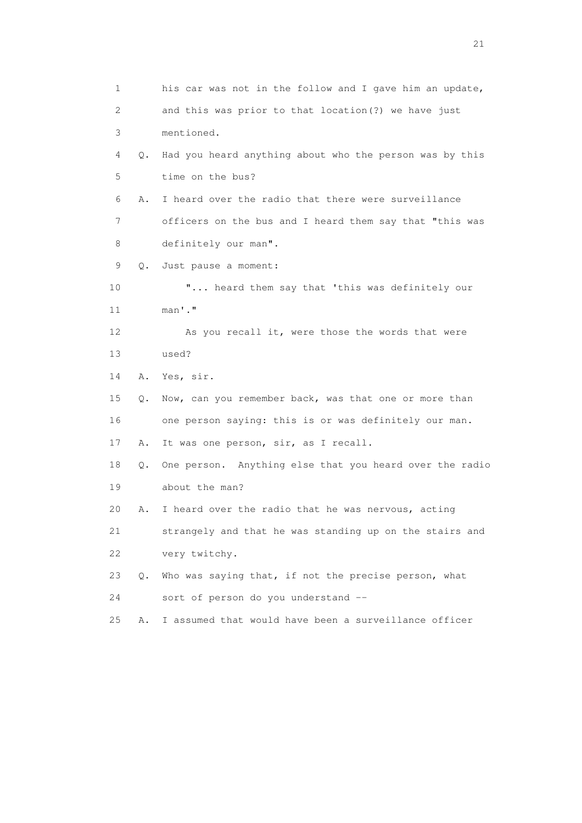1 his car was not in the follow and I gave him an update, 2 and this was prior to that location(?) we have just 3 mentioned. 4 Q. Had you heard anything about who the person was by this 5 time on the bus? 6 A. I heard over the radio that there were surveillance 7 officers on the bus and I heard them say that "this was 8 definitely our man". 9 Q. Just pause a moment: 10 "... heard them say that 'this was definitely our 11 man'." 12 As you recall it, were those the words that were 13 used? 14 A. Yes, sir. 15 Q. Now, can you remember back, was that one or more than 16 one person saying: this is or was definitely our man. 17 A. It was one person, sir, as I recall. 18 Q. One person. Anything else that you heard over the radio 19 about the man? 20 A. I heard over the radio that he was nervous, acting 21 strangely and that he was standing up on the stairs and 22 very twitchy. 23 Q. Who was saying that, if not the precise person, what 24 sort of person do you understand -- 25 A. I assumed that would have been a surveillance officer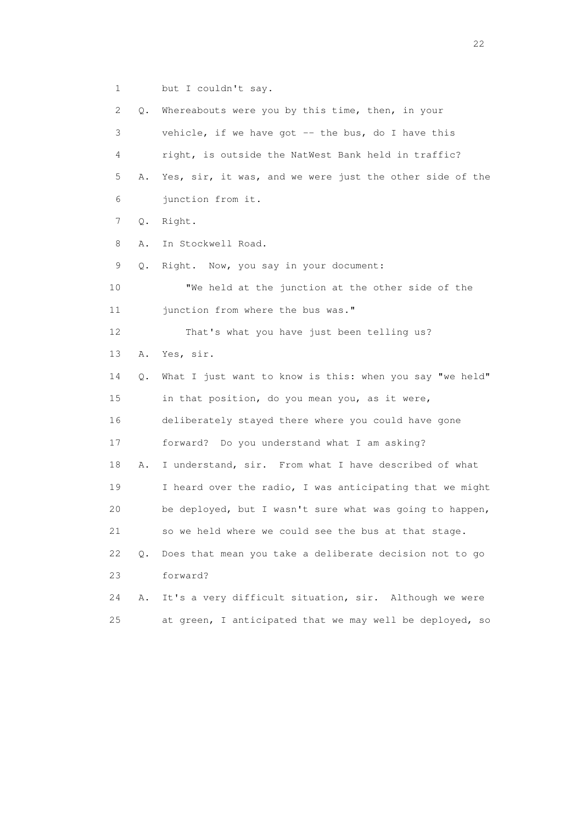1 but I couldn't say.

 2 Q. Whereabouts were you by this time, then, in your 3 vehicle, if we have got -- the bus, do I have this 4 right, is outside the NatWest Bank held in traffic? 5 A. Yes, sir, it was, and we were just the other side of the 6 junction from it. 7 Q. Right. 8 A. In Stockwell Road. 9 Q. Right. Now, you say in your document: 10 "We held at the junction at the other side of the 11 junction from where the bus was." 12 That's what you have just been telling us? 13 A. Yes, sir. 14 Q. What I just want to know is this: when you say "we held" 15 in that position, do you mean you, as it were, 16 deliberately stayed there where you could have gone 17 forward? Do you understand what I am asking? 18 A. I understand, sir. From what I have described of what 19 I heard over the radio, I was anticipating that we might 20 be deployed, but I wasn't sure what was going to happen, 21 so we held where we could see the bus at that stage. 22 Q. Does that mean you take a deliberate decision not to go 23 forward? 24 A. It's a very difficult situation, sir. Although we were 25 at green, I anticipated that we may well be deployed, so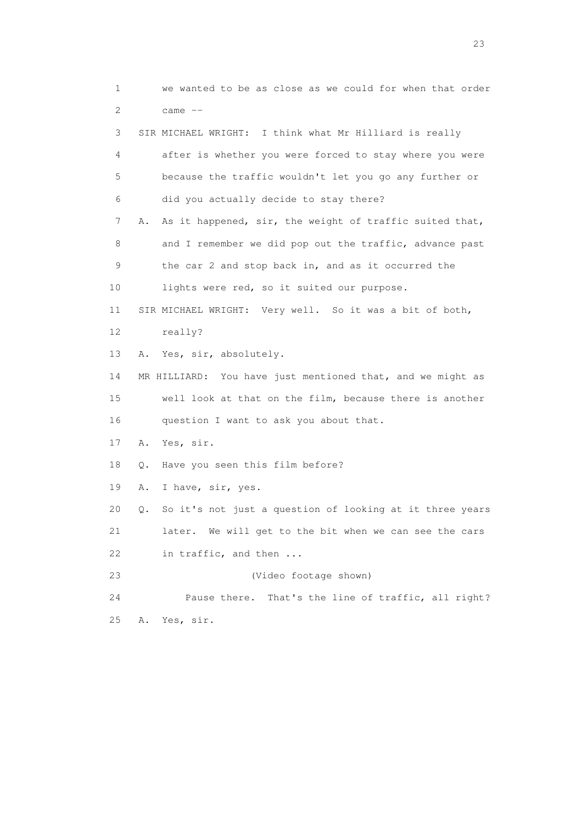1 we wanted to be as close as we could for when that order 2 came -- 3 SIR MICHAEL WRIGHT: I think what Mr Hilliard is really 4 after is whether you were forced to stay where you were 5 because the traffic wouldn't let you go any further or 6 did you actually decide to stay there? 7 A. As it happened, sir, the weight of traffic suited that, 8 and I remember we did pop out the traffic, advance past 9 the car 2 and stop back in, and as it occurred the 10 lights were red, so it suited our purpose. 11 SIR MICHAEL WRIGHT: Very well. So it was a bit of both, 12 really? 13 A. Yes, sir, absolutely. 14 MR HILLIARD: You have just mentioned that, and we might as 15 well look at that on the film, because there is another 16 question I want to ask you about that. 17 A. Yes, sir. 18 Q. Have you seen this film before? 19 A. I have, sir, yes. 20 Q. So it's not just a question of looking at it three years 21 later. We will get to the bit when we can see the cars 22 in traffic, and then ... 23 (Video footage shown) 24 Pause there. That's the line of traffic, all right? 25 A. Yes, sir.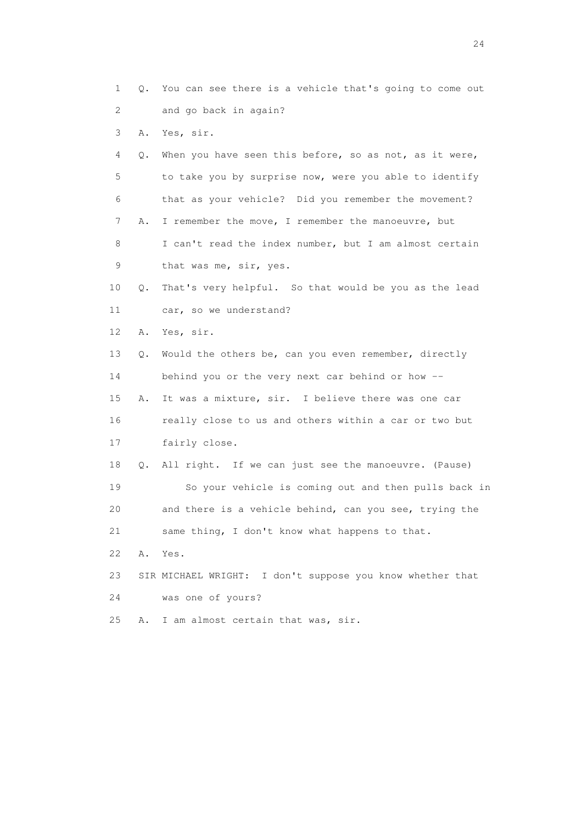1 Q. You can see there is a vehicle that's going to come out 2 and go back in again?

3 A. Yes, sir.

 4 Q. When you have seen this before, so as not, as it were, 5 to take you by surprise now, were you able to identify 6 that as your vehicle? Did you remember the movement? 7 A. I remember the move, I remember the manoeuvre, but 8 I can't read the index number, but I am almost certain 9 that was me, sir, yes.

 10 Q. That's very helpful. So that would be you as the lead 11 car, so we understand?

12 A. Yes, sir.

 13 Q. Would the others be, can you even remember, directly 14 behind you or the very next car behind or how -- 15 A. It was a mixture, sir. I believe there was one car 16 really close to us and others within a car or two but 17 fairly close.

 18 Q. All right. If we can just see the manoeuvre. (Pause) 19 So your vehicle is coming out and then pulls back in 20 and there is a vehicle behind, can you see, trying the 21 same thing, I don't know what happens to that.

22 A. Yes.

 23 SIR MICHAEL WRIGHT: I don't suppose you know whether that 24 was one of yours?

25 A. I am almost certain that was, sir.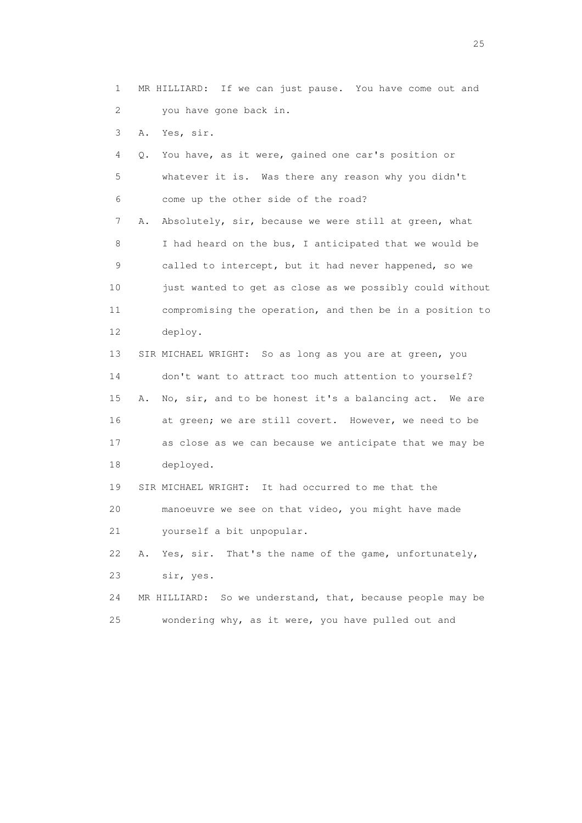1 MR HILLIARD: If we can just pause. You have come out and 2 you have gone back in.

3 A. Yes, sir.

 4 Q. You have, as it were, gained one car's position or 5 whatever it is. Was there any reason why you didn't 6 come up the other side of the road? 7 A. Absolutely, sir, because we were still at green, what 8 I had heard on the bus, I anticipated that we would be 9 called to intercept, but it had never happened, so we 10 just wanted to get as close as we possibly could without 11 compromising the operation, and then be in a position to 12 deploy.

 13 SIR MICHAEL WRIGHT: So as long as you are at green, you 14 don't want to attract too much attention to yourself? 15 A. No, sir, and to be honest it's a balancing act. We are 16 at green; we are still covert. However, we need to be 17 as close as we can because we anticipate that we may be 18 deployed.

 19 SIR MICHAEL WRIGHT: It had occurred to me that the 20 manoeuvre we see on that video, you might have made 21 yourself a bit unpopular.

 22 A. Yes, sir. That's the name of the game, unfortunately, 23 sir, yes.

 24 MR HILLIARD: So we understand, that, because people may be 25 wondering why, as it were, you have pulled out and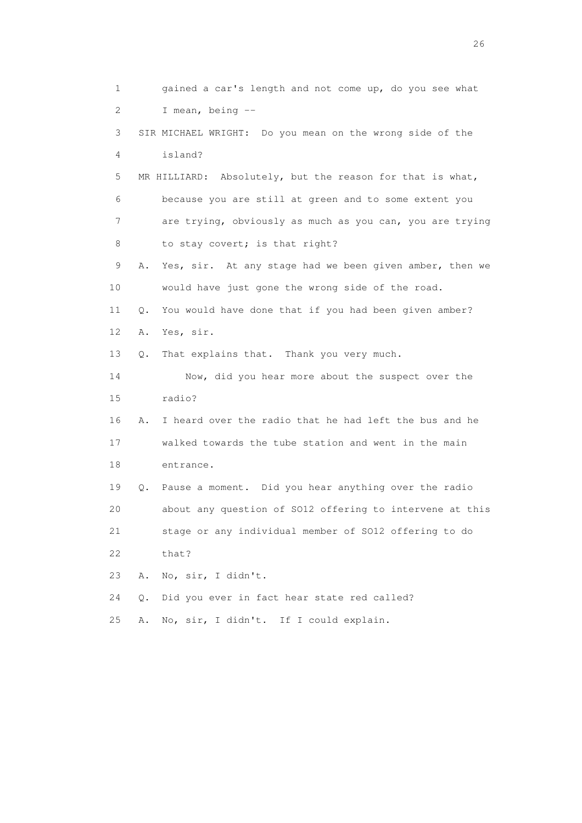1 gained a car's length and not come up, do you see what 2 I mean, being -- 3 SIR MICHAEL WRIGHT: Do you mean on the wrong side of the 4 island? 5 MR HILLIARD: Absolutely, but the reason for that is what, 6 because you are still at green and to some extent you 7 are trying, obviously as much as you can, you are trying 8 to stay covert; is that right? 9 A. Yes, sir. At any stage had we been given amber, then we 10 would have just gone the wrong side of the road. 11 Q. You would have done that if you had been given amber? 12 A. Yes, sir. 13 Q. That explains that. Thank you very much. 14 Now, did you hear more about the suspect over the 15 radio? 16 A. I heard over the radio that he had left the bus and he 17 walked towards the tube station and went in the main 18 entrance. 19 Q. Pause a moment. Did you hear anything over the radio 20 about any question of SO12 offering to intervene at this 21 stage or any individual member of SO12 offering to do 22 that? 23 A. No, sir, I didn't. 24 Q. Did you ever in fact hear state red called? 25 A. No, sir, I didn't. If I could explain.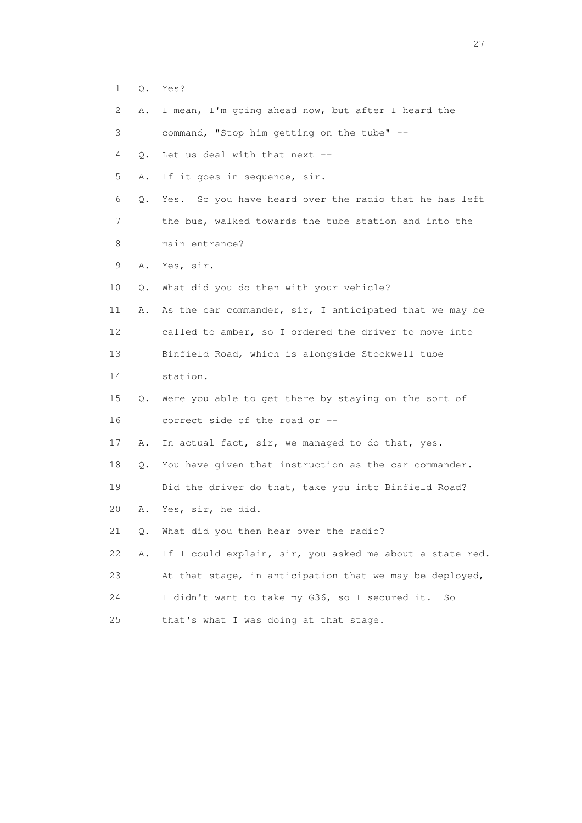- 1 Q. Yes?
- 2 A. I mean, I'm going ahead now, but after I heard the

3 command, "Stop him getting on the tube" --

4 Q. Let us deal with that next --

5 A. If it goes in sequence, sir.

 6 Q. Yes. So you have heard over the radio that he has left 7 the bus, walked towards the tube station and into the

- 8 main entrance?
- 9 A. Yes, sir.
- 10 Q. What did you do then with your vehicle?

 11 A. As the car commander, sir, I anticipated that we may be 12 called to amber, so I ordered the driver to move into 13 Binfield Road, which is alongside Stockwell tube

14 station.

 15 Q. Were you able to get there by staying on the sort of 16 correct side of the road or --

17 A. In actual fact, sir, we managed to do that, yes.

18 Q. You have given that instruction as the car commander.

19 Did the driver do that, take you into Binfield Road?

20 A. Yes, sir, he did.

21 Q. What did you then hear over the radio?

 22 A. If I could explain, sir, you asked me about a state red. 23 At that stage, in anticipation that we may be deployed,

24 I didn't want to take my G36, so I secured it. So

25 that's what I was doing at that stage.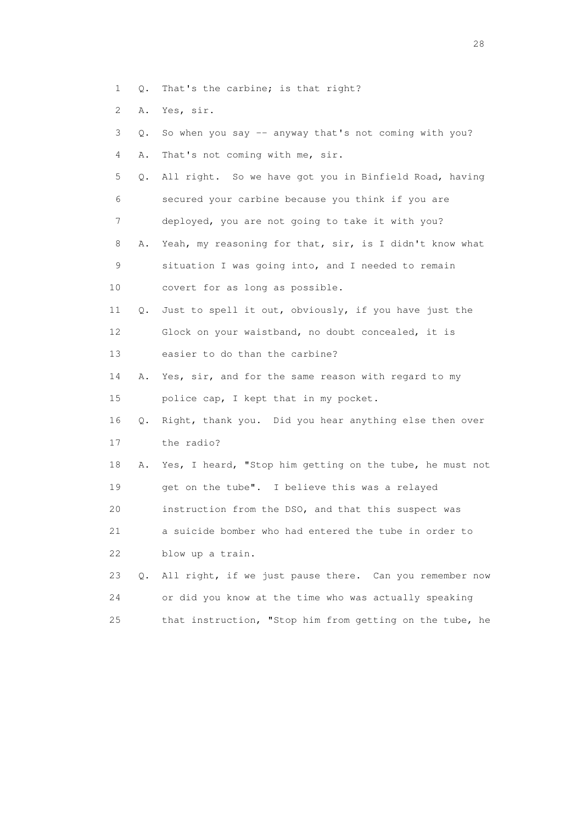- 1 Q. That's the carbine; is that right?
- 2 A. Yes, sir.

| 3  | О. | So when you say -- anyway that's not coming with you?    |
|----|----|----------------------------------------------------------|
| 4  | Α. | That's not coming with me, sir.                          |
| 5  | Q. | All right. So we have got you in Binfield Road, having   |
| 6  |    | secured your carbine because you think if you are        |
| 7  |    | deployed, you are not going to take it with you?         |
| 8  | Α. | Yeah, my reasoning for that, sir, is I didn't know what  |
| 9  |    | situation I was going into, and I needed to remain       |
| 10 |    | covert for as long as possible.                          |
| 11 | Q. | Just to spell it out, obviously, if you have just the    |
| 12 |    | Glock on your waistband, no doubt concealed, it is       |
| 13 |    | easier to do than the carbine?                           |
| 14 | Α. | Yes, sir, and for the same reason with regard to my      |
| 15 |    | police cap, I kept that in my pocket.                    |
| 16 | О. | Right, thank you. Did you hear anything else then over   |
| 17 |    | the radio?                                               |
| 18 | Α. | Yes, I heard, "Stop him getting on the tube, he must not |
| 19 |    | get on the tube". I believe this was a relayed           |
| 20 |    | instruction from the DSO, and that this suspect was      |
| 21 |    | a suicide bomber who had entered the tube in order to    |
| 22 |    | blow up a train.                                         |
| 23 | Q. | All right, if we just pause there. Can you remember now  |
| 24 |    | or did you know at the time who was actually speaking    |
| 25 |    | that instruction, "Stop him from getting on the tube, he |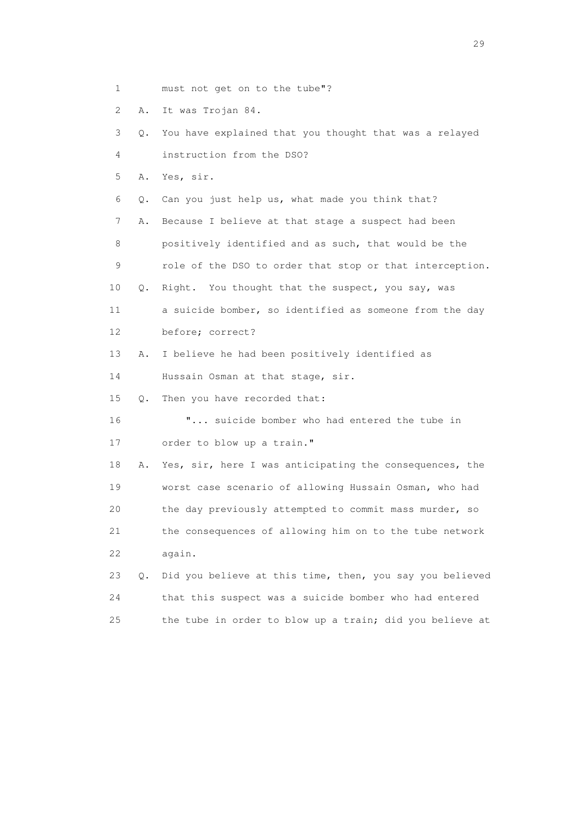- 1 must not get on to the tube"?
- 2 A. It was Trojan 84.

 3 Q. You have explained that you thought that was a relayed 4 instruction from the DSO? 5 A. Yes, sir. 6 Q. Can you just help us, what made you think that? 7 A. Because I believe at that stage a suspect had been 8 positively identified and as such, that would be the

- 9 role of the DSO to order that stop or that interception.
- 10 Q. Right. You thought that the suspect, you say, was
- 11 a suicide bomber, so identified as someone from the day 12 before; correct?
- 13 A. I believe he had been positively identified as
- 14 Hussain Osman at that stage, sir.
- 15 Q. Then you have recorded that:
- 16 "... suicide bomber who had entered the tube in 17 order to blow up a train."

 18 A. Yes, sir, here I was anticipating the consequences, the 19 worst case scenario of allowing Hussain Osman, who had 20 the day previously attempted to commit mass murder, so 21 the consequences of allowing him on to the tube network 22 again.

|     | 23 Q. Did you believe at this time, then, you say you believed |
|-----|----------------------------------------------------------------|
| 2.4 | that this suspect was a suicide bomber who had entered         |
| 2.5 | the tube in order to blow up a train; did you believe at       |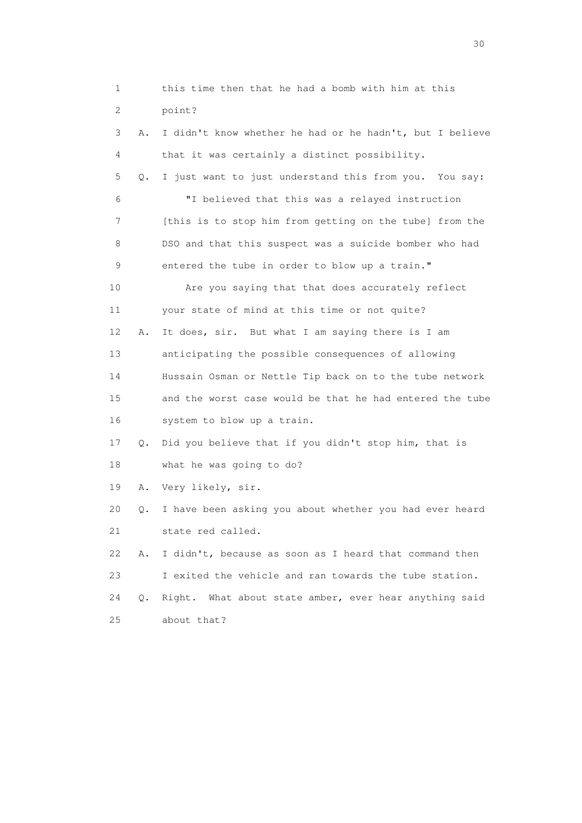| 1  |           | this time then that he had a bomb with him at this       |
|----|-----------|----------------------------------------------------------|
| 2  |           | point?                                                   |
| 3  | Α.        | I didn't know whether he had or he hadn't, but I believe |
| 4  |           | that it was certainly a distinct possibility.            |
| 5  | Q.        | I just want to just understand this from you. You say:   |
| 6  |           | "I believed that this was a relayed instruction          |
| 7  |           | [this is to stop him from getting on the tube] from the  |
| 8  |           | DSO and that this suspect was a suicide bomber who had   |
| 9  |           | entered the tube in order to blow up a train."           |
| 10 |           | Are you saying that that does accurately reflect         |
| 11 |           | your state of mind at this time or not quite?            |
| 12 | Α.        | It does, sir. But what I am saying there is I am         |
| 13 |           | anticipating the possible consequences of allowing       |
| 14 |           | Hussain Osman or Nettle Tip back on to the tube network  |
| 15 |           | and the worst case would be that he had entered the tube |
| 16 |           | system to blow up a train.                               |
| 17 | Q.        | Did you believe that if you didn't stop him, that is     |
| 18 |           | what he was going to do?                                 |
| 19 | Α.        | Very likely, sir.                                        |
| 20 | Q.        | I have been asking you about whether you had ever heard  |
| 21 |           | state red called.                                        |
| 22 | Α.        | I didn't, because as soon as I heard that command then   |
| 23 |           | I exited the vehicle and ran towards the tube station.   |
| 24 | $\circ$ . | Right. What about state amber, ever hear anything said   |
| 25 |           | about that?                                              |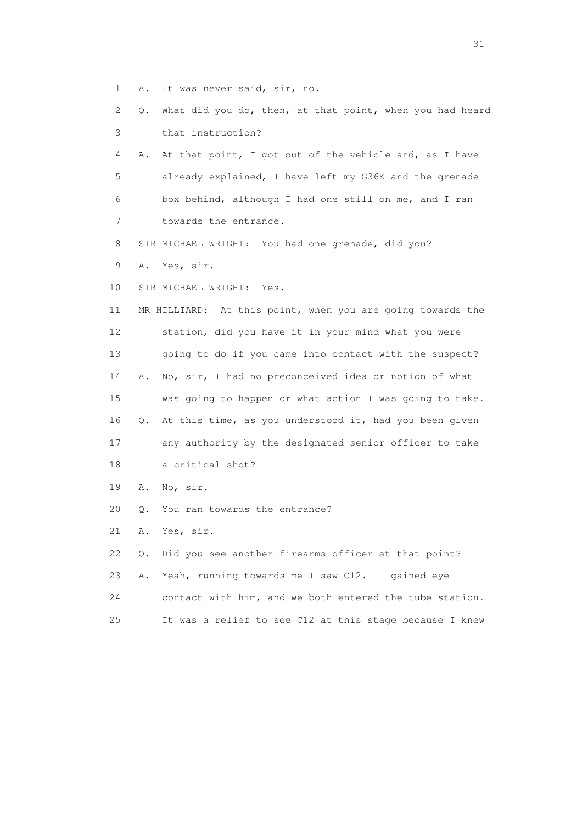- 1 A. It was never said, sir, no.
- 2 Q. What did you do, then, at that point, when you had heard 3 that instruction?
- 4 A. At that point, I got out of the vehicle and, as I have 5 already explained, I have left my G36K and the grenade 6 box behind, although I had one still on me, and I ran 7 towards the entrance.
- 8 SIR MICHAEL WRIGHT: You had one grenade, did you?
- 9 A. Yes, sir.

10 SIR MICHAEL WRIGHT: Yes.

 11 MR HILLIARD: At this point, when you are going towards the 12 station, did you have it in your mind what you were 13 going to do if you came into contact with the suspect? 14 A. No, sir, I had no preconceived idea or notion of what 15 was going to happen or what action I was going to take. 16 Q. At this time, as you understood it, had you been given 17 any authority by the designated senior officer to take 18 a critical shot?

- 19 A. No, sir.
- 20 Q. You ran towards the entrance?
- 21 A. Yes, sir.

 22 Q. Did you see another firearms officer at that point? 23 A. Yeah, running towards me I saw C12. I gained eye 24 contact with him, and we both entered the tube station. 25 It was a relief to see C12 at this stage because I knew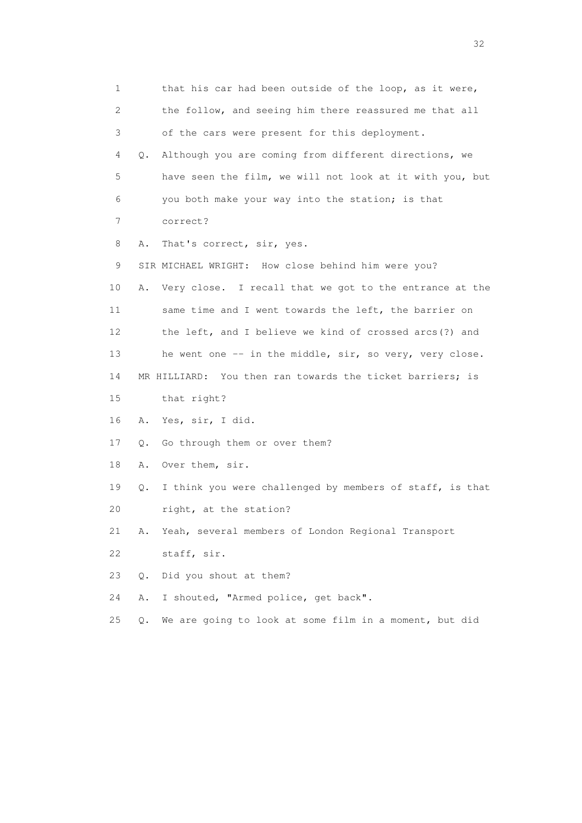1 that his car had been outside of the loop, as it were, 2 the follow, and seeing him there reassured me that all 3 of the cars were present for this deployment. 4 Q. Although you are coming from different directions, we 5 have seen the film, we will not look at it with you, but 6 you both make your way into the station; is that 7 correct? 8 A. That's correct, sir, yes. 9 SIR MICHAEL WRIGHT: How close behind him were you? 10 A. Very close. I recall that we got to the entrance at the 11 same time and I went towards the left, the barrier on 12 the left, and I believe we kind of crossed arcs(?) and 13 he went one -- in the middle, sir, so very, very close. 14 MR HILLIARD: You then ran towards the ticket barriers; is 15 that right? 16 A. Yes, sir, I did. 17 Q. Go through them or over them? 18 A. Over them, sir. 19 Q. I think you were challenged by members of staff, is that 20 right, at the station? 21 A. Yeah, several members of London Regional Transport 22 staff, sir. 23 Q. Did you shout at them? 24 A. I shouted, "Armed police, get back". 25 Q. We are going to look at some film in a moment, but did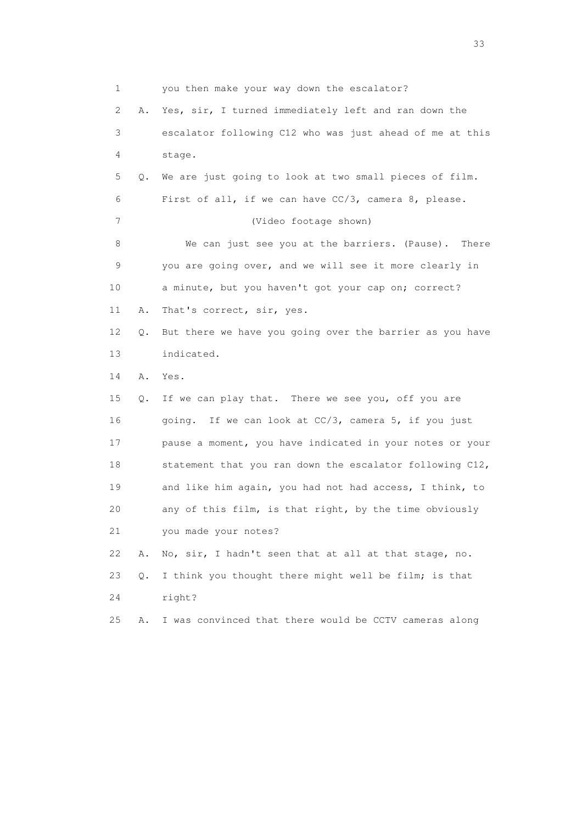1 you then make your way down the escalator? 2 A. Yes, sir, I turned immediately left and ran down the 3 escalator following C12 who was just ahead of me at this 4 stage. 5 Q. We are just going to look at two small pieces of film. 6 First of all, if we can have CC/3, camera 8, please. 7 (Video footage shown) 8 We can just see you at the barriers. (Pause). There 9 you are going over, and we will see it more clearly in 10 a minute, but you haven't got your cap on; correct? 11 A. That's correct, sir, yes. 12 Q. But there we have you going over the barrier as you have 13 indicated. 14 A. Yes. 15 Q. If we can play that. There we see you, off you are 16 going. If we can look at CC/3, camera 5, if you just 17 pause a moment, you have indicated in your notes or your 18 statement that you ran down the escalator following C12, 19 and like him again, you had not had access, I think, to 20 any of this film, is that right, by the time obviously 21 you made your notes? 22 A. No, sir, I hadn't seen that at all at that stage, no. 23 Q. I think you thought there might well be film; is that 24 right? 25 A. I was convinced that there would be CCTV cameras along

<u>33</u> and the state of the state of the state of the state of the state of the state of the state of the state of the state of the state of the state of the state of the state of the state of the state of the state of the s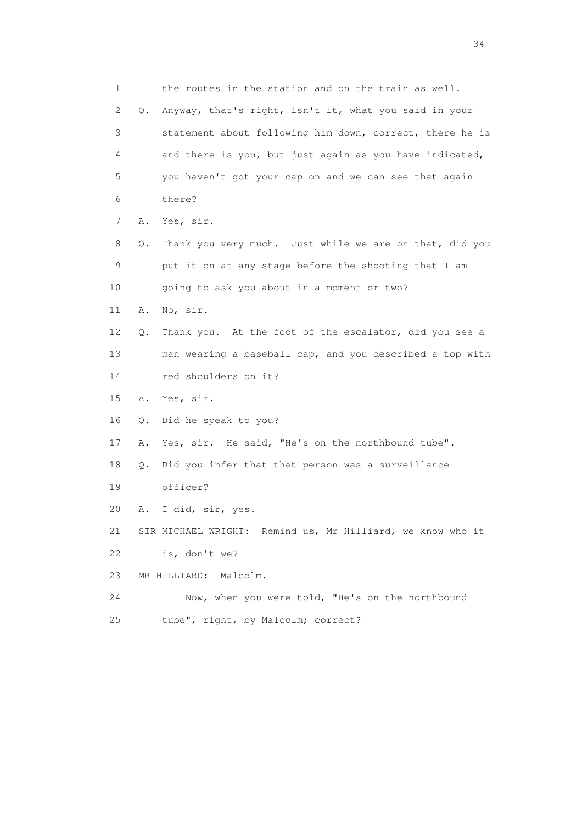1 the routes in the station and on the train as well. 2 Q. Anyway, that's right, isn't it, what you said in your 3 statement about following him down, correct, there he is 4 and there is you, but just again as you have indicated, 5 you haven't got your cap on and we can see that again 6 there? 7 A. Yes, sir. 8 Q. Thank you very much. Just while we are on that, did you 9 put it on at any stage before the shooting that I am 10 going to ask you about in a moment or two? 11 A. No, sir. 12 Q. Thank you. At the foot of the escalator, did you see a 13 man wearing a baseball cap, and you described a top with 14 red shoulders on it? 15 A. Yes, sir. 16 Q. Did he speak to you? 17 A. Yes, sir. He said, "He's on the northbound tube". 18 Q. Did you infer that that person was a surveillance 19 officer? 20 A. I did, sir, yes. 21 SIR MICHAEL WRIGHT: Remind us, Mr Hilliard, we know who it 22 is, don't we? 23 MR HILLIARD: Malcolm. 24 Now, when you were told, "He's on the northbound 25 tube", right, by Malcolm; correct?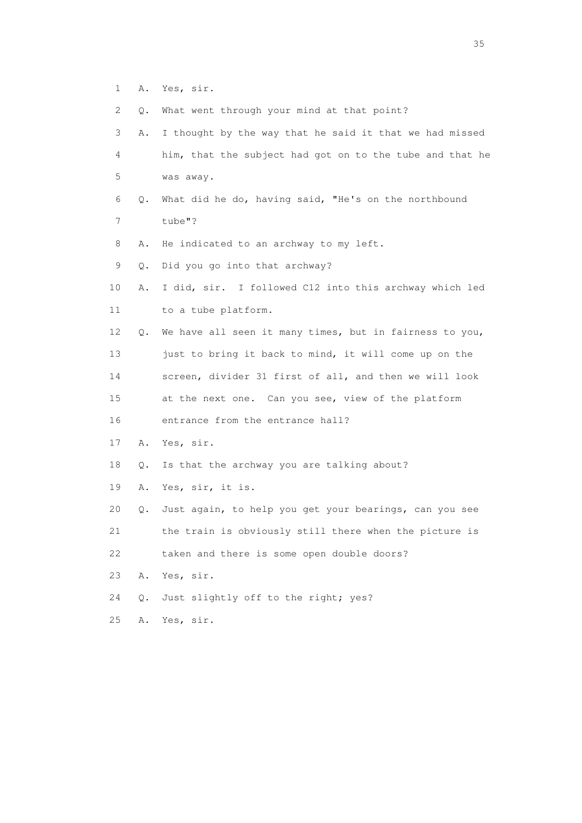- 1 A. Yes, sir.
- 2 Q. What went through your mind at that point?

| 3  | Α.    | I thought by the way that he said it that we had missed  |
|----|-------|----------------------------------------------------------|
| 4  |       | him, that the subject had got on to the tube and that he |
| 5  |       | was away.                                                |
| 6  | О.    | What did he do, having said, "He's on the northbound     |
| 7  |       | tube"?                                                   |
| 8  | Α.    | He indicated to an archway to my left.                   |
| 9  | Q.    | Did you go into that archway?                            |
| 10 | Α.    | I did, sir. I followed C12 into this archway which led   |
| 11 |       | to a tube platform.                                      |
| 12 | Q.    | We have all seen it many times, but in fairness to you,  |
| 13 |       | just to bring it back to mind, it will come up on the    |
| 14 |       | screen, divider 31 first of all, and then we will look   |
| 15 |       | at the next one. Can you see, view of the platform       |
| 16 |       | entrance from the entrance hall?                         |
| 17 | Α.    | Yes, sir.                                                |
| 18 | Q.    | Is that the archway you are talking about?               |
| 19 | Α.    | Yes, sir, it is.                                         |
| 20 | Q.    | Just again, to help you get your bearings, can you see   |
| 21 |       | the train is obviously still there when the picture is   |
| 22 |       | taken and there is some open double doors?               |
| 23 | Α.    | Yes, sir.                                                |
| 24 | $Q$ . | Just slightly off to the right; yes?                     |
| 25 | Α.    | Yes, sir.                                                |
|    |       |                                                          |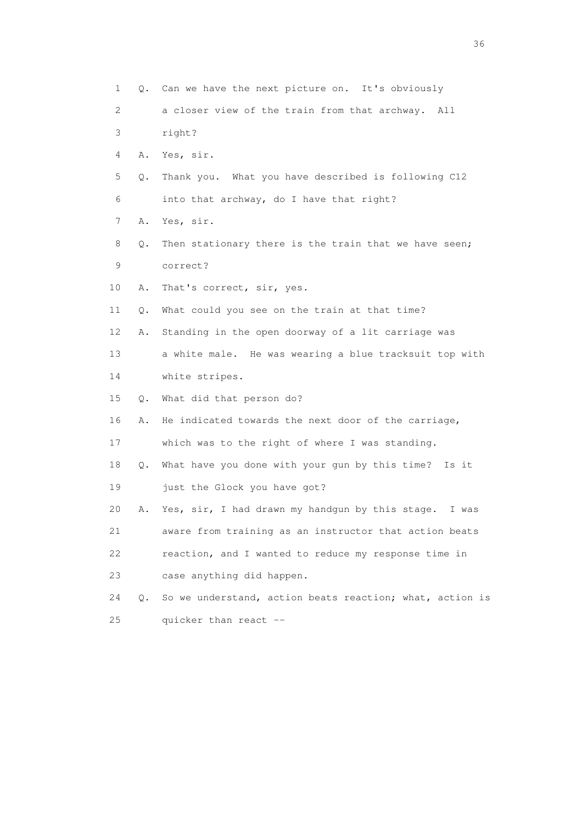1 Q. Can we have the next picture on. It's obviously 2 a closer view of the train from that archway. All 3 right? 4 A. Yes, sir. 5 Q. Thank you. What you have described is following C12 6 into that archway, do I have that right? 7 A. Yes, sir. 8 Q. Then stationary there is the train that we have seen; 9 correct? 10 A. That's correct, sir, yes. 11 Q. What could you see on the train at that time? 12 A. Standing in the open doorway of a lit carriage was 13 a white male. He was wearing a blue tracksuit top with 14 white stripes. 15 Q. What did that person do? 16 A. He indicated towards the next door of the carriage, 17 which was to the right of where I was standing. 18 Q. What have you done with your gun by this time? Is it 19 just the Glock you have got? 20 A. Yes, sir, I had drawn my handgun by this stage. I was 21 aware from training as an instructor that action beats 22 reaction, and I wanted to reduce my response time in 23 case anything did happen. 24 Q. So we understand, action beats reaction; what, action is 25 quicker than react --

 $36<sup>2</sup>$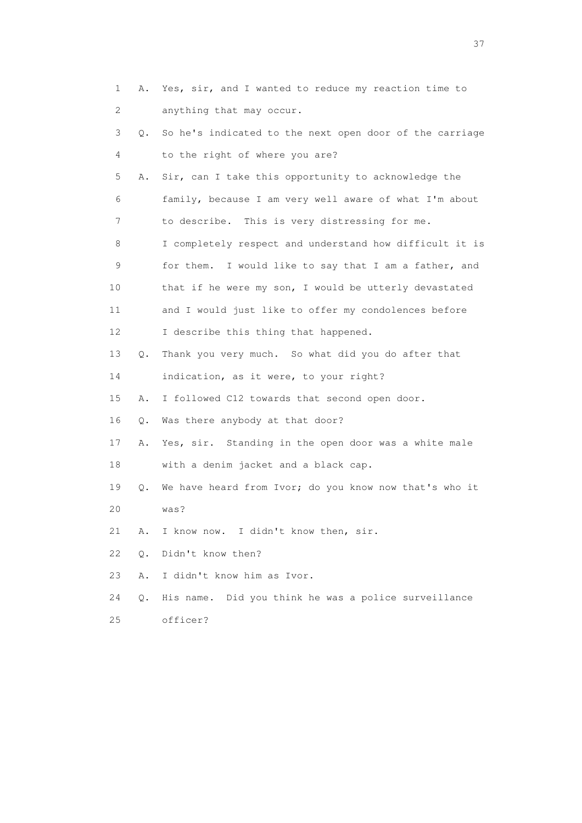| 1  | Α. | Yes, sir, and I wanted to reduce my reaction time to    |
|----|----|---------------------------------------------------------|
| 2  |    | anything that may occur.                                |
| 3  | Q. | So he's indicated to the next open door of the carriage |
| 4  |    | to the right of where you are?                          |
| 5  | Α. | Sir, can I take this opportunity to acknowledge the     |
| 6  |    | family, because I am very well aware of what I'm about  |
| 7  |    | to describe. This is very distressing for me.           |
| 8  |    | I completely respect and understand how difficult it is |
| 9  |    | for them. I would like to say that I am a father, and   |
| 10 |    | that if he were my son, I would be utterly devastated   |
| 11 |    | and I would just like to offer my condolences before    |
| 12 |    | I describe this thing that happened.                    |
| 13 | Q. | Thank you very much. So what did you do after that      |
| 14 |    | indication, as it were, to your right?                  |
| 15 | Α. | I followed C12 towards that second open door.           |
| 16 | Q. | Was there anybody at that door?                         |
| 17 | Α. | Yes, sir. Standing in the open door was a white male    |
| 18 |    | with a denim jacket and a black cap.                    |
| 19 | Q. | We have heard from Ivor; do you know now that's who it  |
| 20 |    | was?                                                    |
| 21 | Α. | I know now. I didn't know then, sir.                    |
| 22 | О. | Didn't know then?                                       |
| 23 | Α. | I didn't know him as Ivor.                              |
| 24 | О. | His name. Did you think he was a police surveillance    |
| 25 |    | officer?                                                |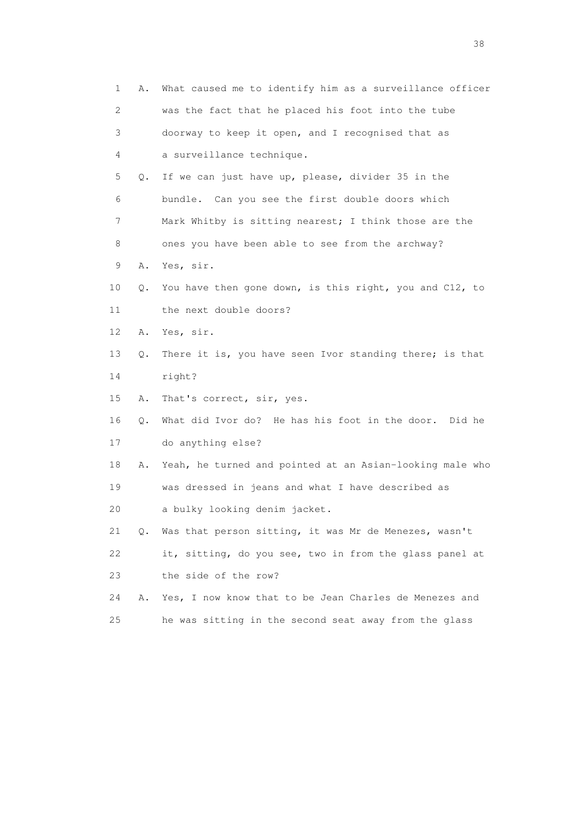| 1  | Α. | What caused me to identify him as a surveillance officer |
|----|----|----------------------------------------------------------|
| 2  |    | was the fact that he placed his foot into the tube       |
| 3  |    | doorway to keep it open, and I recognised that as        |
| 4  |    | a surveillance technique.                                |
| 5  | Q. | If we can just have up, please, divider 35 in the        |
| 6  |    | bundle. Can you see the first double doors which         |
| 7  |    | Mark Whitby is sitting nearest; I think those are the    |
| 8  |    | ones you have been able to see from the archway?         |
| 9  | Α. | Yes, sir.                                                |
| 10 | Q. | You have then gone down, is this right, you and C12, to  |
| 11 |    | the next double doors?                                   |
| 12 | Α. | Yes, sir.                                                |
| 13 | Q. | There it is, you have seen Ivor standing there; is that  |
| 14 |    | right?                                                   |
| 15 | Α. | That's correct, sir, yes.                                |
| 16 | Q. | What did Ivor do? He has his foot in the door. Did he    |
| 17 |    | do anything else?                                        |
| 18 | Α. | Yeah, he turned and pointed at an Asian-looking male who |
| 19 |    | was dressed in jeans and what I have described as        |
| 20 |    | a bulky looking denim jacket.                            |
| 21 | Q. | Was that person sitting, it was Mr de Menezes, wasn't    |
| 22 |    | it, sitting, do you see, two in from the glass panel at  |
| 23 |    | the side of the row?                                     |
| 24 | Α. | Yes, I now know that to be Jean Charles de Menezes and   |
| 25 |    | he was sitting in the second seat away from the glass    |

and the state of the state of the state of the state of the state of the state of the state of the state of the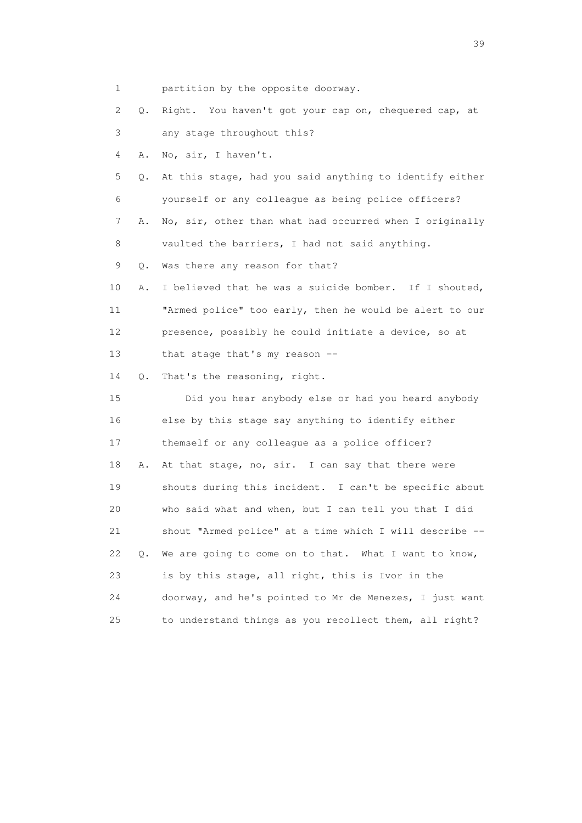1 partition by the opposite doorway.

 2 Q. Right. You haven't got your cap on, chequered cap, at 3 any stage throughout this?

4 A. No, sir, I haven't.

 5 Q. At this stage, had you said anything to identify either 6 yourself or any colleague as being police officers?

 7 A. No, sir, other than what had occurred when I originally 8 vaulted the barriers, I had not said anything.

9 Q. Was there any reason for that?

 10 A. I believed that he was a suicide bomber. If I shouted, 11 "Armed police" too early, then he would be alert to our 12 presence, possibly he could initiate a device, so at 13 that stage that's my reason --

14 Q. That's the reasoning, right.

 15 Did you hear anybody else or had you heard anybody 16 else by this stage say anything to identify either 17 themself or any colleague as a police officer? 18 A. At that stage, no, sir. I can say that there were 19 shouts during this incident. I can't be specific about 20 who said what and when, but I can tell you that I did 21 shout "Armed police" at a time which I will describe -- 22 Q. We are going to come on to that. What I want to know, 23 is by this stage, all right, this is Ivor in the 24 doorway, and he's pointed to Mr de Menezes, I just want 25 to understand things as you recollect them, all right?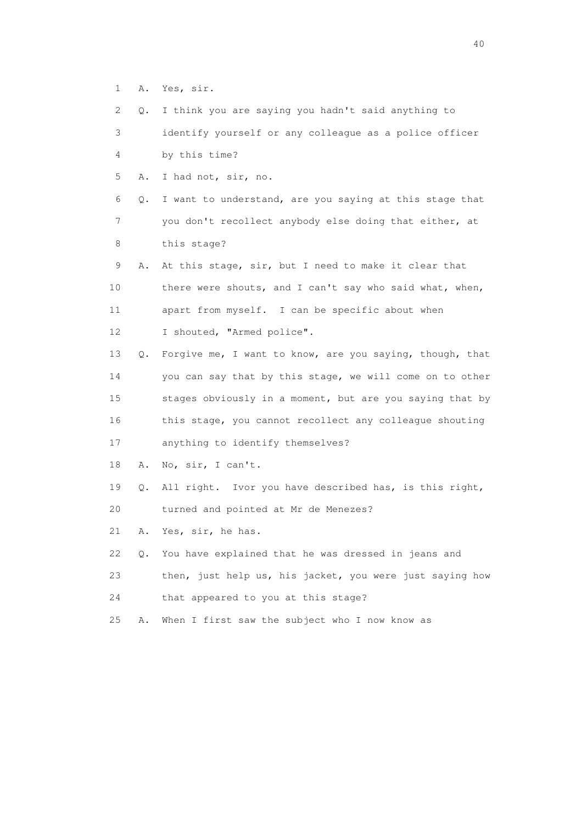- 1 A. Yes, sir.
- 2 Q. I think you are saying you hadn't said anything to

 3 identify yourself or any colleague as a police officer 4 by this time?

5 A. I had not, sir, no.

 6 Q. I want to understand, are you saying at this stage that 7 you don't recollect anybody else doing that either, at 8 this stage?

 9 A. At this stage, sir, but I need to make it clear that 10 there were shouts, and I can't say who said what, when, 11 apart from myself. I can be specific about when 12 I shouted, "Armed police".

 13 Q. Forgive me, I want to know, are you saying, though, that 14 you can say that by this stage, we will come on to other 15 stages obviously in a moment, but are you saying that by 16 this stage, you cannot recollect any colleague shouting

17 anything to identify themselves?

18 A. No, sir, I can't.

19 Q. All right. Ivor you have described has, is this right,

20 turned and pointed at Mr de Menezes?

21 A. Yes, sir, he has.

22 Q. You have explained that he was dressed in jeans and

- 23 then, just help us, his jacket, you were just saying how
- 24 that appeared to you at this stage?
- 25 A. When I first saw the subject who I now know as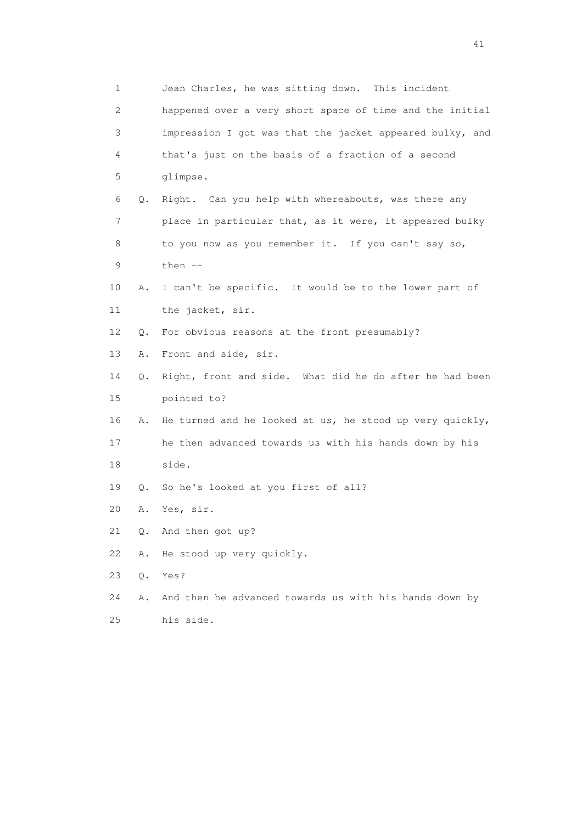| 1                         |    | Jean Charles, he was sitting down.<br>This incident      |
|---------------------------|----|----------------------------------------------------------|
| $\mathbf{2}^{\mathsf{I}}$ |    | happened over a very short space of time and the initial |
| 3                         |    | impression I got was that the jacket appeared bulky, and |
| 4                         |    | that's just on the basis of a fraction of a second       |
| 5                         |    | glimpse.                                                 |
| 6                         | Q. | Right. Can you help with whereabouts, was there any      |
| 7                         |    | place in particular that, as it were, it appeared bulky  |
| 8                         |    | to you now as you remember it. If you can't say so,      |
| 9                         |    | then --                                                  |
| 10                        | Α. | I can't be specific. It would be to the lower part of    |
| 11                        |    | the jacket, sir.                                         |
| 12                        | Q. | For obvious reasons at the front presumably?             |
| 13                        | Α. | Front and side, sir.                                     |
| 14                        | Q. | Right, front and side. What did he do after he had been  |
| 15                        |    | pointed to?                                              |
| 16                        | Α. | He turned and he looked at us, he stood up very quickly, |
| 17                        |    | he then advanced towards us with his hands down by his   |
| 18                        |    | side.                                                    |
| 19                        | Q. | So he's looked at you first of all?                      |
| 20                        | Α. | Yes, sir.                                                |
| 21                        | Q. | And then got up?                                         |
| 22                        | Α. | He stood up very quickly.                                |
| 23                        | Q. | Yes?                                                     |
| 24                        | Α. | And then he advanced towards us with his hands down by   |
| 25                        |    | his side.                                                |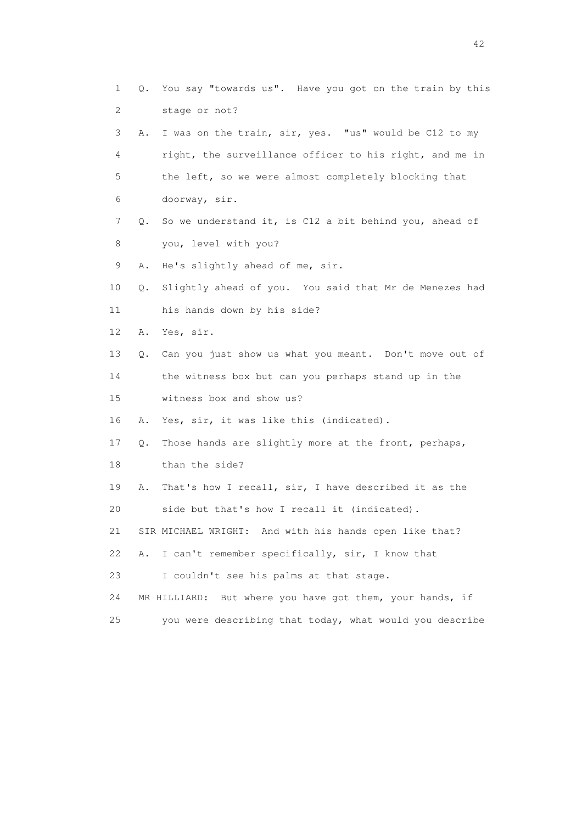1 Q. You say "towards us". Have you got on the train by this 2 stage or not? 3 A. I was on the train, sir, yes. "us" would be C12 to my 4 right, the surveillance officer to his right, and me in 5 the left, so we were almost completely blocking that 6 doorway, sir. 7 Q. So we understand it, is C12 a bit behind you, ahead of 8 you, level with you? 9 A. He's slightly ahead of me, sir. 10 Q. Slightly ahead of you. You said that Mr de Menezes had 11 his hands down by his side? 12 A. Yes, sir. 13 Q. Can you just show us what you meant. Don't move out of 14 the witness box but can you perhaps stand up in the 15 witness box and show us? 16 A. Yes, sir, it was like this (indicated). 17 Q. Those hands are slightly more at the front, perhaps, 18 than the side? 19 A. That's how I recall, sir, I have described it as the 20 side but that's how I recall it (indicated). 21 SIR MICHAEL WRIGHT: And with his hands open like that? 22 A. I can't remember specifically, sir, I know that 23 I couldn't see his palms at that stage. 24 MR HILLIARD: But where you have got them, your hands, if 25 you were describing that today, what would you describe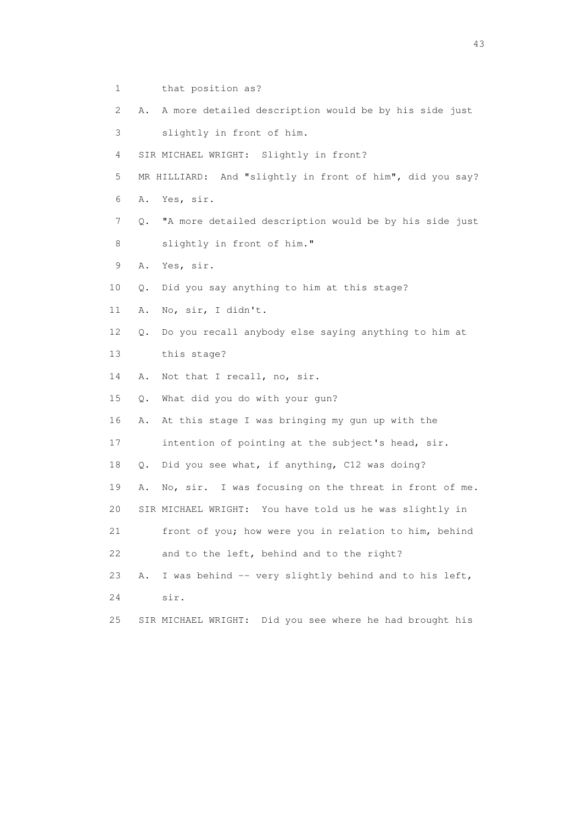- 1 that position as?
- 2 A. A more detailed description would be by his side just
- 3 slightly in front of him.
- 4 SIR MICHAEL WRIGHT: Slightly in front?
- 5 MR HILLIARD: And "slightly in front of him", did you say?
- 6 A. Yes, sir.
- 7 Q. "A more detailed description would be by his side just 8 slightly in front of him."
- 9 A. Yes, sir.
- 10 Q. Did you say anything to him at this stage?
- 11 A. No, sir, I didn't.
- 12 Q. Do you recall anybody else saying anything to him at
- 13 this stage?
- 14 A. Not that I recall, no, sir.
- 15 Q. What did you do with your gun?
- 16 A. At this stage I was bringing my gun up with the
- 17 intention of pointing at the subject's head, sir.
- 18 Q. Did you see what, if anything, C12 was doing?
- 19 A. No, sir. I was focusing on the threat in front of me.
- 20 SIR MICHAEL WRIGHT: You have told us he was slightly in
- 21 front of you; how were you in relation to him, behind 22 and to the left, behind and to the right?
- 23 A. I was behind -- very slightly behind and to his left,
- 24 sir.
- 25 SIR MICHAEL WRIGHT: Did you see where he had brought his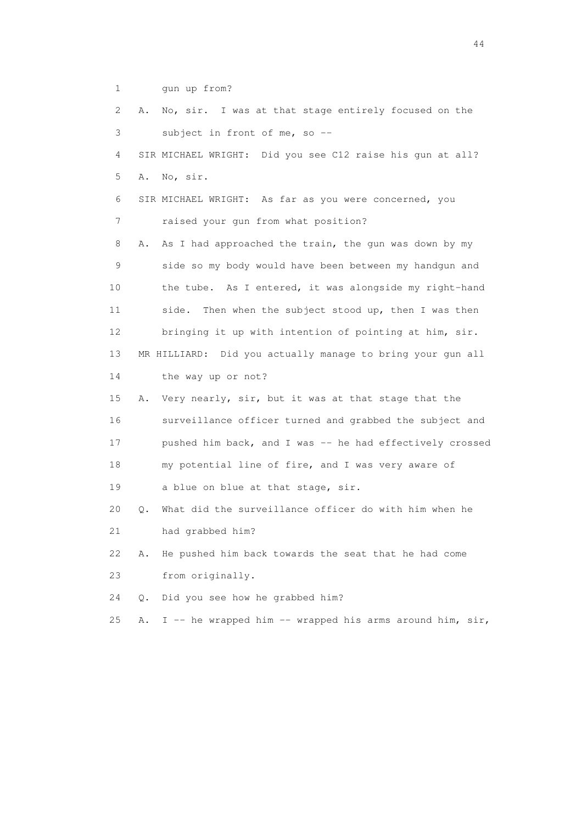1 gun up from?

| 2  | No, sir. I was at that stage entirely focused on the<br>Α.     |
|----|----------------------------------------------------------------|
| 3  | subject in front of me, so --                                  |
| 4  | SIR MICHAEL WRIGHT: Did you see C12 raise his qun at all?      |
| 5  | Α.<br>No, sir.                                                 |
| 6  | SIR MICHAEL WRIGHT: As far as you were concerned, you          |
| 7  | raised your gun from what position?                            |
| 8  | As I had approached the train, the gun was down by my<br>Α.    |
| 9  | side so my body would have been between my handgun and         |
| 10 | the tube. As I entered, it was alongside my right-hand         |
| 11 | Then when the subject stood up, then I was then<br>side.       |
| 12 | bringing it up with intention of pointing at him, sir.         |
| 13 | MR HILLIARD: Did you actually manage to bring your gun all     |
| 14 | the way up or not?                                             |
| 15 | Very nearly, sir, but it was at that stage that the<br>Α.      |
| 16 | surveillance officer turned and grabbed the subject and        |
| 17 | pushed him back, and I was -- he had effectively crossed       |
| 18 | my potential line of fire, and I was very aware of             |
| 19 | a blue on blue at that stage, sir.                             |
| 20 | What did the surveillance officer do with him when he<br>Q.    |
| 21 | had grabbed him?                                               |
| 22 | He pushed him back towards the seat that he had come<br>Α.     |
| 23 | from originally.                                               |
| 24 | Did you see how he grabbed him?<br>$Q$ .                       |
| 25 | I -- he wrapped him -- wrapped his arms around him, sir,<br>Α. |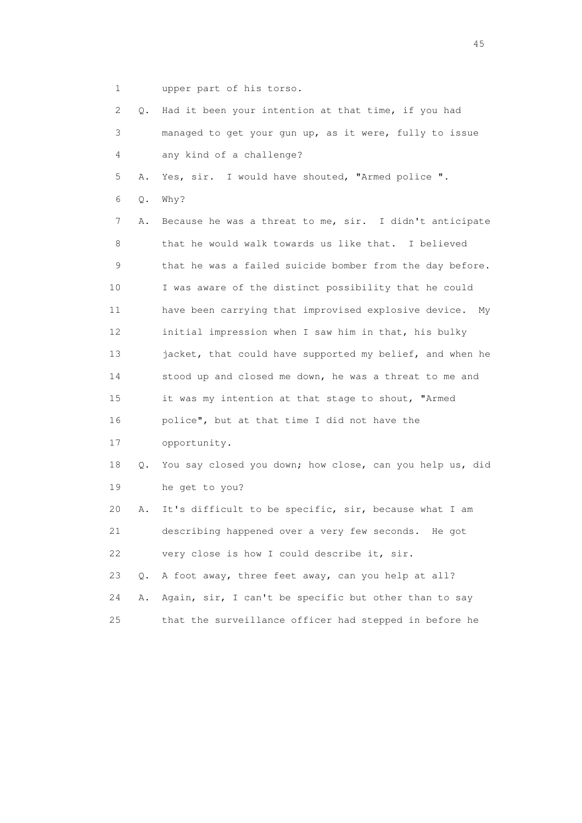1 upper part of his torso.

| 2  | Q.    | Had it been your intention at that time, if you had        |
|----|-------|------------------------------------------------------------|
| 3  |       | managed to get your gun up, as it were, fully to issue     |
| 4  |       | any kind of a challenge?                                   |
| 5  | Α.    | Yes, sir. I would have shouted, "Armed police ".           |
| 6  | Q.    | Why?                                                       |
| 7  | Α.    | Because he was a threat to me, sir. I didn't anticipate    |
| 8  |       | that he would walk towards us like that. I believed        |
| 9  |       | that he was a failed suicide bomber from the day before.   |
| 10 |       | I was aware of the distinct possibility that he could      |
| 11 |       | have been carrying that improvised explosive device.<br>My |
| 12 |       | initial impression when I saw him in that, his bulky       |
| 13 |       | jacket, that could have supported my belief, and when he   |
| 14 |       | stood up and closed me down, he was a threat to me and     |
| 15 |       | it was my intention at that stage to shout, "Armed         |
| 16 |       | police", but at that time I did not have the               |
| 17 |       | opportunity.                                               |
| 18 | Q.    | You say closed you down; how close, can you help us, did   |
| 19 |       | he get to you?                                             |
| 20 | Α.    | It's difficult to be specific, sir, because what I am      |
| 21 |       | describing happened over a very few seconds.<br>He got     |
| 22 |       | very close is how I could describe it, sir.                |
| 23 | $Q$ . | A foot away, three feet away, can you help at all?         |
| 24 | Α.    | Again, sir, I can't be specific but other than to say      |
| 25 |       | that the surveillance officer had stepped in before he     |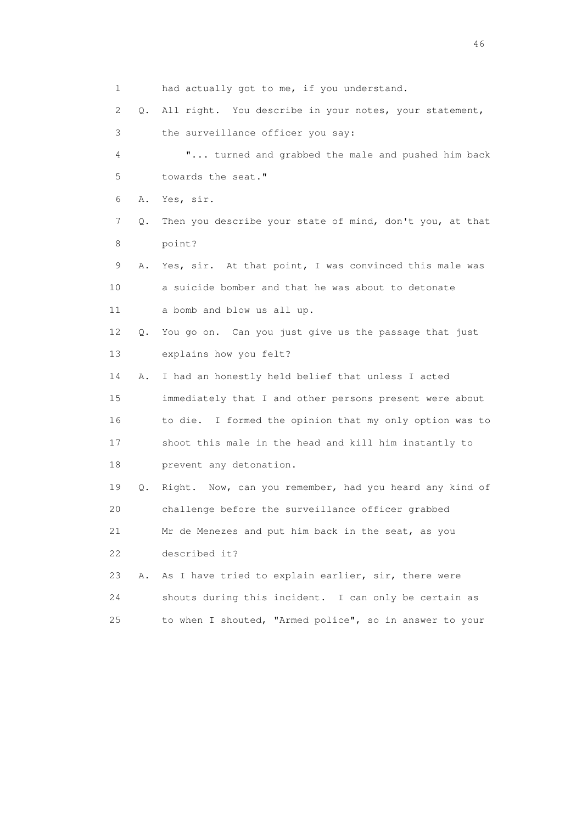1 had actually got to me, if you understand.

2 Q. All right. You describe in your notes, your statement,

3 the surveillance officer you say:

 4 "... turned and grabbed the male and pushed him back 5 towards the seat."

6 A. Yes, sir.

- 7 Q. Then you describe your state of mind, don't you, at that 8 point?
- 9 A. Yes, sir. At that point, I was convinced this male was 10 a suicide bomber and that he was about to detonate 11 a bomb and blow us all up.
- 12 Q. You go on. Can you just give us the passage that just 13 explains how you felt?

 14 A. I had an honestly held belief that unless I acted 15 immediately that I and other persons present were about 16 to die. I formed the opinion that my only option was to 17 shoot this male in the head and kill him instantly to 18 prevent any detonation.

 19 Q. Right. Now, can you remember, had you heard any kind of 20 challenge before the surveillance officer grabbed

 21 Mr de Menezes and put him back in the seat, as you 22 described it?

 23 A. As I have tried to explain earlier, sir, there were 24 shouts during this incident. I can only be certain as 25 to when I shouted, "Armed police", so in answer to your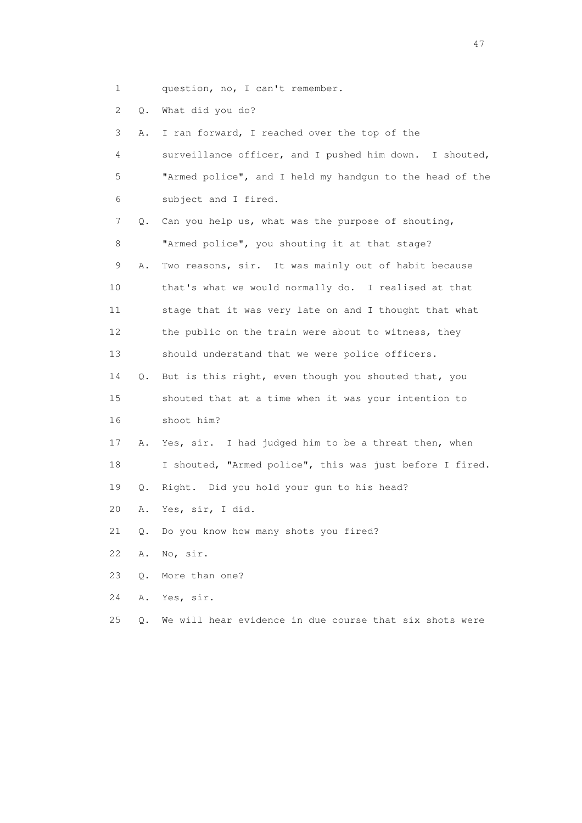1 question, no, I can't remember.

2 Q. What did you do?

 3 A. I ran forward, I reached over the top of the 4 surveillance officer, and I pushed him down. I shouted, 5 "Armed police", and I held my handgun to the head of the 6 subject and I fired. 7 Q. Can you help us, what was the purpose of shouting, 8 "Armed police", you shouting it at that stage? 9 A. Two reasons, sir. It was mainly out of habit because 10 that's what we would normally do. I realised at that 11 stage that it was very late on and I thought that what 12 the public on the train were about to witness, they 13 should understand that we were police officers. 14 Q. But is this right, even though you shouted that, you 15 shouted that at a time when it was your intention to 16 shoot him? 17 A. Yes, sir. I had judged him to be a threat then, when 18 I shouted, "Armed police", this was just before I fired. 19 Q. Right. Did you hold your gun to his head? 20 A. Yes, sir, I did. 21 Q. Do you know how many shots you fired? 22 A. No, sir. 23 Q. More than one? 24 A. Yes, sir.

25 Q. We will hear evidence in due course that six shots were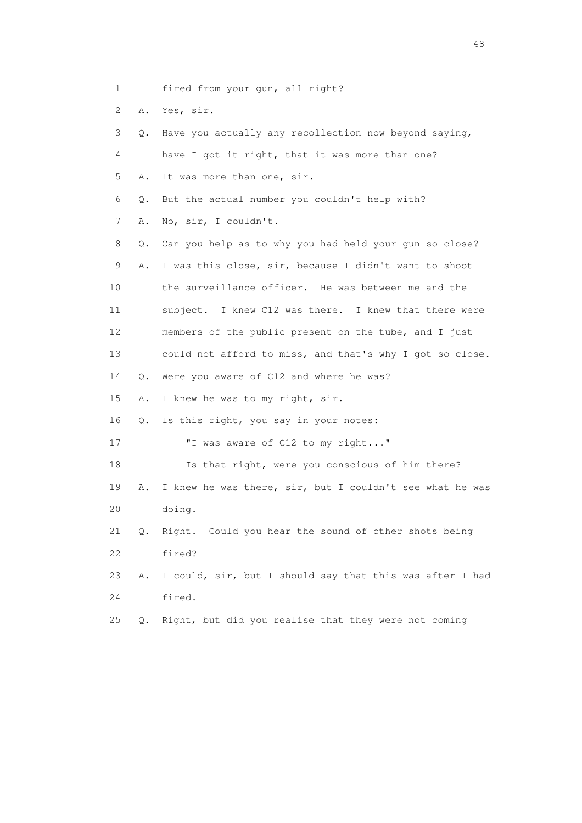1 fired from your gun, all right?

2 A. Yes, sir.

| 3  | Q. | Have you actually any recollection now beyond saying,    |
|----|----|----------------------------------------------------------|
| 4  |    | have I got it right, that it was more than one?          |
| 5  | Α. | It was more than one, sir.                               |
| 6  | Q. | But the actual number you couldn't help with?            |
| 7  | Α. | No, sir, I couldn't.                                     |
| 8  | Q. | Can you help as to why you had held your gun so close?   |
| 9  | Α. | I was this close, sir, because I didn't want to shoot    |
| 10 |    | the surveillance officer. He was between me and the      |
| 11 |    | subject. I knew C12 was there. I knew that there were    |
| 12 |    | members of the public present on the tube, and I just    |
| 13 |    | could not afford to miss, and that's why I got so close. |
| 14 | Q. | Were you aware of C12 and where he was?                  |
| 15 | Α. | I knew he was to my right, sir.                          |
| 16 | 0. | Is this right, you say in your notes:                    |
| 17 |    | "I was aware of C12 to my right"                         |
| 18 |    | Is that right, were you conscious of him there?          |
| 19 | Α. | I knew he was there, sir, but I couldn't see what he was |
| 20 |    | doing.                                                   |
| 21 | Q. | Right. Could you hear the sound of other shots being     |
| 22 |    | fired?                                                   |
| 23 | Α. | I could, sir, but I should say that this was after I had |
| 24 |    | fired.                                                   |
| 25 | О. | Right, but did you realise that they were not coming     |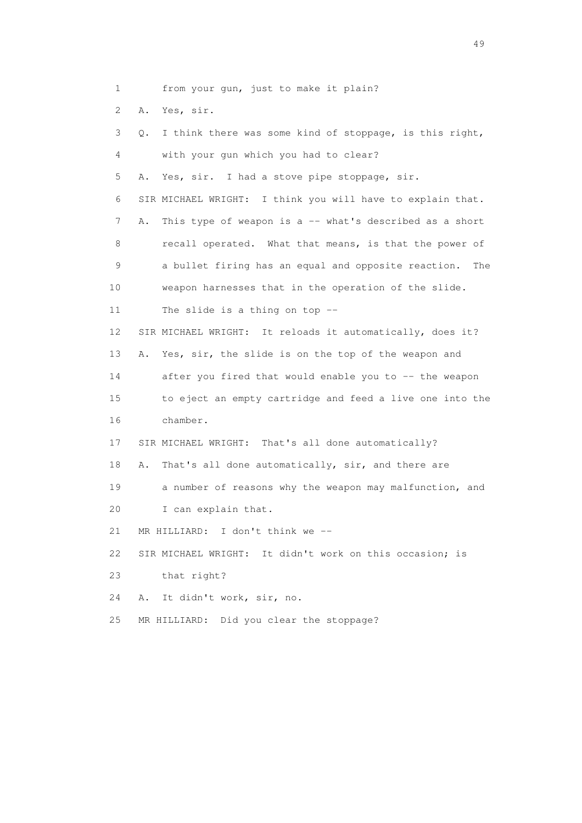1 from your gun, just to make it plain? 2 A. Yes, sir. 3 Q. I think there was some kind of stoppage, is this right, 4 with your gun which you had to clear? 5 A. Yes, sir. I had a stove pipe stoppage, sir. 6 SIR MICHAEL WRIGHT: I think you will have to explain that. 7 A. This type of weapon is a -- what's described as a short 8 recall operated. What that means, is that the power of 9 a bullet firing has an equal and opposite reaction. The 10 weapon harnesses that in the operation of the slide. 11 The slide is a thing on top -- 12 SIR MICHAEL WRIGHT: It reloads it automatically, does it? 13 A. Yes, sir, the slide is on the top of the weapon and 14 after you fired that would enable you to -- the weapon 15 to eject an empty cartridge and feed a live one into the 16 chamber. 17 SIR MICHAEL WRIGHT: That's all done automatically? 18 A. That's all done automatically, sir, and there are 19 a number of reasons why the weapon may malfunction, and 20 I can explain that. 21 MR HILLIARD: I don't think we -- 22 SIR MICHAEL WRIGHT: It didn't work on this occasion; is 23 that right? 24 A. It didn't work, sir, no.

25 MR HILLIARD: Did you clear the stoppage?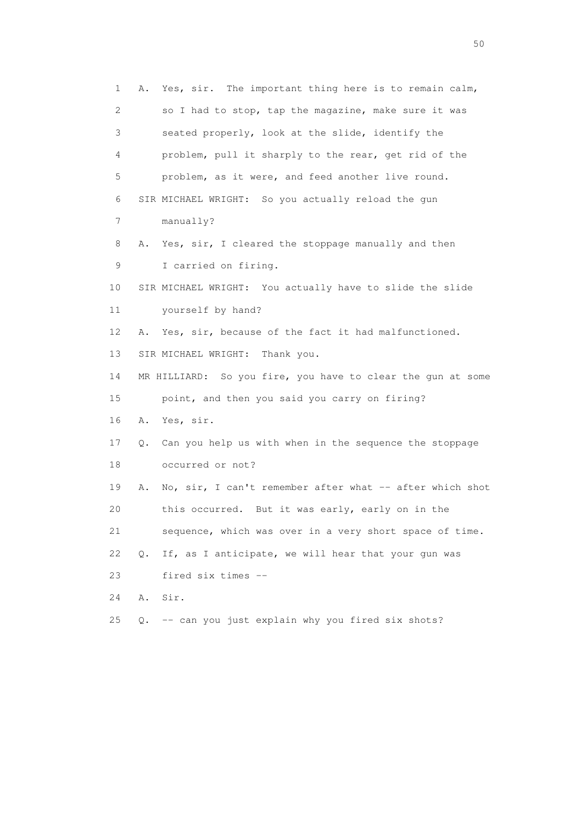1 A. Yes, sir. The important thing here is to remain calm, 2 so I had to stop, tap the magazine, make sure it was 3 seated properly, look at the slide, identify the 4 problem, pull it sharply to the rear, get rid of the 5 problem, as it were, and feed another live round. 6 SIR MICHAEL WRIGHT: So you actually reload the gun 7 manually? 8 A. Yes, sir, I cleared the stoppage manually and then 9 I carried on firing. 10 SIR MICHAEL WRIGHT: You actually have to slide the slide 11 yourself by hand? 12 A. Yes, sir, because of the fact it had malfunctioned. 13 SIR MICHAEL WRIGHT: Thank you. 14 MR HILLIARD: So you fire, you have to clear the gun at some 15 point, and then you said you carry on firing? 16 A. Yes, sir. 17 Q. Can you help us with when in the sequence the stoppage 18 occurred or not? 19 A. No, sir, I can't remember after what -- after which shot 20 this occurred. But it was early, early on in the 21 sequence, which was over in a very short space of time. 22 Q. If, as I anticipate, we will hear that your gun was 23 fired six times -- 24 A. Sir. 25 Q. -- can you just explain why you fired six shots?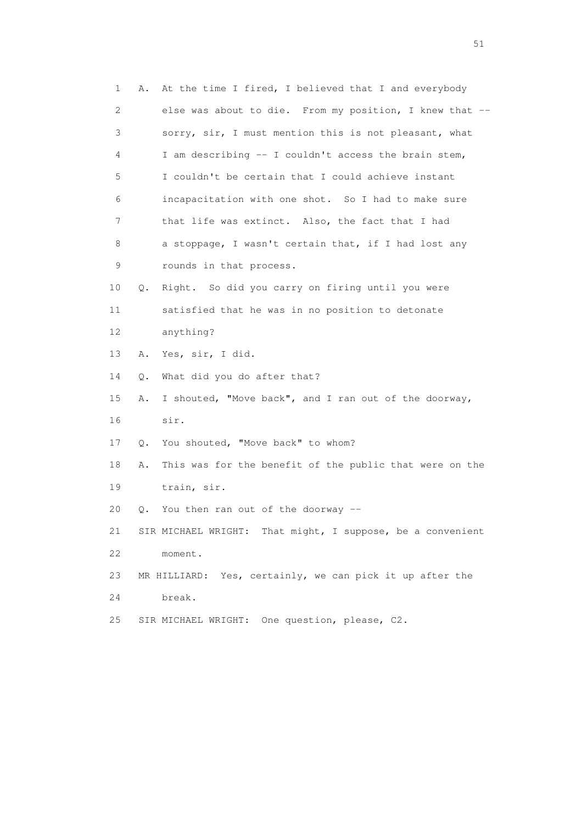| 1  | Α. | At the time I fired, I believed that I and everybody       |
|----|----|------------------------------------------------------------|
| 2  |    | else was about to die. From my position, I knew that --    |
| 3  |    | sorry, sir, I must mention this is not pleasant, what      |
| 4  |    | I am describing -- I couldn't access the brain stem,       |
| 5  |    | I couldn't be certain that I could achieve instant         |
| 6  |    | incapacitation with one shot. So I had to make sure        |
| 7  |    | that life was extinct. Also, the fact that I had           |
| 8  |    | a stoppage, I wasn't certain that, if I had lost any       |
| 9  |    | rounds in that process.                                    |
| 10 | Q. | Right. So did you carry on firing until you were           |
| 11 |    | satisfied that he was in no position to detonate           |
| 12 |    | anything?                                                  |
| 13 | Α. | Yes, sir, I did.                                           |
| 14 | Q. | What did you do after that?                                |
| 15 | Α. | I shouted, "Move back", and I ran out of the doorway,      |
| 16 |    | sir.                                                       |
| 17 | Q. | You shouted, "Move back" to whom?                          |
| 18 | Α. | This was for the benefit of the public that were on the    |
| 19 |    | train, sir.                                                |
| 20 |    | Q. You then ran out of the doorway --                      |
| 21 |    | SIR MICHAEL WRIGHT: That might, I suppose, be a convenient |
| 22 |    | moment.                                                    |
| 23 |    | MR HILLIARD: Yes, certainly, we can pick it up after the   |
| 24 |    | break.                                                     |
| 25 |    | SIR MICHAEL WRIGHT: One question, please, C2.              |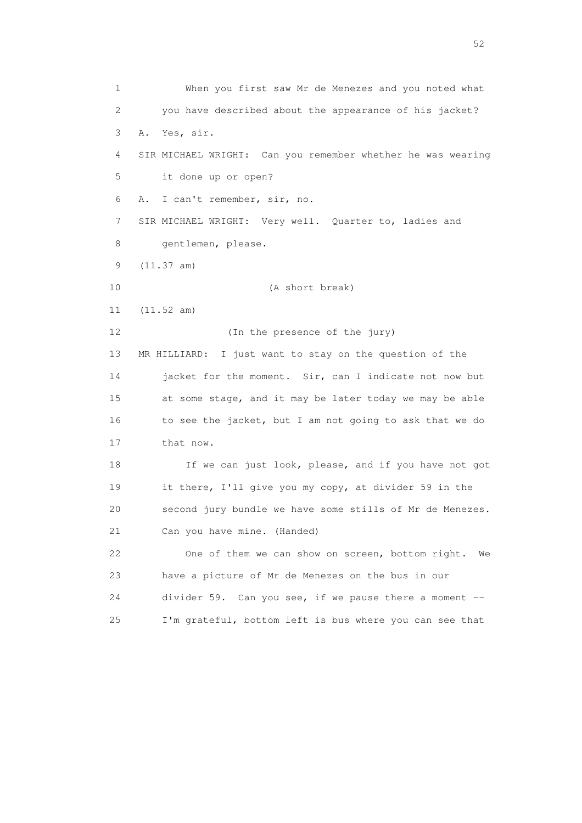1 When you first saw Mr de Menezes and you noted what 2 you have described about the appearance of his jacket? 3 A. Yes, sir. 4 SIR MICHAEL WRIGHT: Can you remember whether he was wearing 5 it done up or open? 6 A. I can't remember, sir, no. 7 SIR MICHAEL WRIGHT: Very well. Quarter to, ladies and 8 gentlemen, please. 9 (11.37 am) 10 (A short break) 11 (11.52 am) 12 (In the presence of the jury) 13 MR HILLIARD: I just want to stay on the question of the 14 jacket for the moment. Sir, can I indicate not now but 15 at some stage, and it may be later today we may be able 16 to see the jacket, but I am not going to ask that we do 17 that now. 18 If we can just look, please, and if you have not got 19 it there, I'll give you my copy, at divider 59 in the 20 second jury bundle we have some stills of Mr de Menezes. 21 Can you have mine. (Handed) 22 One of them we can show on screen, bottom right. We 23 have a picture of Mr de Menezes on the bus in our 24 divider 59. Can you see, if we pause there a moment -- 25 I'm grateful, bottom left is bus where you can see that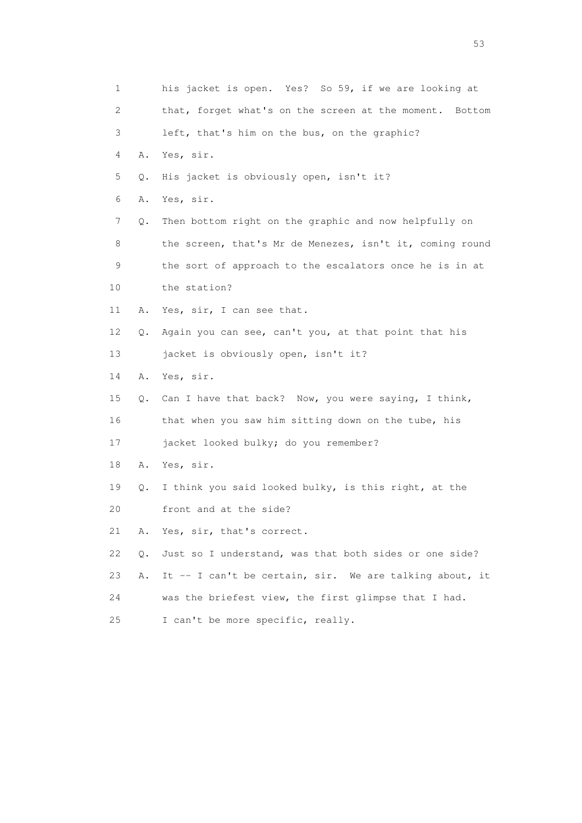| 1  |    | his jacket is open. Yes? So 59, if we are looking at       |
|----|----|------------------------------------------------------------|
| 2  |    | that, forget what's on the screen at the moment.<br>Bottom |
| 3  |    | left, that's him on the bus, on the graphic?               |
| 4  | Α. | Yes, sir.                                                  |
| 5  | Q. | His jacket is obviously open, isn't it?                    |
| 6  | Α. | Yes, sir.                                                  |
| 7  | Q. | Then bottom right on the graphic and now helpfully on      |
| 8  |    | the screen, that's Mr de Menezes, isn't it, coming round   |
| 9  |    | the sort of approach to the escalators once he is in at    |
| 10 |    | the station?                                               |
| 11 | Α. | Yes, sir, I can see that.                                  |
| 12 | Q. | Again you can see, can't you, at that point that his       |
| 13 |    | jacket is obviously open, isn't it?                        |
| 14 | Α. | Yes, sir.                                                  |
| 15 |    | Q. Can I have that back? Now, you were saying, I think,    |
| 16 |    | that when you saw him sitting down on the tube, his        |
| 17 |    | jacket looked bulky; do you remember?                      |
| 18 | Α. | Yes, sir.                                                  |
| 19 | Q. | I think you said looked bulky, is this right, at the       |
| 20 |    | front and at the side?                                     |
| 21 | Α. | Yes, sir, that's correct.                                  |
| 22 | Q. | Just so I understand, was that both sides or one side?     |
| 23 | Α. | It -- I can't be certain, sir. We are talking about, it    |
| 24 |    | was the briefest view, the first glimpse that I had.       |
| 25 |    | I can't be more specific, really.                          |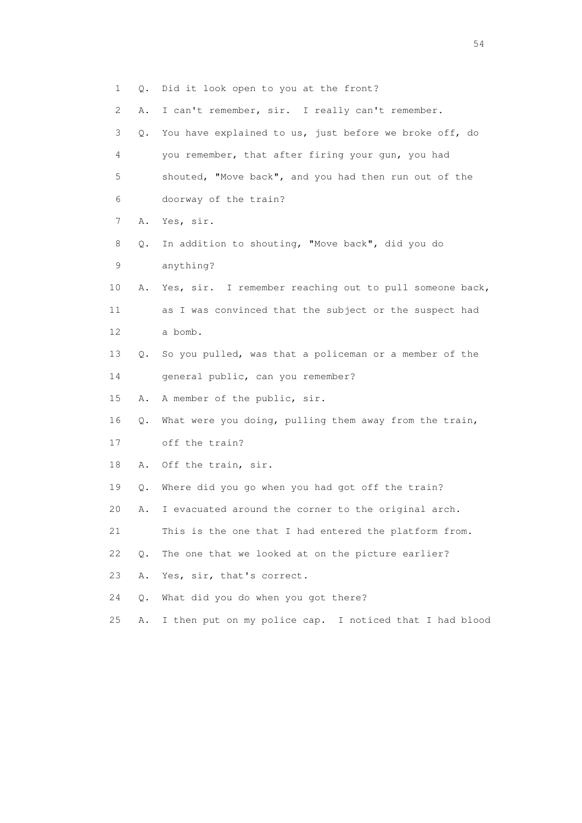| 1  | $\circ$ . | Did it look open to you at the front?                   |
|----|-----------|---------------------------------------------------------|
| 2  | Α.        | I can't remember, sir. I really can't remember.         |
| 3  | Q.        | You have explained to us, just before we broke off, do  |
| 4  |           | you remember, that after firing your gun, you had       |
| 5  |           | shouted, "Move back", and you had then run out of the   |
| 6  |           | doorway of the train?                                   |
| 7  | Α.        | Yes, sir.                                               |
| 8  | Q.        | In addition to shouting, "Move back", did you do        |
| 9  |           | anything?                                               |
| 10 | Α.        | Yes, sir. I remember reaching out to pull someone back, |
| 11 |           | as I was convinced that the subject or the suspect had  |
| 12 |           | a bomb.                                                 |
| 13 | Q.        | So you pulled, was that a policeman or a member of the  |
| 14 |           | general public, can you remember?                       |
| 15 | Α.        | A member of the public, sir.                            |
| 16 | Q.        | What were you doing, pulling them away from the train,  |
| 17 |           | off the train?                                          |
| 18 | Α.        | Off the train, sir.                                     |
| 19 | Q.        | Where did you go when you had got off the train?        |
| 20 | Α.        | I evacuated around the corner to the original arch.     |
| 21 |           | This is the one that I had entered the platform from.   |
| 22 | Q.        | The one that we looked at on the picture earlier?       |
| 23 | Α.        | Yes, sir, that's correct.                               |
| 24 | О.        | What did you do when you got there?                     |
| 25 | Α.        | I then put on my police cap. I noticed that I had blood |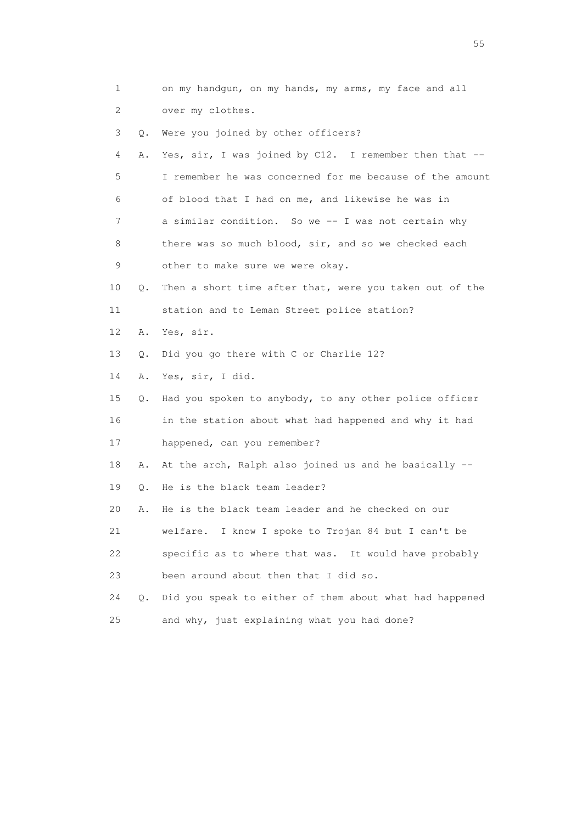1 on my handgun, on my hands, my arms, my face and all 2 over my clothes. 3 Q. Were you joined by other officers? 4 A. Yes, sir, I was joined by C12. I remember then that -- 5 I remember he was concerned for me because of the amount 6 of blood that I had on me, and likewise he was in 7 a similar condition. So we -- I was not certain why 8 there was so much blood, sir, and so we checked each 9 other to make sure we were okay. 10 Q. Then a short time after that, were you taken out of the 11 station and to Leman Street police station? 12 A. Yes, sir. 13 Q. Did you go there with C or Charlie 12? 14 A. Yes, sir, I did. 15 Q. Had you spoken to anybody, to any other police officer 16 in the station about what had happened and why it had 17 happened, can you remember? 18 A. At the arch, Ralph also joined us and he basically -- 19 Q. He is the black team leader? 20 A. He is the black team leader and he checked on our 21 welfare. I know I spoke to Trojan 84 but I can't be 22 specific as to where that was. It would have probably 23 been around about then that I did so. 24 Q. Did you speak to either of them about what had happened 25 and why, just explaining what you had done?

the state of the state of the state of the state of the state of the state of the state of the state of the state of the state of the state of the state of the state of the state of the state of the state of the state of t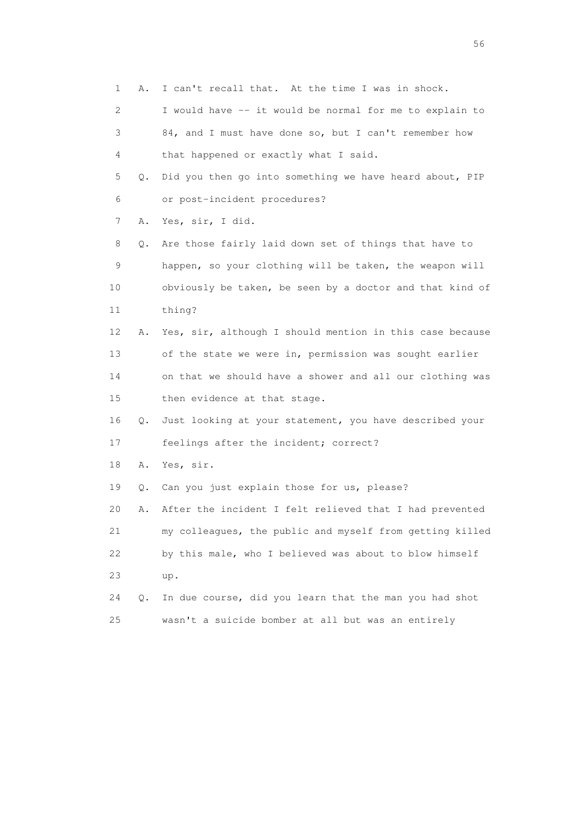3 84, and I must have done so, but I can't remember how 4 that happened or exactly what I said. 5 Q. Did you then go into something we have heard about, PIP 6 or post-incident procedures? 7 A. Yes, sir, I did. 8 Q. Are those fairly laid down set of things that have to 9 happen, so your clothing will be taken, the weapon will 10 obviously be taken, be seen by a doctor and that kind of 11 thing? 12 A. Yes, sir, although I should mention in this case because 13 of the state we were in, permission was sought earlier 14 on that we should have a shower and all our clothing was 15 then evidence at that stage. 16 Q. Just looking at your statement, you have described your 17 feelings after the incident; correct? 18 A. Yes, sir. 19 Q. Can you just explain those for us, please? 20 A. After the incident I felt relieved that I had prevented 21 my colleagues, the public and myself from getting killed 22 by this male, who I believed was about to blow himself 23 up. 24 Q. In due course, did you learn that the man you had shot

1 A. I can't recall that. At the time I was in shock.

2 I would have -- it would be normal for me to explain to

25 wasn't a suicide bomber at all but was an entirely

 $56<sup>o</sup>$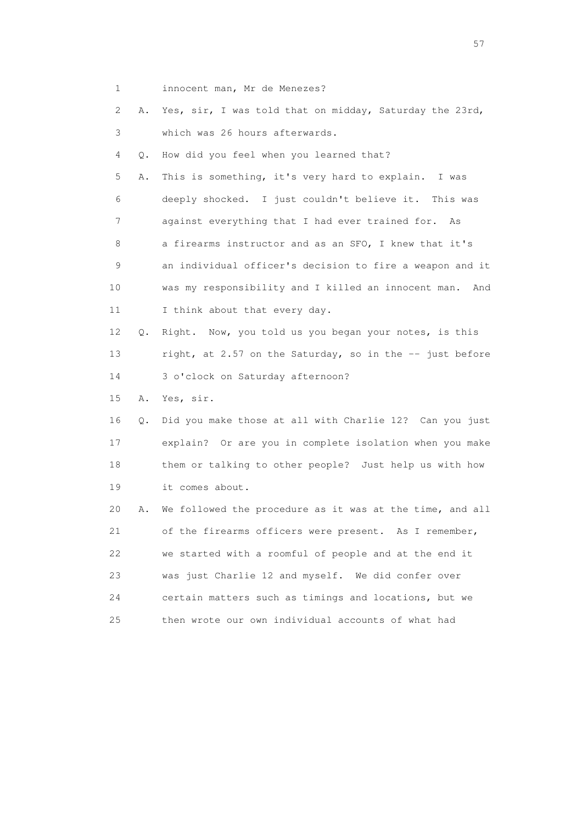1 innocent man, Mr de Menezes?

 2 A. Yes, sir, I was told that on midday, Saturday the 23rd, 3 which was 26 hours afterwards.

4 Q. How did you feel when you learned that?

 5 A. This is something, it's very hard to explain. I was 6 deeply shocked. I just couldn't believe it. This was 7 against everything that I had ever trained for. As 8 a firearms instructor and as an SFO, I knew that it's 9 an individual officer's decision to fire a weapon and it 10 was my responsibility and I killed an innocent man. And 11 I think about that every day.

 12 Q. Right. Now, you told us you began your notes, is this 13 right, at 2.57 on the Saturday, so in the -- just before 14 3 o'clock on Saturday afternoon?

15 A. Yes, sir.

 16 Q. Did you make those at all with Charlie 12? Can you just 17 explain? Or are you in complete isolation when you make 18 them or talking to other people? Just help us with how 19 it comes about.

 20 A. We followed the procedure as it was at the time, and all 21 of the firearms officers were present. As I remember, 22 we started with a roomful of people and at the end it 23 was just Charlie 12 and myself. We did confer over 24 certain matters such as timings and locations, but we 25 then wrote our own individual accounts of what had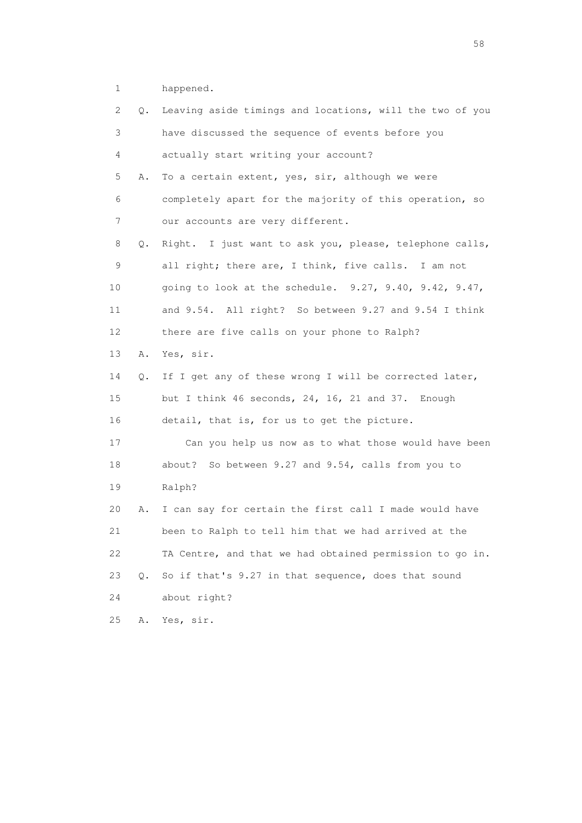1 happened.

| 2  | Q. | Leaving aside timings and locations, will the two of you |
|----|----|----------------------------------------------------------|
| 3  |    | have discussed the sequence of events before you         |
| 4  |    | actually start writing your account?                     |
| 5  | Α. | To a certain extent, yes, sir, although we were          |
| 6  |    | completely apart for the majority of this operation, so  |
| 7  |    | our accounts are very different.                         |
| 8  | Q. | Right. I just want to ask you, please, telephone calls,  |
| 9  |    | all right; there are, I think, five calls. I am not      |
| 10 |    | going to look at the schedule. 9.27, 9.40, 9.42, 9.47,   |
| 11 |    | and 9.54. All right? So between 9.27 and 9.54 I think    |
| 12 |    | there are five calls on your phone to Ralph?             |
| 13 | Α. | Yes, sir.                                                |
| 14 | Q. | If I get any of these wrong I will be corrected later,   |
| 15 |    | but I think 46 seconds, 24, 16, 21 and 37. Enough        |
| 16 |    | detail, that is, for us to get the picture.              |
| 17 |    | Can you help us now as to what those would have been     |
| 18 |    | So between 9.27 and 9.54, calls from you to<br>about?    |
| 19 |    | Ralph?                                                   |
| 20 | Α. | I can say for certain the first call I made would have   |
| 21 |    | been to Ralph to tell him that we had arrived at the     |
| 22 |    | TA Centre, and that we had obtained permission to go in. |
| 23 | Q. | So if that's 9.27 in that sequence, does that sound      |
| 24 |    | about right?                                             |
| 25 | Α. | Yes, sir.                                                |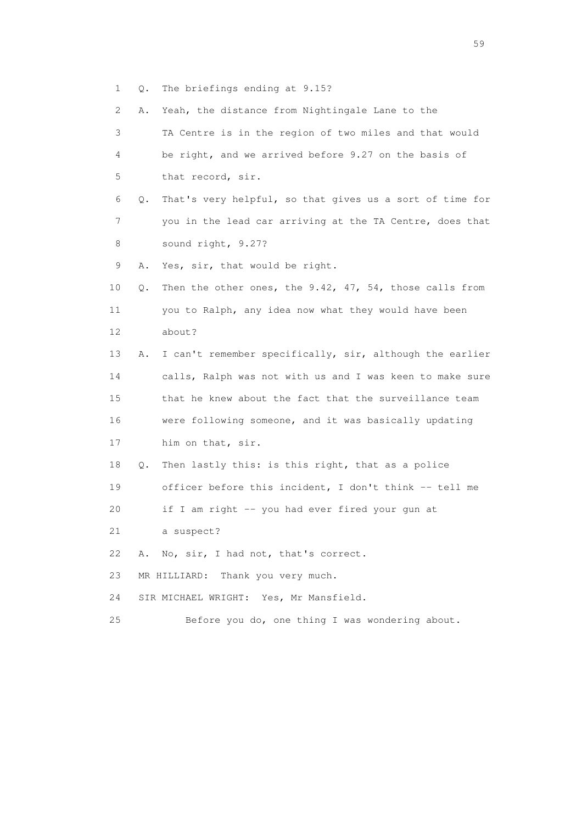1 Q. The briefings ending at 9.15?

 2 A. Yeah, the distance from Nightingale Lane to the 3 TA Centre is in the region of two miles and that would 4 be right, and we arrived before 9.27 on the basis of 5 that record, sir. 6 Q. That's very helpful, so that gives us a sort of time for 7 you in the lead car arriving at the TA Centre, does that 8 sound right, 9.27? 9 A. Yes, sir, that would be right. 10 Q. Then the other ones, the 9.42, 47, 54, those calls from 11 you to Ralph, any idea now what they would have been 12 about? 13 A. I can't remember specifically, sir, although the earlier 14 calls, Ralph was not with us and I was keen to make sure 15 that he knew about the fact that the surveillance team 16 were following someone, and it was basically updating 17 him on that, sir. 18 Q. Then lastly this: is this right, that as a police 19 officer before this incident, I don't think -- tell me 20 if I am right -- you had ever fired your gun at 21 a suspect? 22 A. No, sir, I had not, that's correct. 23 MR HILLIARD: Thank you very much. 24 SIR MICHAEL WRIGHT: Yes, Mr Mansfield. 25 Before you do, one thing I was wondering about.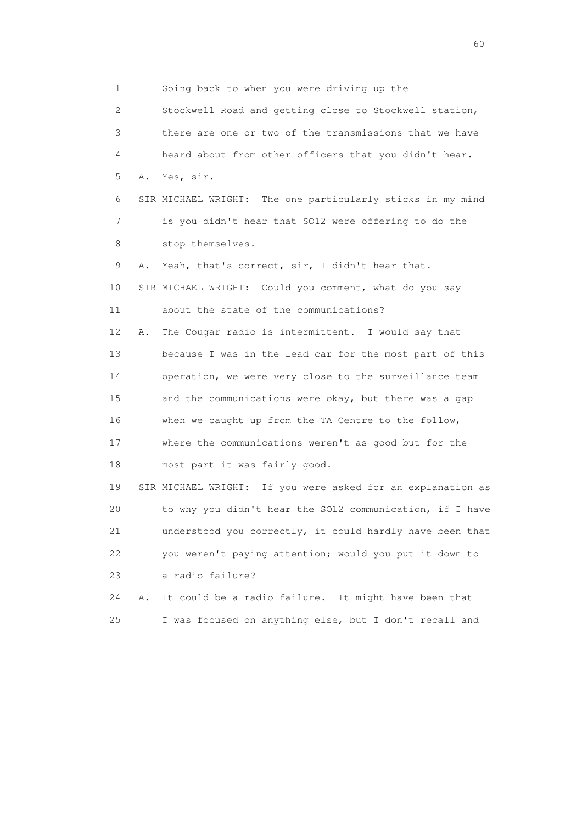1 Going back to when you were driving up the 2 Stockwell Road and getting close to Stockwell station, 3 there are one or two of the transmissions that we have 4 heard about from other officers that you didn't hear. 5 A. Yes, sir. 6 SIR MICHAEL WRIGHT: The one particularly sticks in my mind 7 is you didn't hear that SO12 were offering to do the 8 stop themselves. 9 A. Yeah, that's correct, sir, I didn't hear that. 10 SIR MICHAEL WRIGHT: Could you comment, what do you say 11 about the state of the communications? 12 A. The Cougar radio is intermittent. I would say that 13 because I was in the lead car for the most part of this 14 operation, we were very close to the surveillance team 15 and the communications were okay, but there was a gap 16 when we caught up from the TA Centre to the follow, 17 where the communications weren't as good but for the 18 most part it was fairly good. 19 SIR MICHAEL WRIGHT: If you were asked for an explanation as 20 to why you didn't hear the SO12 communication, if I have 21 understood you correctly, it could hardly have been that 22 you weren't paying attention; would you put it down to 23 a radio failure? 24 A. It could be a radio failure. It might have been that 25 I was focused on anything else, but I don't recall and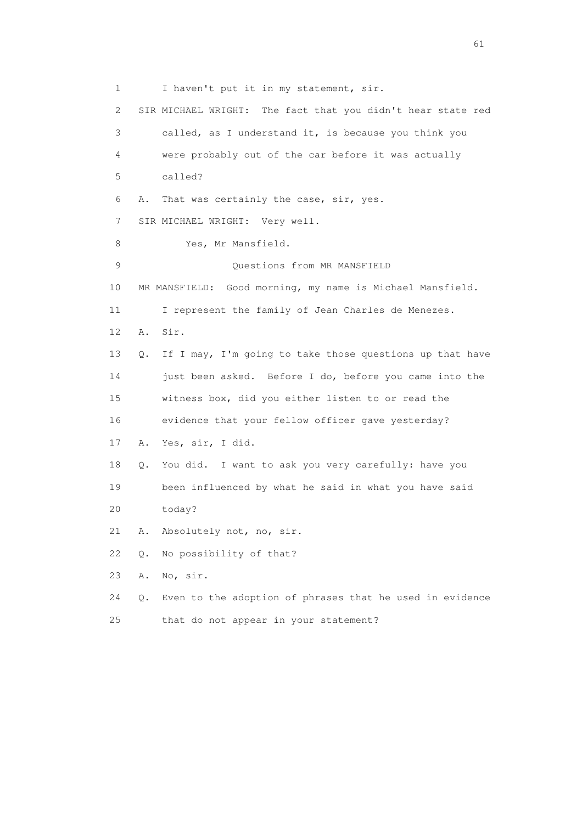1 I haven't put it in my statement, sir. 2 SIR MICHAEL WRIGHT: The fact that you didn't hear state red 3 called, as I understand it, is because you think you 4 were probably out of the car before it was actually 5 called? 6 A. That was certainly the case, sir, yes. 7 SIR MICHAEL WRIGHT: Very well. 8 Yes, Mr Mansfield. 9 Questions from MR MANSFIELD 10 MR MANSFIELD: Good morning, my name is Michael Mansfield. 11 I represent the family of Jean Charles de Menezes. 12 A. Sir. 13 Q. If I may, I'm going to take those questions up that have 14 just been asked. Before I do, before you came into the 15 witness box, did you either listen to or read the 16 evidence that your fellow officer gave yesterday? 17 A. Yes, sir, I did. 18 Q. You did. I want to ask you very carefully: have you 19 been influenced by what he said in what you have said 20 today? 21 A. Absolutely not, no, sir. 22 Q. No possibility of that? 23 A. No, sir. 24 Q. Even to the adoption of phrases that he used in evidence 25 that do not appear in your statement?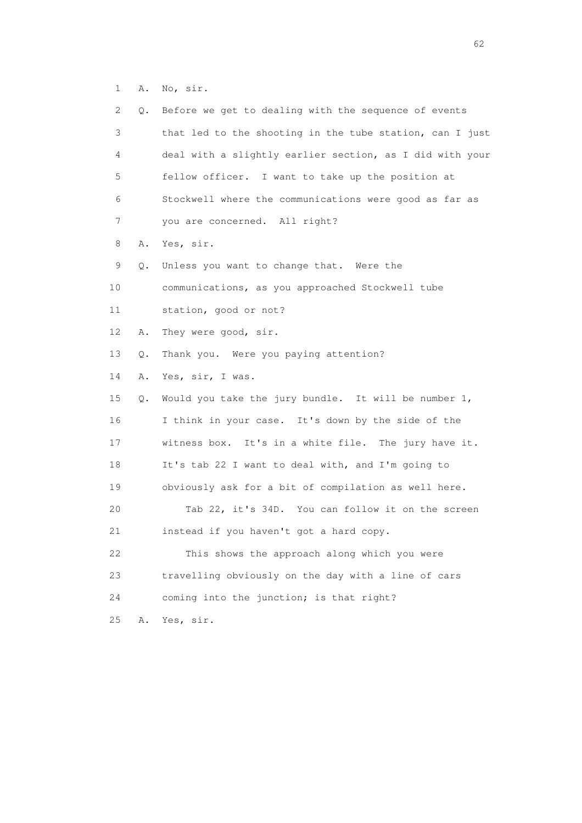1 A. No, sir.

| 2  | Q. | Before we get to dealing with the sequence of events     |
|----|----|----------------------------------------------------------|
| 3  |    | that led to the shooting in the tube station, can I just |
| 4  |    | deal with a slightly earlier section, as I did with your |
| 5  |    | fellow officer. I want to take up the position at        |
| 6  |    | Stockwell where the communications were good as far as   |
| 7  |    | you are concerned. All right?                            |
| 8  | Α. | Yes, sir.                                                |
| 9  | Q. | Unless you want to change that. Were the                 |
| 10 |    | communications, as you approached Stockwell tube         |
| 11 |    | station, good or not?                                    |
| 12 | Α. | They were good, sir.                                     |
| 13 | Q. | Thank you. Were you paying attention?                    |
| 14 | Α. | Yes, sir, I was.                                         |
| 15 | Q. | Would you take the jury bundle. It will be number 1,     |
| 16 |    | I think in your case. It's down by the side of the       |
| 17 |    | witness box. It's in a white file. The jury have it.     |
| 18 |    | It's tab 22 I want to deal with, and I'm going to        |
| 19 |    | obviously ask for a bit of compilation as well here.     |
| 20 |    | Tab 22, it's 34D. You can follow it on the screen        |
| 21 |    | instead if you haven't got a hard copy.                  |
| 22 |    | This shows the approach along which you were             |
| 23 |    | travelling obviously on the day with a line of cars      |
| 24 |    | coming into the junction; is that right?                 |
| 25 | Α. | Yes, sir.                                                |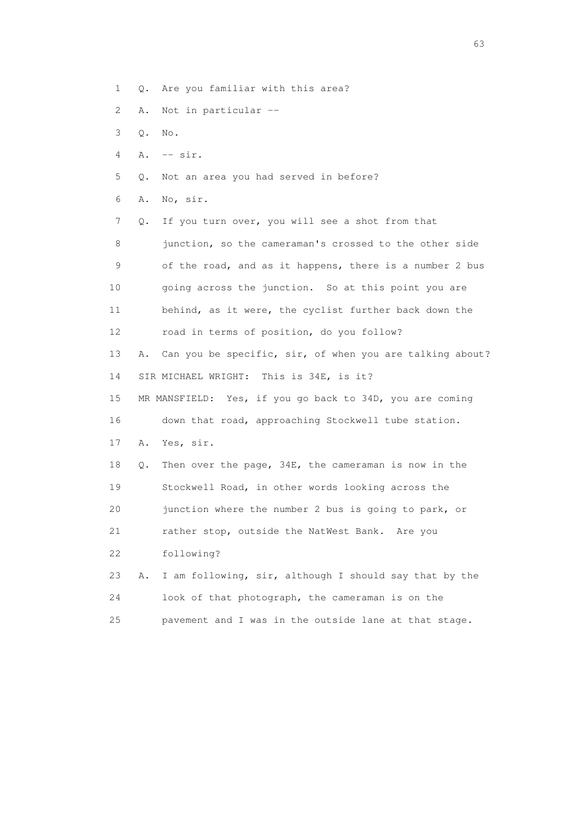1 Q. Are you familiar with this area?

- 2 A. Not in particular --
- 3 Q. No.
- 4 A. -- sir.
- 5 Q. Not an area you had served in before?
- 6 A. No, sir.

 7 Q. If you turn over, you will see a shot from that 8 junction, so the cameraman's crossed to the other side 9 of the road, and as it happens, there is a number 2 bus 10 going across the junction. So at this point you are 11 behind, as it were, the cyclist further back down the 12 road in terms of position, do you follow? 13 A. Can you be specific, sir, of when you are talking about? 14 SIR MICHAEL WRIGHT: This is 34E, is it? 15 MR MANSFIELD: Yes, if you go back to 34D, you are coming 16 down that road, approaching Stockwell tube station. 17 A. Yes, sir. 18 Q. Then over the page, 34E, the cameraman is now in the 19 Stockwell Road, in other words looking across the 20 junction where the number 2 bus is going to park, or 21 rather stop, outside the NatWest Bank. Are you 22 following? 23 A. I am following, sir, although I should say that by the 24 look of that photograph, the cameraman is on the 25 pavement and I was in the outside lane at that stage.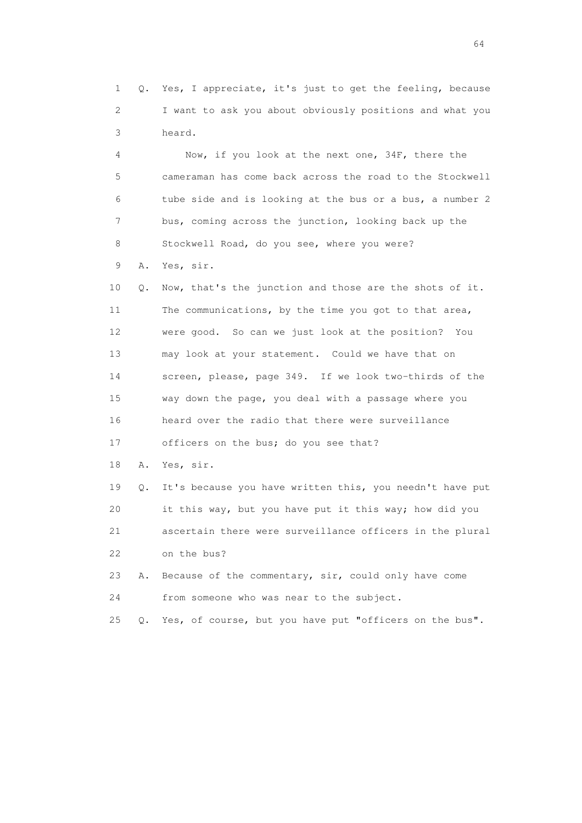1 Q. Yes, I appreciate, it's just to get the feeling, because 2 I want to ask you about obviously positions and what you 3 heard.

 4 Now, if you look at the next one, 34F, there the 5 cameraman has come back across the road to the Stockwell 6 tube side and is looking at the bus or a bus, a number 2 7 bus, coming across the junction, looking back up the 8 Stockwell Road, do you see, where you were?

9 A. Yes, sir.

 10 Q. Now, that's the junction and those are the shots of it. 11 The communications, by the time you got to that area, 12 were good. So can we just look at the position? You 13 may look at your statement. Could we have that on 14 screen, please, page 349. If we look two-thirds of the 15 way down the page, you deal with a passage where you 16 heard over the radio that there were surveillance

17 officers on the bus; do you see that?

18 A. Yes, sir.

 19 Q. It's because you have written this, you needn't have put 20 it this way, but you have put it this way; how did you 21 ascertain there were surveillance officers in the plural 22 on the bus?

 23 A. Because of the commentary, sir, could only have come 24 from someone who was near to the subject.

25 Q. Yes, of course, but you have put "officers on the bus".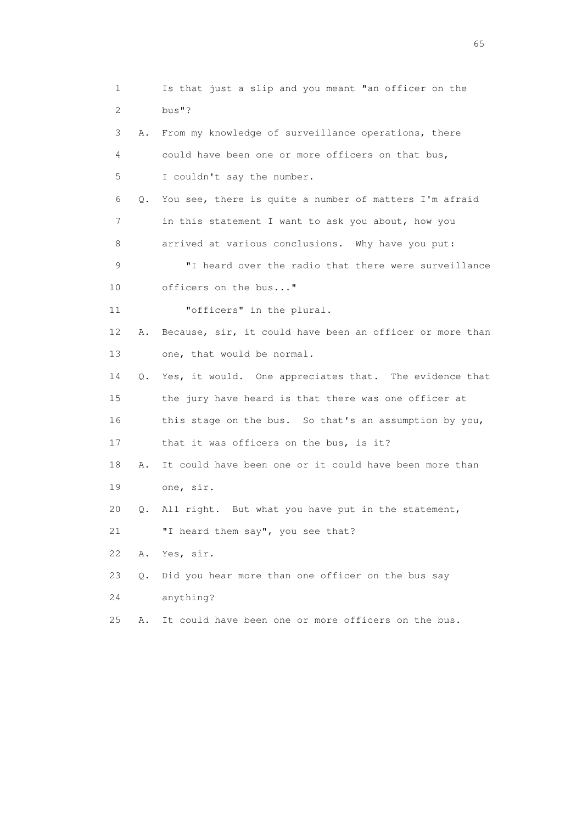1 Is that just a slip and you meant "an officer on the 2 bus"? 3 A. From my knowledge of surveillance operations, there 4 could have been one or more officers on that bus, 5 I couldn't say the number. 6 Q. You see, there is quite a number of matters I'm afraid 7 in this statement I want to ask you about, how you 8 arrived at various conclusions. Why have you put: 9 "I heard over the radio that there were surveillance 10 officers on the bus..." 11 "officers" in the plural. 12 A. Because, sir, it could have been an officer or more than 13 one, that would be normal. 14 Q. Yes, it would. One appreciates that. The evidence that 15 the jury have heard is that there was one officer at 16 this stage on the bus. So that's an assumption by you, 17 that it was officers on the bus, is it? 18 A. It could have been one or it could have been more than 19 one, sir. 20 Q. All right. But what you have put in the statement, 21 "I heard them say", you see that? 22 A. Yes, sir. 23 Q. Did you hear more than one officer on the bus say 24 anything? 25 A. It could have been one or more officers on the bus.

 $\sim$  65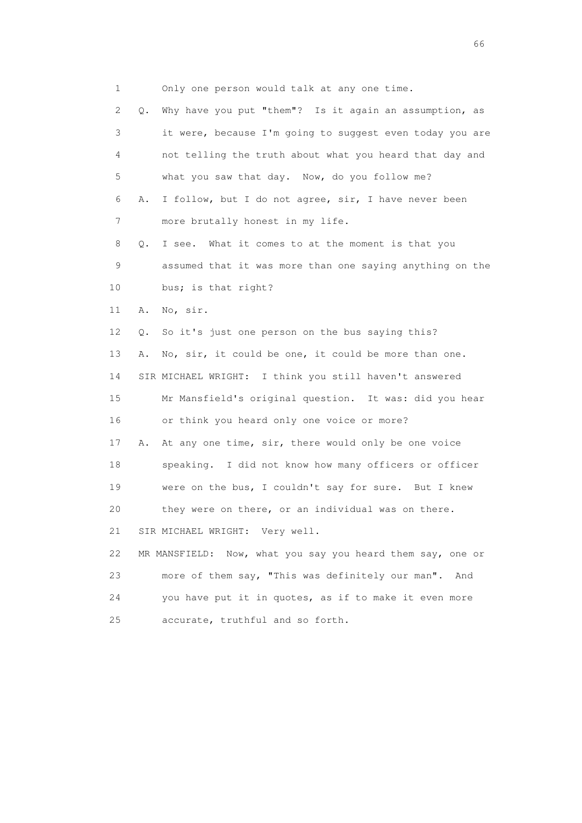1 Only one person would talk at any one time. 2 Q. Why have you put "them"? Is it again an assumption, as 3 it were, because I'm going to suggest even today you are 4 not telling the truth about what you heard that day and 5 what you saw that day. Now, do you follow me? 6 A. I follow, but I do not agree, sir, I have never been 7 more brutally honest in my life. 8 Q. I see. What it comes to at the moment is that you 9 assumed that it was more than one saying anything on the 10 bus; is that right? 11 A. No, sir. 12 Q. So it's just one person on the bus saying this? 13 A. No, sir, it could be one, it could be more than one. 14 SIR MICHAEL WRIGHT: I think you still haven't answered 15 Mr Mansfield's original question. It was: did you hear 16 or think you heard only one voice or more? 17 A. At any one time, sir, there would only be one voice 18 speaking. I did not know how many officers or officer 19 were on the bus, I couldn't say for sure. But I knew 20 they were on there, or an individual was on there. 21 SIR MICHAEL WRIGHT: Very well. 22 MR MANSFIELD: Now, what you say you heard them say, one or 23 more of them say, "This was definitely our man". And 24 you have put it in quotes, as if to make it even more 25 accurate, truthful and so forth.

 $\sim$  66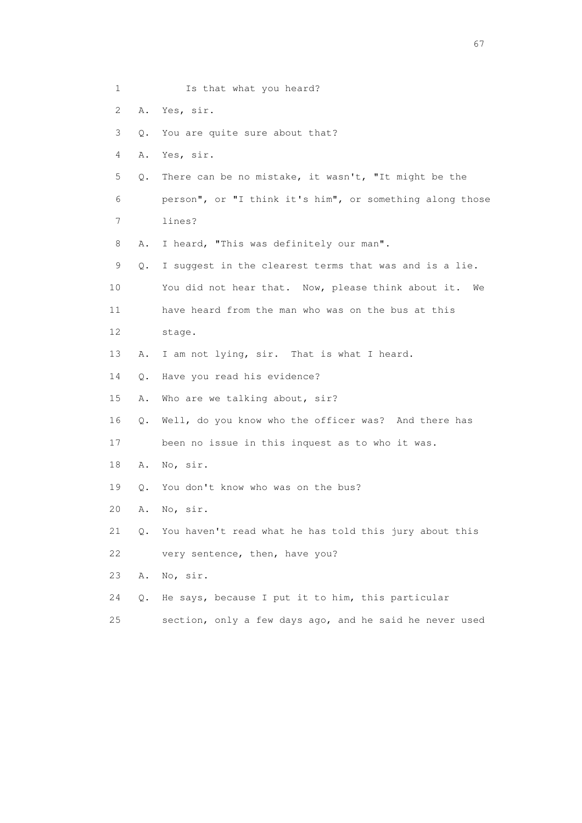| 1  |       | Is that what you heard?                                  |
|----|-------|----------------------------------------------------------|
| 2  | Α.    | Yes, sir.                                                |
| 3  | Q.    | You are quite sure about that?                           |
| 4  | Α.    | Yes, sir.                                                |
| 5  | Q.    | There can be no mistake, it wasn't, "It might be the     |
| 6  |       | person", or "I think it's him", or something along those |
| 7  |       | lines?                                                   |
| 8  | Α.    | I heard, "This was definitely our man".                  |
| 9  | Q.    | I suggest in the clearest terms that was and is a lie.   |
| 10 |       | You did not hear that. Now, please think about it.<br>We |
| 11 |       | have heard from the man who was on the bus at this       |
| 12 |       | stage.                                                   |
| 13 | Α.    | I am not lying, sir. That is what I heard.               |
| 14 | $Q$ . | Have you read his evidence?                              |
| 15 | Α.    | Who are we talking about, sir?                           |
| 16 | Q.    | Well, do you know who the officer was? And there has     |
| 17 |       | been no issue in this inquest as to who it was.          |
| 18 | Α.    | No, sir.                                                 |
| 19 | Q.    | You don't know who was on the bus?                       |
| 20 | Α.    | No, sir.                                                 |
| 21 | Q.    | You haven't read what he has told this jury about this   |
| 22 |       | very sentence, then, have you?                           |
| 23 | Α.    | No, sir.                                                 |
| 24 | Q.    | He says, because I put it to him, this particular        |
| 25 |       | section, only a few days ago, and he said he never used  |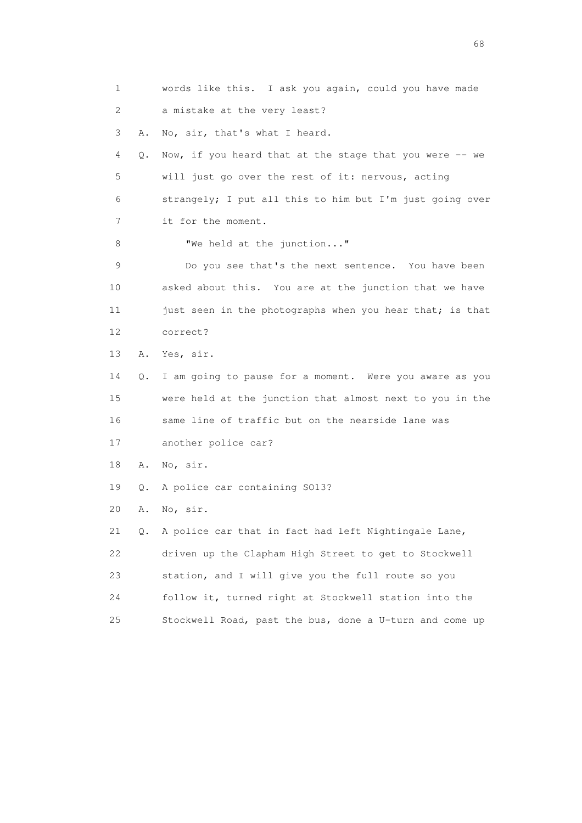1 words like this. I ask you again, could you have made 2 a mistake at the very least? 3 A. No, sir, that's what I heard. 4 Q. Now, if you heard that at the stage that you were -- we 5 will just go over the rest of it: nervous, acting 6 strangely; I put all this to him but I'm just going over 7 it for the moment. 8 We held at the junction..." 9 Do you see that's the next sentence. You have been 10 asked about this. You are at the junction that we have 11 just seen in the photographs when you hear that; is that 12 correct? 13 A. Yes, sir. 14 Q. I am going to pause for a moment. Were you aware as you 15 were held at the junction that almost next to you in the 16 same line of traffic but on the nearside lane was 17 another police car? 18 A. No, sir. 19 Q. A police car containing SO13? 20 A. No, sir. 21 Q. A police car that in fact had left Nightingale Lane, 22 driven up the Clapham High Street to get to Stockwell 23 station, and I will give you the full route so you 24 follow it, turned right at Stockwell station into the 25 Stockwell Road, past the bus, done a U-turn and come up

entration of the contract of the contract of the contract of the contract of the contract of the contract of the contract of the contract of the contract of the contract of the contract of the contract of the contract of t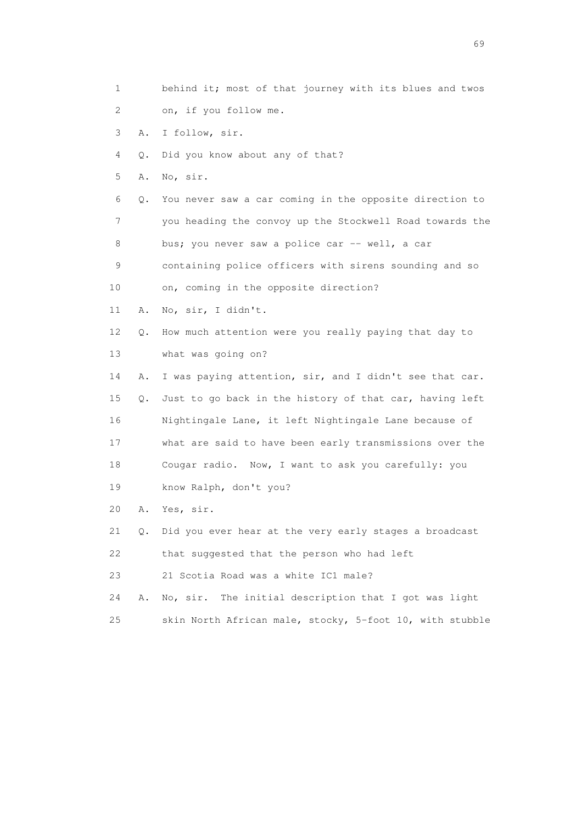- 1 behind it; most of that journey with its blues and twos
- 2 on, if you follow me.
- 3 A. I follow, sir.
- 4 Q. Did you know about any of that?
- 5 A. No, sir.
- 6 Q. You never saw a car coming in the opposite direction to 7 you heading the convoy up the Stockwell Road towards the 8 bus; you never saw a police car -- well, a car
- 9 containing police officers with sirens sounding and so
- 10 on, coming in the opposite direction?
- 11 A. No, sir, I didn't.
- 12 Q. How much attention were you really paying that day to 13 what was going on?
- 14 A. I was paying attention, sir, and I didn't see that car. 15 Q. Just to go back in the history of that car, having left 16 Nightingale Lane, it left Nightingale Lane because of 17 what are said to have been early transmissions over the 18 Cougar radio. Now, I want to ask you carefully: you 19 know Ralph, don't you?
- 20 A. Yes, sir.
- 21 Q. Did you ever hear at the very early stages a broadcast
- 22 that suggested that the person who had left
- 23 21 Scotia Road was a white IC1 male?
- 24 A. No, sir. The initial description that I got was light
- 25 skin North African male, stocky, 5-foot 10, with stubble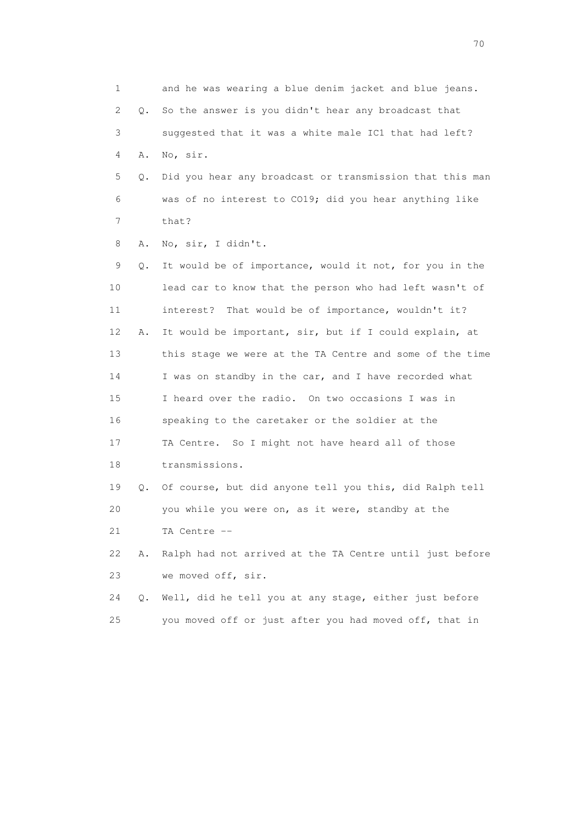1 and he was wearing a blue denim jacket and blue jeans. 2 Q. So the answer is you didn't hear any broadcast that 3 suggested that it was a white male IC1 that had left? 4 A. No, sir. 5 Q. Did you hear any broadcast or transmission that this man 6 was of no interest to CO19; did you hear anything like 7 that? 8 A. No, sir, I didn't. 9 Q. It would be of importance, would it not, for you in the 10 lead car to know that the person who had left wasn't of 11 interest? That would be of importance, wouldn't it? 12 A. It would be important, sir, but if I could explain, at 13 this stage we were at the TA Centre and some of the time 14 I was on standby in the car, and I have recorded what 15 I heard over the radio. On two occasions I was in 16 speaking to the caretaker or the soldier at the 17 TA Centre. So I might not have heard all of those 18 transmissions. 19 Q. Of course, but did anyone tell you this, did Ralph tell 20 you while you were on, as it were, standby at the 21 TA Centre -- 22 A. Ralph had not arrived at the TA Centre until just before 23 we moved off, sir. 24 Q. Well, did he tell you at any stage, either just before 25 you moved off or just after you had moved off, that in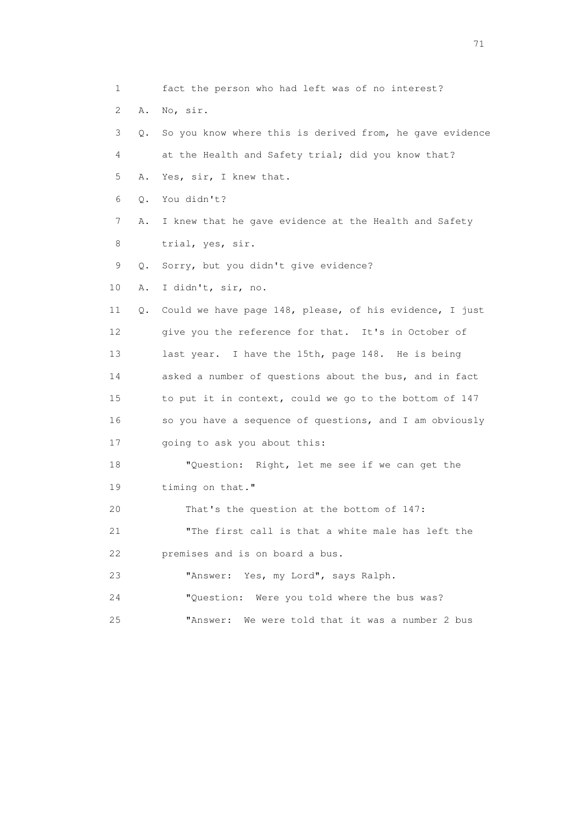1 fact the person who had left was of no interest? 2 A. No, sir. 3 Q. So you know where this is derived from, he gave evidence 4 at the Health and Safety trial; did you know that? 5 A. Yes, sir, I knew that. 6 Q. You didn't? 7 A. I knew that he gave evidence at the Health and Safety 8 trial, yes, sir. 9 Q. Sorry, but you didn't give evidence? 10 A. I didn't, sir, no. 11 Q. Could we have page 148, please, of his evidence, I just 12 give you the reference for that. It's in October of 13 last year. I have the 15th, page 148. He is being 14 asked a number of questions about the bus, and in fact 15 to put it in context, could we go to the bottom of 147 16 so you have a sequence of questions, and I am obviously 17 going to ask you about this: 18 "Question: Right, let me see if we can get the 19 timing on that." 20 That's the question at the bottom of 147: 21 "The first call is that a white male has left the 22 premises and is on board a bus. 23 "Answer: Yes, my Lord", says Ralph. 24 "Question: Were you told where the bus was? 25 "Answer: We were told that it was a number 2 bus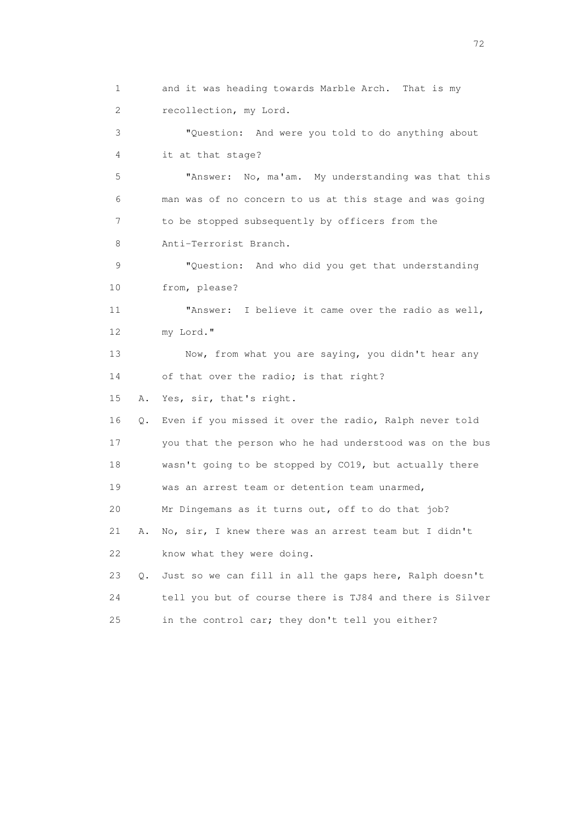1 and it was heading towards Marble Arch. That is my 2 recollection, my Lord. 3 "Question: And were you told to do anything about 4 it at that stage? 5 "Answer: No, ma'am. My understanding was that this 6 man was of no concern to us at this stage and was going 7 to be stopped subsequently by officers from the 8 Anti-Terrorist Branch. 9 "Question: And who did you get that understanding 10 from, please? 11 "Answer: I believe it came over the radio as well, 12 my Lord." 13 Now, from what you are saying, you didn't hear any 14 of that over the radio; is that right? 15 A. Yes, sir, that's right. 16 Q. Even if you missed it over the radio, Ralph never told 17 you that the person who he had understood was on the bus 18 wasn't going to be stopped by CO19, but actually there 19 was an arrest team or detention team unarmed, 20 Mr Dingemans as it turns out, off to do that job? 21 A. No, sir, I knew there was an arrest team but I didn't 22 know what they were doing. 23 Q. Just so we can fill in all the gaps here, Ralph doesn't 24 tell you but of course there is TJ84 and there is Silver 25 in the control car; they don't tell you either?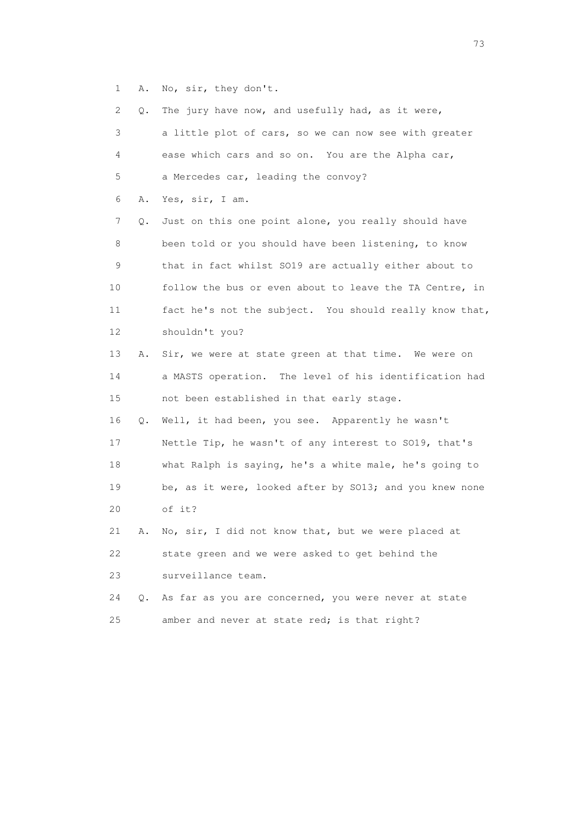1 A. No, sir, they don't.

| 2              | Q. | The jury have now, and usefully had, as it were,        |
|----------------|----|---------------------------------------------------------|
| 3              |    | a little plot of cars, so we can now see with greater   |
| 4              |    | ease which cars and so on. You are the Alpha car,       |
| 5              |    | a Mercedes car, leading the convoy?                     |
| 6              | Α. | Yes, sir, I am.                                         |
| $\overline{7}$ | Q. | Just on this one point alone, you really should have    |
| 8              |    | been told or you should have been listening, to know    |
| 9              |    | that in fact whilst SO19 are actually either about to   |
| 10             |    | follow the bus or even about to leave the TA Centre, in |
| 11             |    | fact he's not the subject. You should really know that, |
| 12             |    | shouldn't you?                                          |
| 13             | Α. | Sir, we were at state green at that time. We were on    |
| 14             |    | a MASTS operation. The level of his identification had  |
| 15             |    | not been established in that early stage.               |
| 16             | Q. | Well, it had been, you see. Apparently he wasn't        |
| 17             |    | Nettle Tip, he wasn't of any interest to SO19, that's   |
| 18             |    | what Ralph is saying, he's a white male, he's going to  |
| 19             |    | be, as it were, looked after by SO13; and you knew none |
| 20             |    | of it?                                                  |
| 21             | Α. | No, sir, I did not know that, but we were placed at     |
| 22             |    | state green and we were asked to get behind the         |
| 23             |    | surveillance team.                                      |
| 24             | О. | As far as you are concerned, you were never at state    |
| 25             |    | amber and never at state red; is that right?            |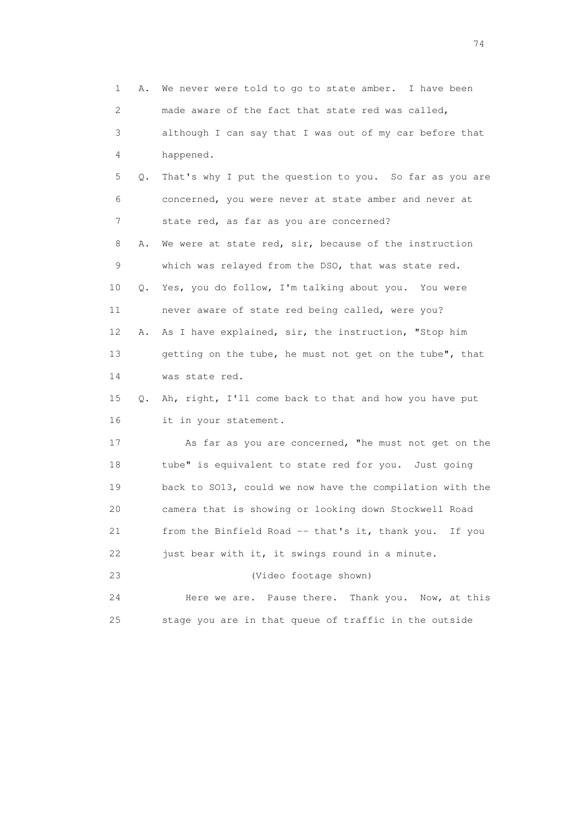| 1  | Α. | We never were told to go to state amber. I have been     |
|----|----|----------------------------------------------------------|
| 2  |    | made aware of the fact that state red was called,        |
| 3  |    | although I can say that I was out of my car before that  |
| 4  |    | happened.                                                |
| 5  | Q. | That's why I put the question to you. So far as you are  |
| 6  |    | concerned, you were never at state amber and never at    |
| 7  |    | state red, as far as you are concerned?                  |
| 8  | Α. | We were at state red, sir, because of the instruction    |
| 9  |    | which was relayed from the DSO, that was state red.      |
| 10 | Q. | Yes, you do follow, I'm talking about you. You were      |
| 11 |    | never aware of state red being called, were you?         |
| 12 | Α. | As I have explained, sir, the instruction, "Stop him     |
| 13 |    | getting on the tube, he must not get on the tube", that  |
| 14 |    | was state red.                                           |
| 15 | Q. | Ah, right, I'll come back to that and how you have put   |
| 16 |    | it in your statement.                                    |
| 17 |    | As far as you are concerned, "he must not get on the     |
| 18 |    | tube" is equivalent to state red for you. Just going     |
| 19 |    | back to SO13, could we now have the compilation with the |
| 20 |    | camera that is showing or looking down Stockwell Road    |
| 21 |    | from the Binfield Road -- that's it, thank you. If you   |
| 22 |    | just bear with it, it swings round in a minute.          |
| 23 |    | (Video footage shown)                                    |
| 24 |    | Thank you.<br>Here we are. Pause there.<br>Now, at this  |
| 25 |    | stage you are in that queue of traffic in the outside    |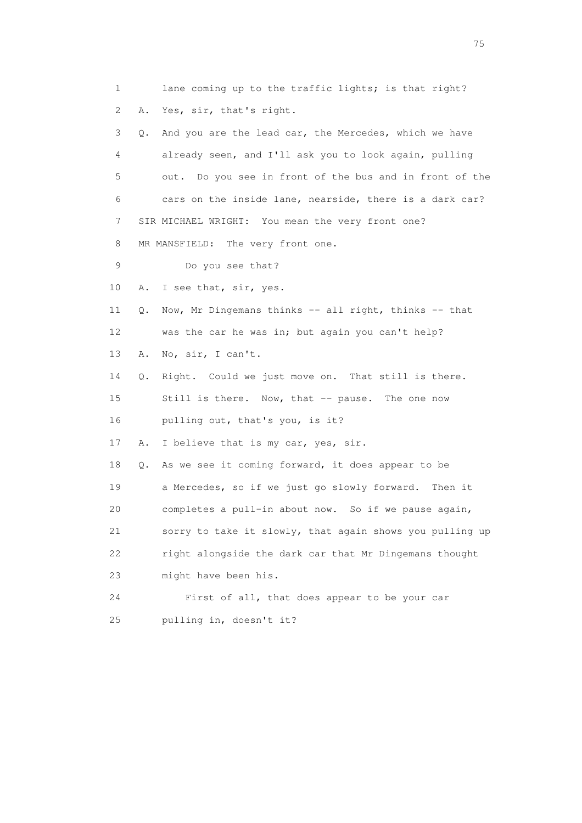1 lane coming up to the traffic lights; is that right? 2 A. Yes, sir, that's right. 3 Q. And you are the lead car, the Mercedes, which we have 4 already seen, and I'll ask you to look again, pulling 5 out. Do you see in front of the bus and in front of the 6 cars on the inside lane, nearside, there is a dark car? 7 SIR MICHAEL WRIGHT: You mean the very front one? 8 MR MANSFIELD: The very front one. 9 Do you see that? 10 A. I see that, sir, yes. 11 Q. Now, Mr Dingemans thinks -- all right, thinks -- that 12 was the car he was in; but again you can't help? 13 A. No, sir, I can't. 14 Q. Right. Could we just move on. That still is there. 15 Still is there. Now, that -- pause. The one now 16 pulling out, that's you, is it? 17 A. I believe that is my car, yes, sir. 18 Q. As we see it coming forward, it does appear to be 19 a Mercedes, so if we just go slowly forward. Then it 20 completes a pull-in about now. So if we pause again, 21 sorry to take it slowly, that again shows you pulling up 22 right alongside the dark car that Mr Dingemans thought 23 might have been his. 24 First of all, that does appear to be your car 25 pulling in, doesn't it?

na matsay na katalog as na kasang na mga 175 may 2008. Ang isang isang nagsang nagsang nagsang nagsang nagsang<br>Tagapang nagsang nagsang nagsang nagsang nagsang nagsang nagsang nagsang nagsang nagsang nagsang nagsang nagsa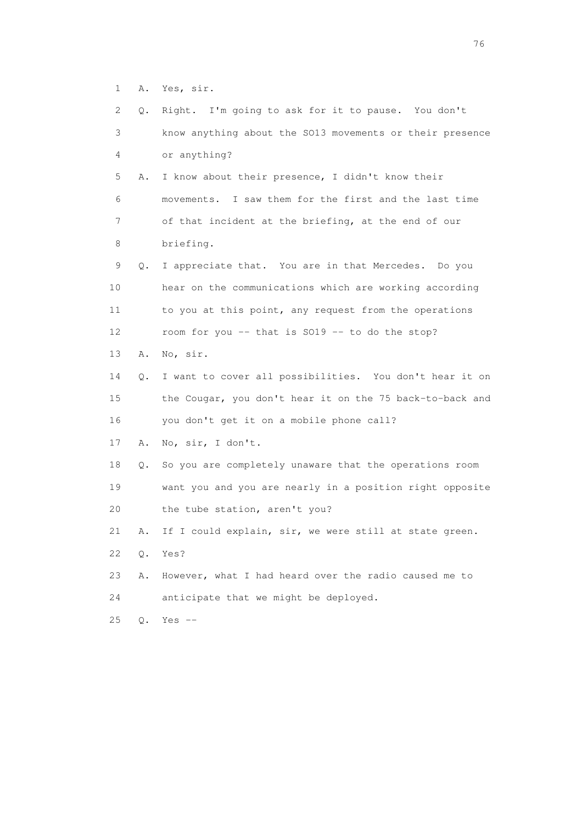1 A. Yes, sir.

| 2  | Q.    | Right. I'm going to ask for it to pause. You don't       |
|----|-------|----------------------------------------------------------|
| 3  |       | know anything about the SO13 movements or their presence |
| 4  |       | or anything?                                             |
| 5  | Α.    | I know about their presence, I didn't know their         |
| 6  |       | movements. I saw them for the first and the last time    |
| 7  |       | of that incident at the briefing, at the end of our      |
| 8  |       | briefing.                                                |
| 9  | Q.    | I appreciate that. You are in that Mercedes. Do you      |
| 10 |       | hear on the communications which are working according   |
| 11 |       | to you at this point, any request from the operations    |
| 12 |       | room for you -- that is SO19 -- to do the stop?          |
| 13 | Α.    | No, sir.                                                 |
| 14 | Q.    | I want to cover all possibilities. You don't hear it on  |
| 15 |       | the Cougar, you don't hear it on the 75 back-to-back and |
| 16 |       | you don't get it on a mobile phone call?                 |
| 17 | Α.    | No, sir, I don't.                                        |
| 18 | Q.    | So you are completely unaware that the operations room   |
| 19 |       | want you and you are nearly in a position right opposite |
| 20 |       | the tube station, aren't you?                            |
| 21 | Α.    | If I could explain, sir, we were still at state green.   |
| 22 | Q.    | Yes?                                                     |
| 23 | Α.    | However, what I had heard over the radio caused me to    |
| 24 |       | anticipate that we might be deployed.                    |
| 25 | $Q$ . | Yes $--$                                                 |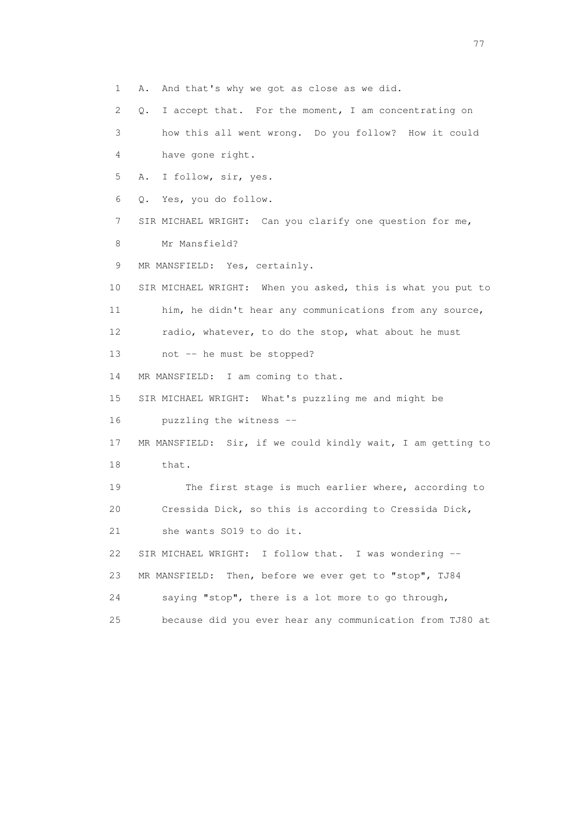1 A. And that's why we got as close as we did.

2 Q. I accept that. For the moment, I am concentrating on

 3 how this all went wrong. Do you follow? How it could 4 have gone right.

5 A. I follow, sir, yes.

6 Q. Yes, you do follow.

7 SIR MICHAEL WRIGHT: Can you clarify one question for me,

8 Mr Mansfield?

9 MR MANSFIELD: Yes, certainly.

 10 SIR MICHAEL WRIGHT: When you asked, this is what you put to 11 him, he didn't hear any communications from any source, 12 radio, whatever, to do the stop, what about he must

13 not -- he must be stopped?

14 MR MANSFIELD: I am coming to that.

15 SIR MICHAEL WRIGHT: What's puzzling me and might be

16 puzzling the witness --

 17 MR MANSFIELD: Sir, if we could kindly wait, I am getting to 18 that.

 19 The first stage is much earlier where, according to 20 Cressida Dick, so this is according to Cressida Dick, 21 she wants SO19 to do it.

 22 SIR MICHAEL WRIGHT: I follow that. I was wondering -- 23 MR MANSFIELD: Then, before we ever get to "stop", TJ84 24 saying "stop", there is a lot more to go through,

25 because did you ever hear any communication from TJ80 at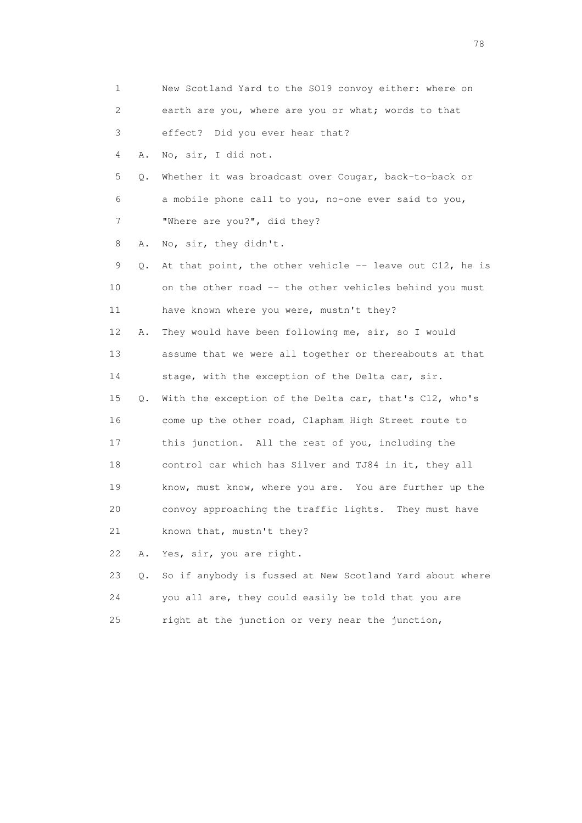1 New Scotland Yard to the SO19 convoy either: where on 2 earth are you, where are you or what; words to that 3 effect? Did you ever hear that? 4 A. No, sir, I did not. 5 Q. Whether it was broadcast over Cougar, back-to-back or 6 a mobile phone call to you, no-one ever said to you, 7 "Where are you?", did they? 8 A. No, sir, they didn't. 9 Q. At that point, the other vehicle -- leave out C12, he is 10 on the other road -- the other vehicles behind you must 11 have known where you were, mustn't they? 12 A. They would have been following me, sir, so I would 13 assume that we were all together or thereabouts at that 14 stage, with the exception of the Delta car, sir. 15 Q. With the exception of the Delta car, that's C12, who's 16 come up the other road, Clapham High Street route to 17 this junction. All the rest of you, including the 18 control car which has Silver and TJ84 in it, they all 19 know, must know, where you are. You are further up the 20 convoy approaching the traffic lights. They must have 21 known that, mustn't they? 22 A. Yes, sir, you are right. 23 Q. So if anybody is fussed at New Scotland Yard about where 24 you all are, they could easily be told that you are

25 right at the junction or very near the junction,

na na matsayang mga kasang mga kalendaryon ng mga kasang mga kasang mga kasang mga kasang mga kasang mga kasan<br>Mga kasang mga kasang mga kasang mga kasang mga kasang mga kasang mga kasang mga kasang mga kasang mga kasang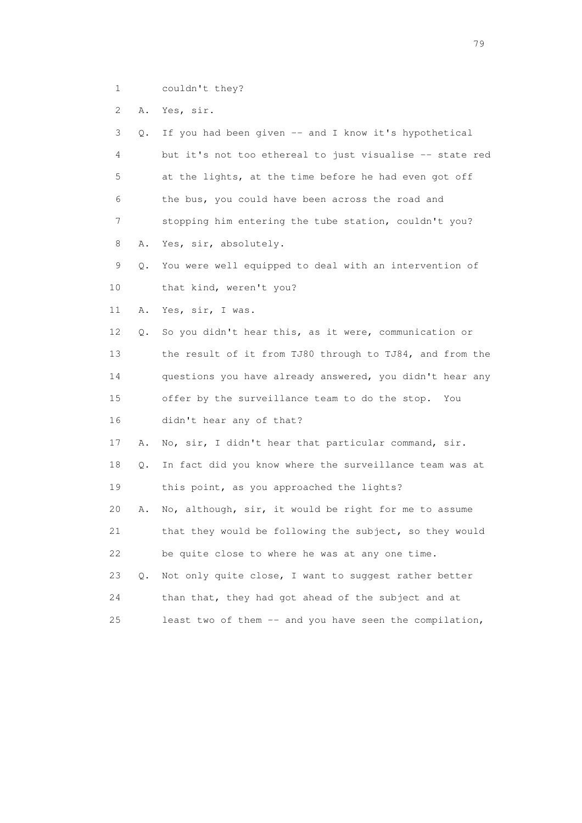1 couldn't they?

2 A. Yes, sir.

 3 Q. If you had been given -- and I know it's hypothetical 4 but it's not too ethereal to just visualise -- state red 5 at the lights, at the time before he had even got off 6 the bus, you could have been across the road and 7 stopping him entering the tube station, couldn't you? 8 A. Yes, sir, absolutely. 9 Q. You were well equipped to deal with an intervention of 10 that kind, weren't you? 11 A. Yes, sir, I was. 12 Q. So you didn't hear this, as it were, communication or 13 the result of it from TJ80 through to TJ84, and from the 14 questions you have already answered, you didn't hear any 15 offer by the surveillance team to do the stop. You 16 didn't hear any of that? 17 A. No, sir, I didn't hear that particular command, sir. 18 Q. In fact did you know where the surveillance team was at 19 this point, as you approached the lights? 20 A. No, although, sir, it would be right for me to assume 21 that they would be following the subject, so they would 22 be quite close to where he was at any one time. 23 Q. Not only quite close, I want to suggest rather better 24 than that, they had got ahead of the subject and at 25 least two of them -- and you have seen the compilation,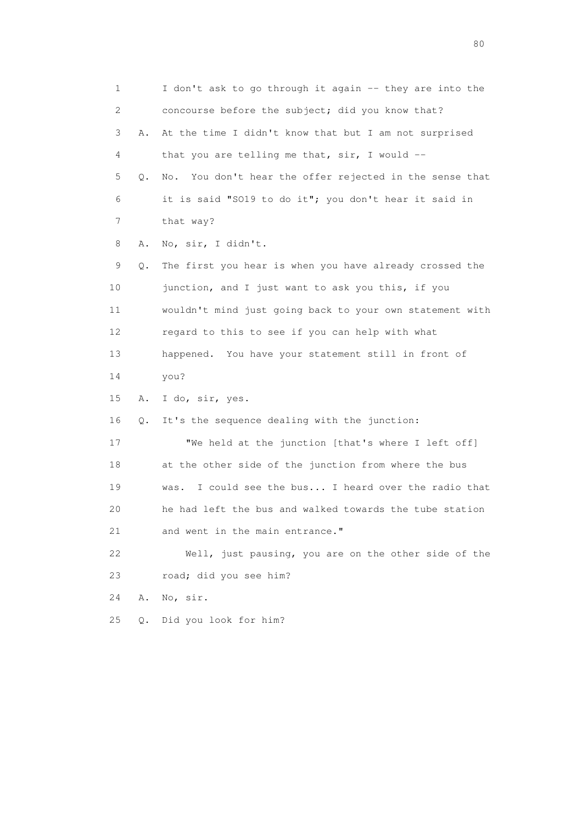1 I don't ask to go through it again -- they are into the 2 concourse before the subject; did you know that? 3 A. At the time I didn't know that but I am not surprised 4 that you are telling me that, sir, I would -- 5 Q. No. You don't hear the offer rejected in the sense that 6 it is said "SO19 to do it"; you don't hear it said in 7 that way? 8 A. No, sir, I didn't. 9 Q. The first you hear is when you have already crossed the 10 junction, and I just want to ask you this, if you 11 wouldn't mind just going back to your own statement with 12 regard to this to see if you can help with what 13 happened. You have your statement still in front of 14 you? 15 A. I do, sir, yes. 16 Q. It's the sequence dealing with the junction: 17 We held at the junction [that's where I left off] 18 at the other side of the junction from where the bus 19 was. I could see the bus... I heard over the radio that 20 he had left the bus and walked towards the tube station 21 and went in the main entrance." 22 Well, just pausing, you are on the other side of the 23 road; did you see him? 24 A. No, sir. 25 Q. Did you look for him?

entration of the state of the state of the state of the state of the state of the state of the state of the state of the state of the state of the state of the state of the state of the state of the state of the state of t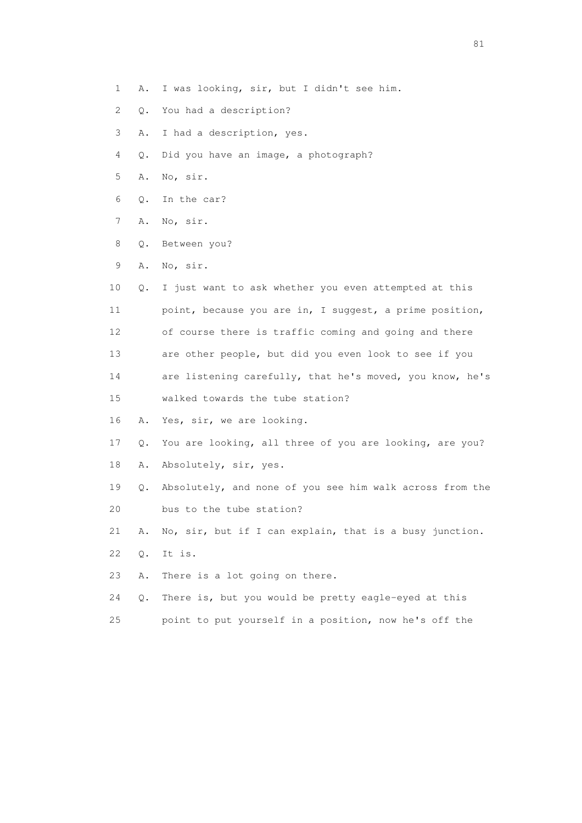- 1 A. I was looking, sir, but I didn't see him.
- 2 Q. You had a description?
- 3 A. I had a description, yes.
- 4 Q. Did you have an image, a photograph?
- 5 A. No, sir.
- 6 Q. In the car?
- 7 A. No, sir.
- 8 Q. Between you?
- 9 A. No, sir.
- 10 Q. I just want to ask whether you even attempted at this 11 point, because you are in, I suggest, a prime position, 12 of course there is traffic coming and going and there 13 are other people, but did you even look to see if you 14 are listening carefully, that he's moved, you know, he's
- 15 walked towards the tube station?
- 16 A. Yes, sir, we are looking.
- 17 Q. You are looking, all three of you are looking, are you?
- 18 A. Absolutely, sir, yes.
- 19 Q. Absolutely, and none of you see him walk across from the 20 bus to the tube station?
- 21 A. No, sir, but if I can explain, that is a busy junction.
- 22 Q. It is.
- 23 A. There is a lot going on there.
- 24 Q. There is, but you would be pretty eagle-eyed at this
- 25 point to put yourself in a position, now he's off the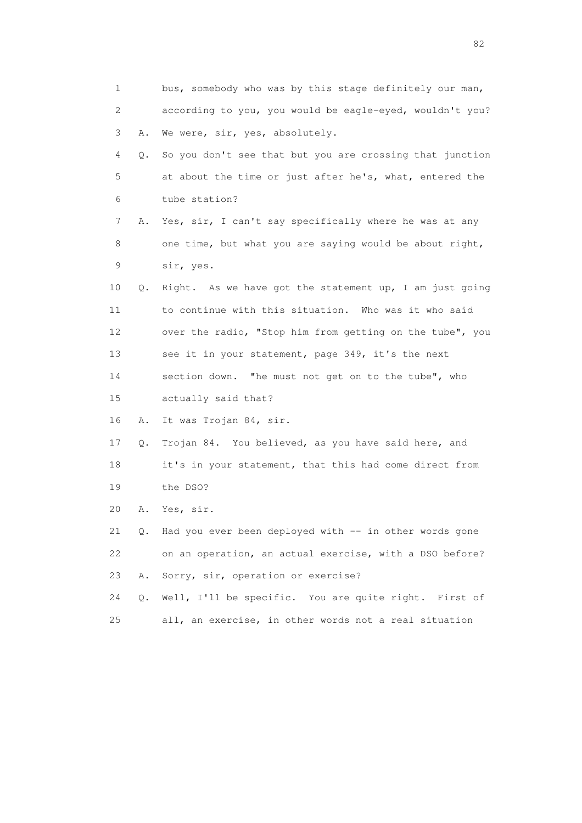| 1  |    | bus, somebody who was by this stage definitely our man,  |
|----|----|----------------------------------------------------------|
| 2  |    | according to you, you would be eagle-eyed, wouldn't you? |
| 3  | Α. | We were, sir, yes, absolutely.                           |
| 4  | Q. | So you don't see that but you are crossing that junction |
| 5  |    | at about the time or just after he's, what, entered the  |
| 6  |    | tube station?                                            |
| 7  | Α. | Yes, sir, I can't say specifically where he was at any   |
| 8  |    | one time, but what you are saying would be about right,  |
| 9  |    | sir, yes.                                                |
| 10 | Q. | Right. As we have got the statement up, I am just going  |
| 11 |    | to continue with this situation. Who was it who said     |
| 12 |    | over the radio, "Stop him from getting on the tube", you |
| 13 |    | see it in your statement, page 349, it's the next        |
| 14 |    | section down. "he must not get on to the tube", who      |
| 15 |    | actually said that?                                      |
| 16 | Α. | It was Trojan 84, sir.                                   |
| 17 | Q. | Trojan 84. You believed, as you have said here, and      |
| 18 |    | it's in your statement, that this had come direct from   |
| 19 |    | the DSO?                                                 |
| 20 | Α. | Yes, sir.                                                |
| 21 | Q. | Had you ever been deployed with -- in other words gone   |
| 22 |    | on an operation, an actual exercise, with a DSO before?  |
| 23 | Α. | Sorry, sir, operation or exercise?                       |
| 24 | Q. | Well, I'll be specific. You are quite right. First of    |
| 25 |    | all, an exercise, in other words not a real situation    |

experience of the state of the state of the state of the state of the state of the state of the state of the s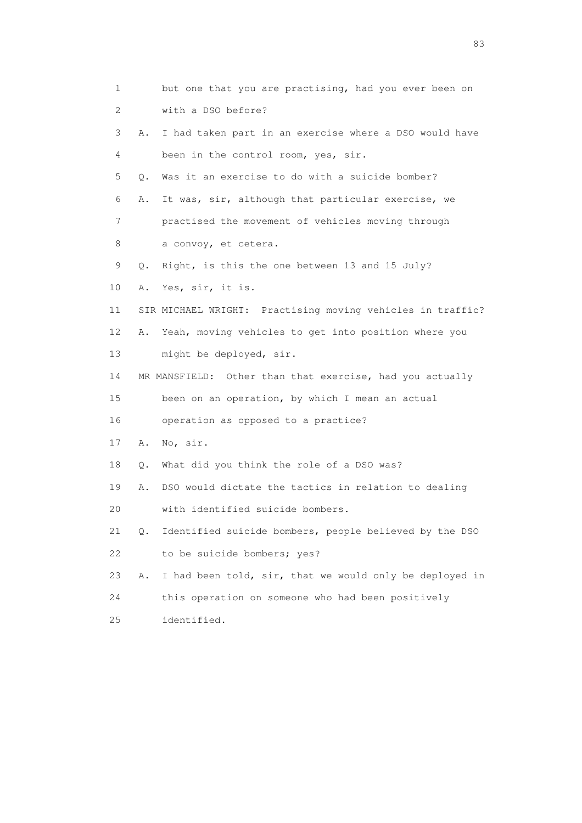| 1  |    | but one that you are practising, had you ever been on      |
|----|----|------------------------------------------------------------|
| 2  |    | with a DSO before?                                         |
| 3  | Α. | I had taken part in an exercise where a DSO would have     |
| 4  |    | been in the control room, yes, sir.                        |
| 5  | Q. | Was it an exercise to do with a suicide bomber?            |
| 6  | Α. | It was, sir, although that particular exercise, we         |
| 7  |    | practised the movement of vehicles moving through          |
| 8  |    | a convoy, et cetera.                                       |
| 9  | Q. | Right, is this the one between 13 and 15 July?             |
| 10 | Α. | Yes, sir, it is.                                           |
| 11 |    | SIR MICHAEL WRIGHT: Practising moving vehicles in traffic? |
| 12 | Α. | Yeah, moving vehicles to get into position where you       |
| 13 |    | might be deployed, sir.                                    |
| 14 |    | MR MANSFIELD: Other than that exercise, had you actually   |
| 15 |    | been on an operation, by which I mean an actual            |
| 16 |    | operation as opposed to a practice?                        |
| 17 | Α. | No, sir.                                                   |
| 18 | Q. | What did you think the role of a DSO was?                  |
| 19 | Α. | DSO would dictate the tactics in relation to dealing       |
| 20 |    | with identified suicide bombers.                           |
| 21 | Q. | Identified suicide bombers, people believed by the DSO     |
| 22 |    | to be suicide bombers; yes?                                |
| 23 | Α. | I had been told, sir, that we would only be deployed in    |
| 24 |    | this operation on someone who had been positively          |
| 25 |    | identified.                                                |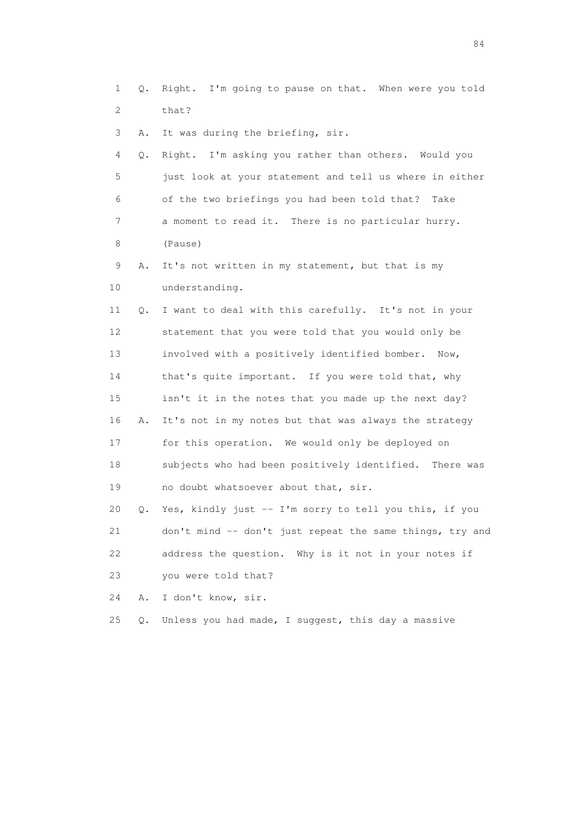1 Q. Right. I'm going to pause on that. When were you told 2 that?

3 A. It was during the briefing, sir.

 4 Q. Right. I'm asking you rather than others. Would you 5 just look at your statement and tell us where in either 6 of the two briefings you had been told that? Take 7 a moment to read it. There is no particular hurry. 8 (Pause)

 9 A. It's not written in my statement, but that is my 10 understanding.

 11 Q. I want to deal with this carefully. It's not in your 12 statement that you were told that you would only be 13 involved with a positively identified bomber. Now, 14 that's quite important. If you were told that, why 15 isn't it in the notes that you made up the next day? 16 A. It's not in my notes but that was always the strategy 17 for this operation. We would only be deployed on 18 subjects who had been positively identified. There was 19 no doubt whatsoever about that, sir.

 20 Q. Yes, kindly just -- I'm sorry to tell you this, if you 21 don't mind -- don't just repeat the same things, try and 22 address the question. Why is it not in your notes if 23 you were told that?

24 A. I don't know, sir.

25 Q. Unless you had made, I suggest, this day a massive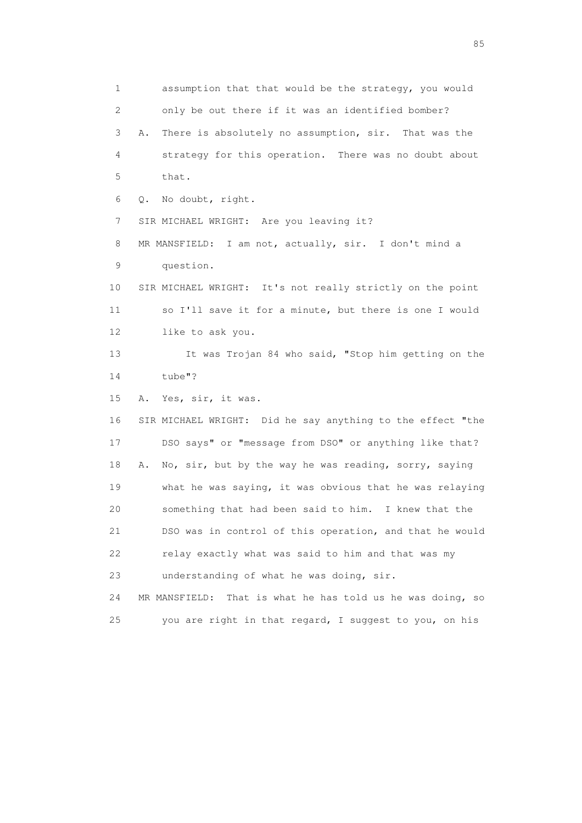1 assumption that that would be the strategy, you would 2 only be out there if it was an identified bomber? 3 A. There is absolutely no assumption, sir. That was the 4 strategy for this operation. There was no doubt about 5 that. 6 Q. No doubt, right. 7 SIR MICHAEL WRIGHT: Are you leaving it? 8 MR MANSFIELD: I am not, actually, sir. I don't mind a 9 question. 10 SIR MICHAEL WRIGHT: It's not really strictly on the point 11 so I'll save it for a minute, but there is one I would 12 like to ask you. 13 It was Trojan 84 who said, "Stop him getting on the 14 tube"? 15 A. Yes, sir, it was. 16 SIR MICHAEL WRIGHT: Did he say anything to the effect "the 17 DSO says" or "message from DSO" or anything like that? 18 A. No, sir, but by the way he was reading, sorry, saying 19 what he was saying, it was obvious that he was relaying 20 something that had been said to him. I knew that the 21 DSO was in control of this operation, and that he would 22 relay exactly what was said to him and that was my 23 understanding of what he was doing, sir. 24 MR MANSFIELD: That is what he has told us he was doing, so 25 you are right in that regard, I suggest to you, on his

experience of the contract of the contract of the contract of the contract of the contract of the contract of the contract of the contract of the contract of the contract of the contract of the contract of the contract of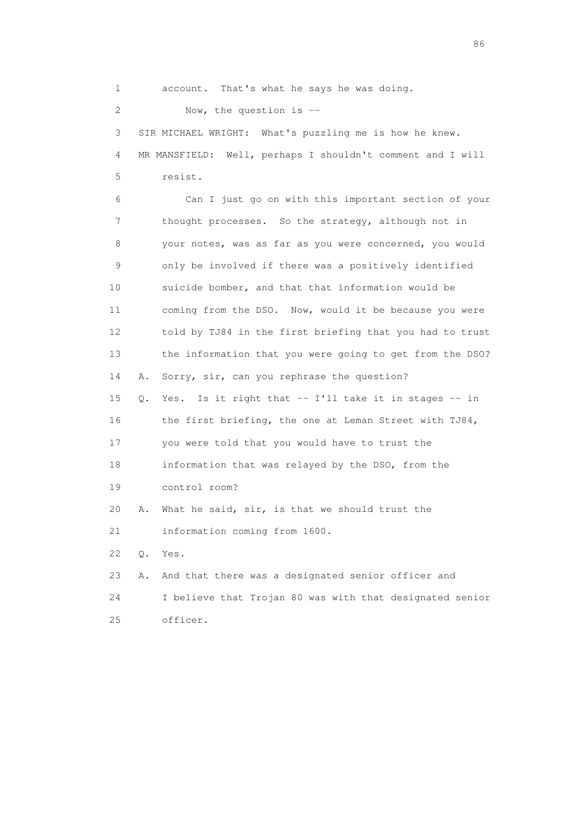1 account. That's what he says he was doing. 2 Now, the question is -- 3 SIR MICHAEL WRIGHT: What's puzzling me is how he knew. 4 MR MANSFIELD: Well, perhaps I shouldn't comment and I will 5 resist. 6 Can I just go on with this important section of your 7 thought processes. So the strategy, although not in 8 your notes, was as far as you were concerned, you would 9 only be involved if there was a positively identified 10 suicide bomber, and that that information would be 11 coming from the DSO. Now, would it be because you were 12 told by TJ84 in the first briefing that you had to trust 13 the information that you were going to get from the DSO? 14 A. Sorry, sir, can you rephrase the question? 15 Q. Yes. Is it right that -- I'll take it in stages -- in 16 the first briefing, the one at Leman Street with TJ84, 17 you were told that you would have to trust the 18 information that was relayed by the DSO, from the 19 control room? 20 A. What he said, sir, is that we should trust the 21 information coming from 1600. 22 Q. Yes. 23 A. And that there was a designated senior officer and 24 I believe that Trojan 80 was with that designated senior 25 officer.

entration of the contract of the contract of the contract of the contract of the contract of the contract of the contract of the contract of the contract of the contract of the contract of the contract of the contract of t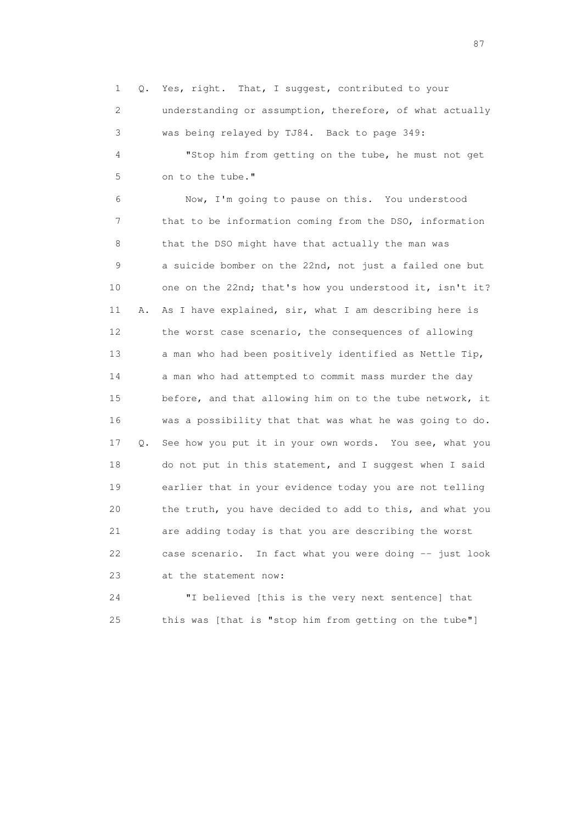1 Q. Yes, right. That, I suggest, contributed to your 2 understanding or assumption, therefore, of what actually 3 was being relayed by TJ84. Back to page 349: 4 "Stop him from getting on the tube, he must not get

5 on to the tube."

 6 Now, I'm going to pause on this. You understood 7 that to be information coming from the DSO, information 8 that the DSO might have that actually the man was 9 a suicide bomber on the 22nd, not just a failed one but 10 one on the 22nd; that's how you understood it, isn't it? 11 A. As I have explained, sir, what I am describing here is 12 the worst case scenario, the consequences of allowing 13 a man who had been positively identified as Nettle Tip, 14 a man who had attempted to commit mass murder the day 15 before, and that allowing him on to the tube network, it 16 was a possibility that that was what he was going to do. 17 Q. See how you put it in your own words. You see, what you 18 do not put in this statement, and I suggest when I said 19 earlier that in your evidence today you are not telling 20 the truth, you have decided to add to this, and what you 21 are adding today is that you are describing the worst 22 case scenario. In fact what you were doing -- just look 23 at the statement now:

 24 "I believed [this is the very next sentence] that 25 this was [that is "stop him from getting on the tube"]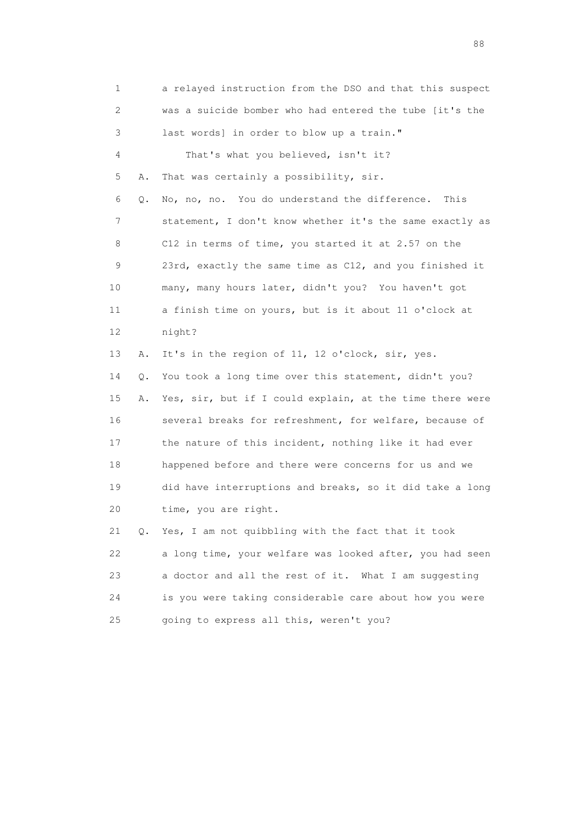1 a relayed instruction from the DSO and that this suspect 2 was a suicide bomber who had entered the tube [it's the 3 last words] in order to blow up a train." 4 That's what you believed, isn't it? 5 A. That was certainly a possibility, sir. 6 Q. No, no, no. You do understand the difference. This 7 statement, I don't know whether it's the same exactly as 8 C12 in terms of time, you started it at 2.57 on the 9 23rd, exactly the same time as C12, and you finished it 10 many, many hours later, didn't you? You haven't got 11 a finish time on yours, but is it about 11 o'clock at 12 night? 13 A. It's in the region of 11, 12 o'clock, sir, yes. 14 Q. You took a long time over this statement, didn't you? 15 A. Yes, sir, but if I could explain, at the time there were 16 several breaks for refreshment, for welfare, because of 17 the nature of this incident, nothing like it had ever 18 happened before and there were concerns for us and we 19 did have interruptions and breaks, so it did take a long 20 time, you are right. 21 Q. Yes, I am not quibbling with the fact that it took 22 a long time, your welfare was looked after, you had seen 23 a doctor and all the rest of it. What I am suggesting 24 is you were taking considerable care about how you were 25 going to express all this, weren't you?

en de la construction de la construction de la construction de la construction de la construction de la constr<br>1880 : le construction de la construction de la construction de la construction de la construction de la const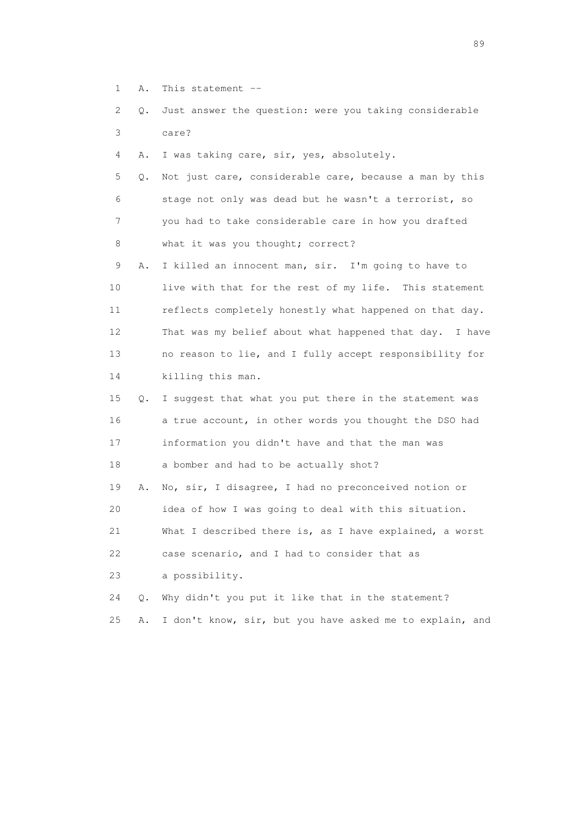- 1 A. This statement --
- 2 Q. Just answer the question: were you taking considerable 3 care?
- 4 A. I was taking care, sir, yes, absolutely.
- 5 Q. Not just care, considerable care, because a man by this 6 stage not only was dead but he wasn't a terrorist, so 7 you had to take considerable care in how you drafted 8 what it was you thought; correct?
- 9 A. I killed an innocent man, sir. I'm going to have to 10 live with that for the rest of my life. This statement 11 reflects completely honestly what happened on that day. 12 That was my belief about what happened that day. I have 13 no reason to lie, and I fully accept responsibility for 14 killing this man.
- 15 Q. I suggest that what you put there in the statement was 16 a true account, in other words you thought the DSO had 17 information you didn't have and that the man was 18 a bomber and had to be actually shot?
- 19 A. No, sir, I disagree, I had no preconceived notion or 20 idea of how I was going to deal with this situation. 21 What I described there is, as I have explained, a worst
- 22 case scenario, and I had to consider that as
- 23 a possibility.
- 24 Q. Why didn't you put it like that in the statement?
- 25 A. I don't know, sir, but you have asked me to explain, and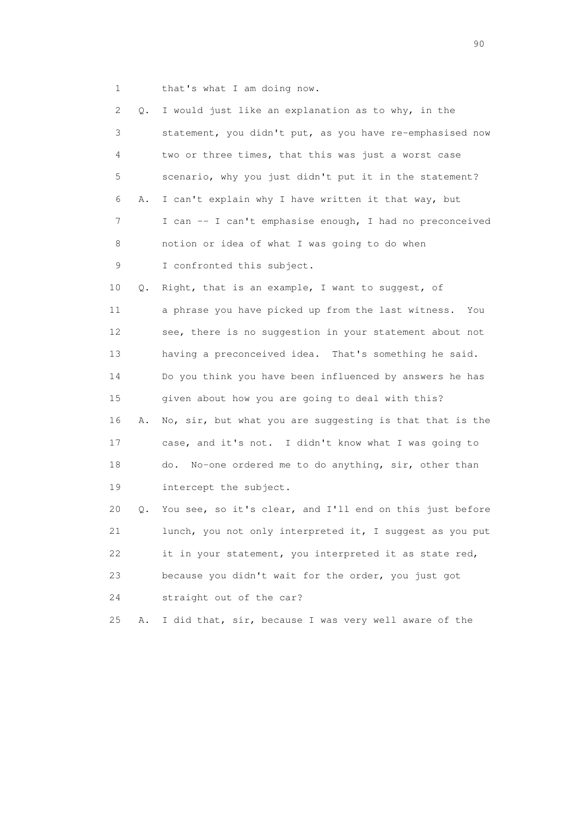1 that's what I am doing now.

| 2               | О. | I would just like an explanation as to why, in the        |
|-----------------|----|-----------------------------------------------------------|
| 3               |    | statement, you didn't put, as you have re-emphasised now  |
| 4               |    | two or three times, that this was just a worst case       |
| 5               |    | scenario, why you just didn't put it in the statement?    |
| 6               | Α. | I can't explain why I have written it that way, but       |
| 7               |    | I can -- I can't emphasise enough, I had no preconceived  |
| 8               |    | notion or idea of what I was going to do when             |
| 9               |    | I confronted this subject.                                |
| 10              | Q. | Right, that is an example, I want to suggest, of          |
| 11              |    | a phrase you have picked up from the last witness.<br>You |
| 12 <sup>°</sup> |    | see, there is no suggestion in your statement about not   |
| 13              |    | having a preconceived idea. That's something he said.     |
| 14              |    | Do you think you have been influenced by answers he has   |
| 15              |    | given about how you are going to deal with this?          |
| 16              | Α. | No, sir, but what you are suggesting is that that is the  |
| 17              |    | case, and it's not. I didn't know what I was going to     |
| 18              |    | No-one ordered me to do anything, sir, other than<br>do.  |
| 19              |    | intercept the subject.                                    |
| 20              | Q. | You see, so it's clear, and I'll end on this just before  |
| 21              |    | lunch, you not only interpreted it, I suggest as you put  |
| 22              |    | it in your statement, you interpreted it as state red,    |
| 23              |    | because you didn't wait for the order, you just got       |
| 24              |    | straight out of the car?                                  |
| 25              | Α. | I did that, sir, because I was very well aware of the     |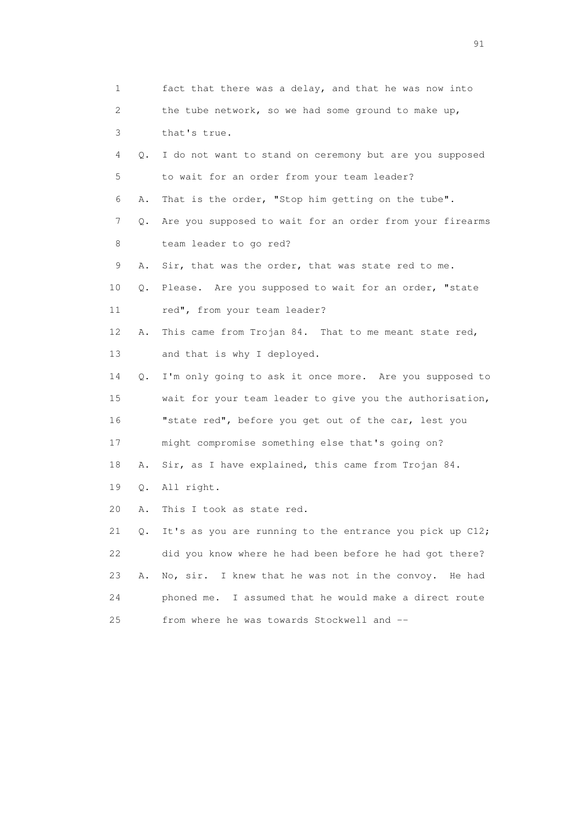| 1                     |    | fact that there was a delay, and that he was now into    |
|-----------------------|----|----------------------------------------------------------|
| $\mathbf{2}^{\prime}$ |    | the tube network, so we had some ground to make up,      |
| 3                     |    | that's true.                                             |
| 4                     | Q. | I do not want to stand on ceremony but are you supposed  |
| 5                     |    | to wait for an order from your team leader?              |
| 6                     | Α. | That is the order, "Stop him getting on the tube".       |
| $\overline{7}$        | Q. | Are you supposed to wait for an order from your firearms |
| 8                     |    | team leader to go red?                                   |
| 9                     | Α. | Sir, that was the order, that was state red to me.       |
| 10                    | Q. | Please. Are you supposed to wait for an order, "state    |
| 11                    |    | red", from your team leader?                             |
| 12                    | Α. | This came from Trojan 84. That to me meant state red,    |
| 13                    |    | and that is why I deployed.                              |
| 14                    | Q. | I'm only going to ask it once more. Are you supposed to  |
| 15                    |    | wait for your team leader to give you the authorisation, |
| 16                    |    | "state red", before you get out of the car, lest you     |
| 17                    |    | might compromise something else that's going on?         |
| 18                    | Α. | Sir, as I have explained, this came from Trojan 84.      |
| 19                    | Q. | All right.                                               |
| 20                    | Α. | This I took as state red.                                |
| 21                    | Q. | It's as you are running to the entrance you pick up C12; |
| 22                    |    | did you know where he had been before he had got there?  |
| 23                    | Α. | I knew that he was not in the convoy. He had<br>No, sir. |
| 24                    |    | phoned me. I assumed that he would make a direct route   |
| 25                    |    | from where he was towards Stockwell and --               |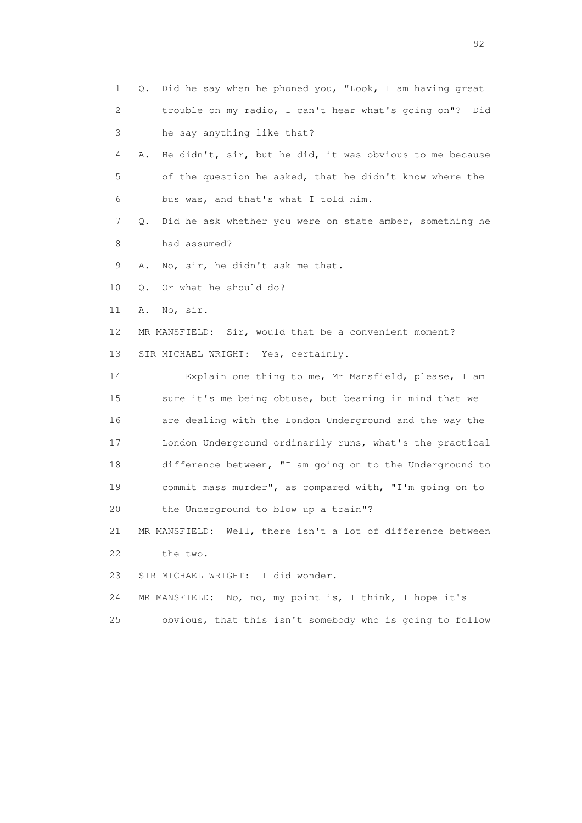1 Q. Did he say when he phoned you, "Look, I am having great 2 trouble on my radio, I can't hear what's going on"? Did 3 he say anything like that? 4 A. He didn't, sir, but he did, it was obvious to me because 5 of the question he asked, that he didn't know where the 6 bus was, and that's what I told him. 7 Q. Did he ask whether you were on state amber, something he 8 had assumed? 9 A. No, sir, he didn't ask me that. 10 Q. Or what he should do? 11 A. No, sir. 12 MR MANSFIELD: Sir, would that be a convenient moment? 13 SIR MICHAEL WRIGHT: Yes, certainly. 14 Explain one thing to me, Mr Mansfield, please, I am 15 sure it's me being obtuse, but bearing in mind that we 16 are dealing with the London Underground and the way the 17 London Underground ordinarily runs, what's the practical 18 difference between, "I am going on to the Underground to 19 commit mass murder", as compared with, "I'm going on to 20 the Underground to blow up a train"? 21 MR MANSFIELD: Well, there isn't a lot of difference between 22 the two. 23 SIR MICHAEL WRIGHT: I did wonder. 24 MR MANSFIELD: No, no, my point is, I think, I hope it's 25 obvious, that this isn't somebody who is going to follow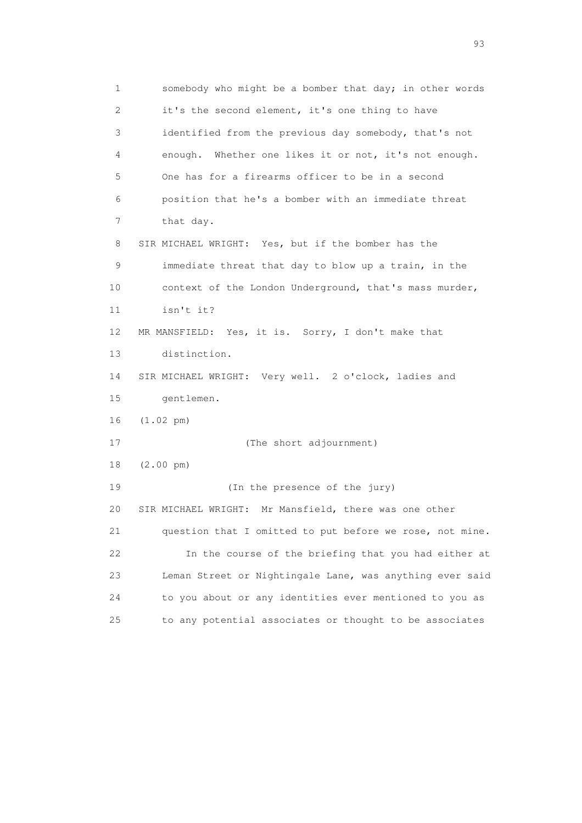1 somebody who might be a bomber that day; in other words 2 it's the second element, it's one thing to have 3 identified from the previous day somebody, that's not 4 enough. Whether one likes it or not, it's not enough. 5 One has for a firearms officer to be in a second 6 position that he's a bomber with an immediate threat 7 that day. 8 SIR MICHAEL WRIGHT: Yes, but if the bomber has the 9 immediate threat that day to blow up a train, in the 10 context of the London Underground, that's mass murder, 11 isn't it? 12 MR MANSFIELD: Yes, it is. Sorry, I don't make that 13 distinction. 14 SIR MICHAEL WRIGHT: Very well. 2 o'clock, ladies and 15 gentlemen. 16 (1.02 pm) 17 (The short adjournment) 18 (2.00 pm) 19 (In the presence of the jury) 20 SIR MICHAEL WRIGHT: Mr Mansfield, there was one other 21 question that I omitted to put before we rose, not mine. 22 In the course of the briefing that you had either at 23 Leman Street or Nightingale Lane, was anything ever said 24 to you about or any identities ever mentioned to you as 25 to any potential associates or thought to be associates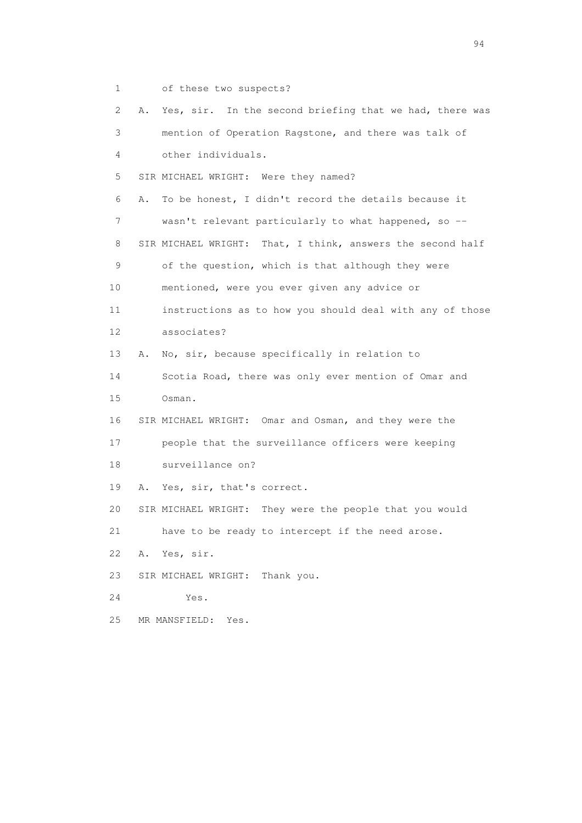1 of these two suspects?

 2 A. Yes, sir. In the second briefing that we had, there was 3 mention of Operation Ragstone, and there was talk of 4 other individuals. 5 SIR MICHAEL WRIGHT: Were they named? 6 A. To be honest, I didn't record the details because it 7 wasn't relevant particularly to what happened, so -- 8 SIR MICHAEL WRIGHT: That, I think, answers the second half 9 of the question, which is that although they were 10 mentioned, were you ever given any advice or 11 instructions as to how you should deal with any of those 12 associates? 13 A. No, sir, because specifically in relation to 14 Scotia Road, there was only ever mention of Omar and 15 Osman. 16 SIR MICHAEL WRIGHT: Omar and Osman, and they were the 17 people that the surveillance officers were keeping 18 surveillance on? 19 A. Yes, sir, that's correct. 20 SIR MICHAEL WRIGHT: They were the people that you would 21 have to be ready to intercept if the need arose. 22 A. Yes, sir. 23 SIR MICHAEL WRIGHT: Thank you. 24 Yes. 25 MR MANSFIELD: Yes.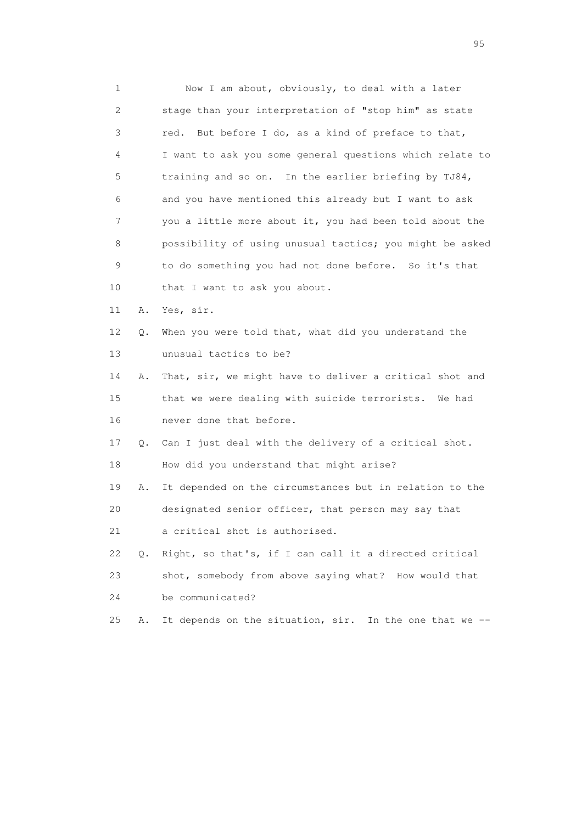1 Now I am about, obviously, to deal with a later 2 stage than your interpretation of "stop him" as state 3 red. But before I do, as a kind of preface to that, 4 I want to ask you some general questions which relate to 5 training and so on. In the earlier briefing by TJ84, 6 and you have mentioned this already but I want to ask 7 you a little more about it, you had been told about the 8 possibility of using unusual tactics; you might be asked 9 to do something you had not done before. So it's that 10 that I want to ask you about. 11 A. Yes, sir. 12 Q. When you were told that, what did you understand the 13 unusual tactics to be? 14 A. That, sir, we might have to deliver a critical shot and 15 that we were dealing with suicide terrorists. We had 16 never done that before. 17 Q. Can I just deal with the delivery of a critical shot. 18 How did you understand that might arise? 19 A. It depended on the circumstances but in relation to the 20 designated senior officer, that person may say that 21 a critical shot is authorised. 22 Q. Right, so that's, if I can call it a directed critical 23 shot, somebody from above saying what? How would that 24 be communicated? 25 A. It depends on the situation, sir. In the one that we --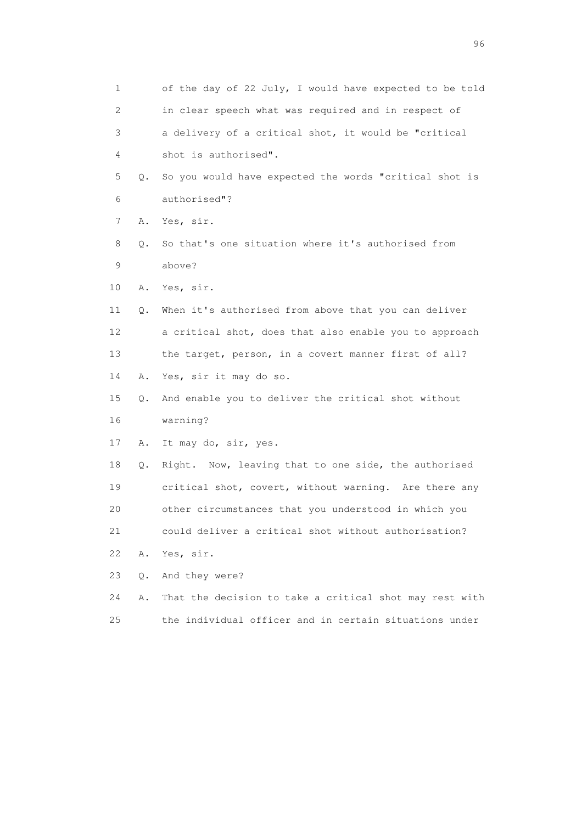| 1  |    | of the day of 22 July, I would have expected to be told |
|----|----|---------------------------------------------------------|
| 2  |    | in clear speech what was required and in respect of     |
| 3  |    | a delivery of a critical shot, it would be "critical    |
| 4  |    | shot is authorised".                                    |
| 5  | Q. | So you would have expected the words "critical shot is  |
| 6  |    | authorised"?                                            |
| 7  | Α. | Yes, sir.                                               |
| 8  | Q. | So that's one situation where it's authorised from      |
| 9  |    | above?                                                  |
| 10 | Α. | Yes, sir.                                               |
| 11 | О. | When it's authorised from above that you can deliver    |
| 12 |    | a critical shot, does that also enable you to approach  |
| 13 |    | the target, person, in a covert manner first of all?    |
| 14 | Α. | Yes, sir it may do so.                                  |
| 15 | Q. | And enable you to deliver the critical shot without     |
| 16 |    | warning?                                                |
| 17 | Α. | It may do, sir, yes.                                    |
| 18 | Q. | Right. Now, leaving that to one side, the authorised    |
| 19 |    | critical shot, covert, without warning. Are there any   |
| 20 |    | other circumstances that you understood in which you    |
| 21 |    | could deliver a critical shot without authorisation?    |
| 22 | Α. | Yes, sir.                                               |
| 23 | О. | And they were?                                          |
| 24 | Α. | That the decision to take a critical shot may rest with |
| 25 |    | the individual officer and in certain situations under  |

<u>96 and the state of the state of the state of the state of the state of the state of the state of the state of the state of the state of the state of the state of the state of the state of the state of the state of the st</u>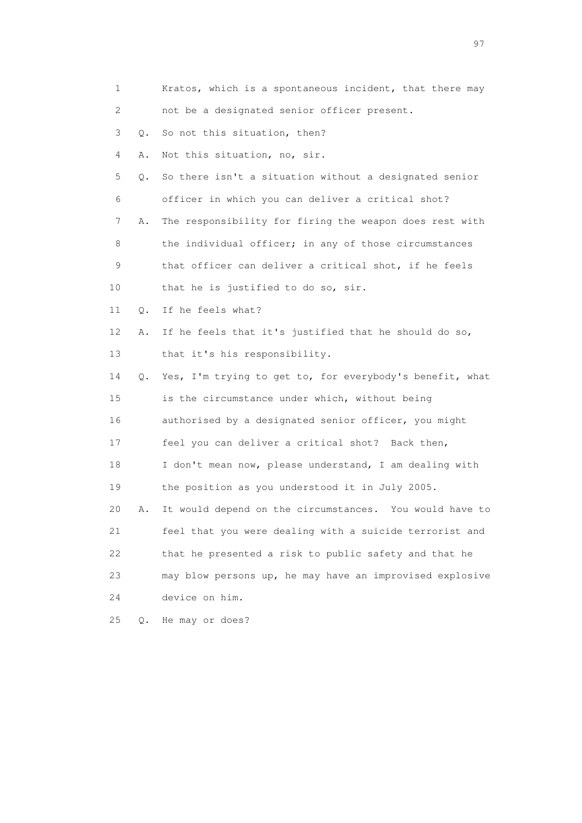| 1  |           | Kratos, which is a spontaneous incident, that there may  |
|----|-----------|----------------------------------------------------------|
| 2  |           | not be a designated senior officer present.              |
| 3  | $\circ$ . | So not this situation, then?                             |
|    | 4<br>Α.   | Not this situation, no, sir.                             |
| 5  | Q.        | So there isn't a situation without a designated senior   |
| 6  |           | officer in which you can deliver a critical shot?        |
|    | 7<br>Α.   | The responsibility for firing the weapon does rest with  |
| 8  |           | the individual officer; in any of those circumstances    |
| 9  |           | that officer can deliver a critical shot, if he feels    |
| 10 |           | that he is justified to do so, sir.                      |
| 11 | Q.        | If he feels what?                                        |
| 12 | Α.        | If he feels that it's justified that he should do so,    |
| 13 |           | that it's his responsibility.                            |
| 14 | Q.        | Yes, I'm trying to get to, for everybody's benefit, what |
| 15 |           | is the circumstance under which, without being           |
| 16 |           | authorised by a designated senior officer, you might     |
| 17 |           | feel you can deliver a critical shot? Back then,         |
| 18 |           | I don't mean now, please understand, I am dealing with   |
| 19 |           | the position as you understood it in July 2005.          |
| 20 | Α.        | It would depend on the circumstances. You would have to  |
| 21 |           | feel that you were dealing with a suicide terrorist and  |
| 22 |           | that he presented a risk to public safety and that he    |
| 23 |           | may blow persons up, he may have an improvised explosive |
| 24 |           | device on him.                                           |
| 25 | $Q$ .     | He may or does?                                          |

experience of the contract of the contract of the contract of the contract of the contract of the contract of the contract of the contract of the contract of the contract of the contract of the contract of the contract of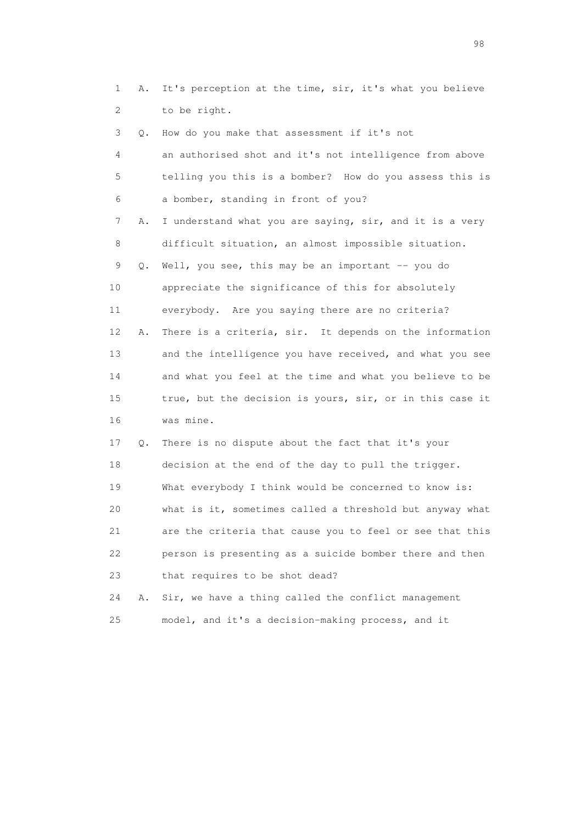1 A. It's perception at the time, sir, it's what you believe 2 to be right.

| 3  | Q. | How do you make that assessment if it's not              |
|----|----|----------------------------------------------------------|
| 4  |    | an authorised shot and it's not intelligence from above  |
| 5  |    | telling you this is a bomber? How do you assess this is  |
| 6  |    | a bomber, standing in front of you?                      |
| 7  | Α. | I understand what you are saying, sir, and it is a very  |
| 8  |    | difficult situation, an almost impossible situation.     |
| 9  | Q. | Well, you see, this may be an important -- you do        |
| 10 |    | appreciate the significance of this for absolutely       |
| 11 |    | everybody. Are you saying there are no criteria?         |
| 12 | Α. | There is a criteria, sir. It depends on the information  |
| 13 |    | and the intelligence you have received, and what you see |
| 14 |    | and what you feel at the time and what you believe to be |
| 15 |    | true, but the decision is yours, sir, or in this case it |
| 16 |    | was mine.                                                |
| 17 | Q. | There is no dispute about the fact that it's your        |
| 18 |    | decision at the end of the day to pull the trigger.      |
| 19 |    | What everybody I think would be concerned to know is:    |
| 20 |    | what is it, sometimes called a threshold but anyway what |
| 21 |    | are the criteria that cause you to feel or see that this |
| 22 |    | person is presenting as a suicide bomber there and then  |
| 23 |    | that requires to be shot dead?                           |

 24 A. Sir, we have a thing called the conflict management 25 model, and it's a decision-making process, and it

en 1988 en 1989 en 1989 en 1989 en 1989 en 1989 en 1989 en 1989 en 1989 en 1989 en 1989 en 1989 en 1989 en 19<br>De grote en 1989 en 1989 en 1989 en 1989 en 1989 en 1989 en 1989 en 1989 en 1989 en 1989 en 1989 en 1989 en 19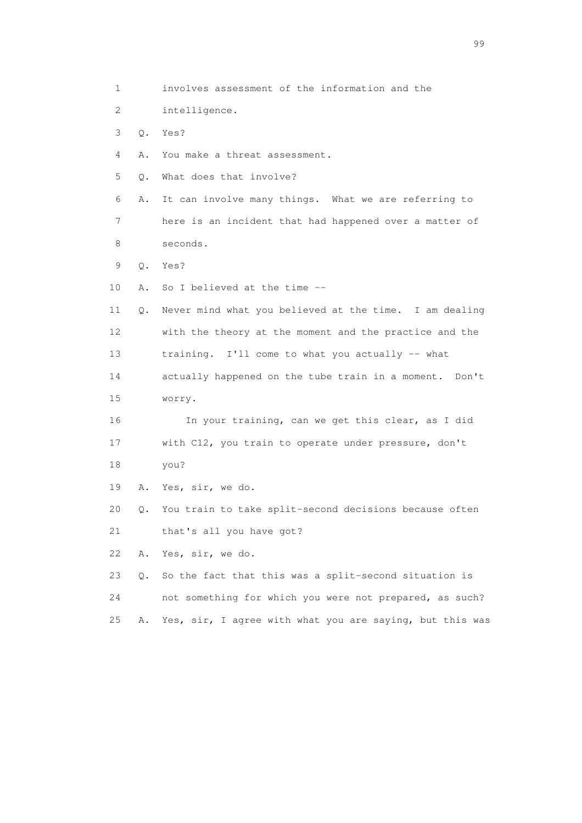1 involves assessment of the information and the 2 intelligence. 3 Q. Yes? 4 A. You make a threat assessment. 5 Q. What does that involve? 6 A. It can involve many things. What we are referring to 7 here is an incident that had happened over a matter of 8 seconds. 9 Q. Yes? 10 A. So I believed at the time -- 11 Q. Never mind what you believed at the time. I am dealing 12 with the theory at the moment and the practice and the 13 training. I'll come to what you actually -- what 14 actually happened on the tube train in a moment. Don't 15 worry. 16 In your training, can we get this clear, as I did 17 with C12, you train to operate under pressure, don't 18 you? 19 A. Yes, sir, we do. 20 Q. You train to take split-second decisions because often 21 that's all you have got? 22 A. Yes, sir, we do. 23 Q. So the fact that this was a split-second situation is 24 not something for which you were not prepared, as such? 25 A. Yes, sir, I agree with what you are saying, but this was

en de la construction de la construction de la construction de la construction de la construction de la constr<br>1990 : la construction de la construction de la construction de la construction de la construction de la const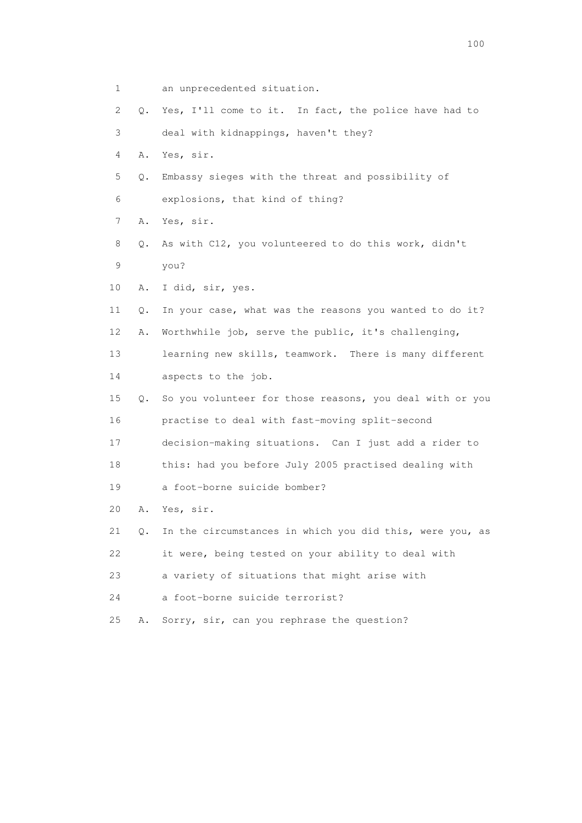| $\mathbf 1$ |       | an unprecedented situation.                              |
|-------------|-------|----------------------------------------------------------|
| 2           | Q.    | Yes, I'll come to it. In fact, the police have had to    |
| 3           |       | deal with kidnappings, haven't they?                     |
| 4           | Α.    | Yes, sir.                                                |
| 5           | Q.    | Embassy sieges with the threat and possibility of        |
| 6           |       | explosions, that kind of thing?                          |
| 7           | Α.    | Yes, sir.                                                |
| 8           | Q.    | As with C12, you volunteered to do this work, didn't     |
| 9           |       | you?                                                     |
| 10          | Α.    | I did, sir, yes.                                         |
| 11          | Q.    | In your case, what was the reasons you wanted to do it?  |
| 12          | Α.    | Worthwhile job, serve the public, it's challenging,      |
| 13          |       | learning new skills, teamwork. There is many different   |
| 14          |       | aspects to the job.                                      |
| 15          | Q.    | So you volunteer for those reasons, you deal with or you |
| 16          |       | practise to deal with fast-moving split-second           |
| 17          |       | decision-making situations. Can I just add a rider to    |
| 18          |       | this: had you before July 2005 practised dealing with    |
| 19          |       | a foot-borne suicide bomber?                             |
| 20          | Α.    | Yes, sir.                                                |
| 21          | $Q$ . | In the circumstances in which you did this, were you, as |
| 22          |       | it were, being tested on your ability to deal with       |
| 23          |       | a variety of situations that might arise with            |
| 24          |       | a foot-borne suicide terrorist?                          |
| 25          | Α.    | Sorry, sir, can you rephrase the question?               |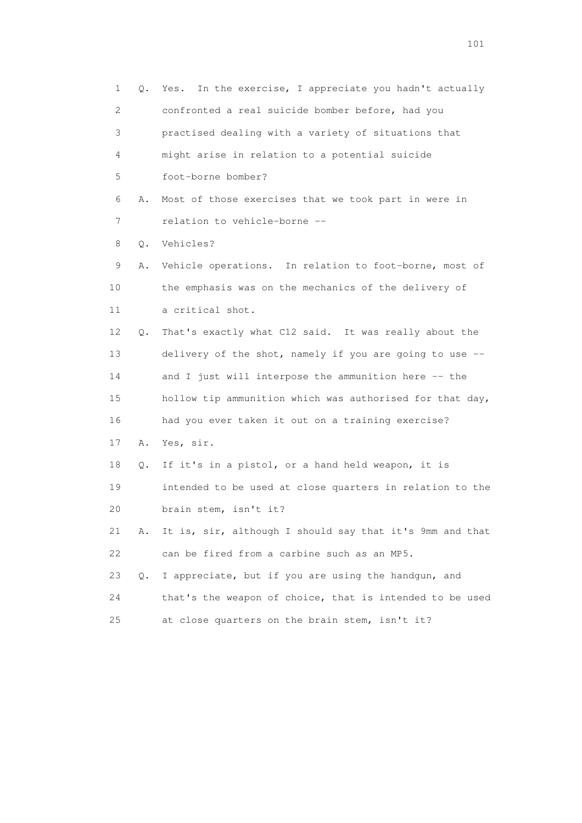1 Q. Yes. In the exercise, I appreciate you hadn't actually 2 confronted a real suicide bomber before, had you 3 practised dealing with a variety of situations that 4 might arise in relation to a potential suicide 5 foot-borne bomber? 6 A. Most of those exercises that we took part in were in 7 relation to vehicle-borne -- 8 Q. Vehicles? 9 A. Vehicle operations. In relation to foot-borne, most of 10 the emphasis was on the mechanics of the delivery of 11 a critical shot. 12 Q. That's exactly what C12 said. It was really about the 13 delivery of the shot, namely if you are going to use -- 14 and I just will interpose the ammunition here -- the 15 hollow tip ammunition which was authorised for that day, 16 had you ever taken it out on a training exercise? 17 A. Yes, sir. 18 Q. If it's in a pistol, or a hand held weapon, it is 19 intended to be used at close quarters in relation to the 20 brain stem, isn't it? 21 A. It is, sir, although I should say that it's 9mm and that 22 can be fired from a carbine such as an MP5. 23 Q. I appreciate, but if you are using the handgun, and 24 that's the weapon of choice, that is intended to be used 25 at close quarters on the brain stem, isn't it?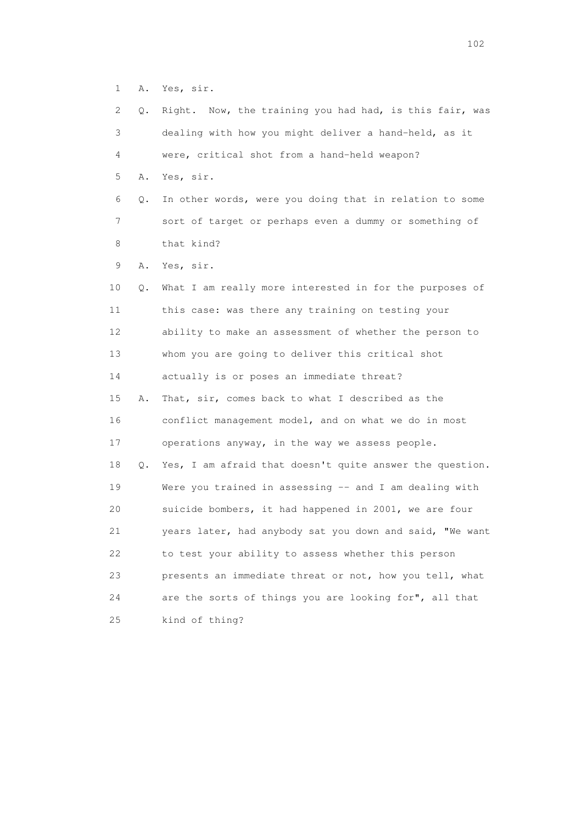1 A. Yes, sir.

| 2  | Q. | Right. Now, the training you had had, is this fair, was  |
|----|----|----------------------------------------------------------|
| 3  |    | dealing with how you might deliver a hand-held, as it    |
| 4  |    | were, critical shot from a hand-held weapon?             |
| 5  | Α. | Yes, sir.                                                |
| 6  | Q. | In other words, were you doing that in relation to some  |
| 7  |    | sort of target or perhaps even a dummy or something of   |
| 8  |    | that kind?                                               |
| 9  | Α. | Yes, sir.                                                |
| 10 | Q. | What I am really more interested in for the purposes of  |
| 11 |    | this case: was there any training on testing your        |
| 12 |    | ability to make an assessment of whether the person to   |
| 13 |    | whom you are going to deliver this critical shot         |
| 14 |    | actually is or poses an immediate threat?                |
| 15 | Α. | That, sir, comes back to what I described as the         |
| 16 |    | conflict management model, and on what we do in most     |
| 17 |    | operations anyway, in the way we assess people.          |
| 18 | Q. | Yes, I am afraid that doesn't quite answer the question. |
| 19 |    | Were you trained in assessing -- and I am dealing with   |
| 20 |    | suicide bombers, it had happened in 2001, we are four    |
| 21 |    | years later, had anybody sat you down and said, "We want |
| 22 |    | to test your ability to assess whether this person       |
| 23 |    | presents an immediate threat or not, how you tell, what  |
| 24 |    | are the sorts of things you are looking for", all that   |
| 25 |    | kind of thing?                                           |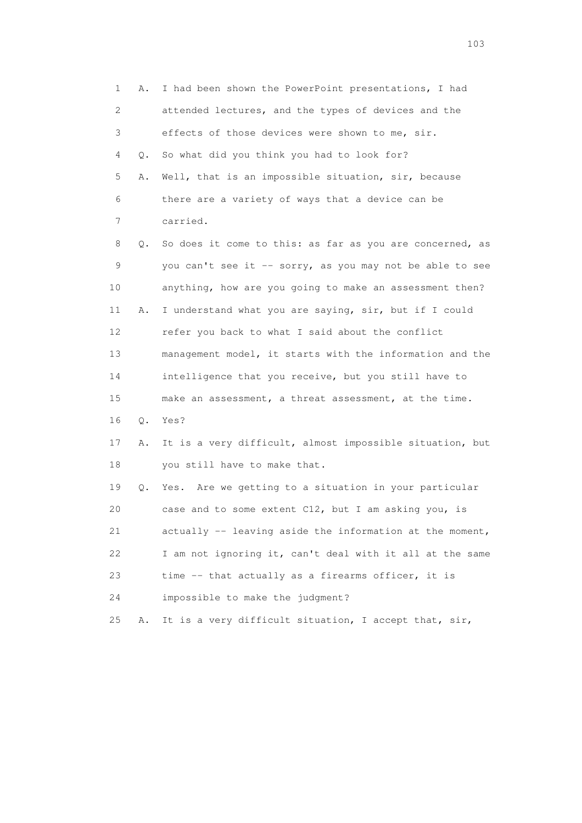1 A. I had been shown the PowerPoint presentations, I had 2 attended lectures, and the types of devices and the 3 effects of those devices were shown to me, sir. 4 Q. So what did you think you had to look for? 5 A. Well, that is an impossible situation, sir, because 6 there are a variety of ways that a device can be 7 carried. 8 Q. So does it come to this: as far as you are concerned, as 9 you can't see it -- sorry, as you may not be able to see 10 anything, how are you going to make an assessment then? 11 A. I understand what you are saying, sir, but if I could 12 refer you back to what I said about the conflict 13 management model, it starts with the information and the 14 intelligence that you receive, but you still have to 15 make an assessment, a threat assessment, at the time. 16 Q. Yes? 17 A. It is a very difficult, almost impossible situation, but 18 you still have to make that. 19 Q. Yes. Are we getting to a situation in your particular 20 case and to some extent C12, but I am asking you, is 21 actually -- leaving aside the information at the moment, 22 I am not ignoring it, can't deal with it all at the same 23 time -- that actually as a firearms officer, it is 24 impossible to make the judgment? 25 A. It is a very difficult situation, I accept that, sir,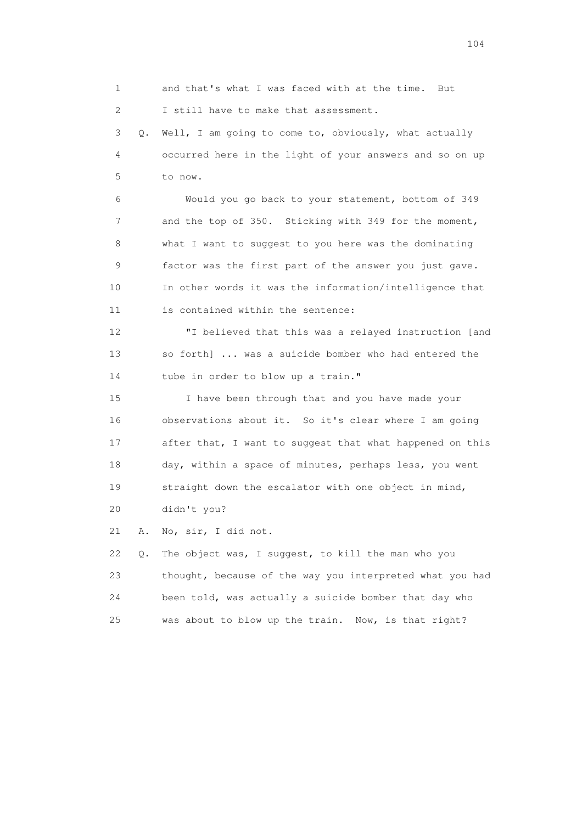1 and that's what I was faced with at the time. But 2 I still have to make that assessment. 3 Q. Well, I am going to come to, obviously, what actually 4 occurred here in the light of your answers and so on up 5 to now. 6 Would you go back to your statement, bottom of 349 7 and the top of 350. Sticking with 349 for the moment, 8 what I want to suggest to you here was the dominating 9 factor was the first part of the answer you just gave. 10 In other words it was the information/intelligence that 11 is contained within the sentence: 12 "I believed that this was a relayed instruction [and 13 so forth] ... was a suicide bomber who had entered the 14 tube in order to blow up a train." 15 I have been through that and you have made your 16 observations about it. So it's clear where I am going 17 after that, I want to suggest that what happened on this 18 day, within a space of minutes, perhaps less, you went 19 straight down the escalator with one object in mind, 20 didn't you? 21 A. No, sir, I did not. 22 Q. The object was, I suggest, to kill the man who you 23 thought, because of the way you interpreted what you had 24 been told, was actually a suicide bomber that day who 25 was about to blow up the train. Now, is that right?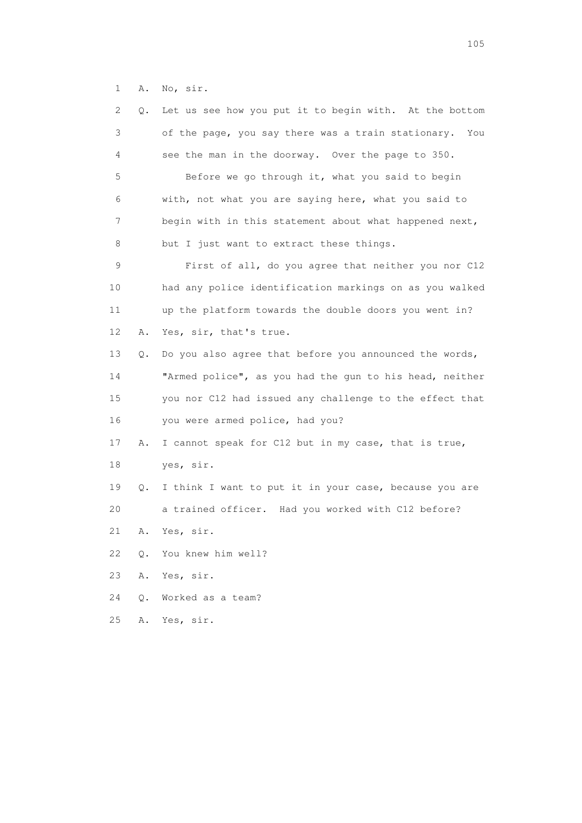1 A. No, sir.

| 2  | Q. | Let us see how you put it to begin with. At the bottom  |
|----|----|---------------------------------------------------------|
| 3  |    | of the page, you say there was a train stationary. You  |
| 4  |    | see the man in the doorway. Over the page to 350.       |
| 5  |    | Before we go through it, what you said to begin         |
| 6  |    | with, not what you are saying here, what you said to    |
| 7  |    | begin with in this statement about what happened next,  |
| 8  |    | but I just want to extract these things.                |
| 9  |    | First of all, do you agree that neither you nor C12     |
| 10 |    | had any police identification markings on as you walked |
| 11 |    | up the platform towards the double doors you went in?   |
| 12 | Α. | Yes, sir, that's true.                                  |
| 13 | Q. | Do you also agree that before you announced the words,  |
| 14 |    | "Armed police", as you had the gun to his head, neither |
| 15 |    | you nor C12 had issued any challenge to the effect that |
| 16 |    | you were armed police, had you?                         |
| 17 | Α. | I cannot speak for C12 but in my case, that is true,    |
| 18 |    | yes, sir.                                               |
| 19 | Q. | I think I want to put it in your case, because you are  |
| 20 |    | a trained officer. Had you worked with C12 before?      |
| 21 | Α. | Yes, sir.                                               |
| 22 | О. | You knew him well?                                      |
| 23 | Α. | Yes, sir.                                               |
| 24 | О. | Worked as a team?                                       |
| 25 | Α. | Yes, sir.                                               |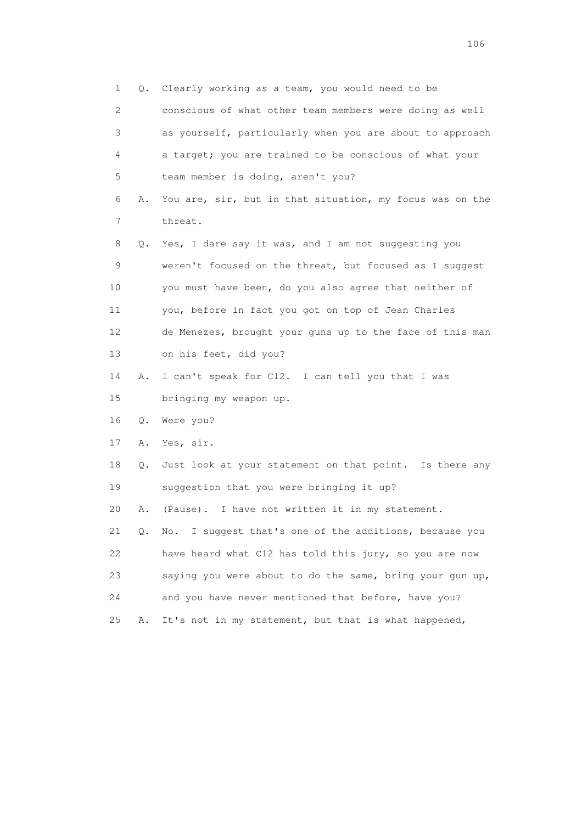1 Q. Clearly working as a team, you would need to be 2 conscious of what other team members were doing as well 3 as yourself, particularly when you are about to approach 4 a target; you are trained to be conscious of what your 5 team member is doing, aren't you? 6 A. You are, sir, but in that situation, my focus was on the 7 threat. 8 Q. Yes, I dare say it was, and I am not suggesting you 9 weren't focused on the threat, but focused as I suggest 10 you must have been, do you also agree that neither of 11 you, before in fact you got on top of Jean Charles 12 de Menezes, brought your guns up to the face of this man 13 on his feet, did you? 14 A. I can't speak for C12. I can tell you that I was 15 bringing my weapon up. 16 Q. Were you? 17 A. Yes, sir. 18 Q. Just look at your statement on that point. Is there any 19 suggestion that you were bringing it up? 20 A. (Pause). I have not written it in my statement. 21 Q. No. I suggest that's one of the additions, because you 22 have heard what C12 has told this jury, so you are now 23 saying you were about to do the same, bring your gun up, 24 and you have never mentioned that before, have you? 25 A. It's not in my statement, but that is what happened,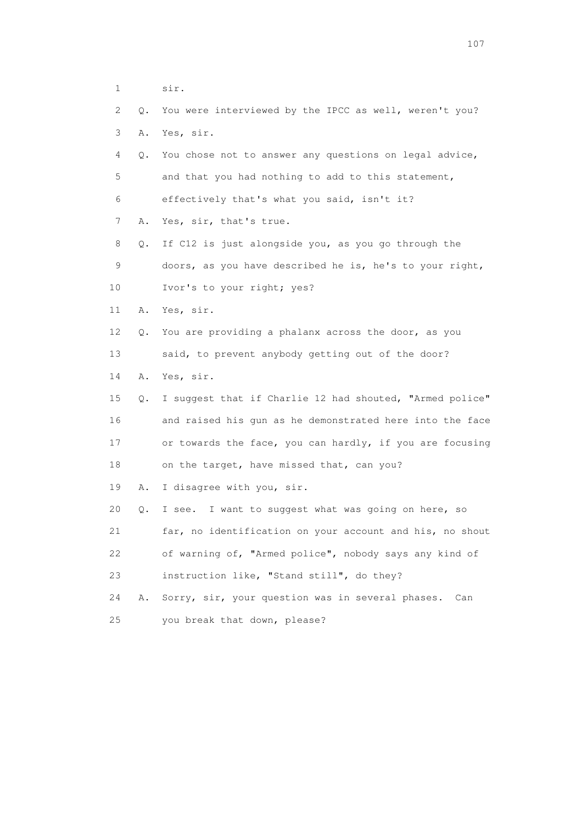| $\mathbf 1$ |    | sir.                                                     |
|-------------|----|----------------------------------------------------------|
| 2           | Q. | You were interviewed by the IPCC as well, weren't you?   |
| 3           | Α. | Yes, sir.                                                |
| 4           | Q. | You chose not to answer any questions on legal advice,   |
| 5           |    | and that you had nothing to add to this statement,       |
| 6           |    | effectively that's what you said, isn't it?              |
| 7           | Α. | Yes, sir, that's true.                                   |
| 8           | Q. | If C12 is just alongside you, as you go through the      |
| 9           |    | doors, as you have described he is, he's to your right,  |
| 10          |    | Ivor's to your right; yes?                               |
| 11          | Α. | Yes, sir.                                                |
| 12          | Q. | You are providing a phalanx across the door, as you      |
| 13          |    | said, to prevent anybody getting out of the door?        |
| 14          | Α. | Yes, sir.                                                |
| 15          | Q. | I suggest that if Charlie 12 had shouted, "Armed police" |
| 16          |    | and raised his gun as he demonstrated here into the face |
| 17          |    | or towards the face, you can hardly, if you are focusing |
| 18          |    | on the target, have missed that, can you?                |
| 19          | Α. | I disagree with you, sir.                                |
| 20          | Q. | I want to suggest what was going on here, so<br>I see.   |
| 21          |    | far, no identification on your account and his, no shout |
| 22          |    | of warning of, "Armed police", nobody says any kind of   |
| 23          |    | instruction like, "Stand still", do they?                |
| 24          | Α. | Sorry, sir, your question was in several phases.<br>Can  |
| 25          |    | you break that down, please?                             |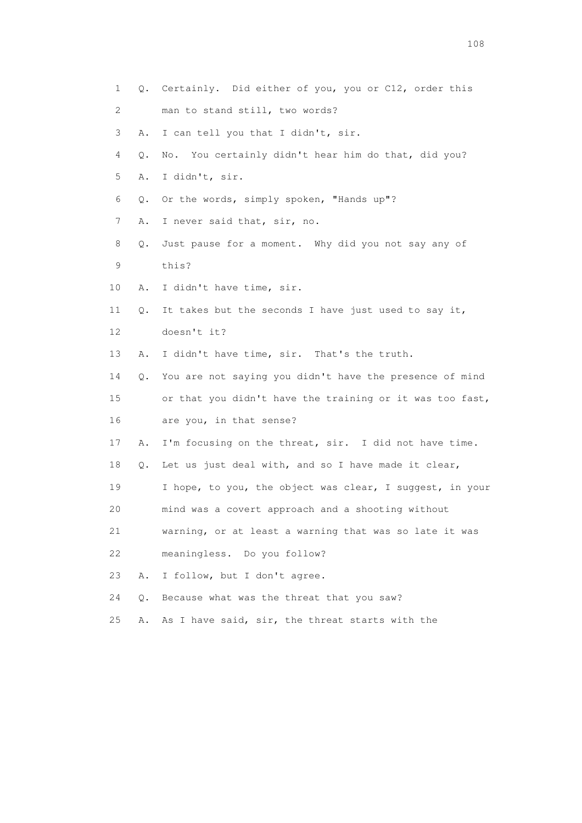1 Q. Certainly. Did either of you, you or C12, order this 2 man to stand still, two words? 3 A. I can tell you that I didn't, sir. 4 Q. No. You certainly didn't hear him do that, did you? 5 A. I didn't, sir. 6 Q. Or the words, simply spoken, "Hands up"? 7 A. I never said that, sir, no. 8 Q. Just pause for a moment. Why did you not say any of 9 this? 10 A. I didn't have time, sir. 11 Q. It takes but the seconds I have just used to say it, 12 doesn't it? 13 A. I didn't have time, sir. That's the truth. 14 Q. You are not saying you didn't have the presence of mind 15 or that you didn't have the training or it was too fast, 16 are you, in that sense? 17 A. I'm focusing on the threat, sir. I did not have time. 18 Q. Let us just deal with, and so I have made it clear, 19 I hope, to you, the object was clear, I suggest, in your 20 mind was a covert approach and a shooting without 21 warning, or at least a warning that was so late it was 22 meaningless. Do you follow? 23 A. I follow, but I don't agree. 24 Q. Because what was the threat that you saw? 25 A. As I have said, sir, the threat starts with the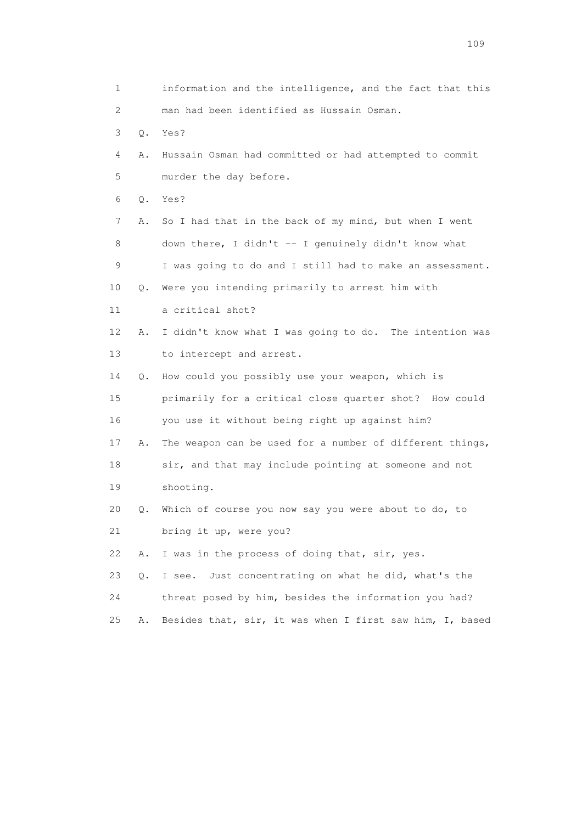| 1                         |    | information and the intelligence, and the fact that this |
|---------------------------|----|----------------------------------------------------------|
| $\mathbf{2}^{\mathsf{I}}$ |    | man had been identified as Hussain Osman.                |
| 3                         | Q. | Yes?                                                     |
| 4                         | Α. | Hussain Osman had committed or had attempted to commit   |
| 5                         |    | murder the day before.                                   |
| 6                         | Q. | Yes?                                                     |
| 7                         | Α. | So I had that in the back of my mind, but when I went    |
| 8                         |    | down there, I didn't -- I genuinely didn't know what     |
| 9                         |    | I was going to do and I still had to make an assessment. |
| 10                        | Q. | Were you intending primarily to arrest him with          |
| 11                        |    | a critical shot?                                         |
| 12                        | Α. | I didn't know what I was going to do. The intention was  |
| 13                        |    | to intercept and arrest.                                 |
| 14                        | Q. | How could you possibly use your weapon, which is         |
| 15                        |    | primarily for a critical close quarter shot? How could   |
| 16                        |    | you use it without being right up against him?           |
| 17                        | Α. | The weapon can be used for a number of different things, |
| 18                        |    | sir, and that may include pointing at someone and not    |
| 19                        |    | shooting.                                                |
| 20                        | Q. | Which of course you now say you were about to do, to     |
| 21                        |    | bring it up, were you?                                   |
| 22                        | Α. | I was in the process of doing that, sir, yes.            |
| 23                        | Q. | Just concentrating on what he did, what's the<br>I see.  |
| 24                        |    | threat posed by him, besides the information you had?    |
| 25                        | Α. | Besides that, sir, it was when I first saw him, I, based |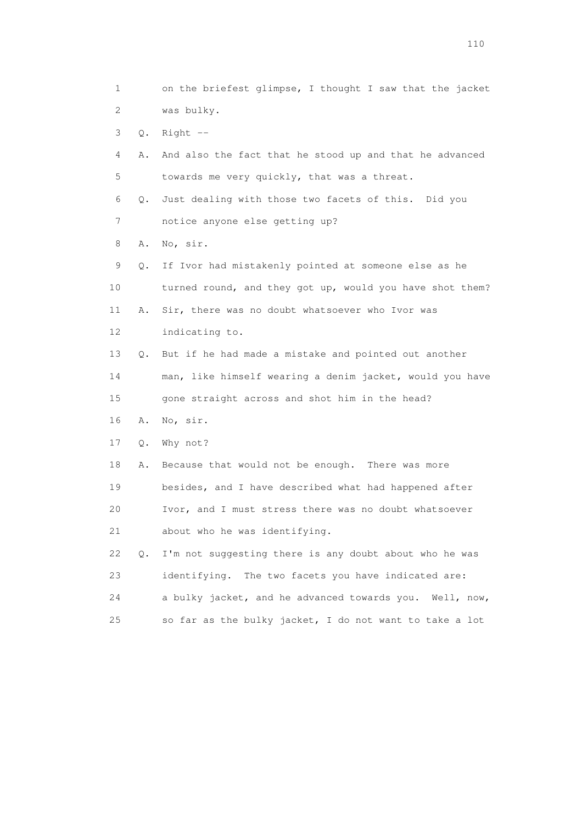1 on the briefest glimpse, I thought I saw that the jacket 2 was bulky. 3 Q. Right -- 4 A. And also the fact that he stood up and that he advanced 5 towards me very quickly, that was a threat. 6 Q. Just dealing with those two facets of this. Did you 7 notice anyone else getting up? 8 A. No, sir. 9 Q. If Ivor had mistakenly pointed at someone else as he 10 turned round, and they got up, would you have shot them? 11 A. Sir, there was no doubt whatsoever who Ivor was 12 indicating to. 13 Q. But if he had made a mistake and pointed out another 14 man, like himself wearing a denim jacket, would you have 15 gone straight across and shot him in the head? 16 A. No, sir. 17 Q. Why not? 18 A. Because that would not be enough. There was more 19 besides, and I have described what had happened after 20 Ivor, and I must stress there was no doubt whatsoever 21 about who he was identifying. 22 Q. I'm not suggesting there is any doubt about who he was 23 identifying. The two facets you have indicated are: 24 a bulky jacket, and he advanced towards you. Well, now, 25 so far as the bulky jacket, I do not want to take a lot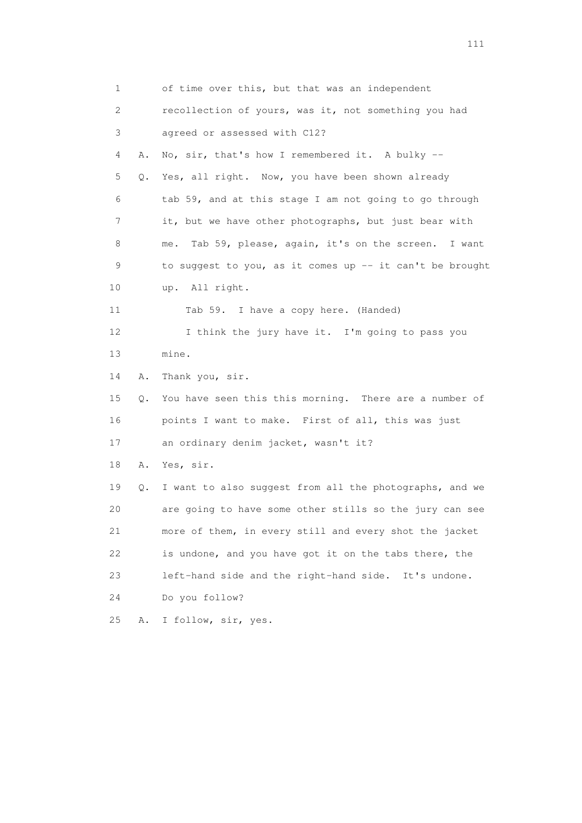1 of time over this, but that was an independent 2 recollection of yours, was it, not something you had 3 agreed or assessed with C12? 4 A. No, sir, that's how I remembered it. A bulky -- 5 Q. Yes, all right. Now, you have been shown already 6 tab 59, and at this stage I am not going to go through 7 it, but we have other photographs, but just bear with 8 me. Tab 59, please, again, it's on the screen. I want 9 to suggest to you, as it comes up -- it can't be brought 10 up. All right. 11 Tab 59. I have a copy here. (Handed) 12 I think the jury have it. I'm going to pass you 13 mine. 14 A. Thank you, sir. 15 Q. You have seen this this morning. There are a number of 16 points I want to make. First of all, this was just 17 an ordinary denim jacket, wasn't it? 18 A. Yes, sir. 19 Q. I want to also suggest from all the photographs, and we 20 are going to have some other stills so the jury can see 21 more of them, in every still and every shot the jacket 22 is undone, and you have got it on the tabs there, the 23 left-hand side and the right-hand side. It's undone. 24 Do you follow? 25 A. I follow, sir, yes.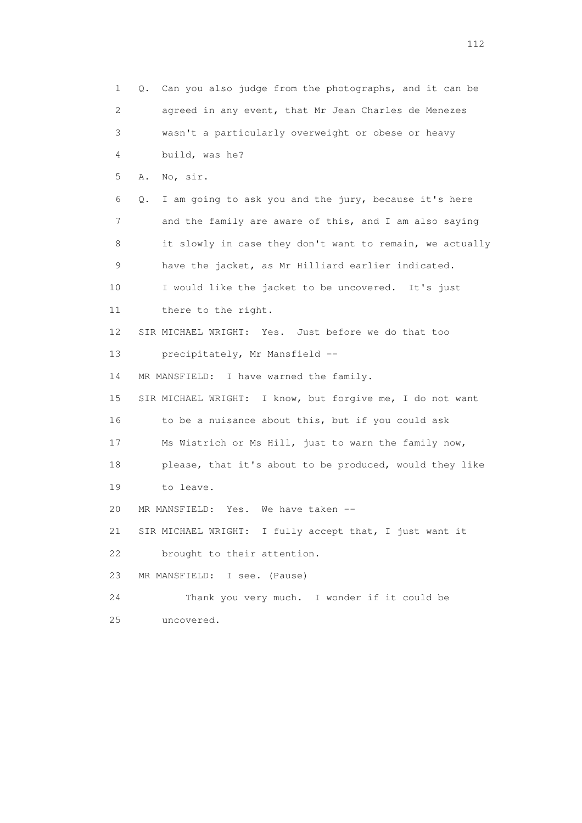1 Q. Can you also judge from the photographs, and it can be 2 agreed in any event, that Mr Jean Charles de Menezes 3 wasn't a particularly overweight or obese or heavy 4 build, was he? 5 A. No, sir. 6 Q. I am going to ask you and the jury, because it's here 7 and the family are aware of this, and I am also saying 8 it slowly in case they don't want to remain, we actually 9 have the jacket, as Mr Hilliard earlier indicated. 10 I would like the jacket to be uncovered. It's just 11 there to the right. 12 SIR MICHAEL WRIGHT: Yes. Just before we do that too 13 precipitately, Mr Mansfield -- 14 MR MANSFIELD: I have warned the family. 15 SIR MICHAEL WRIGHT: I know, but forgive me, I do not want 16 to be a nuisance about this, but if you could ask 17 Ms Wistrich or Ms Hill, just to warn the family now, 18 please, that it's about to be produced, would they like 19 to leave. 20 MR MANSFIELD: Yes. We have taken -- 21 SIR MICHAEL WRIGHT: I fully accept that, I just want it 22 brought to their attention. 23 MR MANSFIELD: I see. (Pause) 24 Thank you very much. I wonder if it could be 25 uncovered.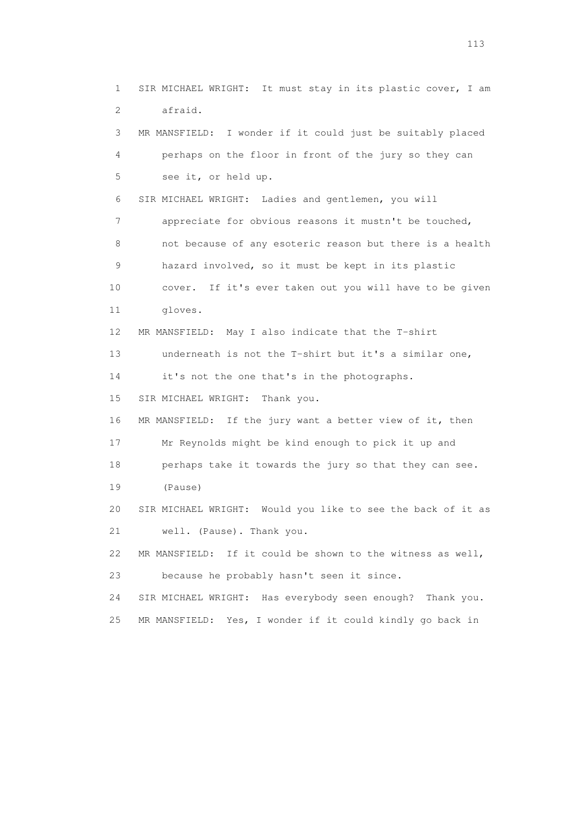1 SIR MICHAEL WRIGHT: It must stay in its plastic cover, I am 2 afraid. 3 MR MANSFIELD: I wonder if it could just be suitably placed 4 perhaps on the floor in front of the jury so they can 5 see it, or held up. 6 SIR MICHAEL WRIGHT: Ladies and gentlemen, you will 7 appreciate for obvious reasons it mustn't be touched, 8 not because of any esoteric reason but there is a health 9 hazard involved, so it must be kept in its plastic 10 cover. If it's ever taken out you will have to be given 11 gloves. 12 MR MANSFIELD: May I also indicate that the T-shirt 13 underneath is not the T-shirt but it's a similar one, 14 it's not the one that's in the photographs. 15 SIR MICHAEL WRIGHT: Thank you. 16 MR MANSFIELD: If the jury want a better view of it, then 17 Mr Reynolds might be kind enough to pick it up and 18 perhaps take it towards the jury so that they can see. 19 (Pause) 20 SIR MICHAEL WRIGHT: Would you like to see the back of it as 21 well. (Pause). Thank you. 22 MR MANSFIELD: If it could be shown to the witness as well, 23 because he probably hasn't seen it since. 24 SIR MICHAEL WRIGHT: Has everybody seen enough? Thank you. 25 MR MANSFIELD: Yes, I wonder if it could kindly go back in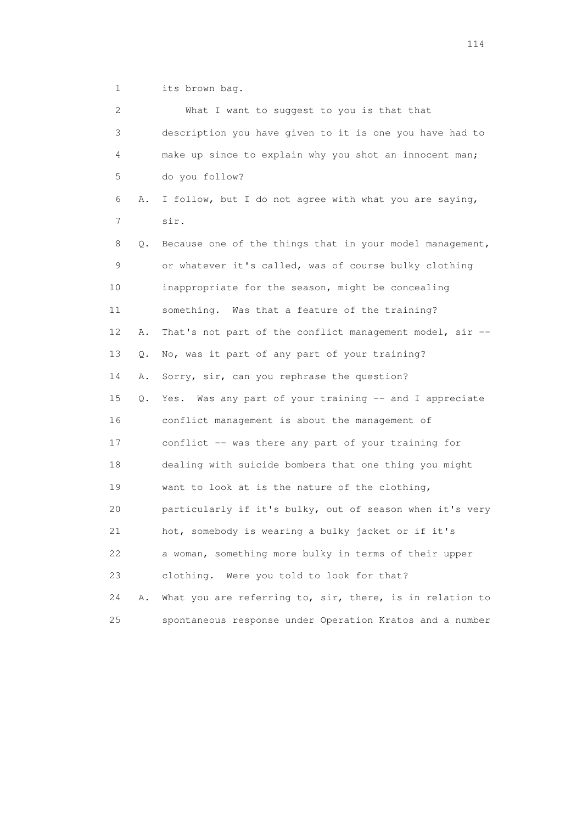1 its brown bag.

| 2  |       | What I want to suggest to you is that that               |
|----|-------|----------------------------------------------------------|
| 3  |       | description you have given to it is one you have had to  |
| 4  |       | make up since to explain why you shot an innocent man;   |
| 5  |       | do you follow?                                           |
| 6  | Α.    | I follow, but I do not agree with what you are saying,   |
| 7  |       | sir.                                                     |
| 8  | Q.    | Because one of the things that in your model management, |
| 9  |       | or whatever it's called, was of course bulky clothing    |
| 10 |       | inappropriate for the season, might be concealing        |
| 11 |       | something. Was that a feature of the training?           |
| 12 | Α.    | That's not part of the conflict management model, sir -- |
| 13 | Q.    | No, was it part of any part of your training?            |
| 14 | Α.    | Sorry, sir, can you rephrase the question?               |
| 15 | $Q$ . | Yes. Was any part of your training -- and I appreciate   |
| 16 |       | conflict management is about the management of           |
| 17 |       | conflict -- was there any part of your training for      |
| 18 |       | dealing with suicide bombers that one thing you might    |
| 19 |       | want to look at is the nature of the clothing,           |
| 20 |       | particularly if it's bulky, out of season when it's very |
| 21 |       | hot, somebody is wearing a bulky jacket or if it's       |
| 22 |       | a woman, something more bulky in terms of their upper    |
| 23 |       | clothing. Were you told to look for that?                |
| 24 | Α.    | What you are referring to, sir, there, is in relation to |
| 25 |       | spontaneous response under Operation Kratos and a number |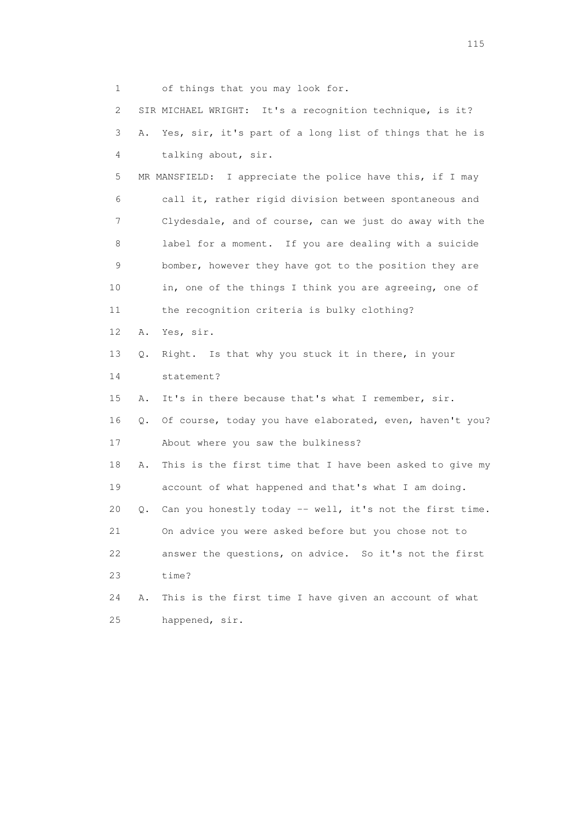1 of things that you may look for. 2 SIR MICHAEL WRIGHT: It's a recognition technique, is it? 3 A. Yes, sir, it's part of a long list of things that he is 4 talking about, sir. 5 MR MANSFIELD: I appreciate the police have this, if I may 6 call it, rather rigid division between spontaneous and 7 Clydesdale, and of course, can we just do away with the 8 label for a moment. If you are dealing with a suicide 9 bomber, however they have got to the position they are 10 in, one of the things I think you are agreeing, one of 11 the recognition criteria is bulky clothing? 12 A. Yes, sir. 13 Q. Right. Is that why you stuck it in there, in your 14 statement? 15 A. It's in there because that's what I remember, sir. 16 Q. Of course, today you have elaborated, even, haven't you? 17 About where you saw the bulkiness? 18 A. This is the first time that I have been asked to give my 19 account of what happened and that's what I am doing. 20 Q. Can you honestly today -- well, it's not the first time. 21 On advice you were asked before but you chose not to 22 answer the questions, on advice. So it's not the first 23 time? 24 A. This is the first time I have given an account of what 25 happened, sir.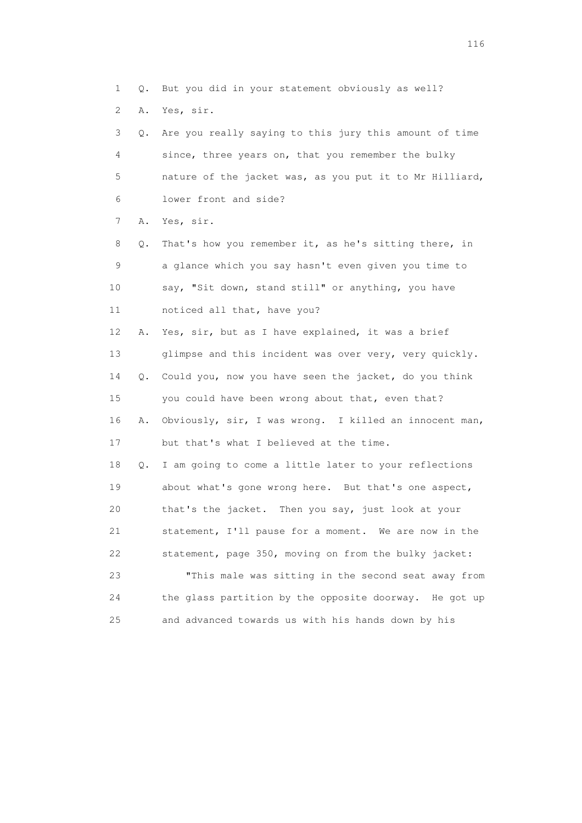1 Q. But you did in your statement obviously as well?

2 A. Yes, sir.

 3 Q. Are you really saying to this jury this amount of time 4 since, three years on, that you remember the bulky 5 nature of the jacket was, as you put it to Mr Hilliard, 6 lower front and side?

7 A. Yes, sir.

 8 Q. That's how you remember it, as he's sitting there, in 9 a glance which you say hasn't even given you time to 10 say, "Sit down, stand still" or anything, you have 11 noticed all that, have you?

 12 A. Yes, sir, but as I have explained, it was a brief 13 glimpse and this incident was over very, very quickly. 14 Q. Could you, now you have seen the jacket, do you think 15 you could have been wrong about that, even that? 16 A. Obviously, sir, I was wrong. I killed an innocent man, 17 but that's what I believed at the time. 18 Q. I am going to come a little later to your reflections

 19 about what's gone wrong here. But that's one aspect, 20 that's the jacket. Then you say, just look at your 21 statement, I'll pause for a moment. We are now in the 22 statement, page 350, moving on from the bulky jacket: 23 "This male was sitting in the second seat away from 24 the glass partition by the opposite doorway. He got up

25 and advanced towards us with his hands down by his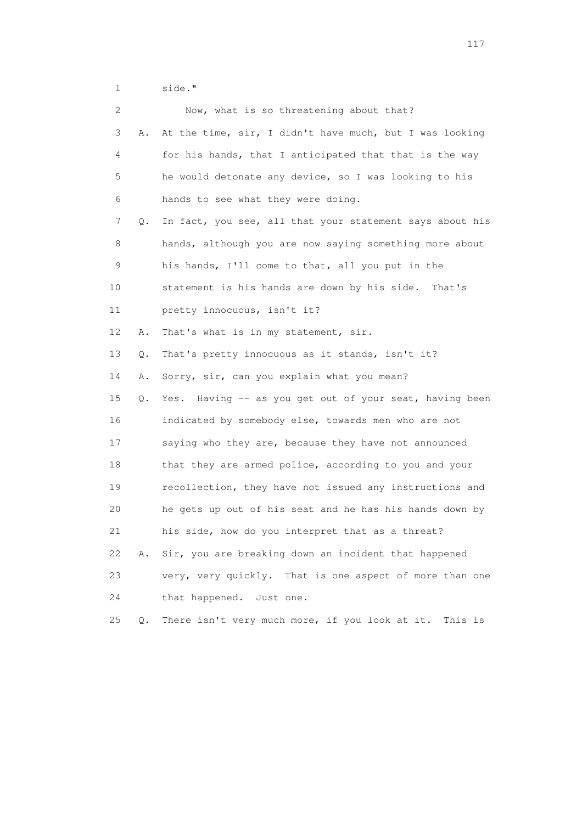1 side."

|    | 2       | Now, what is so threatening about that?                  |
|----|---------|----------------------------------------------------------|
|    | 3<br>Α. | At the time, sir, I didn't have much, but I was looking  |
|    | 4       | for his hands, that I anticipated that that is the way   |
|    | 5       | he would detonate any device, so I was looking to his    |
|    | 6       | hands to see what they were doing.                       |
|    | 7<br>Q. | In fact, you see, all that your statement says about his |
|    | 8       | hands, although you are now saying something more about  |
|    | 9       | his hands, I'll come to that, all you put in the         |
| 10 |         | statement is his hands are down by his side.<br>That's   |
| 11 |         | pretty innocuous, isn't it?                              |
| 12 | Α.      | That's what is in my statement, sir.                     |
| 13 | $Q$ .   | That's pretty innocuous as it stands, isn't it?          |
| 14 | Α.      | Sorry, sir, can you explain what you mean?               |
| 15 | Q.      | Yes. Having -- as you get out of your seat, having been  |
| 16 |         | indicated by somebody else, towards men who are not      |
| 17 |         | saying who they are, because they have not announced     |
| 18 |         | that they are armed police, according to you and your    |
| 19 |         | recollection, they have not issued any instructions and  |
| 20 |         | he gets up out of his seat and he has his hands down by  |
| 21 |         | his side, how do you interpret that as a threat?         |
| 22 | Α.      | Sir, you are breaking down an incident that happened     |
| 23 |         | very, very quickly. That is one aspect of more than one  |
| 24 |         | that happened.<br>Just one.                              |
| 25 | Q.      | There isn't very much more, if you look at it. This is   |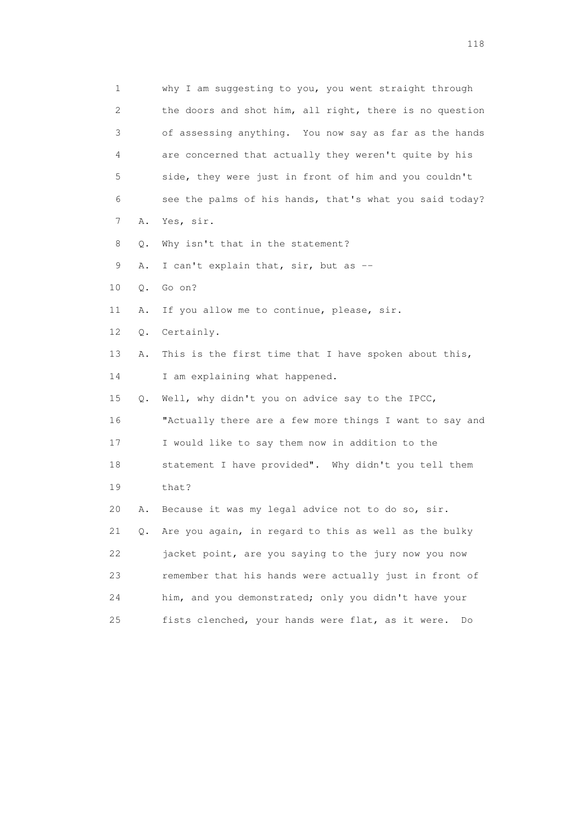1 why I am suggesting to you, you went straight through 2 the doors and shot him, all right, there is no question 3 of assessing anything. You now say as far as the hands 4 are concerned that actually they weren't quite by his 5 side, they were just in front of him and you couldn't 6 see the palms of his hands, that's what you said today? 7 A. Yes, sir. 8 Q. Why isn't that in the statement? 9 A. I can't explain that, sir, but as -- 10 Q. Go on? 11 A. If you allow me to continue, please, sir. 12 Q. Certainly. 13 A. This is the first time that I have spoken about this, 14 I am explaining what happened. 15 Q. Well, why didn't you on advice say to the IPCC, 16 "Actually there are a few more things I want to say and 17 I would like to say them now in addition to the 18 statement I have provided". Why didn't you tell them 19 that? 20 A. Because it was my legal advice not to do so, sir. 21 Q. Are you again, in regard to this as well as the bulky 22 jacket point, are you saying to the jury now you now 23 remember that his hands were actually just in front of 24 him, and you demonstrated; only you didn't have your 25 fists clenched, your hands were flat, as it were. Do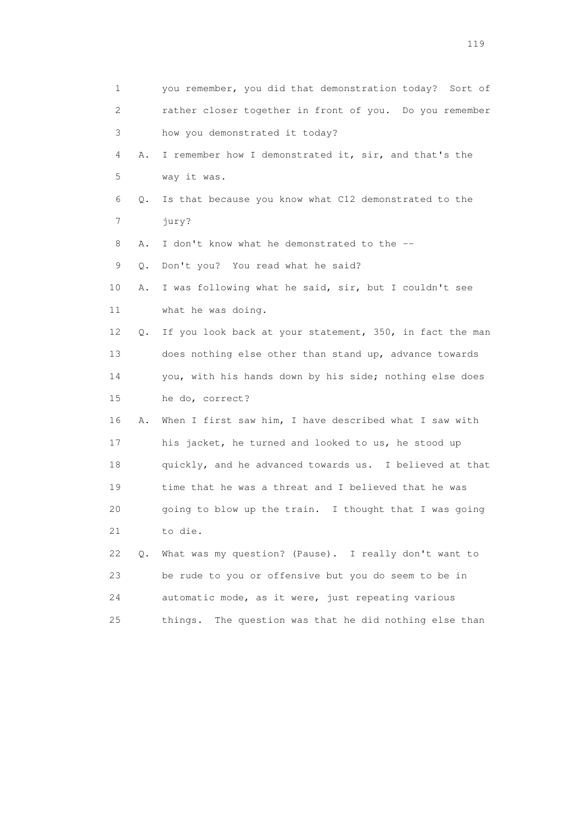| 1  |           | you remember, you did that demonstration today? Sort of   |
|----|-----------|-----------------------------------------------------------|
| 2  |           | rather closer together in front of you. Do you remember   |
| 3  |           | how you demonstrated it today?                            |
| 4  | Α.        | I remember how I demonstrated it, sir, and that's the     |
| 5  |           | way it was.                                               |
| 6  | Q.        | Is that because you know what C12 demonstrated to the     |
| 7  |           | jury?                                                     |
| 8  | Α.        | I don't know what he demonstrated to the --               |
| 9  | Q.        | Don't you? You read what he said?                         |
| 10 | Α.        | I was following what he said, sir, but I couldn't see     |
| 11 |           | what he was doing.                                        |
| 12 | Q.        | If you look back at your statement, 350, in fact the man  |
| 13 |           | does nothing else other than stand up, advance towards    |
| 14 |           | you, with his hands down by his side; nothing else does   |
| 15 |           | he do, correct?                                           |
| 16 | Α.        | When I first saw him, I have described what I saw with    |
| 17 |           | his jacket, he turned and looked to us, he stood up       |
| 18 |           | quickly, and he advanced towards us. I believed at that   |
| 19 |           | time that he was a threat and I believed that he was      |
| 20 |           | going to blow up the train. I thought that I was going    |
| 21 |           | to die.                                                   |
| 22 | $\circ$ . | What was my question? (Pause). I really don't want to     |
| 23 |           | be rude to you or offensive but you do seem to be in      |
| 24 |           | automatic mode, as it were, just repeating various        |
| 25 |           | The question was that he did nothing else than<br>things. |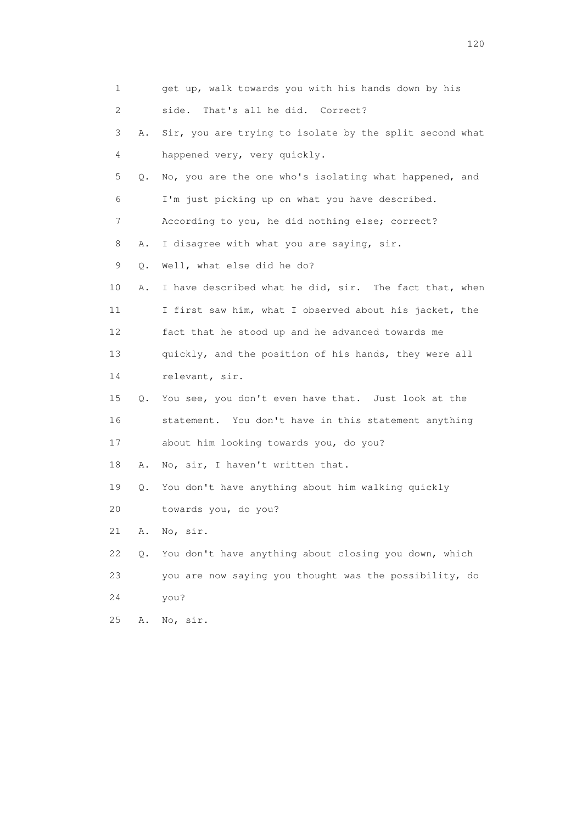| 1  |    | get up, walk towards you with his hands down by his     |
|----|----|---------------------------------------------------------|
| 2  |    | That's all he did. Correct?<br>side.                    |
| 3  | Α. | Sir, you are trying to isolate by the split second what |
| 4  |    | happened very, very quickly.                            |
| 5  | Q. | No, you are the one who's isolating what happened, and  |
| 6  |    | I'm just picking up on what you have described.         |
| 7  |    | According to you, he did nothing else; correct?         |
| 8  | Α. | I disagree with what you are saying, sir.               |
| 9  | Q. | Well, what else did he do?                              |
| 10 | Α. | I have described what he did, sir. The fact that, when  |
| 11 |    | I first saw him, what I observed about his jacket, the  |
| 12 |    | fact that he stood up and he advanced towards me        |
| 13 |    | quickly, and the position of his hands, they were all   |
| 14 |    | relevant, sir.                                          |
| 15 | Q. | You see, you don't even have that. Just look at the     |
| 16 |    | statement. You don't have in this statement anything    |
| 17 |    | about him looking towards you, do you?                  |
| 18 | Α. | No, sir, I haven't written that.                        |
| 19 | Q. | You don't have anything about him walking quickly       |
| 20 |    | towards you, do you?                                    |
| 21 | Α. | No, sir.                                                |
| 22 | О. | You don't have anything about closing you down, which   |
| 23 |    | you are now saying you thought was the possibility, do  |
| 24 |    | you?                                                    |
| 25 | Α. | No, sir.                                                |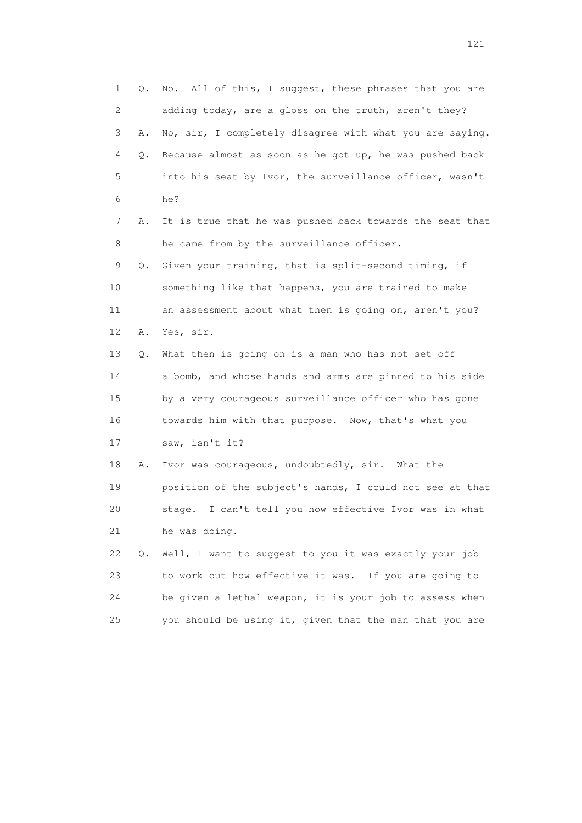1 Q. No. All of this, I suggest, these phrases that you are 2 adding today, are a gloss on the truth, aren't they? 3 A. No, sir, I completely disagree with what you are saying. 4 Q. Because almost as soon as he got up, he was pushed back 5 into his seat by Ivor, the surveillance officer, wasn't 6 he? 7 A. It is true that he was pushed back towards the seat that 8 he came from by the surveillance officer. 9 Q. Given your training, that is split-second timing, if 10 something like that happens, you are trained to make 11 an assessment about what then is going on, aren't you? 12 A. Yes, sir. 13 Q. What then is going on is a man who has not set off 14 a bomb, and whose hands and arms are pinned to his side 15 by a very courageous surveillance officer who has gone 16 towards him with that purpose. Now, that's what you 17 saw, isn't it? 18 A. Ivor was courageous, undoubtedly, sir. What the 19 position of the subject's hands, I could not see at that 20 stage. I can't tell you how effective Ivor was in what 21 he was doing. 22 Q. Well, I want to suggest to you it was exactly your job 23 to work out how effective it was. If you are going to 24 be given a lethal weapon, it is your job to assess when 25 you should be using it, given that the man that you are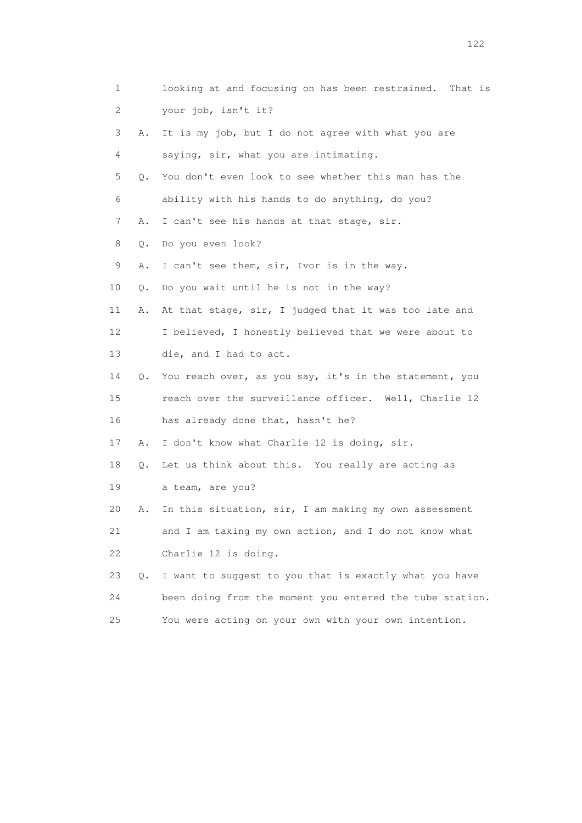| 1  |    | looking at and focusing on has been restrained. That is  |
|----|----|----------------------------------------------------------|
| 2  |    | your job, isn't it?                                      |
| 3  | Α. | It is my job, but I do not agree with what you are       |
| 4  |    | saying, sir, what you are intimating.                    |
| 5  | Q. | You don't even look to see whether this man has the      |
| 6  |    | ability with his hands to do anything, do you?           |
| 7  | Α. | I can't see his hands at that stage, sir.                |
| 8  | Q. | Do you even look?                                        |
| 9  | Α. | I can't see them, sir, Ivor is in the way.               |
| 10 | Q. | Do you wait until he is not in the way?                  |
| 11 | Α. | At that stage, sir, I judged that it was too late and    |
| 12 |    | I believed, I honestly believed that we were about to    |
| 13 |    | die, and I had to act.                                   |
| 14 | Q. | You reach over, as you say, it's in the statement, you   |
| 15 |    | reach over the surveillance officer. Well, Charlie 12    |
| 16 |    | has already done that, hasn't he?                        |
| 17 | Α. | I don't know what Charlie 12 is doing, sir.              |
| 18 | Q. | Let us think about this. You really are acting as        |
| 19 |    | a team, are you?                                         |
| 20 | Α. | In this situation, sir, I am making my own assessment    |
| 21 |    | and I am taking my own action, and I do not know what    |
| 22 |    | Charlie 12 is doing.                                     |
| 23 | Q. | I want to suggest to you that is exactly what you have   |
| 24 |    | been doing from the moment you entered the tube station. |
| 25 |    | You were acting on your own with your own intention.     |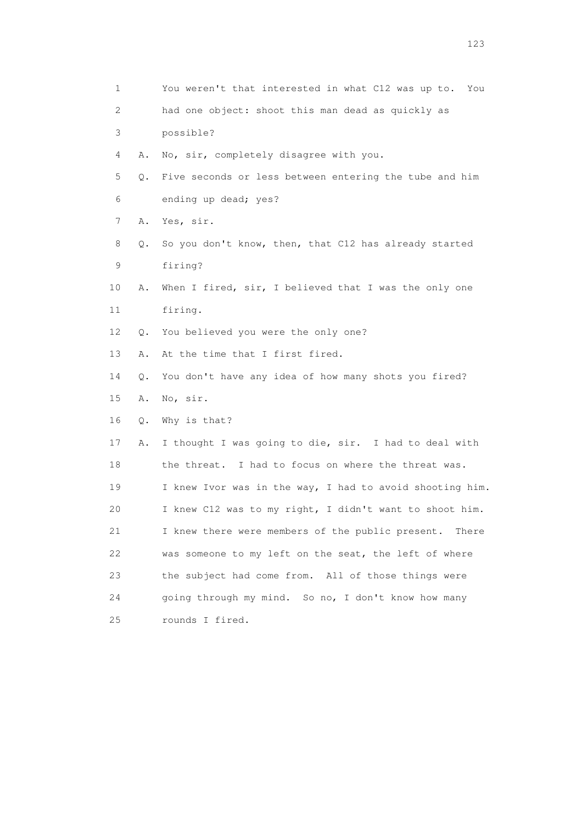| 1  |    | You weren't that interested in what C12 was up to. You   |
|----|----|----------------------------------------------------------|
| 2  |    | had one object: shoot this man dead as quickly as        |
| 3  |    | possible?                                                |
| 4  | Α. | No, sir, completely disagree with you.                   |
| 5  | Q. | Five seconds or less between entering the tube and him   |
| 6  |    | ending up dead; yes?                                     |
| 7  | Α. | Yes, sir.                                                |
| 8  | Q. | So you don't know, then, that C12 has already started    |
| 9  |    | firing?                                                  |
| 10 | Α. | When I fired, sir, I believed that I was the only one    |
| 11 |    | firing.                                                  |
| 12 | Q. | You believed you were the only one?                      |
| 13 | Α. | At the time that I first fired.                          |
| 14 | Q. | You don't have any idea of how many shots you fired?     |
| 15 | Α. | No, sir.                                                 |
| 16 | Q. | Why is that?                                             |
| 17 | Α. | I thought I was going to die, sir. I had to deal with    |
| 18 |    | the threat. I had to focus on where the threat was.      |
| 19 |    | I knew Ivor was in the way, I had to avoid shooting him. |
| 20 |    | I knew C12 was to my right, I didn't want to shoot him.  |
| 21 |    | I knew there were members of the public present. There   |
| 22 |    | was someone to my left on the seat, the left of where    |
| 23 |    | the subject had come from. All of those things were      |
| 24 |    | going through my mind. So no, I don't know how many      |
| 25 |    | rounds I fired.                                          |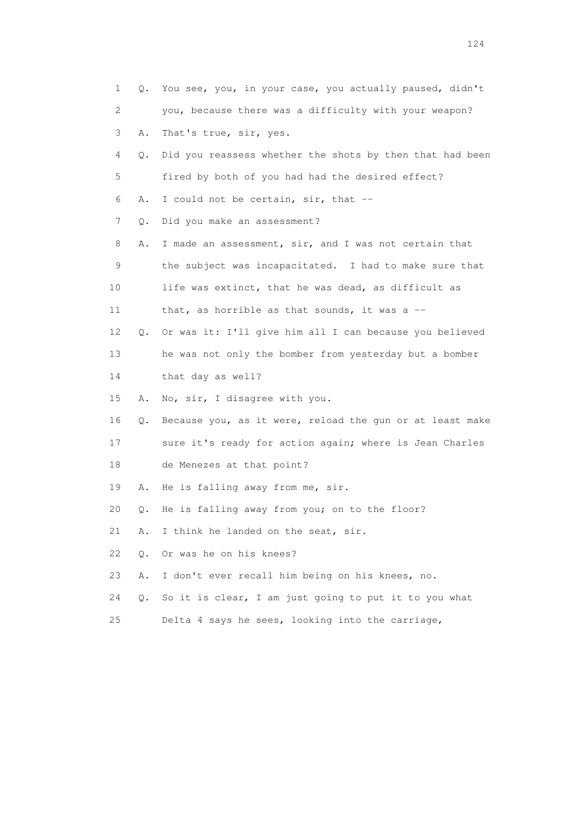| 1  | Q. | You see, you, in your case, you actually paused, didn't  |
|----|----|----------------------------------------------------------|
| 2  |    | you, because there was a difficulty with your weapon?    |
| 3  | Α. | That's true, sir, yes.                                   |
| 4  | Q. | Did you reassess whether the shots by then that had been |
| 5  |    | fired by both of you had had the desired effect?         |
| 6  | Α. | I could not be certain, sir, that --                     |
| 7  | Q. | Did you make an assessment?                              |
| 8  | Α. | I made an assessment, sir, and I was not certain that    |
| 9  |    | the subject was incapacitated. I had to make sure that   |
| 10 |    | life was extinct, that he was dead, as difficult as      |
| 11 |    | that, as horrible as that sounds, it was a --            |
| 12 | Q. | Or was it: I'll give him all I can because you believed  |
| 13 |    | he was not only the bomber from yesterday but a bomber   |
| 14 |    | that day as well?                                        |
| 15 | Α. | No, sir, I disagree with you.                            |
| 16 | Q. | Because you, as it were, reload the gun or at least make |
| 17 |    | sure it's ready for action again; where is Jean Charles  |
| 18 |    | de Menezes at that point?                                |
| 19 | Α. | He is falling away from me, sir.                         |
| 20 | Q. | He is falling away from you; on to the floor?            |
| 21 | Α. | I think he landed on the seat, sir.                      |
| 22 | Q. | Or was he on his knees?                                  |
| 23 | Α. | I don't ever recall him being on his knees, no.          |
| 24 | Q. | So it is clear, I am just going to put it to you what    |
| 25 |    | Delta 4 says he sees, looking into the carriage,         |
|    |    |                                                          |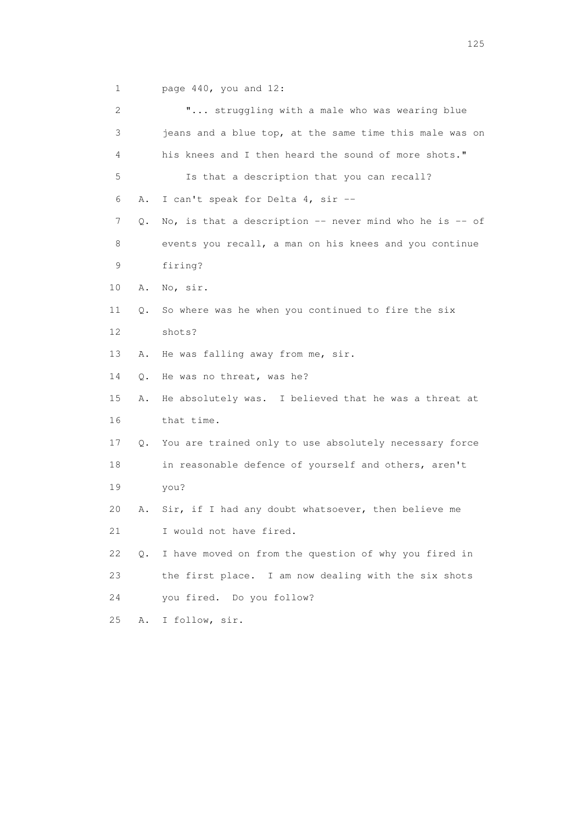1 page 440, you and 12:

| 2  |    | " struggling with a male who was wearing blue             |
|----|----|-----------------------------------------------------------|
| 3  |    | jeans and a blue top, at the same time this male was on   |
| 4  |    | his knees and I then heard the sound of more shots."      |
| 5  |    | Is that a description that you can recall?                |
| 6  | Α. | I can't speak for Delta 4, sir --                         |
| 7  | Q. | No, is that a description $-$ never mind who he is $-$ of |
| 8  |    | events you recall, a man on his knees and you continue    |
| 9  |    | firing?                                                   |
| 10 | Α. | No, sir.                                                  |
| 11 | Q. | So where was he when you continued to fire the six        |
| 12 |    | shots?                                                    |
| 13 | Α. | He was falling away from me, sir.                         |
| 14 | Q. | He was no threat, was he?                                 |
| 15 | Α. | He absolutely was. I believed that he was a threat at     |
| 16 |    | that time.                                                |
| 17 |    | Q. You are trained only to use absolutely necessary force |
| 18 |    | in reasonable defence of yourself and others, aren't      |
| 19 |    | you?                                                      |
| 20 | Α. | Sir, if I had any doubt whatsoever, then believe me       |
| 21 |    | I would not have fired.                                   |
| 22 | Q. | I have moved on from the question of why you fired in     |
| 23 |    | the first place. I am now dealing with the six shots      |
| 24 |    | you fired. Do you follow?                                 |
| 25 | Α. | I follow, sir.                                            |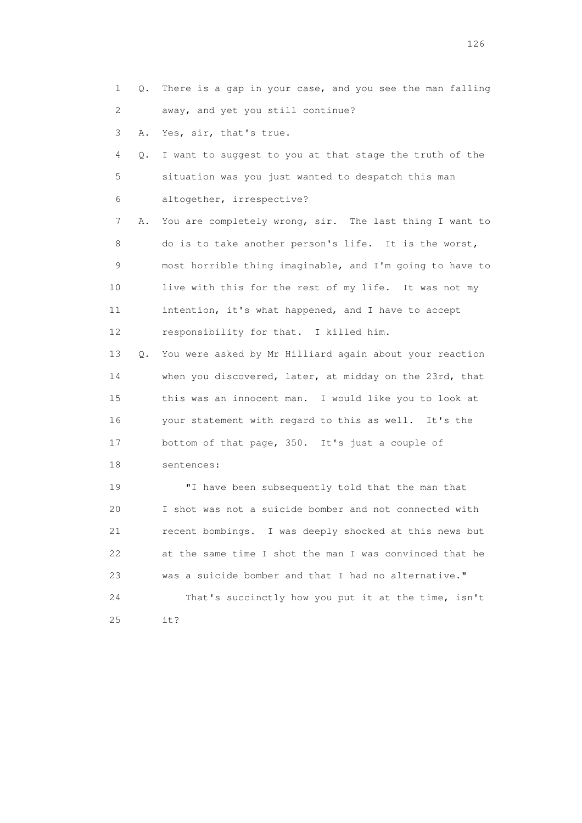1 Q. There is a gap in your case, and you see the man falling 2 away, and yet you still continue?

3 A. Yes, sir, that's true.

 4 Q. I want to suggest to you at that stage the truth of the 5 situation was you just wanted to despatch this man 6 altogether, irrespective?

 7 A. You are completely wrong, sir. The last thing I want to 8 do is to take another person's life. It is the worst, 9 most horrible thing imaginable, and I'm going to have to 10 live with this for the rest of my life. It was not my 11 intention, it's what happened, and I have to accept 12 responsibility for that. I killed him.

 13 Q. You were asked by Mr Hilliard again about your reaction 14 when you discovered, later, at midday on the 23rd, that 15 this was an innocent man. I would like you to look at 16 your statement with regard to this as well. It's the 17 bottom of that page, 350. It's just a couple of

18 sentences:

 19 "I have been subsequently told that the man that 20 I shot was not a suicide bomber and not connected with 21 recent bombings. I was deeply shocked at this news but 22 at the same time I shot the man I was convinced that he 23 was a suicide bomber and that I had no alternative." 24 That's succinctly how you put it at the time, isn't 25 it?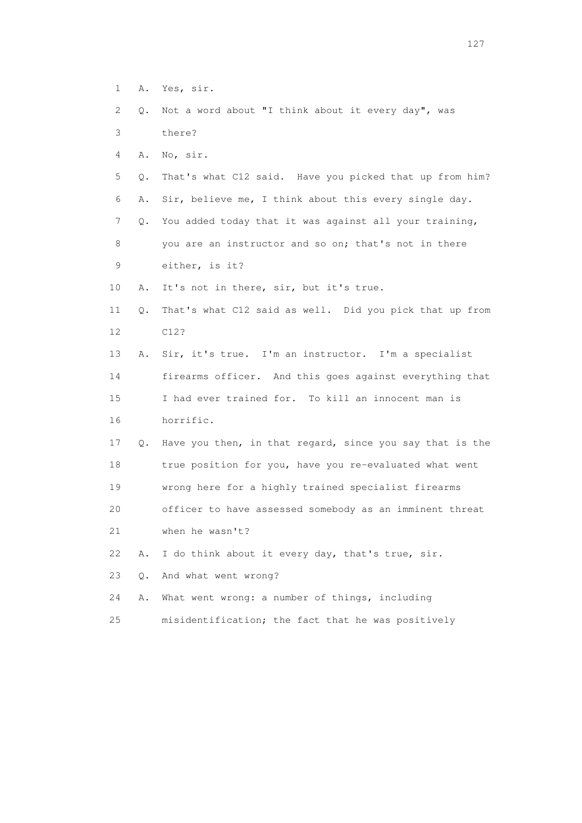- 1 A. Yes, sir.
- 2 Q. Not a word about "I think about it every day", was
- 3 there?
- 4 A. No, sir.
- 5 Q. That's what C12 said. Have you picked that up from him? 6 A. Sir, believe me, I think about this every single day. 7 Q. You added today that it was against all your training,
- 8 you are an instructor and so on; that's not in there 9 either, is it?
- 10 A. It's not in there, sir, but it's true.
- 11 Q. That's what C12 said as well. Did you pick that up from 12 C12?
- 13 A. Sir, it's true. I'm an instructor. I'm a specialist 14 firearms officer. And this goes against everything that 15 I had ever trained for. To kill an innocent man is 16 horrific.
- 17 Q. Have you then, in that regard, since you say that is the 18 true position for you, have you re-evaluated what went 19 wrong here for a highly trained specialist firearms 20 officer to have assessed somebody as an imminent threat 21 when he wasn't?
- 22 A. I do think about it every day, that's true, sir.
- 23 Q. And what went wrong?
- 24 A. What went wrong: a number of things, including
- 25 misidentification; the fact that he was positively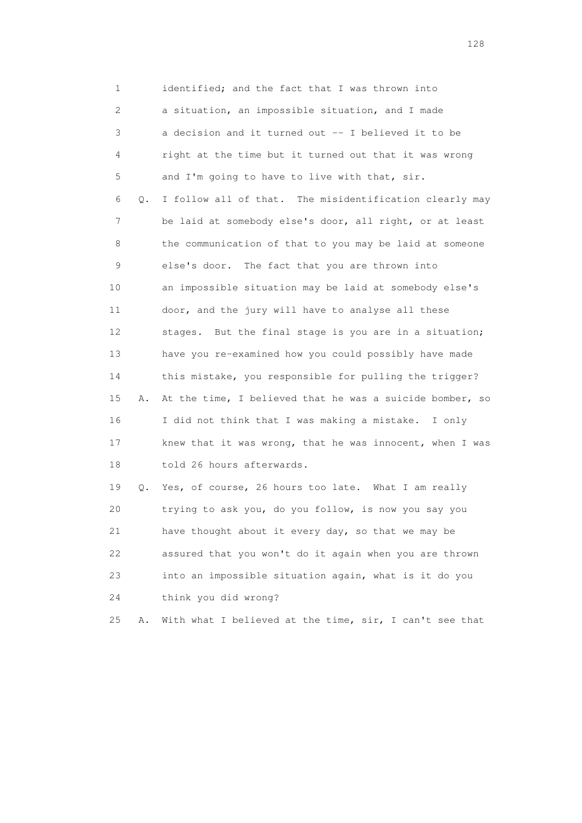1 identified; and the fact that I was thrown into 2 a situation, an impossible situation, and I made 3 a decision and it turned out -- I believed it to be 4 right at the time but it turned out that it was wrong 5 and I'm going to have to live with that, sir. 6 Q. I follow all of that. The misidentification clearly may 7 be laid at somebody else's door, all right, or at least 8 the communication of that to you may be laid at someone 9 else's door. The fact that you are thrown into 10 an impossible situation may be laid at somebody else's 11 door, and the jury will have to analyse all these 12 stages. But the final stage is you are in a situation; 13 have you re-examined how you could possibly have made 14 this mistake, you responsible for pulling the trigger? 15 A. At the time, I believed that he was a suicide bomber, so 16 I did not think that I was making a mistake. I only 17 knew that it was wrong, that he was innocent, when I was 18 told 26 hours afterwards. 19 Q. Yes, of course, 26 hours too late. What I am really 20 trying to ask you, do you follow, is now you say you 21 have thought about it every day, so that we may be

 22 assured that you won't do it again when you are thrown 23 into an impossible situation again, what is it do you 24 think you did wrong?

25 A. With what I believed at the time, sir, I can't see that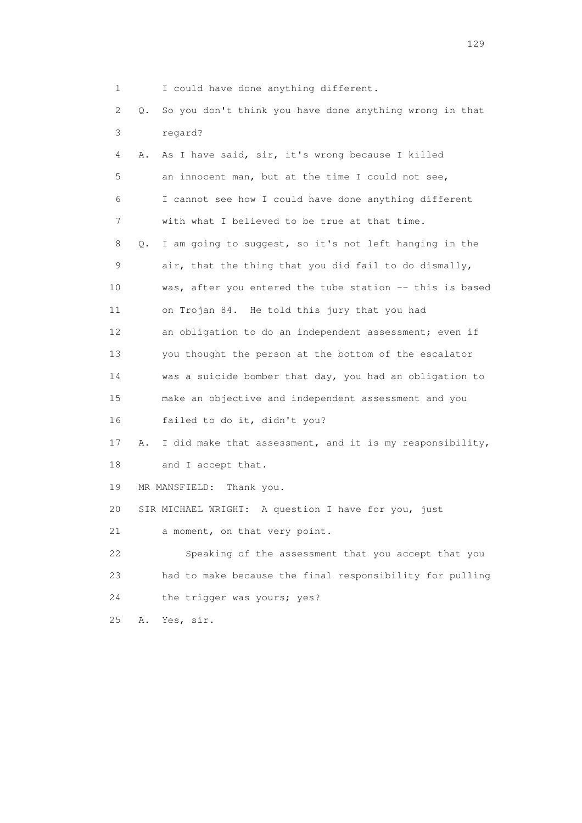1 I could have done anything different.

 2 Q. So you don't think you have done anything wrong in that 3 regard?

| 4               | Α. | As I have said, sir, it's wrong because I killed         |
|-----------------|----|----------------------------------------------------------|
| 5               |    | an innocent man, but at the time I could not see,        |
| 6               |    | I cannot see how I could have done anything different    |
| 7               |    | with what I believed to be true at that time.            |
| 8               | Q. | I am going to suggest, so it's not left hanging in the   |
| 9               |    | air, that the thing that you did fail to do dismally,    |
| 10              |    | was, after you entered the tube station -- this is based |
| 11              |    | on Trojan 84. He told this jury that you had             |
| 12 <sup>°</sup> |    | an obligation to do an independent assessment; even if   |
| 13              |    | you thought the person at the bottom of the escalator    |
| 14              |    | was a suicide bomber that day, you had an obligation to  |
| 15              |    | make an objective and independent assessment and you     |
| 16              |    | failed to do it, didn't you?                             |
| 17              | Α. | I did make that assessment, and it is my responsibility, |
| 18              |    | and I accept that.                                       |
| 19              |    | MR MANSFIELD:<br>Thank you.                              |
| 20              |    | SIR MICHAEL WRIGHT: A question I have for you, just      |
| 21              |    | a moment, on that very point.                            |
| 22              |    | Speaking of the assessment that you accept that you      |
| 23              |    | had to make because the final responsibility for pulling |
| 24              |    | the trigger was yours; yes?                              |
| 25              | Α. | Yes, sir.                                                |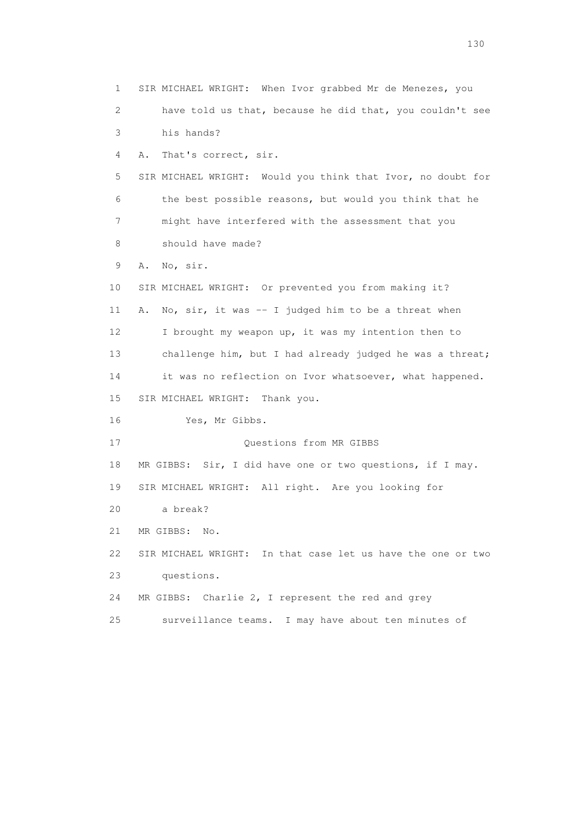1 SIR MICHAEL WRIGHT: When Ivor grabbed Mr de Menezes, you 2 have told us that, because he did that, you couldn't see 3 his hands? 4 A. That's correct, sir. 5 SIR MICHAEL WRIGHT: Would you think that Ivor, no doubt for 6 the best possible reasons, but would you think that he 7 might have interfered with the assessment that you 8 should have made? 9 A. No, sir. 10 SIR MICHAEL WRIGHT: Or prevented you from making it? 11 A. No, sir, it was -- I judged him to be a threat when 12 I brought my weapon up, it was my intention then to 13 challenge him, but I had already judged he was a threat; 14 it was no reflection on Ivor whatsoever, what happened. 15 SIR MICHAEL WRIGHT: Thank you. 16 Yes, Mr Gibbs. 17 Ouestions from MR GIBBS 18 MR GIBBS: Sir, I did have one or two questions, if I may. 19 SIR MICHAEL WRIGHT: All right. Are you looking for 20 a break? 21 MR GIBBS: No. 22 SIR MICHAEL WRIGHT: In that case let us have the one or two 23 questions. 24 MR GIBBS: Charlie 2, I represent the red and grey 25 surveillance teams. I may have about ten minutes of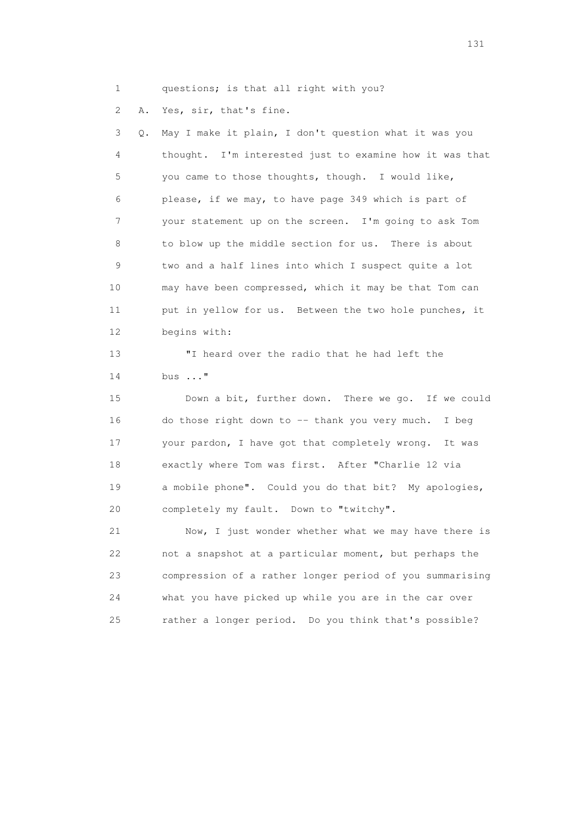1 questions; is that all right with you?

2 A. Yes, sir, that's fine.

 3 Q. May I make it plain, I don't question what it was you 4 thought. I'm interested just to examine how it was that 5 you came to those thoughts, though. I would like, 6 please, if we may, to have page 349 which is part of 7 your statement up on the screen. I'm going to ask Tom 8 to blow up the middle section for us. There is about 9 two and a half lines into which I suspect quite a lot 10 may have been compressed, which it may be that Tom can 11 put in yellow for us. Between the two hole punches, it 12 begins with:

 13 "I heard over the radio that he had left the 14 bus ..."

 15 Down a bit, further down. There we go. If we could 16 do those right down to -- thank you very much. I beg 17 your pardon, I have got that completely wrong. It was 18 exactly where Tom was first. After "Charlie 12 via 19 a mobile phone". Could you do that bit? My apologies, 20 completely my fault. Down to "twitchy".

 21 Now, I just wonder whether what we may have there is 22 not a snapshot at a particular moment, but perhaps the 23 compression of a rather longer period of you summarising 24 what you have picked up while you are in the car over 25 rather a longer period. Do you think that's possible?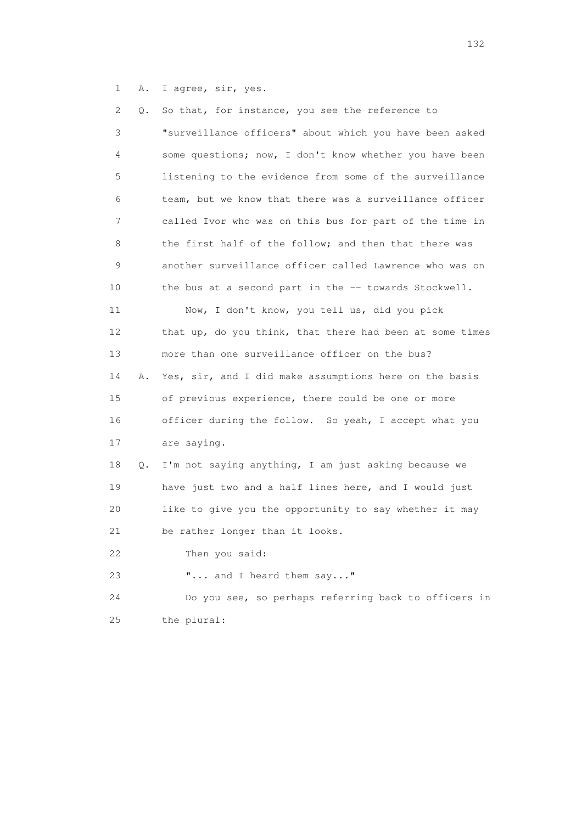1 A. I agree, sir, yes.

| 2  | Q. | So that, for instance, you see the reference to          |
|----|----|----------------------------------------------------------|
| 3  |    | "surveillance officers" about which you have been asked  |
| 4  |    | some questions; now, I don't know whether you have been  |
| 5  |    | listening to the evidence from some of the surveillance  |
| 6  |    | team, but we know that there was a surveillance officer  |
| 7  |    | called Ivor who was on this bus for part of the time in  |
| 8  |    | the first half of the follow; and then that there was    |
| 9  |    | another surveillance officer called Lawrence who was on  |
| 10 |    | the bus at a second part in the -- towards Stockwell.    |
| 11 |    | Now, I don't know, you tell us, did you pick             |
| 12 |    | that up, do you think, that there had been at some times |
| 13 |    | more than one surveillance officer on the bus?           |
| 14 | Α. | Yes, sir, and I did make assumptions here on the basis   |
| 15 |    | of previous experience, there could be one or more       |
| 16 |    | officer during the follow. So yeah, I accept what you    |
| 17 |    | are saying.                                              |
| 18 | Q. | I'm not saying anything, I am just asking because we     |
| 19 |    | have just two and a half lines here, and I would just    |
| 20 |    | like to give you the opportunity to say whether it may   |
| 21 |    | be rather longer than it looks.                          |
| 22 |    | Then you said:                                           |
| 23 |    | " and I heard them say"                                  |
| 24 |    | Do you see, so perhaps referring back to officers in     |
| 25 |    | the plural:                                              |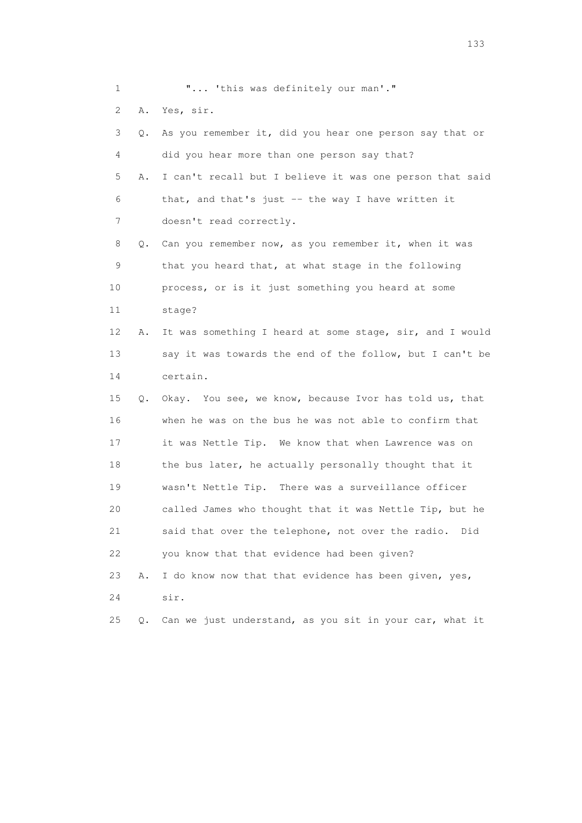1 **"...** 'this was definitely our man'."

2 A. Yes, sir.

| 3  | О.        | As you remember it, did you hear one person say that or  |
|----|-----------|----------------------------------------------------------|
| 4  |           | did you hear more than one person say that?              |
| 5  | Α.        | I can't recall but I believe it was one person that said |
| 6  |           | that, and that's just -- the way I have written it       |
| 7  |           | doesn't read correctly.                                  |
| 8  | $\circ$ . | Can you remember now, as you remember it, when it was    |
| 9  |           | that you heard that, at what stage in the following      |
| 10 |           | process, or is it just something you heard at some       |
| 11 |           | stage?                                                   |
| 12 | Α.        | It was something I heard at some stage, sir, and I would |
| 13 |           | say it was towards the end of the follow, but I can't be |
| 14 |           | certain.                                                 |
| 15 | Q.        | Okay. You see, we know, because Ivor has told us, that   |
| 16 |           | when he was on the bus he was not able to confirm that   |
| 17 |           | it was Nettle Tip. We know that when Lawrence was on     |
| 18 |           | the bus later, he actually personally thought that it    |
| 19 |           | wasn't Nettle Tip. There was a surveillance officer      |
| 20 |           | called James who thought that it was Nettle Tip, but he  |
| 21 |           | said that over the telephone, not over the radio. Did    |
| 22 |           | you know that that evidence had been given?              |
| 23 | Α.        | I do know now that that evidence has been given, yes,    |
| 24 |           | sir.                                                     |
| 25 | Q.        | Can we just understand, as you sit in your car, what it  |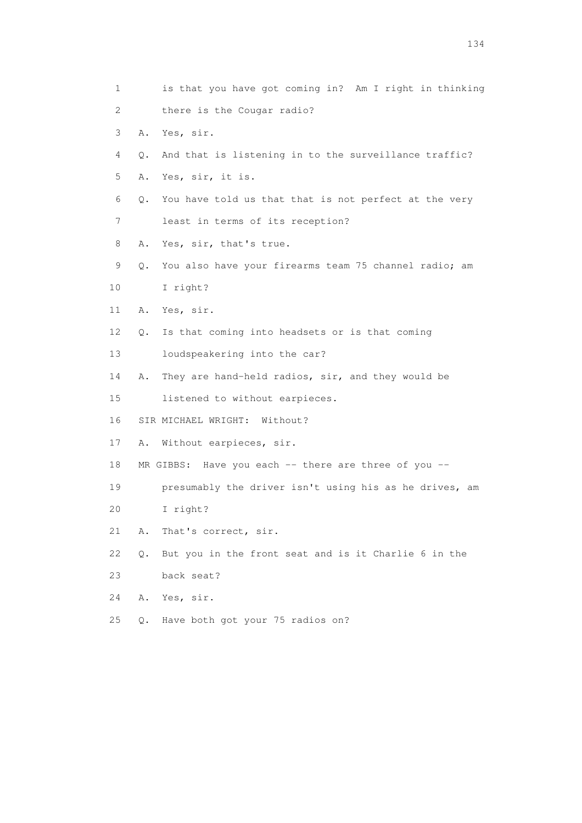| 1  | is that you have got coming in? Am I right in thinking      |
|----|-------------------------------------------------------------|
| 2  | there is the Cougar radio?                                  |
| 3  | Yes, sir.<br>Α.                                             |
| 4  | And that is listening in to the surveillance traffic?<br>Q. |
| 5  | Yes, sir, it is.<br>Α.                                      |
| 6  | You have told us that that is not perfect at the very<br>Q. |
| 7  | least in terms of its reception?                            |
| 8  | Yes, sir, that's true.<br>Α.                                |
| 9  | You also have your firearms team 75 channel radio; am<br>Q. |
| 10 | I right?                                                    |
| 11 | Yes, sir.<br>Α.                                             |
| 12 | Is that coming into headsets or is that coming<br>Q.        |
| 13 | loudspeakering into the car?                                |
| 14 | They are hand-held radios, sir, and they would be<br>Α.     |
| 15 | listened to without earpieces.                              |
| 16 | SIR MICHAEL WRIGHT: Without?                                |
| 17 | Without earpieces, sir.<br>Α.                               |
| 18 | MR GIBBS: Have you each -- there are three of you --        |
| 19 | presumably the driver isn't using his as he drives, am      |
| 20 | I right?                                                    |
| 21 | That's correct, sir.<br>Α.                                  |
| 22 | But you in the front seat and is it Charlie 6 in the<br>Q.  |
| 23 | back seat?                                                  |
| 24 | Α.<br>Yes, sir.                                             |
| 25 | Have both got your 75 radios on?<br>$\circ$ .               |
|    |                                                             |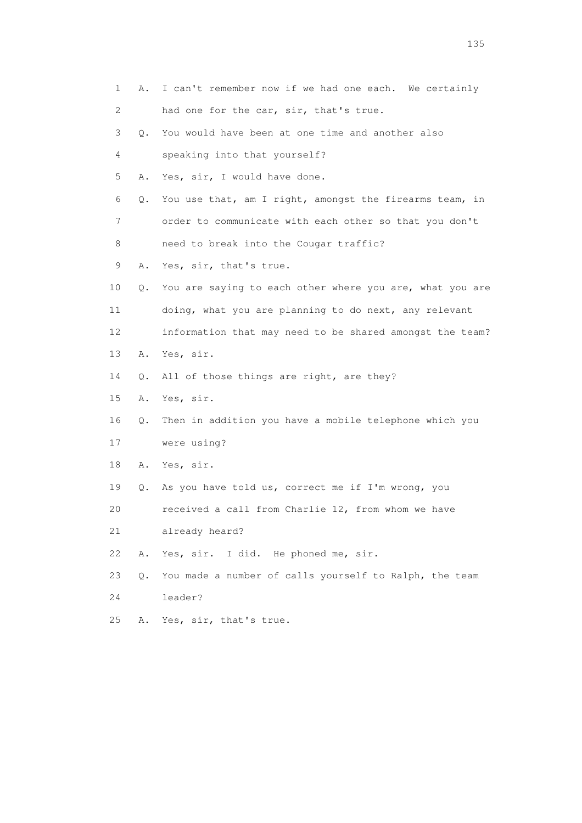| 1  | Α. | I can't remember now if we had one each. We certainly    |
|----|----|----------------------------------------------------------|
| 2  |    | had one for the car, sir, that's true.                   |
| 3  | Q. | You would have been at one time and another also         |
| 4  |    | speaking into that yourself?                             |
| 5  | Α. | Yes, sir, I would have done.                             |
| 6  | Q. | You use that, am I right, amongst the firearms team, in  |
| 7  |    | order to communicate with each other so that you don't   |
| 8  |    | need to break into the Cougar traffic?                   |
| 9  | Α. | Yes, sir, that's true.                                   |
| 10 | Q. | You are saying to each other where you are, what you are |
| 11 |    | doing, what you are planning to do next, any relevant    |
| 12 |    | information that may need to be shared amongst the team? |
| 13 | Α. | Yes, sir.                                                |
| 14 | Q. | All of those things are right, are they?                 |
| 15 | Α. | Yes, sir.                                                |
| 16 | Q. | Then in addition you have a mobile telephone which you   |
| 17 |    | were using?                                              |
| 18 |    | A. Yes, sir.                                             |
| 19 | Q. | As you have told us, correct me if I'm wrong, you        |
| 20 |    | received a call from Charlie 12, from whom we have       |
| 21 |    | already heard?                                           |
| 22 | Α. | Yes, sir. I did. He phoned me, sir.                      |
| 23 | Q. | You made a number of calls yourself to Ralph, the team   |
| 24 |    | leader?                                                  |
| 25 | Α. | Yes, sir, that's true.                                   |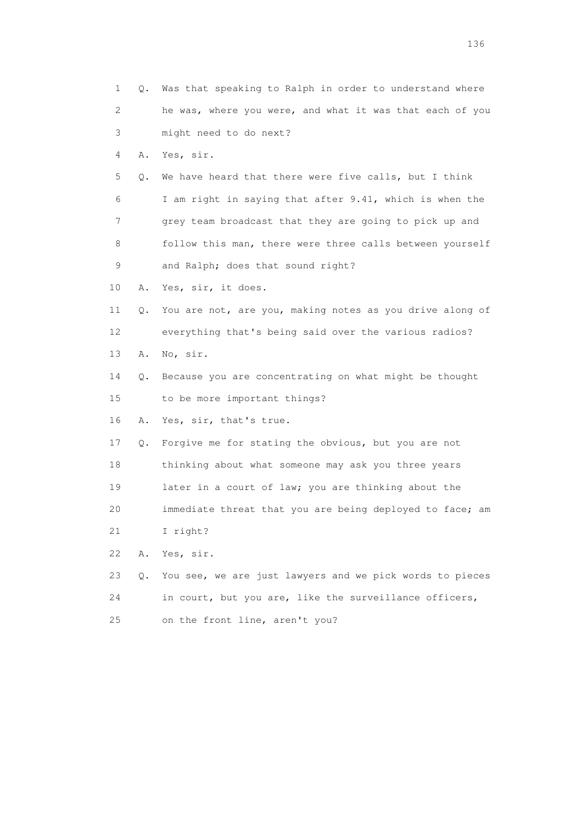|    | 1       | Q. Was that speaking to Ralph in order to understand where |
|----|---------|------------------------------------------------------------|
|    | 2       | he was, where you were, and what it was that each of you   |
|    | 3       | might need to do next?                                     |
|    | 4<br>Α. | Yes, sir.                                                  |
|    | 5<br>Q. | We have heard that there were five calls, but I think      |
|    | 6       | I am right in saying that after 9.41, which is when the    |
|    | 7       | grey team broadcast that they are going to pick up and     |
|    | 8       | follow this man, there were three calls between yourself   |
|    | 9       | and Ralph; does that sound right?                          |
| 10 | Α.      | Yes, sir, it does.                                         |
| 11 | Q.      | You are not, are you, making notes as you drive along of   |
| 12 |         | everything that's being said over the various radios?      |
| 13 | Α.      | No, sir.                                                   |
| 14 | Q.      | Because you are concentrating on what might be thought     |
| 15 |         | to be more important things?                               |
| 16 | Α.      | Yes, sir, that's true.                                     |
| 17 | Q.      | Forgive me for stating the obvious, but you are not        |
| 18 |         | thinking about what someone may ask you three years        |
| 19 |         | later in a court of law; you are thinking about the        |
| 20 |         | immediate threat that you are being deployed to face; am   |
| 21 |         | I right?                                                   |
| 22 | Α.      | Yes, sir.                                                  |
| 23 | Q.      | You see, we are just lawyers and we pick words to pieces   |
| 24 |         | in court, but you are, like the surveillance officers,     |
| 25 |         | on the front line, aren't you?                             |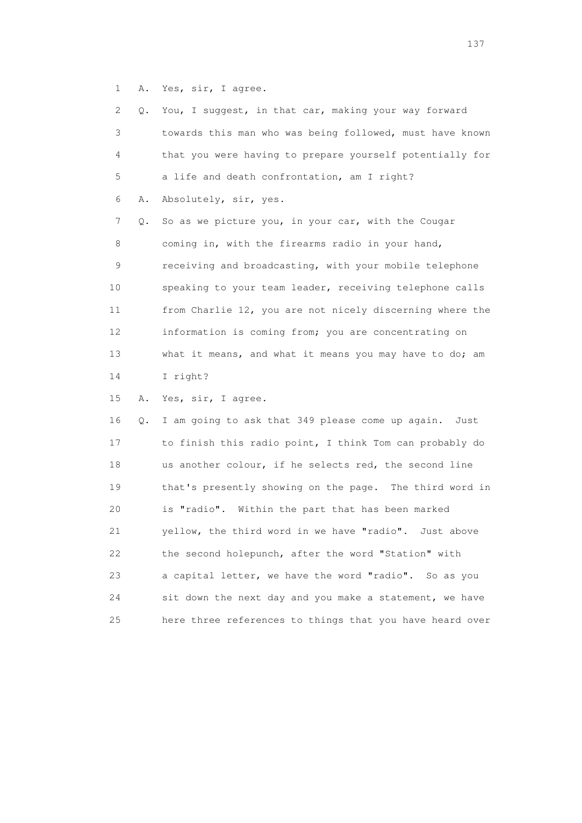1 A. Yes, sir, I agree.

| 2  | Q. | You, I suggest, in that car, making your way forward     |
|----|----|----------------------------------------------------------|
| 3  |    | towards this man who was being followed, must have known |
| 4  |    | that you were having to prepare yourself potentially for |
| 5  |    | a life and death confrontation, am I right?              |
| 6  | Α. | Absolutely, sir, yes.                                    |
| 7  | Q. | So as we picture you, in your car, with the Cougar       |
| 8  |    | coming in, with the firearms radio in your hand,         |
| 9  |    | receiving and broadcasting, with your mobile telephone   |
| 10 |    | speaking to your team leader, receiving telephone calls  |
| 11 |    | from Charlie 12, you are not nicely discerning where the |
| 12 |    | information is coming from; you are concentrating on     |
| 13 |    | what it means, and what it means you may have to do; am  |
| 14 |    | I right?                                                 |
| 15 | Α. | Yes, sir, I agree.                                       |
| 16 | Q. | I am going to ask that 349 please come up again.<br>Just |
| 17 |    | to finish this radio point, I think Tom can probably do  |
| 18 |    | us another colour, if he selects red, the second line    |
| 19 |    | that's presently showing on the page. The third word in  |
| 20 |    | is "radio". Within the part that has been marked         |
| 21 |    | yellow, the third word in we have "radio". Just above    |
| 22 |    | the second holepunch, after the word "Station" with      |
| 23 |    | a capital letter, we have the word "radio". So as you    |
|    |    | sit down the next day and you make a statement, we have  |
| 24 |    |                                                          |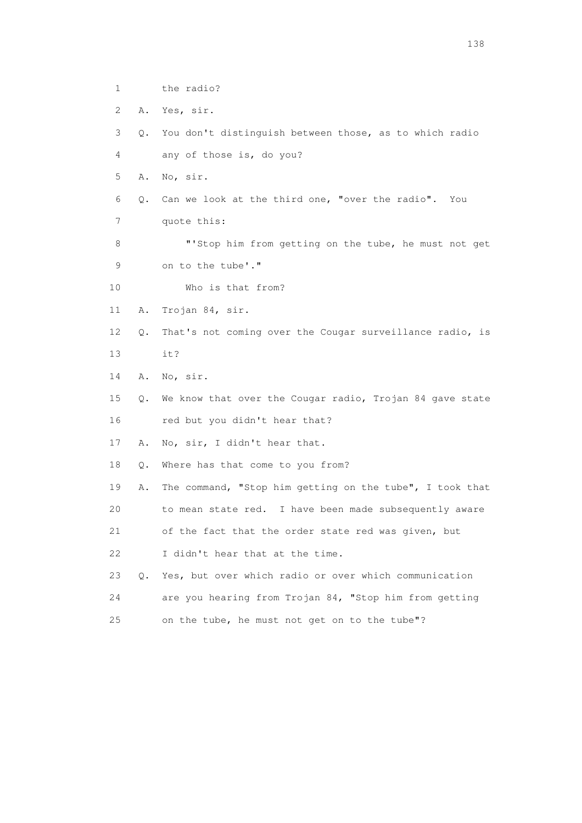| $\mathbf 1$ |           | the radio?                                               |
|-------------|-----------|----------------------------------------------------------|
| 2           | Α.        | Yes, sir.                                                |
| 3           | Q.        | You don't distinguish between those, as to which radio   |
| 4           |           | any of those is, do you?                                 |
| 5           | Α.        | No, sir.                                                 |
| 6           | Q.        | Can we look at the third one, "over the radio". You      |
| 7           |           | quote this:                                              |
| 8           |           | "'Stop him from getting on the tube, he must not get     |
| 9           |           | on to the tube'."                                        |
| 10          |           | Who is that from?                                        |
| 11          | Α.        | Trojan 84, sir.                                          |
| 12          | Q.        | That's not coming over the Cougar surveillance radio, is |
| 13          |           | it?                                                      |
| 14          | Α.        | No, sir.                                                 |
| 15          | Q.        | We know that over the Cougar radio, Trojan 84 gave state |
| 16          |           | red but you didn't hear that?                            |
| 17          | Α.        | No, sir, I didn't hear that.                             |
| 18          | Q.        | Where has that come to you from?                         |
| 19          | Α.        | The command, "Stop him getting on the tube", I took that |
| 20          |           | to mean state red. I have been made subsequently aware   |
| 21          |           | of the fact that the order state red was given, but      |
| 22          |           | I didn't hear that at the time.                          |
| 23          | $\circ$ . | Yes, but over which radio or over which communication    |
| 24          |           | are you hearing from Trojan 84, "Stop him from getting   |
| 25          |           | on the tube, he must not get on to the tube"?            |

138 and 138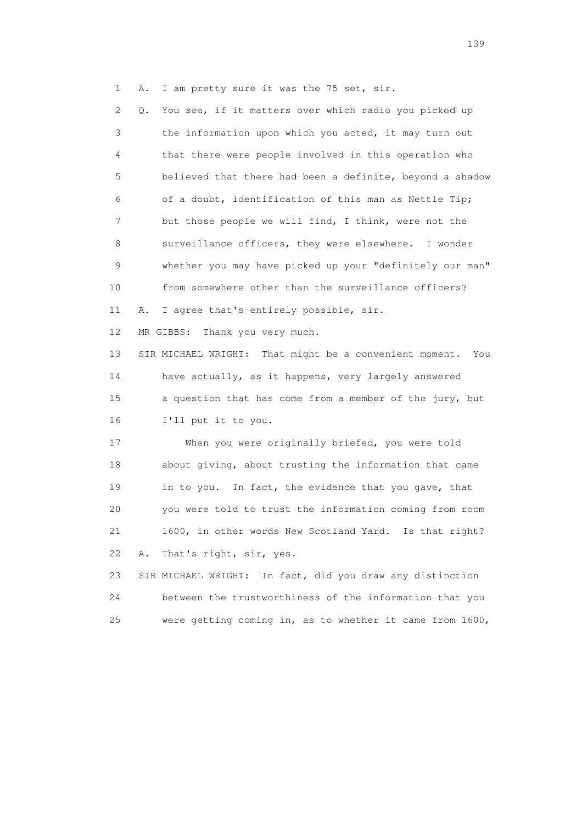1 A. I am pretty sure it was the 75 set, sir.

 2 Q. You see, if it matters over which radio you picked up 3 the information upon which you acted, it may turn out 4 that there were people involved in this operation who 5 believed that there had been a definite, beyond a shadow 6 of a doubt, identification of this man as Nettle Tip; 7 but those people we will find, I think, were not the 8 surveillance officers, they were elsewhere. I wonder 9 whether you may have picked up your "definitely our man" 10 from somewhere other than the surveillance officers? 11 A. I agree that's entirely possible, sir. 12 MR GIBBS: Thank you very much. 13 SIR MICHAEL WRIGHT: That might be a convenient moment. You 14 have actually, as it happens, very largely answered 15 a question that has come from a member of the jury, but 16 I'll put it to you. 17 When you were originally briefed, you were told 18 about giving, about trusting the information that came 19 in to you. In fact, the evidence that you gave, that 20 you were told to trust the information coming from room 21 1600, in other words New Scotland Yard. Is that right? 22 A. That's right, sir, yes. 23 SIR MICHAEL WRIGHT: In fact, did you draw any distinction 24 between the trustworthiness of the information that you

25 were getting coming in, as to whether it came from 1600,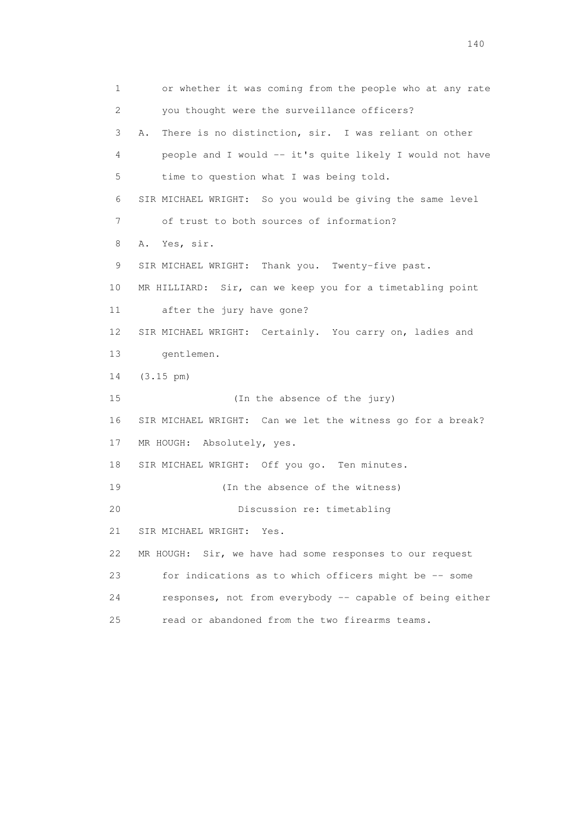1 or whether it was coming from the people who at any rate 2 you thought were the surveillance officers? 3 A. There is no distinction, sir. I was reliant on other 4 people and I would -- it's quite likely I would not have 5 time to question what I was being told. 6 SIR MICHAEL WRIGHT: So you would be giving the same level 7 of trust to both sources of information? 8 A. Yes, sir. 9 SIR MICHAEL WRIGHT: Thank you. Twenty-five past. 10 MR HILLIARD: Sir, can we keep you for a timetabling point 11 after the jury have gone? 12 SIR MICHAEL WRIGHT: Certainly. You carry on, ladies and 13 gentlemen. 14 (3.15 pm) 15 (In the absence of the jury) 16 SIR MICHAEL WRIGHT: Can we let the witness go for a break? 17 MR HOUGH: Absolutely, yes. 18 SIR MICHAEL WRIGHT: Off you go. Ten minutes. 19 (In the absence of the witness) 20 Discussion re: timetabling 21 SIR MICHAEL WRIGHT: Yes. 22 MR HOUGH: Sir, we have had some responses to our request 23 for indications as to which officers might be -- some 24 responses, not from everybody -- capable of being either 25 read or abandoned from the two firearms teams.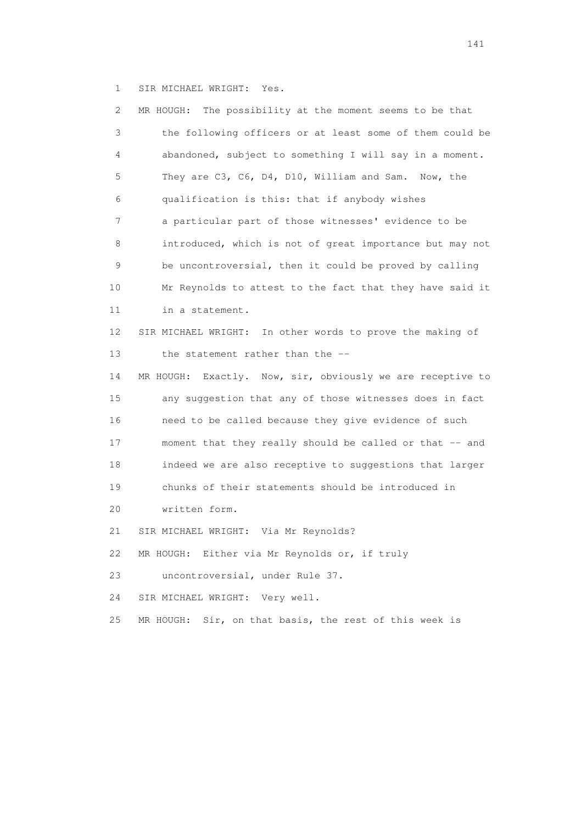1 SIR MICHAEL WRIGHT: Yes.

| 2  | MR HOUGH: The possibility at the moment seems to be that      |
|----|---------------------------------------------------------------|
| 3  | the following officers or at least some of them could be      |
| 4  | abandoned, subject to something I will say in a moment.       |
| 5  | They are C3, C6, D4, D10, William and Sam. Now, the           |
| 6  | qualification is this: that if anybody wishes                 |
| 7  | a particular part of those witnesses' evidence to be          |
| 8  | introduced, which is not of great importance but may not      |
| 9  | be uncontroversial, then it could be proved by calling        |
| 10 | Mr Reynolds to attest to the fact that they have said it      |
| 11 | in a statement.                                               |
| 12 | SIR MICHAEL WRIGHT: In other words to prove the making of     |
| 13 | the statement rather than the --                              |
| 14 | Exactly. Now, sir, obviously we are receptive to<br>MR HOUGH: |
| 15 | any suggestion that any of those witnesses does in fact       |
| 16 | need to be called because they give evidence of such          |
| 17 | moment that they really should be called or that -- and       |
| 18 | indeed we are also receptive to suggestions that larger       |
| 19 | chunks of their statements should be introduced in            |
| 20 | written form.                                                 |
| 21 | SIR MICHAEL WRIGHT: Via Mr Reynolds?                          |
| 22 | MR HOUGH: Either via Mr Reynolds or, if truly                 |
| 23 | uncontroversial, under Rule 37.                               |
| 24 | SIR MICHAEL WRIGHT:<br>Very well.                             |
| 25 | Sir, on that basis, the rest of this week is<br>MR HOUGH:     |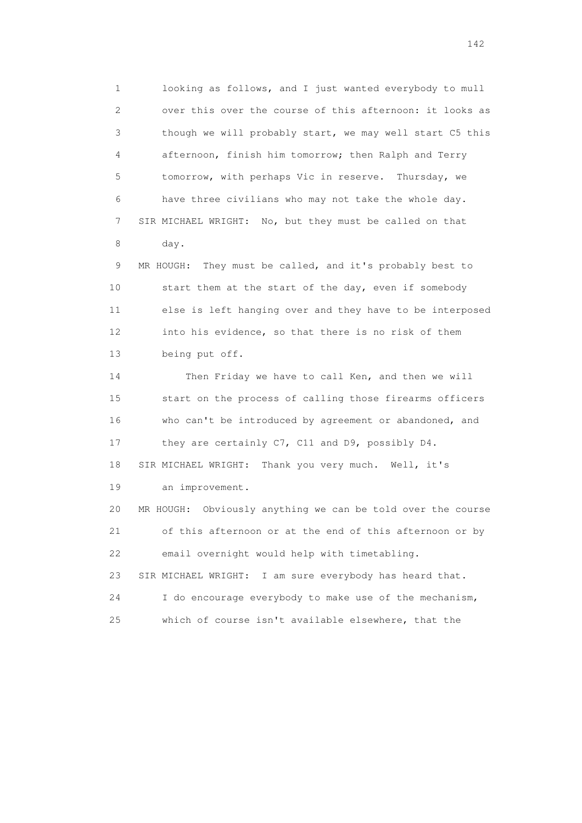1 looking as follows, and I just wanted everybody to mull 2 over this over the course of this afternoon: it looks as 3 though we will probably start, we may well start C5 this 4 afternoon, finish him tomorrow; then Ralph and Terry 5 tomorrow, with perhaps Vic in reserve. Thursday, we 6 have three civilians who may not take the whole day. 7 SIR MICHAEL WRIGHT: No, but they must be called on that 8 day.

 9 MR HOUGH: They must be called, and it's probably best to 10 start them at the start of the day, even if somebody 11 else is left hanging over and they have to be interposed 12 into his evidence, so that there is no risk of them 13 being put off.

 14 Then Friday we have to call Ken, and then we will 15 start on the process of calling those firearms officers 16 who can't be introduced by agreement or abandoned, and 17 they are certainly C7, C11 and D9, possibly D4. 18 SIR MICHAEL WRIGHT: Thank you very much. Well, it's 19 an improvement. 20 MR HOUGH: Obviously anything we can be told over the course 21 of this afternoon or at the end of this afternoon or by 22 email overnight would help with timetabling. 23 SIR MICHAEL WRIGHT: I am sure everybody has heard that. 24 I do encourage everybody to make use of the mechanism, 25 which of course isn't available elsewhere, that the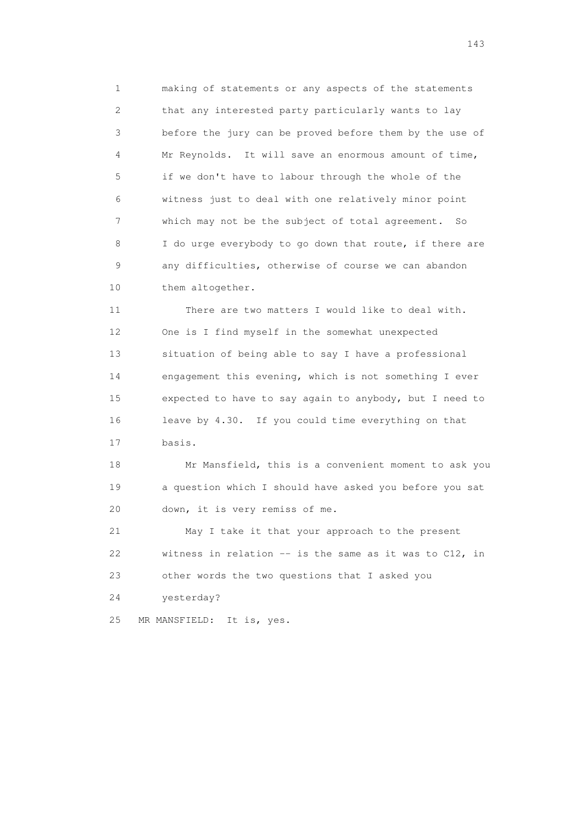1 making of statements or any aspects of the statements 2 that any interested party particularly wants to lay 3 before the jury can be proved before them by the use of 4 Mr Reynolds. It will save an enormous amount of time, 5 if we don't have to labour through the whole of the 6 witness just to deal with one relatively minor point 7 which may not be the subject of total agreement. So 8 I do urge everybody to go down that route, if there are 9 any difficulties, otherwise of course we can abandon 10 them altogether.

 11 There are two matters I would like to deal with. 12 One is I find myself in the somewhat unexpected 13 situation of being able to say I have a professional 14 engagement this evening, which is not something I ever 15 expected to have to say again to anybody, but I need to 16 leave by 4.30. If you could time everything on that 17 basis.

 18 Mr Mansfield, this is a convenient moment to ask you 19 a question which I should have asked you before you sat 20 down, it is very remiss of me.

 21 May I take it that your approach to the present 22 witness in relation -- is the same as it was to C12, in 23 other words the two questions that I asked you

24 yesterday?

25 MR MANSFIELD: It is, yes.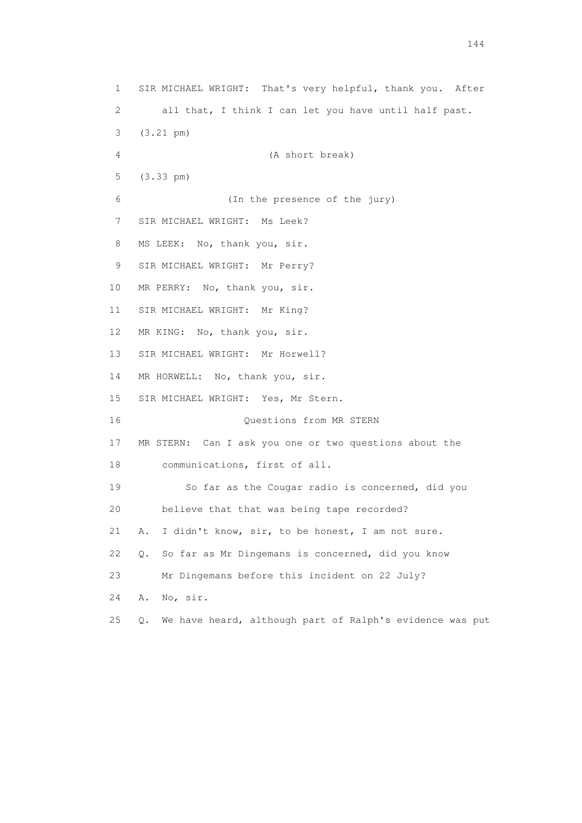1 SIR MICHAEL WRIGHT: That's very helpful, thank you. After 2 all that, I think I can let you have until half past. 3 (3.21 pm) 4 (A short break) 5 (3.33 pm) 6 (In the presence of the jury) 7 SIR MICHAEL WRIGHT: Ms Leek? 8 MS LEEK: No, thank you, sir. 9 SIR MICHAEL WRIGHT: Mr Perry? 10 MR PERRY: No, thank you, sir. 11 SIR MICHAEL WRIGHT: Mr King? 12 MR KING: No, thank you, sir. 13 SIR MICHAEL WRIGHT: Mr Horwell? 14 MR HORWELL: No, thank you, sir. 15 SIR MICHAEL WRIGHT: Yes, Mr Stern. 16 Questions from MR STERN 17 MR STERN: Can I ask you one or two questions about the 18 communications, first of all. 19 So far as the Cougar radio is concerned, did you 20 believe that that was being tape recorded? 21 A. I didn't know, sir, to be honest, I am not sure. 22 Q. So far as Mr Dingemans is concerned, did you know 23 Mr Dingemans before this incident on 22 July? 24 A. No, sir. 25 Q. We have heard, although part of Ralph's evidence was put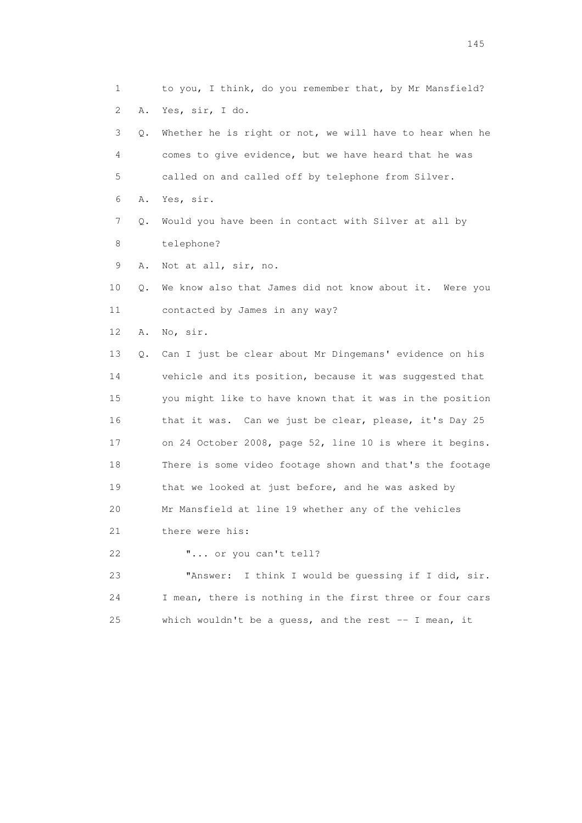1 to you, I think, do you remember that, by Mr Mansfield? 2 A. Yes, sir, I do. 3 Q. Whether he is right or not, we will have to hear when he 4 comes to give evidence, but we have heard that he was 5 called on and called off by telephone from Silver. 6 A. Yes, sir. 7 Q. Would you have been in contact with Silver at all by 8 telephone? 9 A. Not at all, sir, no. 10 Q. We know also that James did not know about it. Were you 11 contacted by James in any way? 12 A. No, sir. 13 Q. Can I just be clear about Mr Dingemans' evidence on his 14 vehicle and its position, because it was suggested that 15 you might like to have known that it was in the position 16 that it was. Can we just be clear, please, it's Day 25 17 on 24 October 2008, page 52, line 10 is where it begins. 18 There is some video footage shown and that's the footage 19 that we looked at just before, and he was asked by 20 Mr Mansfield at line 19 whether any of the vehicles 21 there were his: 22 "... or you can't tell? 23 "Answer: I think I would be guessing if I did, sir. 24 I mean, there is nothing in the first three or four cars

25 which wouldn't be a guess, and the rest -- I mean, it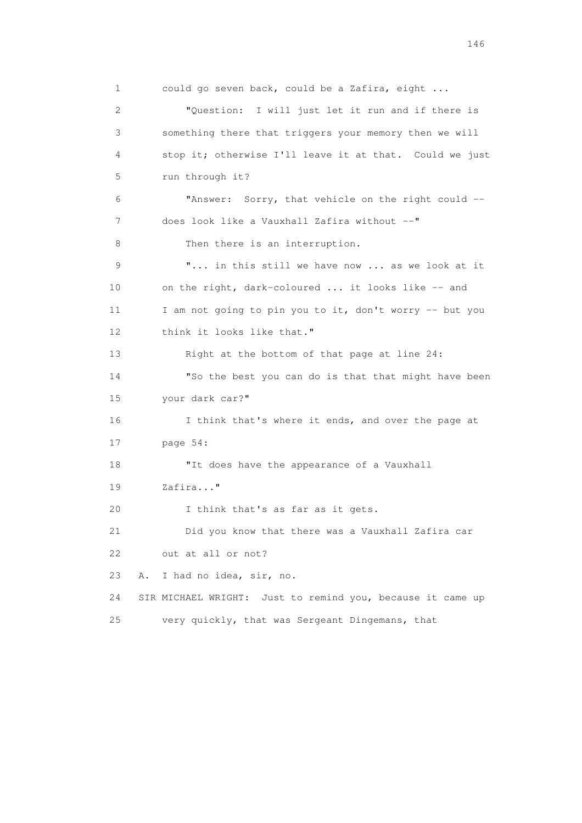1 could go seven back, could be a Zafira, eight ... 2 "Question: I will just let it run and if there is 3 something there that triggers your memory then we will 4 stop it; otherwise I'll leave it at that. Could we just 5 run through it? 6 "Answer: Sorry, that vehicle on the right could -- 7 does look like a Vauxhall Zafira without --" 8 Then there is an interruption. 9 "... in this still we have now ... as we look at it 10 on the right, dark-coloured ... it looks like -- and 11 I am not going to pin you to it, don't worry -- but you 12 think it looks like that." 13 Right at the bottom of that page at line 24: 14 "So the best you can do is that that might have been 15 your dark car?" 16 I think that's where it ends, and over the page at 17 page 54: 18 "It does have the appearance of a Vauxhall 19 Zafira..." 20 I think that's as far as it gets. 21 Did you know that there was a Vauxhall Zafira car 22 out at all or not? 23 A. I had no idea, sir, no. 24 SIR MICHAEL WRIGHT: Just to remind you, because it came up 25 very quickly, that was Sergeant Dingemans, that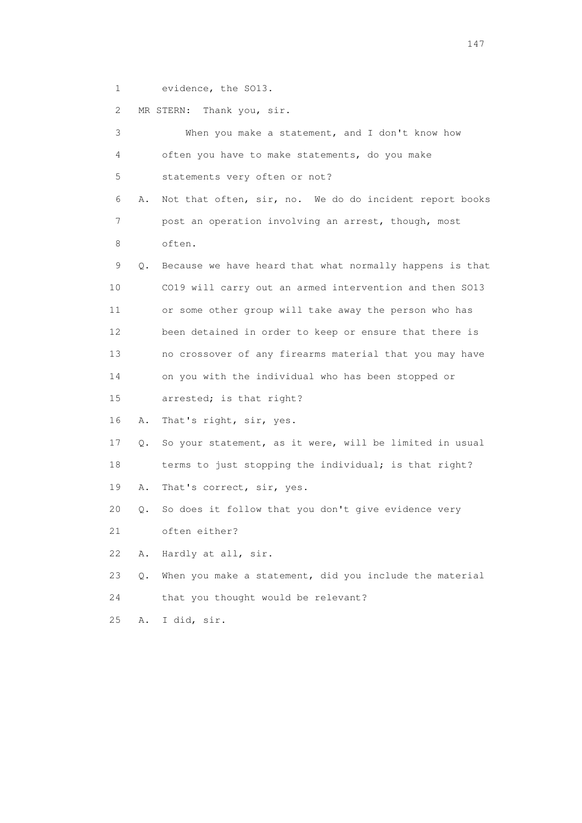1 evidence, the SO13.

|  | MR STERN: Thank you, sir. |  |  |  |
|--|---------------------------|--|--|--|
|--|---------------------------|--|--|--|

| 3               |    | When you make a statement, and I don't know how          |
|-----------------|----|----------------------------------------------------------|
| 4               |    | often you have to make statements, do you make           |
| 5               |    | statements very often or not?                            |
| 6               | Α. | Not that often, sir, no. We do do incident report books  |
| 7               |    | post an operation involving an arrest, though, most      |
| 8               |    | often.                                                   |
| 9               | Q. | Because we have heard that what normally happens is that |
| 10              |    | CO19 will carry out an armed intervention and then SO13  |
| 11              |    | or some other group will take away the person who has    |
| 12 <sup>°</sup> |    | been detained in order to keep or ensure that there is   |
| 13              |    | no crossover of any firearms material that you may have  |
| 14              |    | on you with the individual who has been stopped or       |
| 15              |    | arrested; is that right?                                 |
| 16              | Α. | That's right, sir, yes.                                  |
| 17              | Q. | So your statement, as it were, will be limited in usual  |
| 18              |    | terms to just stopping the individual; is that right?    |
| 19              | Α. | That's correct, sir, yes.                                |
| 20              | Q. | So does it follow that you don't give evidence very      |
| 21              |    | often either?                                            |
| 22              | Α. | Hardly at all, sir.                                      |
| 23              | Q. | When you make a statement, did you include the material  |
| 24              |    | that you thought would be relevant?                      |
| 25              | Α. | I did, sir.                                              |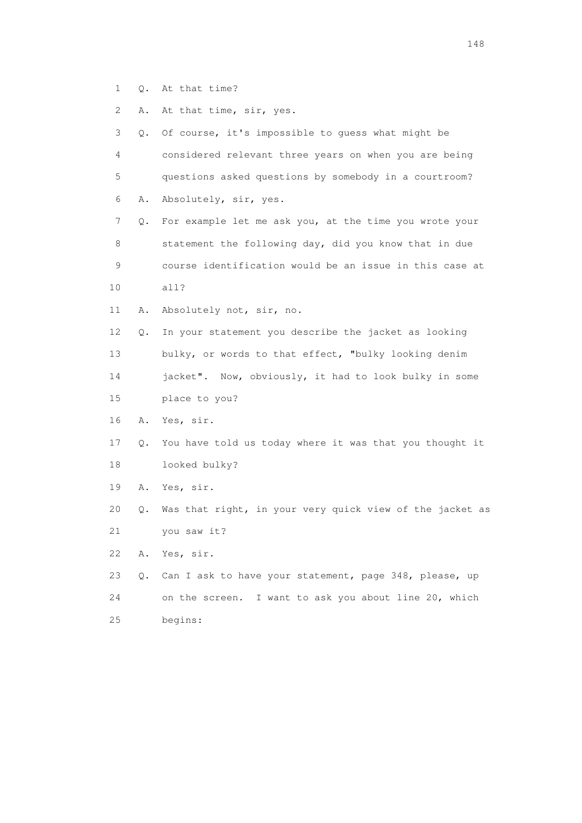- 1 Q. At that time?
- 2 A. At that time, sir, yes.

| 3  |    | Q. Of course, it's impossible to guess what might be     |
|----|----|----------------------------------------------------------|
| 4  |    | considered relevant three years on when you are being    |
| 5  |    | questions asked questions by somebody in a courtroom?    |
| 6  | Α. | Absolutely, sir, yes.                                    |
| 7  | Q. | For example let me ask you, at the time you wrote your   |
| 8  |    | statement the following day, did you know that in due    |
| 9  |    | course identification would be an issue in this case at  |
| 10 |    | all?                                                     |
| 11 | Α. | Absolutely not, sir, no.                                 |
| 12 | Q. | In your statement you describe the jacket as looking     |
| 13 |    | bulky, or words to that effect, "bulky looking denim     |
| 14 |    | jacket". Now, obviously, it had to look bulky in some    |
| 15 |    | place to you?                                            |
| 16 | Α. | Yes, sir.                                                |
| 17 | Q. | You have told us today where it was that you thought it  |
| 18 |    | looked bulky?                                            |
| 19 | Α. | Yes, sir.                                                |
| 20 | Q. | Was that right, in your very quick view of the jacket as |
| 21 |    | you saw it?                                              |
| 22 | Α. | Yes, sir.                                                |
| 23 | Q. | Can I ask to have your statement, page 348, please, up   |
| 24 |    | I want to ask you about line 20, which<br>on the screen. |
| 25 |    | begins:                                                  |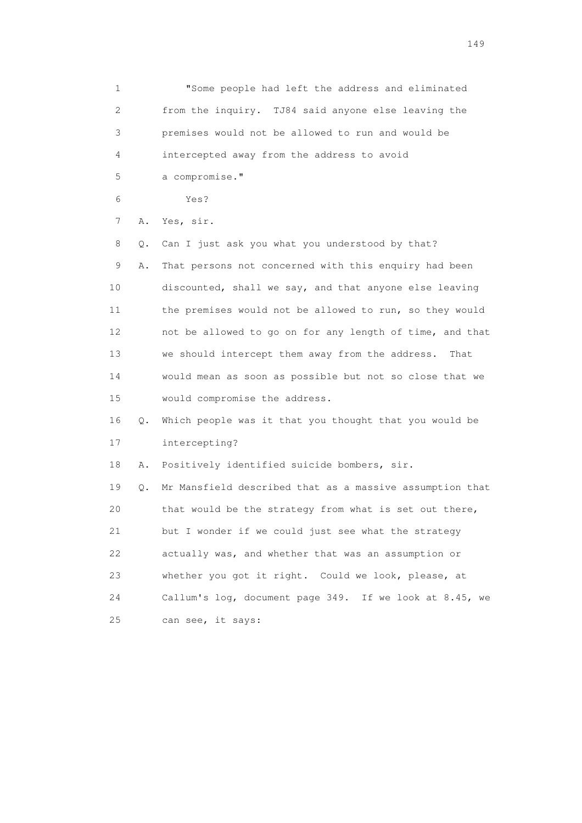1 "Some people had left the address and eliminated 2 from the inquiry. TJ84 said anyone else leaving the 3 premises would not be allowed to run and would be 4 intercepted away from the address to avoid 5 a compromise." 6 Yes? 7 A. Yes, sir. 8 Q. Can I just ask you what you understood by that? 9 A. That persons not concerned with this enquiry had been 10 discounted, shall we say, and that anyone else leaving 11 the premises would not be allowed to run, so they would 12 not be allowed to go on for any length of time, and that 13 we should intercept them away from the address. That 14 would mean as soon as possible but not so close that we 15 would compromise the address. 16 Q. Which people was it that you thought that you would be 17 intercepting? 18 A. Positively identified suicide bombers, sir. 19 Q. Mr Mansfield described that as a massive assumption that 20 that would be the strategy from what is set out there, 21 but I wonder if we could just see what the strategy 22 actually was, and whether that was an assumption or 23 whether you got it right. Could we look, please, at 24 Callum's log, document page 349. If we look at 8.45, we 25 can see, it says: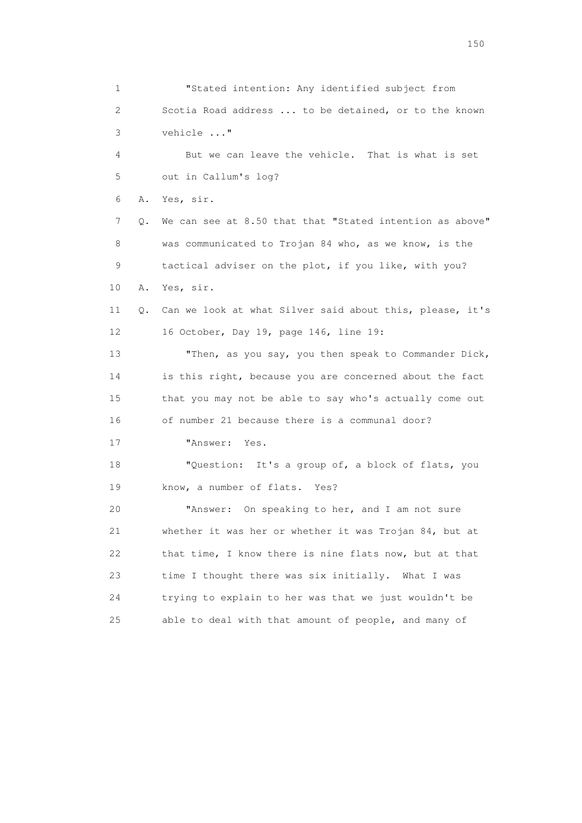1 "Stated intention: Any identified subject from 2 Scotia Road address ... to be detained, or to the known 3 vehicle ..." 4 But we can leave the vehicle. That is what is set 5 out in Callum's log? 6 A. Yes, sir. 7 Q. We can see at 8.50 that that "Stated intention as above" 8 was communicated to Trojan 84 who, as we know, is the 9 tactical adviser on the plot, if you like, with you? 10 A. Yes, sir. 11 Q. Can we look at what Silver said about this, please, it's 12 16 October, Day 19, page 146, line 19: 13 Then, as you say, you then speak to Commander Dick, 14 is this right, because you are concerned about the fact 15 that you may not be able to say who's actually come out 16 of number 21 because there is a communal door? 17 "Answer: Yes. 18 "Question: It's a group of, a block of flats, you 19 know, a number of flats. Yes? 20 "Answer: On speaking to her, and I am not sure 21 whether it was her or whether it was Trojan 84, but at 22 that time, I know there is nine flats now, but at that 23 time I thought there was six initially. What I was 24 trying to explain to her was that we just wouldn't be 25 able to deal with that amount of people, and many of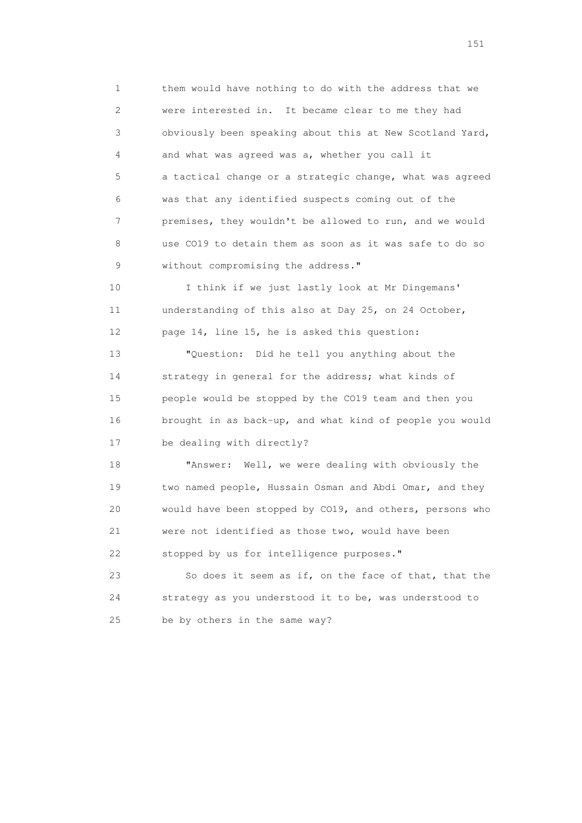1 them would have nothing to do with the address that we 2 were interested in. It became clear to me they had 3 obviously been speaking about this at New Scotland Yard, 4 and what was agreed was a, whether you call it 5 a tactical change or a strategic change, what was agreed 6 was that any identified suspects coming out of the 7 premises, they wouldn't be allowed to run, and we would 8 use CO19 to detain them as soon as it was safe to do so 9 without compromising the address."

 10 I think if we just lastly look at Mr Dingemans' 11 understanding of this also at Day 25, on 24 October, 12 page 14, line 15, he is asked this question:

 13 "Question: Did he tell you anything about the 14 strategy in general for the address; what kinds of 15 people would be stopped by the CO19 team and then you 16 brought in as back-up, and what kind of people you would 17 be dealing with directly?

 18 "Answer: Well, we were dealing with obviously the 19 two named people, Hussain Osman and Abdi Omar, and they 20 would have been stopped by CO19, and others, persons who 21 were not identified as those two, would have been 22 stopped by us for intelligence purposes."

 23 So does it seem as if, on the face of that, that the 24 strategy as you understood it to be, was understood to 25 be by others in the same way?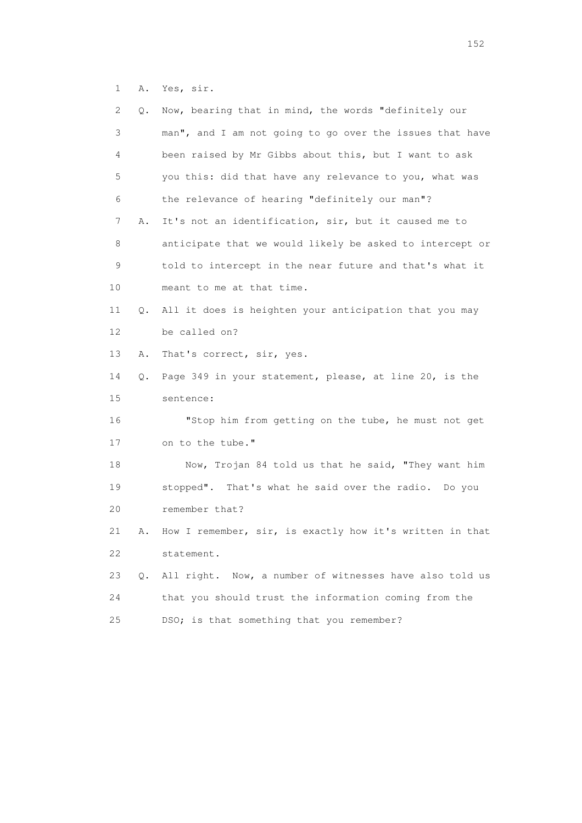1 A. Yes, sir.

| 2  | Q. | Now, bearing that in mind, the words "definitely our     |
|----|----|----------------------------------------------------------|
| 3  |    | man", and I am not going to go over the issues that have |
| 4  |    | been raised by Mr Gibbs about this, but I want to ask    |
| 5  |    | you this: did that have any relevance to you, what was   |
| 6  |    | the relevance of hearing "definitely our man"?           |
| 7  | Α. | It's not an identification, sir, but it caused me to     |
| 8  |    | anticipate that we would likely be asked to intercept or |
| 9  |    | told to intercept in the near future and that's what it  |
| 10 |    | meant to me at that time.                                |
| 11 | Q. | All it does is heighten your anticipation that you may   |
| 12 |    | be called on?                                            |
| 13 | Α. | That's correct, sir, yes.                                |
| 14 | Q. | Page 349 in your statement, please, at line 20, is the   |
| 15 |    | sentence:                                                |
| 16 |    | "Stop him from getting on the tube, he must not get      |
| 17 |    | on to the tube."                                         |
| 18 |    | Now, Trojan 84 told us that he said, "They want him      |
| 19 |    | stopped". That's what he said over the radio. Do you     |
| 20 |    | remember that?                                           |
| 21 | Α. | How I remember, sir, is exactly how it's written in that |
| 22 |    | statement.                                               |
|    |    |                                                          |
| 23 | О. | All right. Now, a number of witnesses have also told us  |
| 24 |    | that you should trust the information coming from the    |
|    |    |                                                          |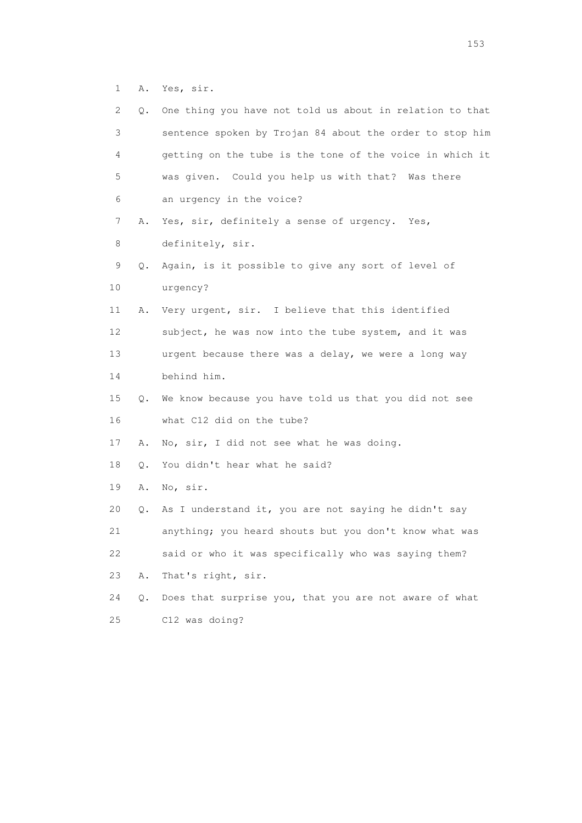1 A. Yes, sir.

| 2. | Q.    | One thing you have not told us about in relation to that |
|----|-------|----------------------------------------------------------|
| 3  |       | sentence spoken by Trojan 84 about the order to stop him |
| 4  |       | getting on the tube is the tone of the voice in which it |
| 5  |       | was given. Could you help us with that? Was there        |
| 6  |       | an urgency in the voice?                                 |
| 7  | Α.    | Yes, sir, definitely a sense of urgency. Yes,            |
| 8  |       | definitely, sir.                                         |
| 9  | Q.    | Again, is it possible to give any sort of level of       |
| 10 |       | urgency?                                                 |
| 11 | Α.    | Very urgent, sir. I believe that this identified         |
| 12 |       | subject, he was now into the tube system, and it was     |
| 13 |       | urgent because there was a delay, we were a long way     |
| 14 |       | behind him.                                              |
| 15 | Q.    | We know because you have told us that you did not see    |
| 16 |       | what C12 did on the tube?                                |
| 17 | Α.    | No, sir, I did not see what he was doing.                |
| 18 | Q.    | You didn't hear what he said?                            |
| 19 | Α.    | No, sir.                                                 |
| 20 | Q.    | As I understand it, you are not saying he didn't say     |
| 21 |       | anything; you heard shouts but you don't know what was   |
| 22 |       | said or who it was specifically who was saying them?     |
| 23 | Α.    | That's right, sir.                                       |
| 24 | $Q$ . | Does that surprise you, that you are not aware of what   |
| 25 |       | C12 was doing?                                           |

n 153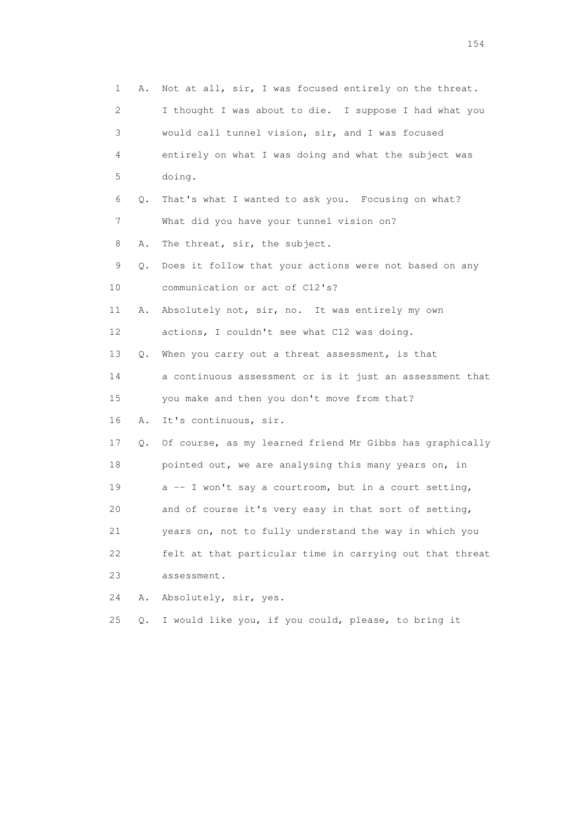1 A. Not at all, sir, I was focused entirely on the threat. 2 I thought I was about to die. I suppose I had what you 3 would call tunnel vision, sir, and I was focused 4 entirely on what I was doing and what the subject was 5 doing. 6 Q. That's what I wanted to ask you. Focusing on what? 7 What did you have your tunnel vision on? 8 A. The threat, sir, the subject. 9 Q. Does it follow that your actions were not based on any 10 communication or act of C12's? 11 A. Absolutely not, sir, no. It was entirely my own 12 actions, I couldn't see what C12 was doing. 13 Q. When you carry out a threat assessment, is that 14 a continuous assessment or is it just an assessment that 15 you make and then you don't move from that? 16 A. It's continuous, sir. 17 Q. Of course, as my learned friend Mr Gibbs has graphically 18 pointed out, we are analysing this many years on, in 19 a -- I won't say a courtroom, but in a court setting, 20 and of course it's very easy in that sort of setting, 21 years on, not to fully understand the way in which you 22 felt at that particular time in carrying out that threat 23 assessment. 24 A. Absolutely, sir, yes. 25 Q. I would like you, if you could, please, to bring it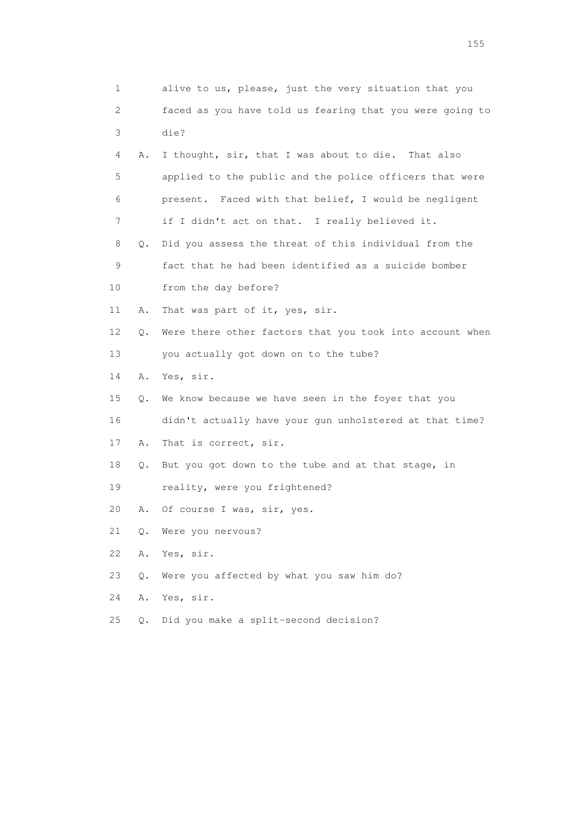| 1                         |    | alive to us, please, just the very situation that you    |
|---------------------------|----|----------------------------------------------------------|
| $\mathbf{2}^{\mathsf{I}}$ |    | faced as you have told us fearing that you were going to |
| 3                         |    | die?                                                     |
| 4                         | Α. | I thought, sir, that I was about to die. That also       |
| 5                         |    | applied to the public and the police officers that were  |
| 6                         |    | present. Faced with that belief, I would be negligent    |
| 7                         |    | if I didn't act on that. I really believed it.           |
| 8                         | Q. | Did you assess the threat of this individual from the    |
| 9                         |    | fact that he had been identified as a suicide bomber     |
| 10                        |    | from the day before?                                     |
| 11                        | Α. | That was part of it, yes, sir.                           |
| 12                        | Q. | Were there other factors that you took into account when |
| 13                        |    | you actually got down on to the tube?                    |
| 14                        | Α. | Yes, sir.                                                |
| 15                        | Q. | We know because we have seen in the foyer that you       |
| 16                        |    | didn't actually have your gun unholstered at that time?  |
| 17                        | Α. | That is correct, sir.                                    |
| 18                        | Q. | But you got down to the tube and at that stage, in       |
| 19                        |    | reality, were you frightened?                            |
| 20                        | Α. | Of course I was, sir, yes.                               |
| 21                        | Q. | Were you nervous?                                        |
| 22                        | Α. | Yes, sir.                                                |
| 23                        | О. | Were you affected by what you saw him do?                |
| 24                        | Α. | Yes, sir.                                                |
| 25                        | О. | Did you make a split-second decision?                    |

n 155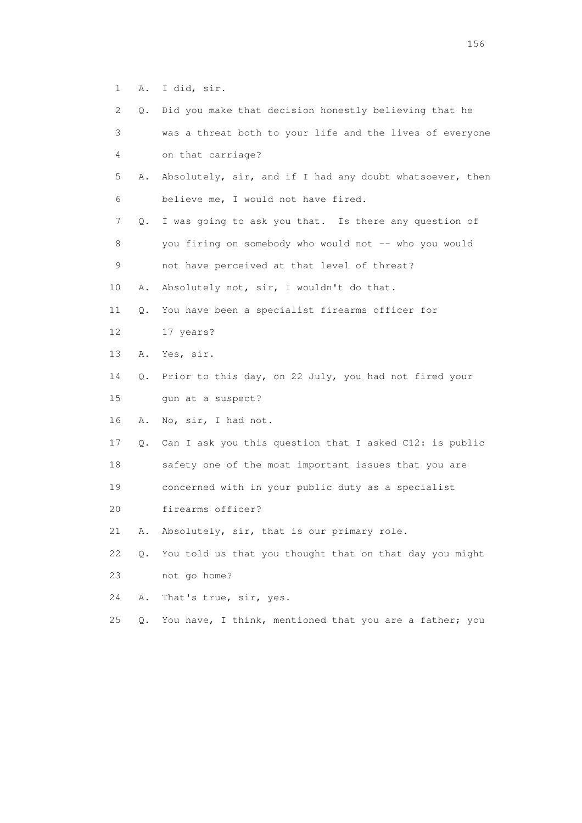1 A. I did, sir.

| 2.              | Q.    | Did you make that decision honestly believing that he    |
|-----------------|-------|----------------------------------------------------------|
| 3               |       | was a threat both to your life and the lives of everyone |
| 4               |       | on that carriage?                                        |
| 5               | Α.    | Absolutely, sir, and if I had any doubt whatsoever, then |
| 6               |       | believe me, I would not have fired.                      |
| 7               | Q.    | I was going to ask you that. Is there any question of    |
| 8               |       | you firing on somebody who would not -- who you would    |
| 9               |       | not have perceived at that level of threat?              |
| 10              | Α.    | Absolutely not, sir, I wouldn't do that.                 |
| 11              | Q.    | You have been a specialist firearms officer for          |
| 12 <sup>°</sup> |       | 17 years?                                                |
| 13              | Α.    | Yes, sir.                                                |
| 14              | Q.    | Prior to this day, on 22 July, you had not fired your    |
| 15              |       | gun at a suspect?                                        |
| 16              | Α.    | No, sir, I had not.                                      |
| 17              | Q.    | Can I ask you this question that I asked C12: is public  |
| 18              |       | safety one of the most important issues that you are     |
| 19              |       | concerned with in your public duty as a specialist       |
| 20              |       | firearms officer?                                        |
| 21              | Α.    | Absolutely, sir, that is our primary role.               |
| 22              | Q.    | You told us that you thought that on that day you might  |
| 23              |       | not go home?                                             |
| 24              | Α.    | That's true, sir, yes.                                   |
| 25              | $Q$ . | You have, I think, mentioned that you are a father; you  |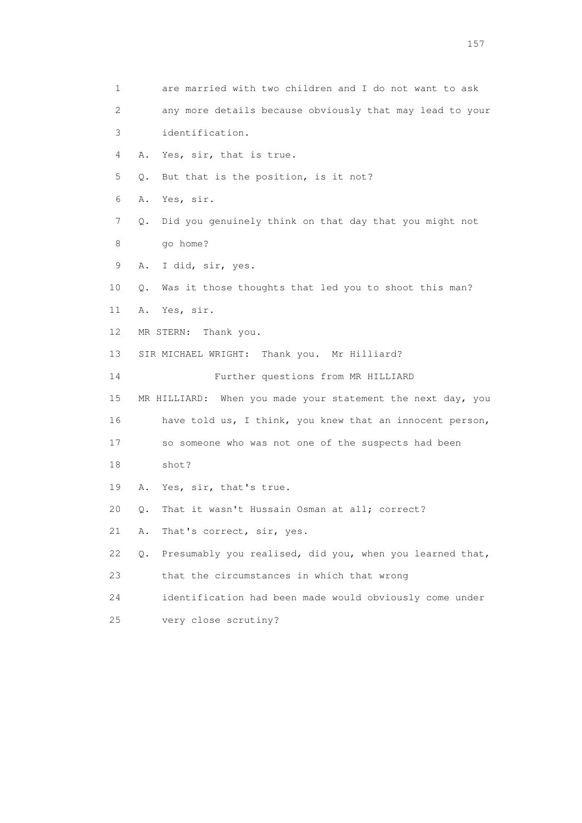1 are married with two children and I do not want to ask 2 any more details because obviously that may lead to your 3 identification. 4 A. Yes, sir, that is true. 5 Q. But that is the position, is it not? 6 A. Yes, sir. 7 Q. Did you genuinely think on that day that you might not 8 go home? 9 A. I did, sir, yes. 10 Q. Was it those thoughts that led you to shoot this man? 11 A. Yes, sir. 12 MR STERN: Thank you. 13 SIR MICHAEL WRIGHT: Thank you. Mr Hilliard? 14 Further questions from MR HILLIARD 15 MR HILLIARD: When you made your statement the next day, you 16 have told us, I think, you knew that an innocent person, 17 so someone who was not one of the suspects had been 18 shot? 19 A. Yes, sir, that's true. 20 Q. That it wasn't Hussain Osman at all; correct? 21 A. That's correct, sir, yes. 22 Q. Presumably you realised, did you, when you learned that, 23 that the circumstances in which that wrong 24 identification had been made would obviously come under 25 very close scrutiny?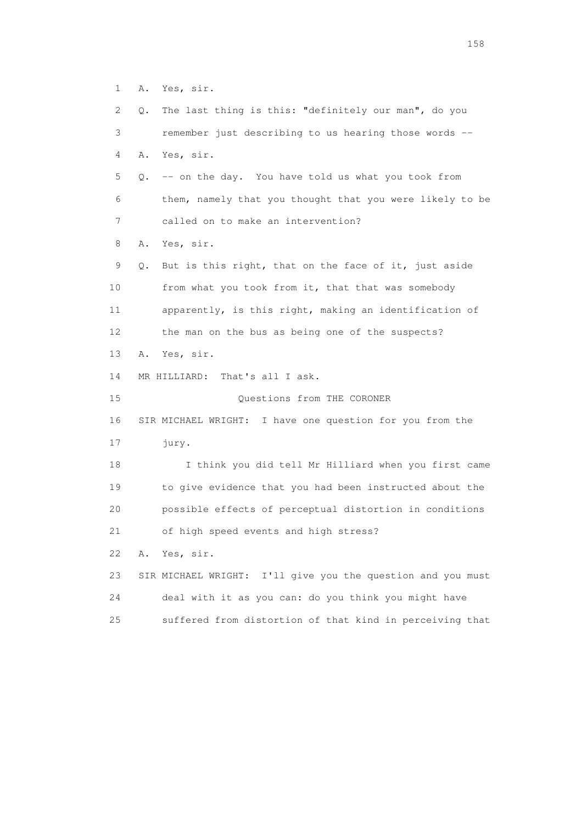1 A. Yes, sir.

 2 Q. The last thing is this: "definitely our man", do you 3 remember just describing to us hearing those words -- 4 A. Yes, sir. 5 Q. -- on the day. You have told us what you took from 6 them, namely that you thought that you were likely to be 7 called on to make an intervention? 8 A. Yes, sir. 9 Q. But is this right, that on the face of it, just aside 10 from what you took from it, that that was somebody 11 apparently, is this right, making an identification of 12 the man on the bus as being one of the suspects? 13 A. Yes, sir. 14 MR HILLIARD: That's all I ask. 15 Questions from THE CORONER 16 SIR MICHAEL WRIGHT: I have one question for you from the 17 jury. 18 I think you did tell Mr Hilliard when you first came 19 to give evidence that you had been instructed about the 20 possible effects of perceptual distortion in conditions 21 of high speed events and high stress? 22 A. Yes, sir. 23 SIR MICHAEL WRIGHT: I'll give you the question and you must 24 deal with it as you can: do you think you might have 25 suffered from distortion of that kind in perceiving that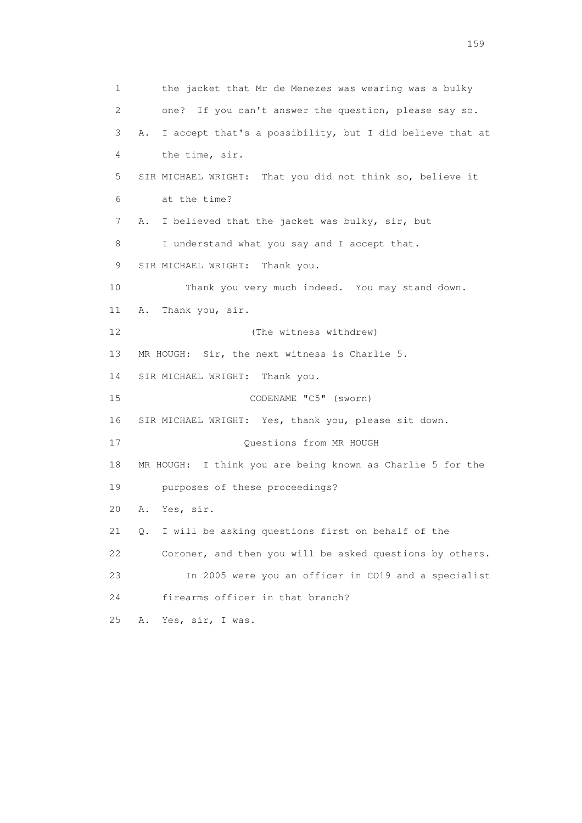1 the jacket that Mr de Menezes was wearing was a bulky 2 one? If you can't answer the question, please say so. 3 A. I accept that's a possibility, but I did believe that at 4 the time, sir. 5 SIR MICHAEL WRIGHT: That you did not think so, believe it 6 at the time? 7 A. I believed that the jacket was bulky, sir, but 8 I understand what you say and I accept that. 9 SIR MICHAEL WRIGHT: Thank you. 10 Thank you very much indeed. You may stand down. 11 A. Thank you, sir. 12 (The witness withdrew) 13 MR HOUGH: Sir, the next witness is Charlie 5. 14 SIR MICHAEL WRIGHT: Thank you. 15 CODENAME "C5" (sworn) 16 SIR MICHAEL WRIGHT: Yes, thank you, please sit down. 17 Ouestions from MR HOUGH 18 MR HOUGH: I think you are being known as Charlie 5 for the 19 purposes of these proceedings? 20 A. Yes, sir. 21 Q. I will be asking questions first on behalf of the 22 Coroner, and then you will be asked questions by others. 23 In 2005 were you an officer in CO19 and a specialist 24 firearms officer in that branch? 25 A. Yes, sir, I was.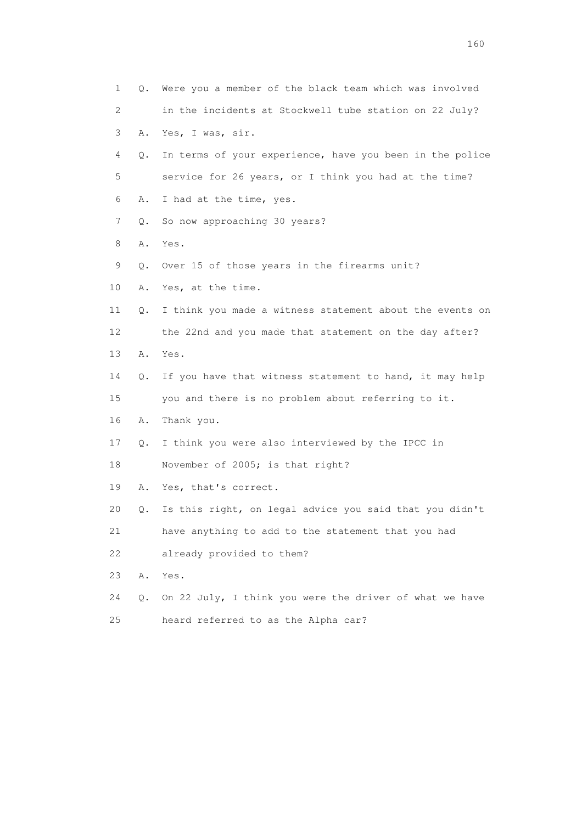| $\mathbf 1$ | Q. | Were you a member of the black team which was involved   |
|-------------|----|----------------------------------------------------------|
| 2           |    | in the incidents at Stockwell tube station on 22 July?   |
| 3           | Α. | Yes, I was, sir.                                         |
| 4           | Q. | In terms of your experience, have you been in the police |
| 5           |    | service for 26 years, or I think you had at the time?    |
| 6           | Α. | I had at the time, yes.                                  |
| 7           | Q. | So now approaching 30 years?                             |
| 8           | Α. | Yes.                                                     |
| 9           | Q. | Over 15 of those years in the firearms unit?             |
| 10          | Α. | Yes, at the time.                                        |
| 11          | Q. | I think you made a witness statement about the events on |
| 12          |    | the 22nd and you made that statement on the day after?   |
| 13          | Α. | Yes.                                                     |
| 14          | Q. | If you have that witness statement to hand, it may help  |
| 15          |    | you and there is no problem about referring to it.       |
| 16          | Α. | Thank you.                                               |
| 17          | Q. | I think you were also interviewed by the IPCC in         |
| 18          |    | November of 2005; is that right?                         |
| 19          | Α. | Yes, that's correct.                                     |
| 20          | Q. | Is this right, on legal advice you said that you didn't  |
| 21          |    | have anything to add to the statement that you had       |
| 22          |    | already provided to them?                                |
| 23          | Α. | Yes.                                                     |
| 24          | Q. | On 22 July, I think you were the driver of what we have  |
| 25          |    | heard referred to as the Alpha car?                      |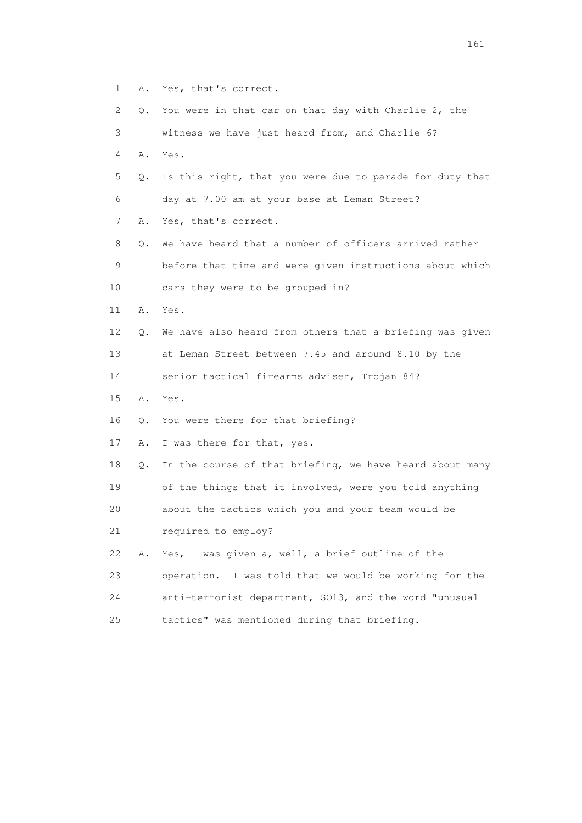- 1 A. Yes, that's correct.
- 2 Q. You were in that car on that day with Charlie 2, the
- 3 witness we have just heard from, and Charlie 6?
- 4 A. Yes.
- 5 Q. Is this right, that you were due to parade for duty that 6 day at 7.00 am at your base at Leman Street?
- 7 A. Yes, that's correct.
- 8 Q. We have heard that a number of officers arrived rather 9 before that time and were given instructions about which 10 cars they were to be grouped in?
- 11 A. Yes.
- 12 Q. We have also heard from others that a briefing was given 13 at Leman Street between 7.45 and around 8.10 by the
- 14 senior tactical firearms adviser, Trojan 84?
- 15 A. Yes.
- 16 Q. You were there for that briefing?
- 17 A. I was there for that, yes.
- 18 Q. In the course of that briefing, we have heard about many 19 of the things that it involved, were you told anything
- 20 about the tactics which you and your team would be
- 21 required to employ?
- 22 A. Yes, I was given a, well, a brief outline of the
- 23 operation. I was told that we would be working for the
- 24 anti-terrorist department, SO13, and the word "unusual
- 25 tactics" was mentioned during that briefing.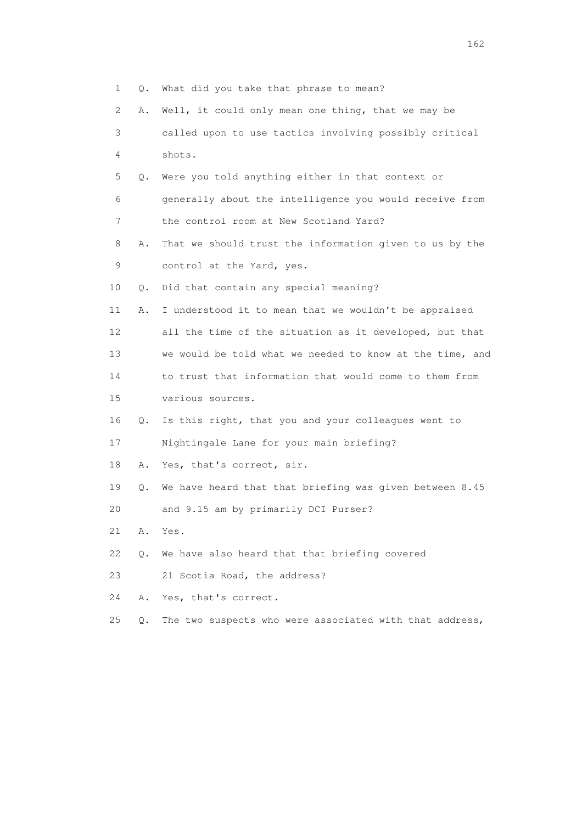1 Q. What did you take that phrase to mean? 2 A. Well, it could only mean one thing, that we may be 3 called upon to use tactics involving possibly critical 4 shots. 5 Q. Were you told anything either in that context or 6 generally about the intelligence you would receive from 7 the control room at New Scotland Yard? 8 A. That we should trust the information given to us by the 9 control at the Yard, yes. 10 Q. Did that contain any special meaning? 11 A. I understood it to mean that we wouldn't be appraised 12 all the time of the situation as it developed, but that 13 we would be told what we needed to know at the time, and 14 to trust that information that would come to them from 15 various sources. 16 Q. Is this right, that you and your colleagues went to 17 Nightingale Lane for your main briefing? 18 A. Yes, that's correct, sir. 19 Q. We have heard that that briefing was given between 8.45 20 and 9.15 am by primarily DCI Purser? 21 A. Yes. 22 Q. We have also heard that that briefing covered 23 21 Scotia Road, the address? 24 A. Yes, that's correct. 25 Q. The two suspects who were associated with that address,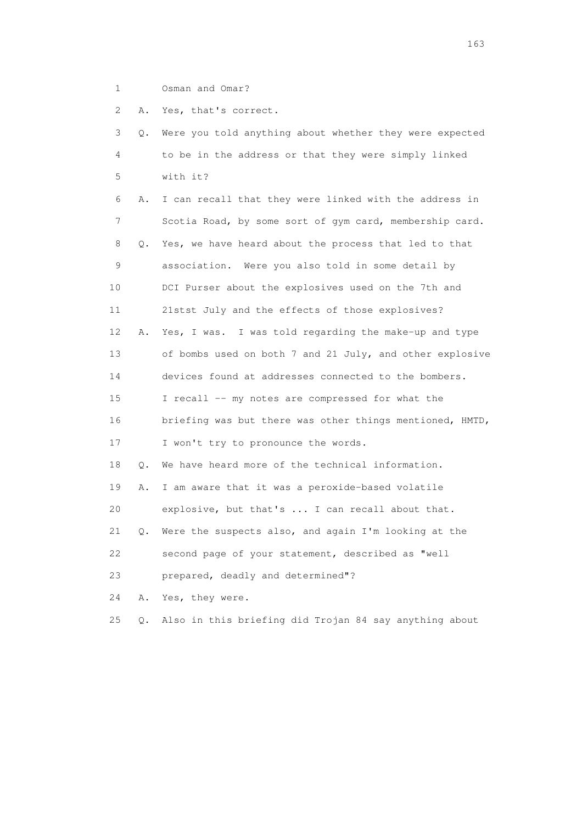1 Osman and Omar?

2 A. Yes, that's correct.

| 3  | О. | Were you told anything about whether they were expected  |
|----|----|----------------------------------------------------------|
| 4  |    | to be in the address or that they were simply linked     |
| 5  |    | with it?                                                 |
| 6  | Α. | I can recall that they were linked with the address in   |
| 7  |    | Scotia Road, by some sort of gym card, membership card.  |
| 8  | Q. | Yes, we have heard about the process that led to that    |
| 9  |    | association. Were you also told in some detail by        |
| 10 |    | DCI Purser about the explosives used on the 7th and      |
| 11 |    | 21stst July and the effects of those explosives?         |
| 12 | Α. | Yes, I was. I was told regarding the make-up and type    |
| 13 |    | of bombs used on both 7 and 21 July, and other explosive |
| 14 |    | devices found at addresses connected to the bombers.     |
| 15 |    | I recall -- my notes are compressed for what the         |
| 16 |    | briefing was but there was other things mentioned, HMTD, |
| 17 |    | I won't try to pronounce the words.                      |
| 18 | Q. | We have heard more of the technical information.         |
| 19 | Α. | I am aware that it was a peroxide-based volatile         |
| 20 |    | explosive, but that's  I can recall about that.          |
| 21 | Q. | Were the suspects also, and again I'm looking at the     |
| 22 |    | second page of your statement, described as "well        |
| 23 |    | prepared, deadly and determined"?                        |
| 24 | Α. | Yes, they were.                                          |
| 25 | Q. | Also in this briefing did Trojan 84 say anything about   |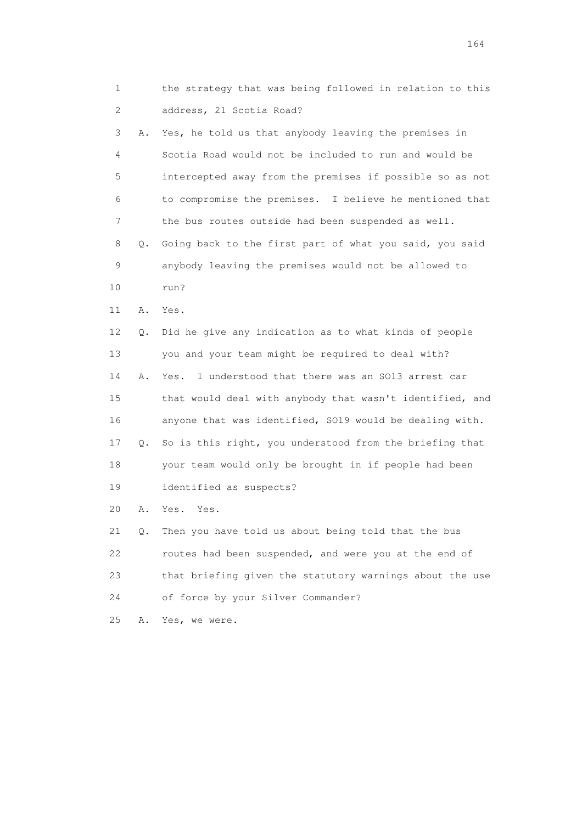1 the strategy that was being followed in relation to this 2 address, 21 Scotia Road?

 3 A. Yes, he told us that anybody leaving the premises in 4 Scotia Road would not be included to run and would be 5 intercepted away from the premises if possible so as not 6 to compromise the premises. I believe he mentioned that 7 the bus routes outside had been suspended as well. 8 Q. Going back to the first part of what you said, you said 9 anybody leaving the premises would not be allowed to 10 run? 11 A. Yes. 12 Q. Did he give any indication as to what kinds of people 13 you and your team might be required to deal with? 14 A. Yes. I understood that there was an SO13 arrest car 15 that would deal with anybody that wasn't identified, and 16 anyone that was identified, SO19 would be dealing with. 17 Q. So is this right, you understood from the briefing that 18 your team would only be brought in if people had been 19 identified as suspects?

20 A. Yes. Yes.

 21 Q. Then you have told us about being told that the bus 22 routes had been suspended, and were you at the end of 23 that briefing given the statutory warnings about the use 24 of force by your Silver Commander?

25 A. Yes, we were.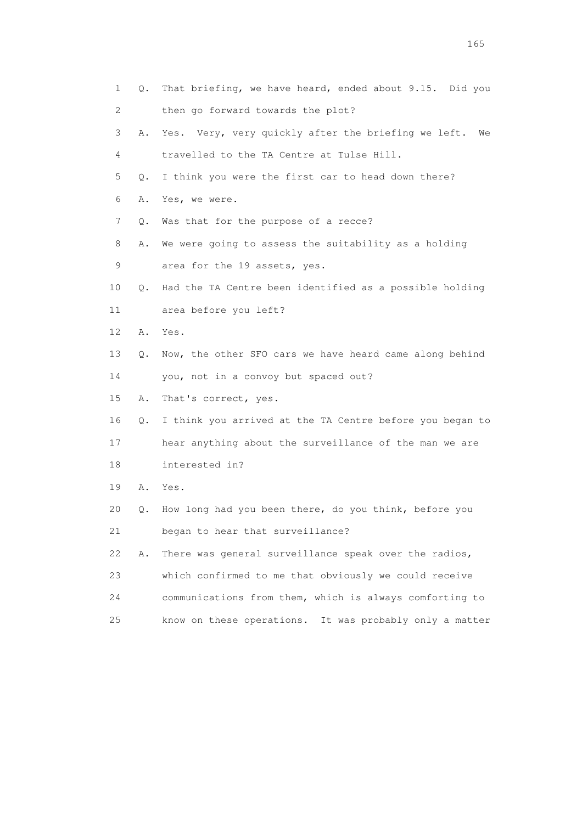| 1                         | Q. | That briefing, we have heard, ended about 9.15. Did you    |
|---------------------------|----|------------------------------------------------------------|
| $\mathbf{2}^{\mathsf{I}}$ |    | then go forward towards the plot?                          |
| 3                         | Α. | Yes. Very, very quickly after the briefing we left.<br>We  |
| 4                         |    | travelled to the TA Centre at Tulse Hill.                  |
| 5                         | Q. | I think you were the first car to head down there?         |
| 6                         | Α. | Yes, we were.                                              |
| 7                         | Q. | Was that for the purpose of a recce?                       |
| 8                         | Α. | We were going to assess the suitability as a holding       |
| 9                         |    | area for the 19 assets, yes.                               |
| 10                        | Q. | Had the TA Centre been identified as a possible holding    |
| 11                        |    | area before you left?                                      |
| 12                        | Α. | Yes.                                                       |
| 13                        | О. | Now, the other SFO cars we have heard came along behind    |
| 14                        |    | you, not in a convoy but spaced out?                       |
| 15                        | Α. | That's correct, yes.                                       |
| 16                        | Q. | I think you arrived at the TA Centre before you began to   |
| 17                        |    | hear anything about the surveillance of the man we are     |
| 18                        |    | interested in?                                             |
| 19                        | Α. | Yes.                                                       |
| 20                        | Q. | How long had you been there, do you think, before you      |
| 21                        |    | began to hear that surveillance?                           |
| 22                        | Α. | There was general surveillance speak over the radios,      |
| 23                        |    | which confirmed to me that obviously we could receive      |
| 24                        |    | communications from them, which is always comforting to    |
| 25                        |    | know on these operations.<br>It was probably only a matter |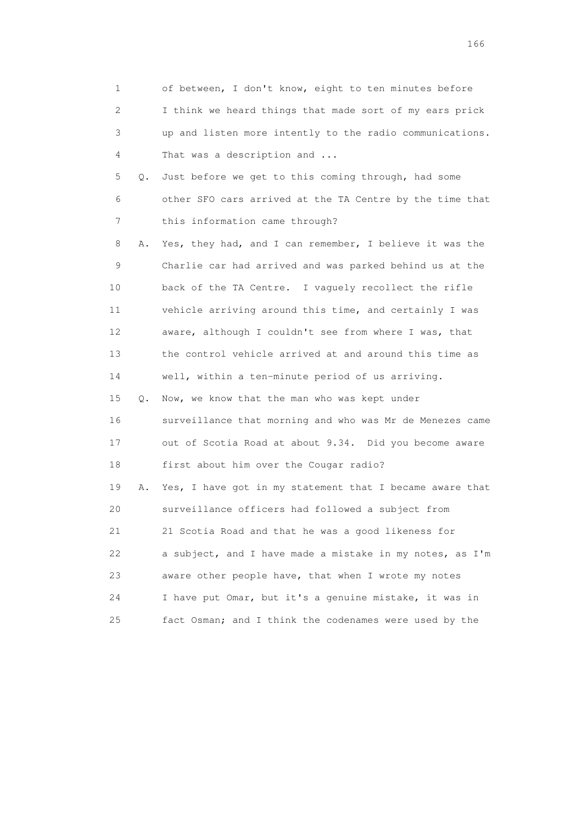| 1  |    | of between, I don't know, eight to ten minutes before    |
|----|----|----------------------------------------------------------|
| 2  |    | I think we heard things that made sort of my ears prick  |
| 3  |    | up and listen more intently to the radio communications. |
| 4  |    | That was a description and                               |
| 5  | Q. | Just before we get to this coming through, had some      |
| 6  |    | other SFO cars arrived at the TA Centre by the time that |
| 7  |    | this information came through?                           |
| 8  | Α. | Yes, they had, and I can remember, I believe it was the  |
| 9  |    | Charlie car had arrived and was parked behind us at the  |
| 10 |    | back of the TA Centre. I vaguely recollect the rifle     |
| 11 |    | vehicle arriving around this time, and certainly I was   |
| 12 |    | aware, although I couldn't see from where I was, that    |
| 13 |    | the control vehicle arrived at and around this time as   |
| 14 |    | well, within a ten-minute period of us arriving.         |
| 15 | Q. | Now, we know that the man who was kept under             |
| 16 |    | surveillance that morning and who was Mr de Menezes came |
| 17 |    | out of Scotia Road at about 9.34. Did you become aware   |
| 18 |    | first about him over the Cougar radio?                   |
| 19 | Α. | Yes, I have got in my statement that I became aware that |
| 20 |    | surveillance officers had followed a subject from        |
| 21 |    | 21 Scotia Road and that he was a good likeness for       |
| 22 |    | a subject, and I have made a mistake in my notes, as I'm |
| 23 |    | aware other people have, that when I wrote my notes      |
| 24 |    | I have put Omar, but it's a genuine mistake, it was in   |
| 25 |    | fact Osman; and I think the codenames were used by the   |

<u>166</u> **166**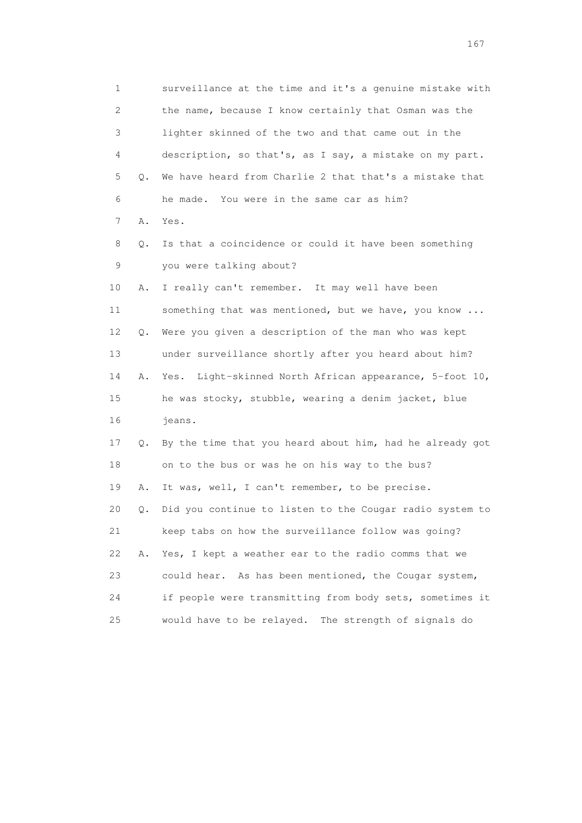1 surveillance at the time and it's a genuine mistake with 2 the name, because I know certainly that Osman was the 3 lighter skinned of the two and that came out in the 4 description, so that's, as I say, a mistake on my part. 5 Q. We have heard from Charlie 2 that that's a mistake that 6 he made. You were in the same car as him? 7 A. Yes. 8 Q. Is that a coincidence or could it have been something 9 you were talking about? 10 A. I really can't remember. It may well have been 11 something that was mentioned, but we have, you know ... 12 Q. Were you given a description of the man who was kept 13 under surveillance shortly after you heard about him? 14 A. Yes. Light-skinned North African appearance, 5-foot 10, 15 he was stocky, stubble, wearing a denim jacket, blue 16 jeans. 17 Q. By the time that you heard about him, had he already got 18 on to the bus or was he on his way to the bus? 19 A. It was, well, I can't remember, to be precise. 20 Q. Did you continue to listen to the Cougar radio system to 21 keep tabs on how the surveillance follow was going? 22 A. Yes, I kept a weather ear to the radio comms that we 23 could hear. As has been mentioned, the Cougar system, 24 if people were transmitting from body sets, sometimes it 25 would have to be relayed. The strength of signals do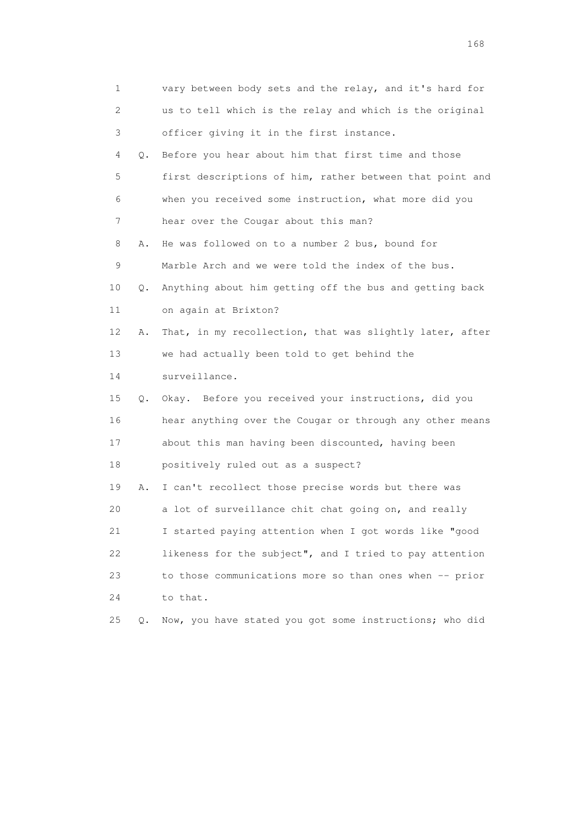| 1  |    | vary between body sets and the relay, and it's hard for  |
|----|----|----------------------------------------------------------|
| 2  |    | us to tell which is the relay and which is the original  |
| 3  |    | officer giving it in the first instance.                 |
| 4  | Q. | Before you hear about him that first time and those      |
| 5  |    | first descriptions of him, rather between that point and |
| 6  |    | when you received some instruction, what more did you    |
| 7  |    | hear over the Cougar about this man?                     |
| 8  | Α. | He was followed on to a number 2 bus, bound for          |
| 9  |    | Marble Arch and we were told the index of the bus.       |
| 10 | Q. | Anything about him getting off the bus and getting back  |
| 11 |    | on again at Brixton?                                     |
| 12 | Α. | That, in my recollection, that was slightly later, after |
| 13 |    | we had actually been told to get behind the              |
| 14 |    | surveillance.                                            |
| 15 | Q. | Okay. Before you received your instructions, did you     |
| 16 |    | hear anything over the Cougar or through any other means |
| 17 |    | about this man having been discounted, having been       |
| 18 |    | positively ruled out as a suspect?                       |
| 19 | Α. | I can't recollect those precise words but there was      |
| 20 |    | a lot of surveillance chit chat going on, and really     |
| 21 |    | I started paying attention when I got words like "good   |
| 22 |    | likeness for the subject", and I tried to pay attention  |
| 23 |    | to those communications more so than ones when -- prior  |
| 24 |    | to that.                                                 |
| 25 | О. | Now, you have stated you got some instructions; who did  |

<u>168</u> **168**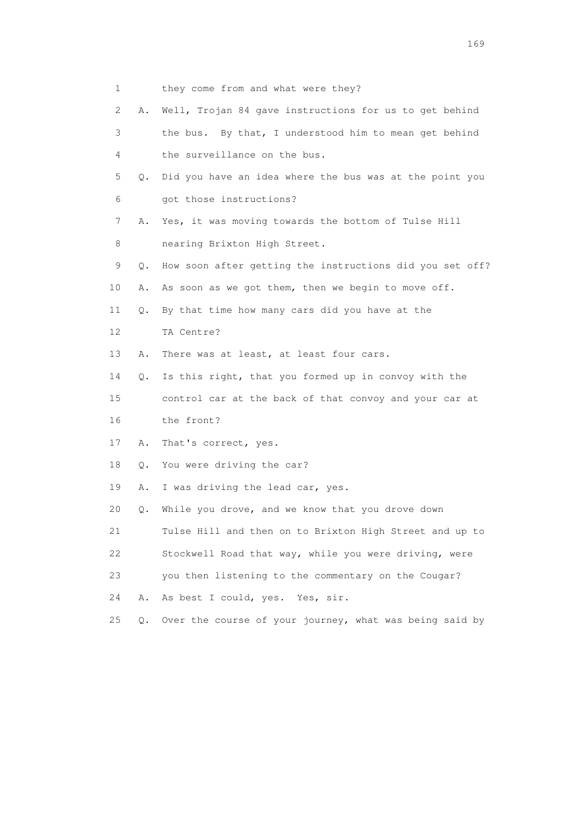- 1 they come from and what were they?
- 2 A. Well, Trojan 84 gave instructions for us to get behind 3 the bus. By that, I understood him to mean get behind 4 the surveillance on the bus. 5 Q. Did you have an idea where the bus was at the point you 6 got those instructions? 7 A. Yes, it was moving towards the bottom of Tulse Hill
- 8 nearing Brixton High Street.
- 9 Q. How soon after getting the instructions did you set off?
- 10 A. As soon as we got them, then we begin to move off.
- 11 Q. By that time how many cars did you have at the
- 12 TA Centre?
- 13 A. There was at least, at least four cars.

14 Q. Is this right, that you formed up in convoy with the

 15 control car at the back of that convoy and your car at 16 the front?

- 17 A. That's correct, yes.
- 18 Q. You were driving the car?
- 19 A. I was driving the lead car, yes.

20 Q. While you drove, and we know that you drove down

21 Tulse Hill and then on to Brixton High Street and up to

- 22 Stockwell Road that way, while you were driving, were
- 23 you then listening to the commentary on the Cougar?
- 24 A. As best I could, yes. Yes, sir.
- 25 Q. Over the course of your journey, what was being said by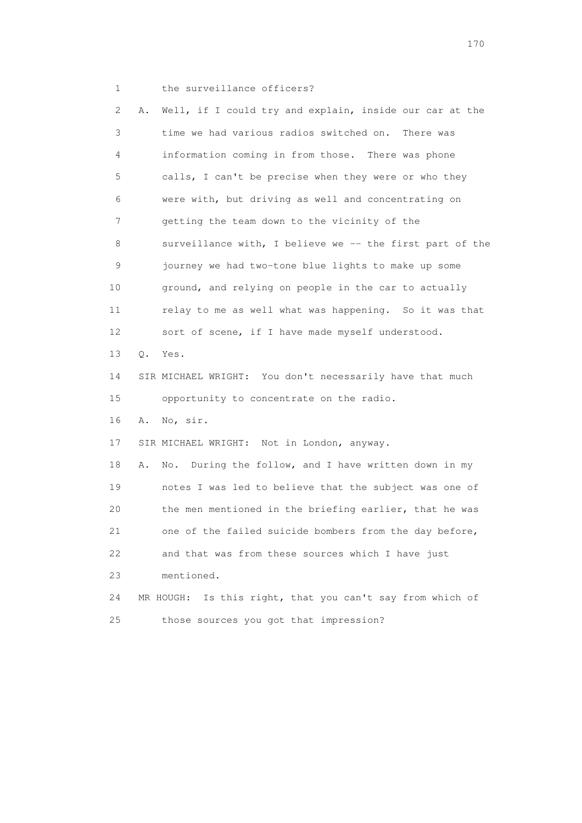1 the surveillance officers?

 2 A. Well, if I could try and explain, inside our car at the 3 time we had various radios switched on. There was 4 information coming in from those. There was phone 5 calls, I can't be precise when they were or who they 6 were with, but driving as well and concentrating on 7 getting the team down to the vicinity of the 8 surveillance with, I believe we -- the first part of the 9 journey we had two-tone blue lights to make up some 10 ground, and relying on people in the car to actually 11 relay to me as well what was happening. So it was that 12 sort of scene, if I have made myself understood. 13 Q. Yes. 14 SIR MICHAEL WRIGHT: You don't necessarily have that much 15 opportunity to concentrate on the radio. 16 A. No, sir. 17 SIR MICHAEL WRIGHT: Not in London, anyway. 18 A. No. During the follow, and I have written down in my 19 notes I was led to believe that the subject was one of 20 the men mentioned in the briefing earlier, that he was 21 one of the failed suicide bombers from the day before, 22 and that was from these sources which I have just 23 mentioned. 24 MR HOUGH: Is this right, that you can't say from which of 25 those sources you got that impression?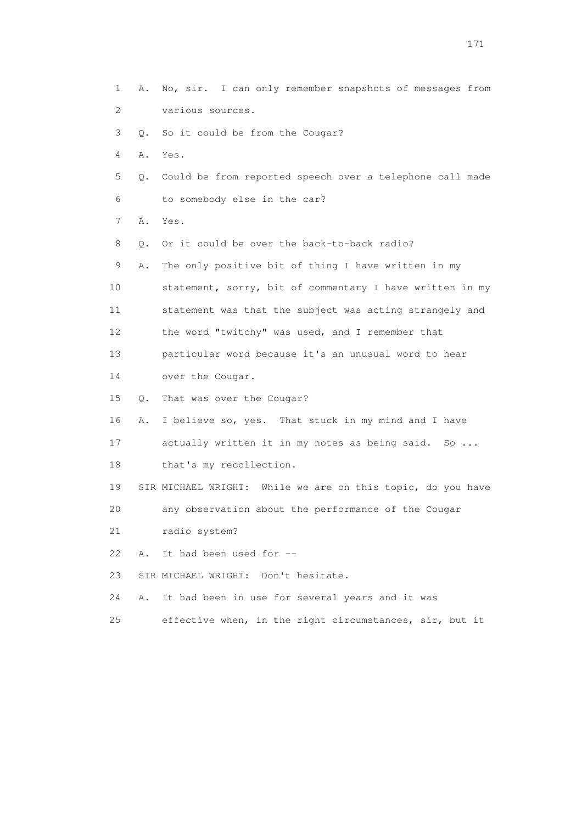1 A. No, sir. I can only remember snapshots of messages from 2 various sources. 3 Q. So it could be from the Cougar? 4 A. Yes. 5 Q. Could be from reported speech over a telephone call made 6 to somebody else in the car? 7 A. Yes. 8 0. Or it could be over the back-to-back radio? 9 A. The only positive bit of thing I have written in my 10 statement, sorry, bit of commentary I have written in my 11 statement was that the subject was acting strangely and 12 the word "twitchy" was used, and I remember that 13 particular word because it's an unusual word to hear 14 over the Cougar. 15 Q. That was over the Cougar? 16 A. I believe so, yes. That stuck in my mind and I have 17 actually written it in my notes as being said. So ... 18 that's my recollection. 19 SIR MICHAEL WRIGHT: While we are on this topic, do you have 20 any observation about the performance of the Cougar 21 radio system? 22 A. It had been used for -- 23 SIR MICHAEL WRIGHT: Don't hesitate. 24 A. It had been in use for several years and it was 25 effective when, in the right circumstances, sir, but it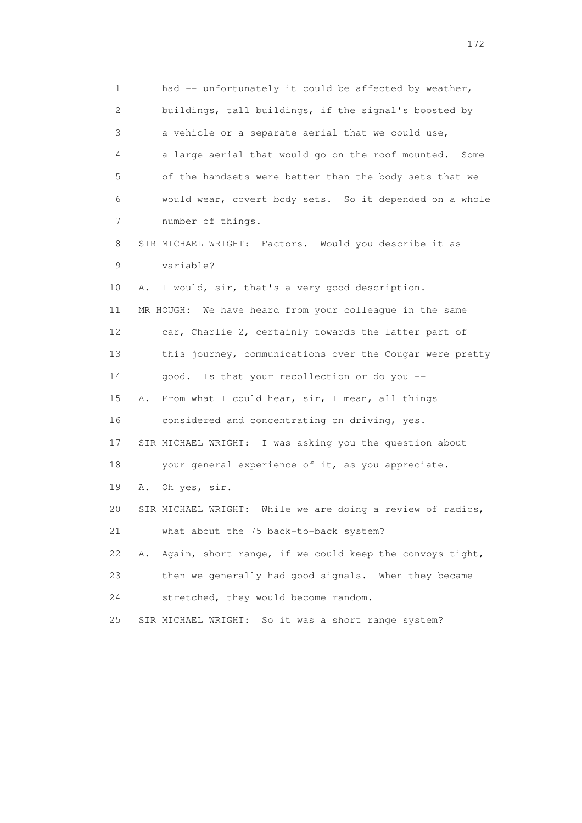1 had -- unfortunately it could be affected by weather, 2 buildings, tall buildings, if the signal's boosted by 3 a vehicle or a separate aerial that we could use, 4 a large aerial that would go on the roof mounted. Some 5 of the handsets were better than the body sets that we 6 would wear, covert body sets. So it depended on a whole 7 number of things. 8 SIR MICHAEL WRIGHT: Factors. Would you describe it as 9 variable? 10 A. I would, sir, that's a very good description. 11 MR HOUGH: We have heard from your colleague in the same 12 car, Charlie 2, certainly towards the latter part of 13 this journey, communications over the Cougar were pretty 14 good. Is that your recollection or do you -- 15 A. From what I could hear, sir, I mean, all things 16 considered and concentrating on driving, yes. 17 SIR MICHAEL WRIGHT: I was asking you the question about 18 your general experience of it, as you appreciate. 19 A. Oh yes, sir. 20 SIR MICHAEL WRIGHT: While we are doing a review of radios, 21 what about the 75 back-to-back system? 22 A. Again, short range, if we could keep the convoys tight, 23 then we generally had good signals. When they became 24 stretched, they would become random. 25 SIR MICHAEL WRIGHT: So it was a short range system?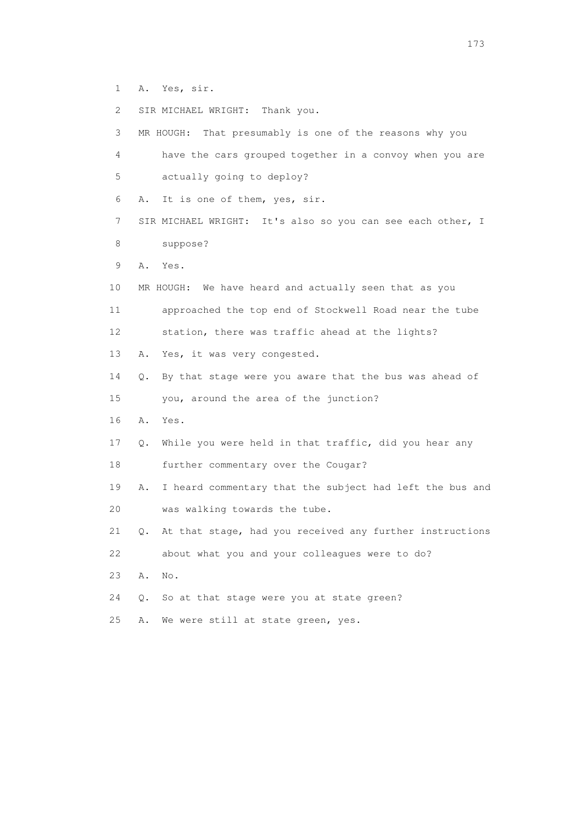- 1 A. Yes, sir.
- 2 SIR MICHAEL WRIGHT: Thank you.

| 3  |           | MR HOUGH: That presumably is one of the reasons why you    |
|----|-----------|------------------------------------------------------------|
| 4  |           | have the cars grouped together in a convoy when you are    |
| 5  |           | actually going to deploy?                                  |
| 6  | Α.        | It is one of them, yes, sir.                               |
| 7  |           | SIR MICHAEL WRIGHT: It's also so you can see each other, I |
| 8  |           | suppose?                                                   |
| 9  | Α.        | Yes.                                                       |
| 10 |           | MR HOUGH: We have heard and actually seen that as you      |
| 11 |           | approached the top end of Stockwell Road near the tube     |
| 12 |           | station, there was traffic ahead at the lights?            |
| 13 | Α.        | Yes, it was very congested.                                |
| 14 | Q.        | By that stage were you aware that the bus was ahead of     |
| 15 |           | you, around the area of the junction?                      |
| 16 | Α.        | Yes.                                                       |
| 17 | $\circ$ . | While you were held in that traffic, did you hear any      |
| 18 |           | further commentary over the Cougar?                        |
| 19 | Α.        | I heard commentary that the subject had left the bus and   |
| 20 |           | was walking towards the tube.                              |
| 21 | Q.        | At that stage, had you received any further instructions   |
| 22 |           | about what you and your colleagues were to do?             |
| 23 | Α.        | No.                                                        |
| 24 | Q.        | So at that stage were you at state green?                  |
| 25 | Α.        | We were still at state green, yes.                         |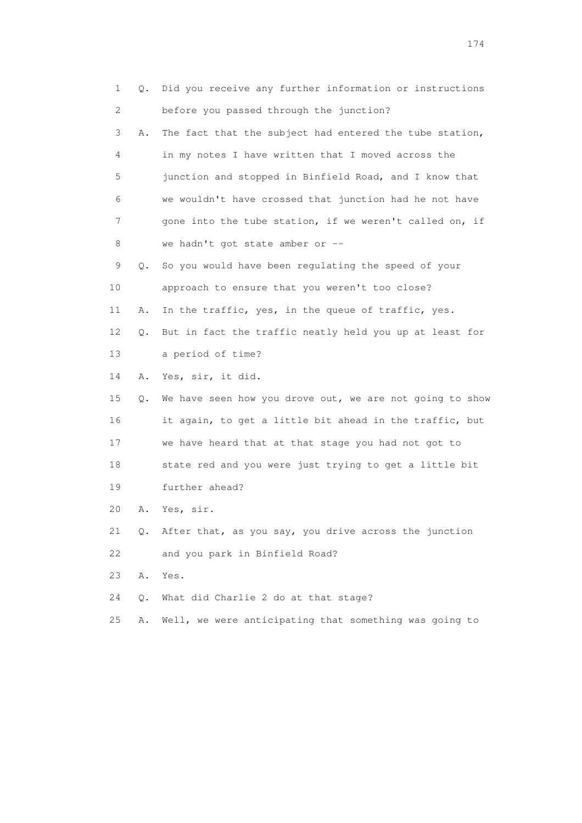| 1                         | Q. | Did you receive any further information or instructions  |
|---------------------------|----|----------------------------------------------------------|
| $\mathbf{2}^{\mathsf{I}}$ |    | before you passed through the junction?                  |
| 3                         | Α. | The fact that the subject had entered the tube station,  |
| 4                         |    | in my notes I have written that I moved across the       |
| 5                         |    | junction and stopped in Binfield Road, and I know that   |
| 6                         |    | we wouldn't have crossed that junction had he not have   |
| 7                         |    | gone into the tube station, if we weren't called on, if  |
| 8                         |    | we hadn't got state amber or --                          |
| 9                         | Q. | So you would have been regulating the speed of your      |
| 10                        |    | approach to ensure that you weren't too close?           |
| 11                        | Α. | In the traffic, yes, in the queue of traffic, yes.       |
| 12                        | Q. | But in fact the traffic neatly held you up at least for  |
| 13                        |    | a period of time?                                        |
| 14                        | Α. | Yes, sir, it did.                                        |
| 15                        | О. | We have seen how you drove out, we are not going to show |
| 16                        |    | it again, to get a little bit ahead in the traffic, but  |
| 17                        |    | we have heard that at that stage you had not got to      |
| 18                        |    | state red and you were just trying to get a little bit   |
| 19                        |    | further ahead?                                           |
| 20                        | Α. | Yes, sir.                                                |
| 21                        | Q. | After that, as you say, you drive across the junction    |
| 22                        |    | and you park in Binfield Road?                           |
| 23                        | Α. | Yes.                                                     |
| 24                        | Q. | What did Charlie 2 do at that stage?                     |
| 25                        | Α. | Well, we were anticipating that something was going to   |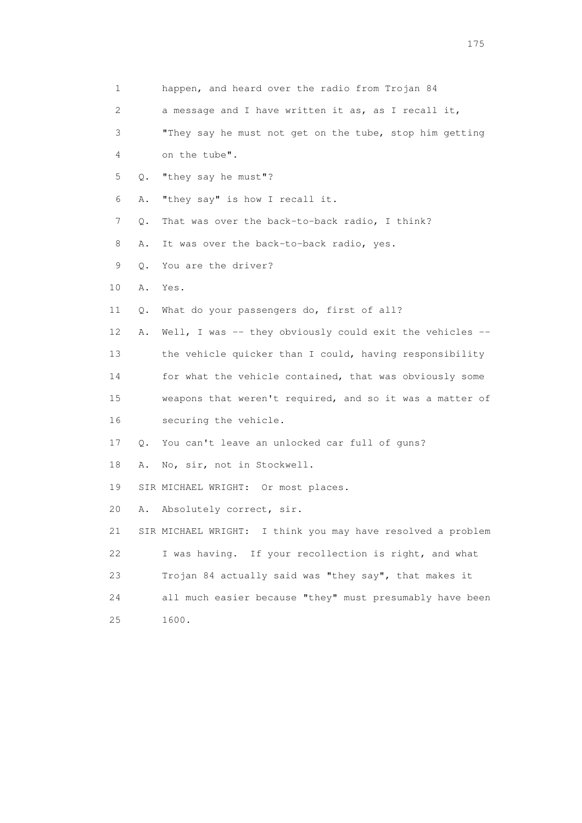| 1  |    | happen, and heard over the radio from Trojan 84             |
|----|----|-------------------------------------------------------------|
| 2  |    | a message and I have written it as, as I recall it,         |
| 3  |    | "They say he must not get on the tube, stop him getting     |
| 4  |    | on the tube".                                               |
| 5  | Q. | "they say he must"?                                         |
| 6  | Α. | "they say" is how I recall it.                              |
| 7  | Q. | That was over the back-to-back radio, I think?              |
| 8  | Α. | It was over the back-to-back radio, yes.                    |
| 9  | Q. | You are the driver?                                         |
| 10 | Α. | Yes.                                                        |
| 11 | Q. | What do your passengers do, first of all?                   |
| 12 | Α. | Well, I was -- they obviously could exit the vehicles --    |
| 13 |    | the vehicle quicker than I could, having responsibility     |
| 14 |    | for what the vehicle contained, that was obviously some     |
| 15 |    | weapons that weren't required, and so it was a matter of    |
| 16 |    | securing the vehicle.                                       |
| 17 | Q. | You can't leave an unlocked car full of guns?               |
| 18 | Α. | No, sir, not in Stockwell.                                  |
| 19 |    | SIR MICHAEL WRIGHT: Or most places.                         |
| 20 | Α. | Absolutely correct, sir.                                    |
| 21 |    | SIR MICHAEL WRIGHT: I think you may have resolved a problem |
| 22 |    | I was having. If your recollection is right, and what       |
| 23 |    | Trojan 84 actually said was "they say", that makes it       |
| 24 |    | all much easier because "they" must presumably have been    |
| 25 |    | 1600.                                                       |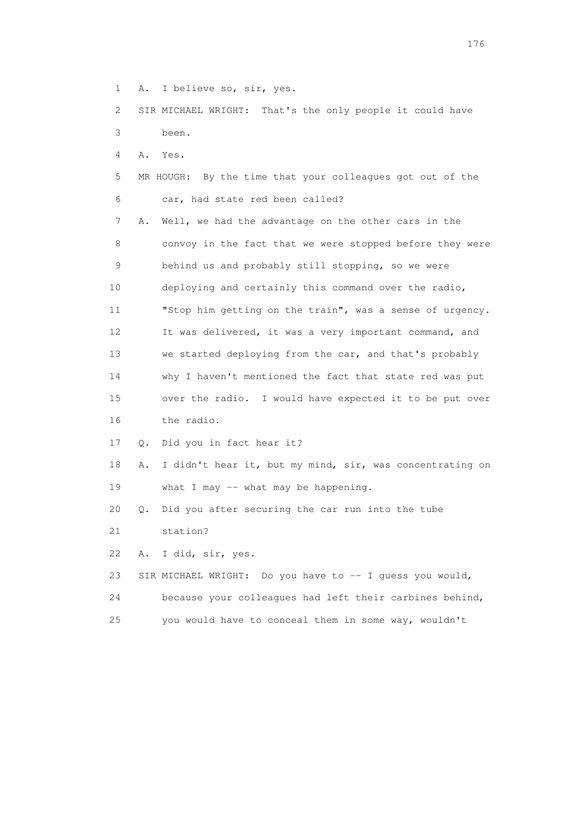1 A. I believe so, sir, yes.

 2 SIR MICHAEL WRIGHT: That's the only people it could have 3 been.

4 A. Yes.

 5 MR HOUGH: By the time that your colleagues got out of the 6 car, had state red been called? 7 A. Well, we had the advantage on the other cars in the 8 convoy in the fact that we were stopped before they were 9 behind us and probably still stopping, so we were 10 deploying and certainly this command over the radio, 11 "Stop him getting on the train", was a sense of urgency. 12 It was delivered, it was a very important command, and 13 we started deploying from the car, and that's probably 14 why I haven't mentioned the fact that state red was put 15 over the radio. I would have expected it to be put over 16 the radio.

17 Q. Did you in fact hear it?

 18 A. I didn't hear it, but my mind, sir, was concentrating on 19 what I may -- what may be happening.

20 Q. Did you after securing the car run into the tube

21 station?

22 A. I did, sir, yes.

23 SIR MICHAEL WRIGHT: Do you have to -- I guess you would, 24 because your colleagues had left their carbines behind, 25 you would have to conceal them in some way, wouldn't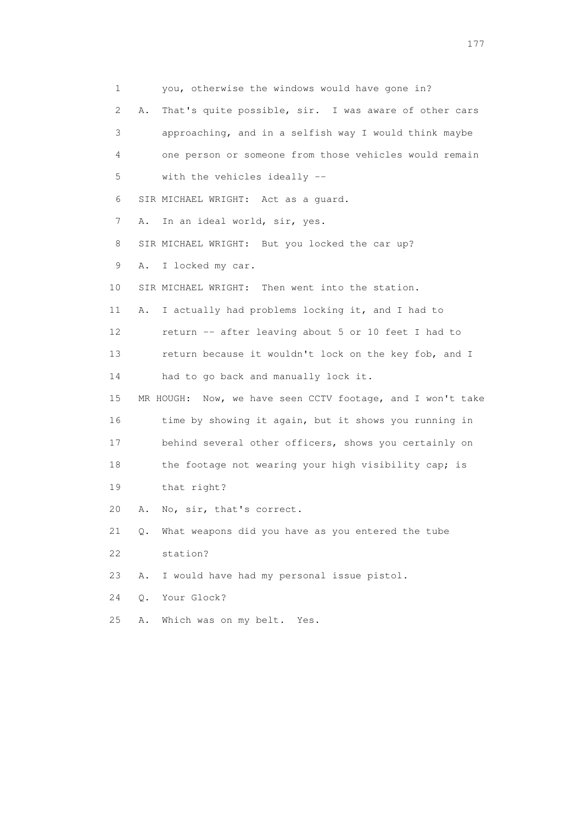1 you, otherwise the windows would have gone in? 2 A. That's quite possible, sir. I was aware of other cars 3 approaching, and in a selfish way I would think maybe 4 one person or someone from those vehicles would remain 5 with the vehicles ideally -- 6 SIR MICHAEL WRIGHT: Act as a guard. 7 A. In an ideal world, sir, yes. 8 SIR MICHAEL WRIGHT: But you locked the car up? 9 A. I locked my car. 10 SIR MICHAEL WRIGHT: Then went into the station. 11 A. I actually had problems locking it, and I had to 12 return -- after leaving about 5 or 10 feet I had to 13 return because it wouldn't lock on the key fob, and I 14 had to go back and manually lock it. 15 MR HOUGH: Now, we have seen CCTV footage, and I won't take 16 time by showing it again, but it shows you running in 17 behind several other officers, shows you certainly on 18 the footage not wearing your high visibility cap; is 19 that right? 20 A. No, sir, that's correct. 21 Q. What weapons did you have as you entered the tube 22 station? 23 A. I would have had my personal issue pistol. 24 Q. Your Glock? 25 A. Which was on my belt. Yes.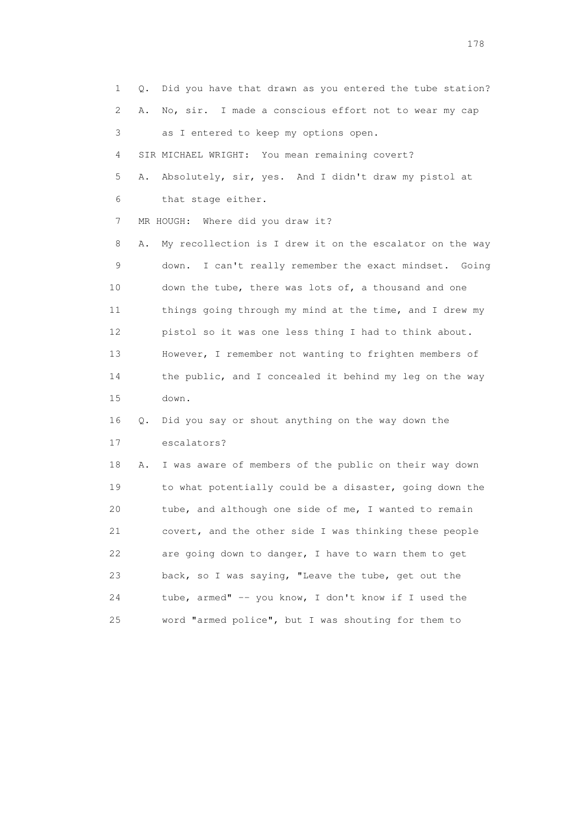1 Q. Did you have that drawn as you entered the tube station? 2 A. No, sir. I made a conscious effort not to wear my cap 3 as I entered to keep my options open. 4 SIR MICHAEL WRIGHT: You mean remaining covert? 5 A. Absolutely, sir, yes. And I didn't draw my pistol at 6 that stage either. 7 MR HOUGH: Where did you draw it? 8 A. My recollection is I drew it on the escalator on the way 9 down. I can't really remember the exact mindset. Going 10 down the tube, there was lots of, a thousand and one 11 things going through my mind at the time, and I drew my 12 pistol so it was one less thing I had to think about. 13 However, I remember not wanting to frighten members of 14 the public, and I concealed it behind my leg on the way 15 down. 16 Q. Did you say or shout anything on the way down the 17 escalators? 18 A. I was aware of members of the public on their way down 19 to what potentially could be a disaster, going down the 20 tube, and although one side of me, I wanted to remain 21 covert, and the other side I was thinking these people 22 are going down to danger, I have to warn them to get 23 back, so I was saying, "Leave the tube, get out the 24 tube, armed" -- you know, I don't know if I used the 25 word "armed police", but I was shouting for them to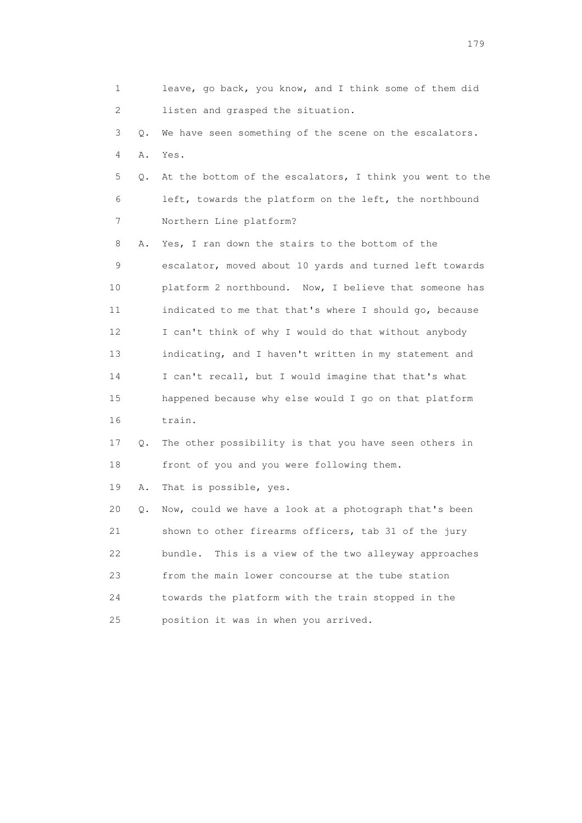|    | 1             | leave, go back, you know, and I think some of them did   |
|----|---------------|----------------------------------------------------------|
|    | 2             | listen and grasped the situation.                        |
|    | 3<br>Q.       | We have seen something of the scene on the escalators.   |
|    | 4<br>Α.       | Yes.                                                     |
|    | 5<br>Q.       | At the bottom of the escalators, I think you went to the |
|    | 6             | left, towards the platform on the left, the northbound   |
|    | 7             | Northern Line platform?                                  |
|    | 8<br>Α.       | Yes, I ran down the stairs to the bottom of the          |
|    | 9             | escalator, moved about 10 yards and turned left towards  |
| 10 |               | platform 2 northbound. Now, I believe that someone has   |
| 11 |               | indicated to me that that's where I should go, because   |
| 12 |               | I can't think of why I would do that without anybody     |
| 13 |               | indicating, and I haven't written in my statement and    |
| 14 |               | I can't recall, but I would imagine that that's what     |
| 15 |               | happened because why else would I go on that platform    |
| 16 |               | train.                                                   |
| 17 | $Q_{\bullet}$ | The other possibility is that you have seen others in    |
| 18 |               | front of you and you were following them.                |
| 19 | Α.            | That is possible, yes.                                   |
| 20 | Q.            | Now, could we have a look at a photograph that's been    |
| 21 |               | shown to other firearms officers, tab 31 of the jury     |
| 22 |               | bundle.<br>This is a view of the two alleyway approaches |
| 23 |               | from the main lower concourse at the tube station        |
| 24 |               | towards the platform with the train stopped in the       |
| 25 |               | position it was in when you arrived.                     |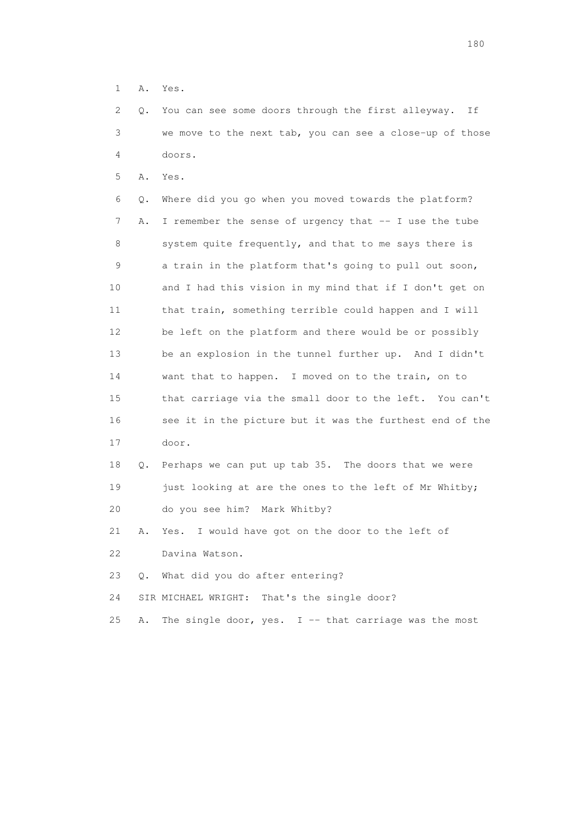1 A. Yes.

 2 Q. You can see some doors through the first alleyway. If 3 we move to the next tab, you can see a close-up of those 4 doors.

5 A. Yes.

 6 Q. Where did you go when you moved towards the platform? 7 A. I remember the sense of urgency that -- I use the tube 8 system quite frequently, and that to me says there is 9 a train in the platform that's going to pull out soon, 10 and I had this vision in my mind that if I don't get on 11 that train, something terrible could happen and I will 12 be left on the platform and there would be or possibly 13 be an explosion in the tunnel further up. And I didn't 14 want that to happen. I moved on to the train, on to 15 that carriage via the small door to the left. You can't 16 see it in the picture but it was the furthest end of the 17 door.

 18 Q. Perhaps we can put up tab 35. The doors that we were 19 just looking at are the ones to the left of Mr Whitby; 20 do you see him? Mark Whitby?

 21 A. Yes. I would have got on the door to the left of 22 Davina Watson.

23 Q. What did you do after entering?

24 SIR MICHAEL WRIGHT: That's the single door?

25 A. The single door, yes. I -- that carriage was the most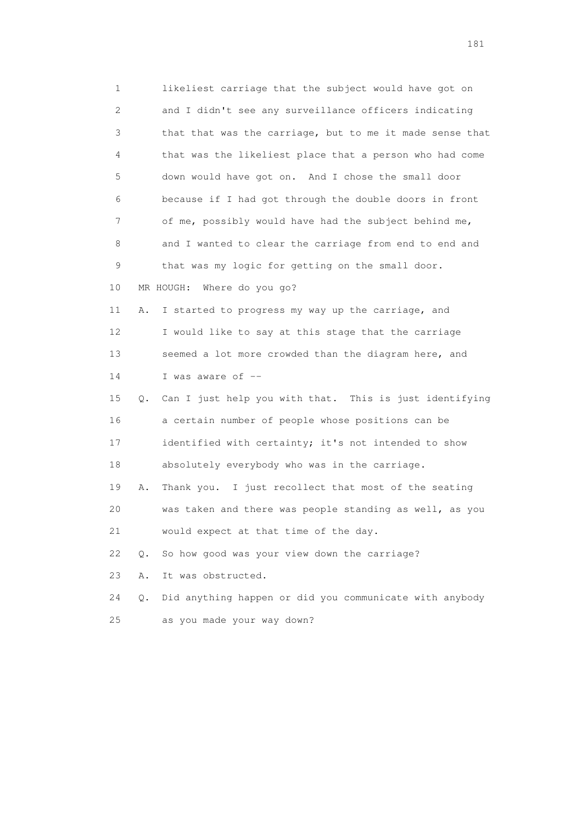1 likeliest carriage that the subject would have got on 2 and I didn't see any surveillance officers indicating 3 that that was the carriage, but to me it made sense that 4 that was the likeliest place that a person who had come 5 down would have got on. And I chose the small door 6 because if I had got through the double doors in front 7 of me, possibly would have had the subject behind me, 8 and I wanted to clear the carriage from end to end and 9 that was my logic for getting on the small door. 10 MR HOUGH: Where do you go? 11 A. I started to progress my way up the carriage, and 12 I would like to say at this stage that the carriage 13 seemed a lot more crowded than the diagram here, and 14 I was aware of -- 15 Q. Can I just help you with that. This is just identifying 16 a certain number of people whose positions can be 17 identified with certainty; it's not intended to show 18 absolutely everybody who was in the carriage. 19 A. Thank you. I just recollect that most of the seating 20 was taken and there was people standing as well, as you 21 would expect at that time of the day. 22 Q. So how good was your view down the carriage? 23 A. It was obstructed. 24 Q. Did anything happen or did you communicate with anybody 25 as you made your way down?

181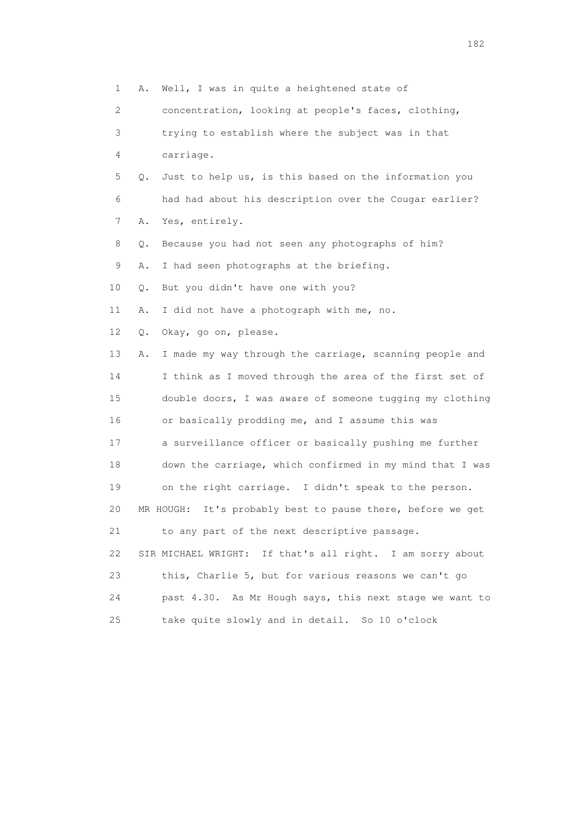1 A. Well, I was in quite a heightened state of 2 concentration, looking at people's faces, clothing, 3 trying to establish where the subject was in that 4 carriage. 5 Q. Just to help us, is this based on the information you 6 had had about his description over the Cougar earlier? 7 A. Yes, entirely. 8 Q. Because you had not seen any photographs of him? 9 A. I had seen photographs at the briefing. 10 Q. But you didn't have one with you? 11 A. I did not have a photograph with me, no. 12 Q. Okay, go on, please. 13 A. I made my way through the carriage, scanning people and 14 I think as I moved through the area of the first set of 15 double doors, I was aware of someone tugging my clothing 16 or basically prodding me, and I assume this was 17 a surveillance officer or basically pushing me further 18 down the carriage, which confirmed in my mind that I was 19 on the right carriage. I didn't speak to the person. 20 MR HOUGH: It's probably best to pause there, before we get 21 to any part of the next descriptive passage. 22 SIR MICHAEL WRIGHT: If that's all right. I am sorry about 23 this, Charlie 5, but for various reasons we can't go 24 past 4.30. As Mr Hough says, this next stage we want to 25 take quite slowly and in detail. So 10 o'clock

182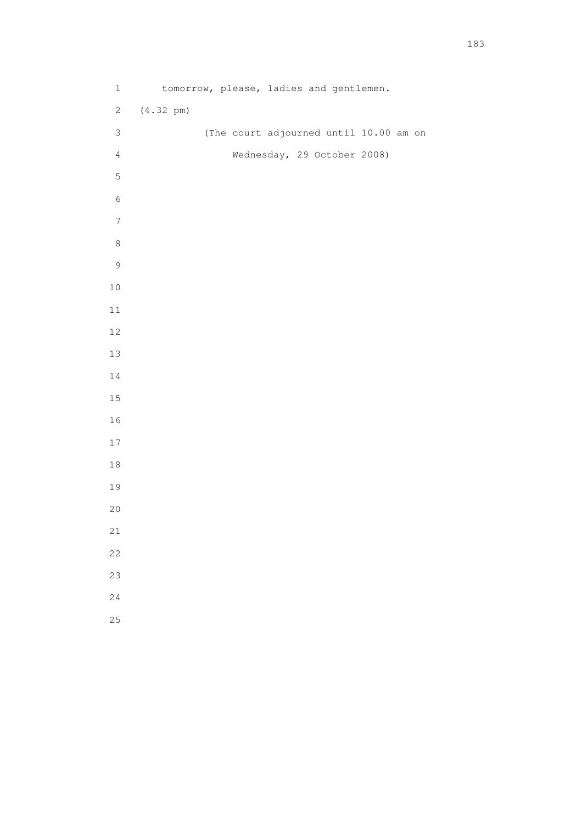1 tomorrow, please, ladies and gentlemen. 2 (4.32 pm) 3 (The court adjourned until 10.00 am on 4 Wednesday, 29 October 2008)